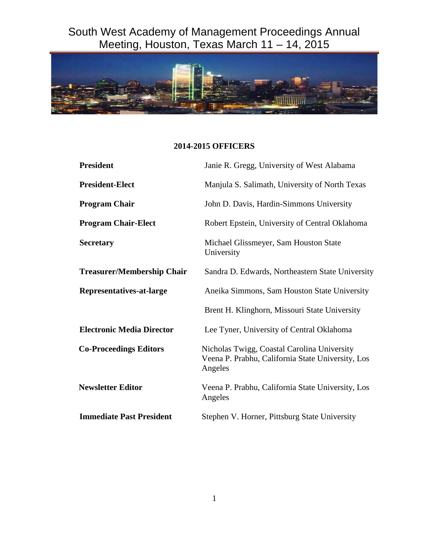

### **2014-2015 OFFICERS**

| <b>President</b>                  | Janie R. Gregg, University of West Alabama                                                                  |
|-----------------------------------|-------------------------------------------------------------------------------------------------------------|
| <b>President-Elect</b>            | Manjula S. Salimath, University of North Texas                                                              |
| <b>Program Chair</b>              | John D. Davis, Hardin-Simmons University                                                                    |
| <b>Program Chair-Elect</b>        | Robert Epstein, University of Central Oklahoma                                                              |
| <b>Secretary</b>                  | Michael Glissmeyer, Sam Houston State<br>University                                                         |
| <b>Treasurer/Membership Chair</b> | Sandra D. Edwards, Northeastern State University                                                            |
| Representatives-at-large          | Aneika Simmons, Sam Houston State University                                                                |
|                                   | Brent H. Klinghorn, Missouri State University                                                               |
| <b>Electronic Media Director</b>  | Lee Tyner, University of Central Oklahoma                                                                   |
| <b>Co-Proceedings Editors</b>     | Nicholas Twigg, Coastal Carolina University<br>Veena P. Prabhu, California State University, Los<br>Angeles |
| <b>Newsletter Editor</b>          | Veena P. Prabhu, California State University, Los<br>Angeles                                                |
| <b>Immediate Past President</b>   | Stephen V. Horner, Pittsburg State University                                                               |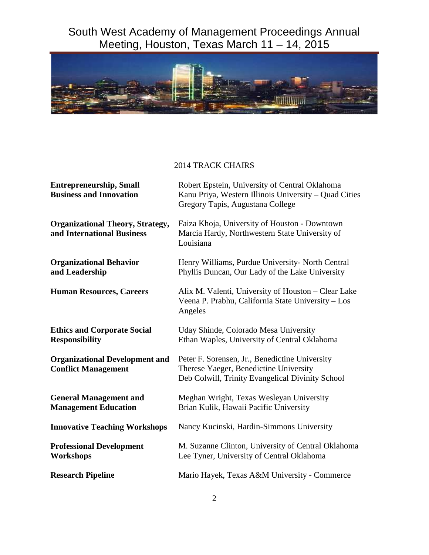

### 2014 TRACK CHAIRS

| <b>Entrepreneurship, Small</b><br><b>Business and Innovation</b>      | Robert Epstein, University of Central Oklahoma<br>Kanu Priya, Western Illinois University - Quad Cities<br>Gregory Tapis, Augustana College  |
|-----------------------------------------------------------------------|----------------------------------------------------------------------------------------------------------------------------------------------|
| <b>Organizational Theory, Strategy,</b><br>and International Business | Faiza Khoja, University of Houston - Downtown<br>Marcia Hardy, Northwestern State University of<br>Louisiana                                 |
| <b>Organizational Behavior</b><br>and Leadership                      | Henry Williams, Purdue University- North Central<br>Phyllis Duncan, Our Lady of the Lake University                                          |
| <b>Human Resources, Careers</b>                                       | Alix M. Valenti, University of Houston - Clear Lake<br>Veena P. Prabhu, California State University - Los<br>Angeles                         |
| <b>Ethics and Corporate Social</b><br><b>Responsibility</b>           | Uday Shinde, Colorado Mesa University<br>Ethan Waples, University of Central Oklahoma                                                        |
| <b>Organizational Development and</b><br><b>Conflict Management</b>   | Peter F. Sorensen, Jr., Benedictine University<br>Therese Yaeger, Benedictine University<br>Deb Colwill, Trinity Evangelical Divinity School |
| <b>General Management and</b><br><b>Management Education</b>          | Meghan Wright, Texas Wesleyan University<br>Brian Kulik, Hawaii Pacific University                                                           |
| <b>Innovative Teaching Workshops</b>                                  | Nancy Kucinski, Hardin-Simmons University                                                                                                    |
| <b>Professional Development</b><br>Workshops                          | M. Suzanne Clinton, University of Central Oklahoma<br>Lee Tyner, University of Central Oklahoma                                              |
| <b>Research Pipeline</b>                                              | Mario Hayek, Texas A&M University - Commerce                                                                                                 |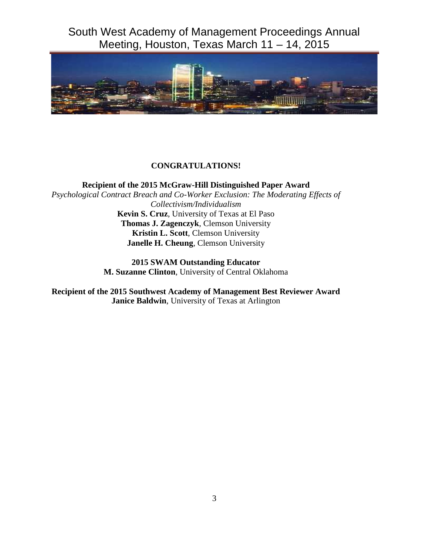

### **CONGRATULATIONS!**

**Recipient of the 2015 McGraw-Hill Distinguished Paper Award** *Psychological Contract Breach and Co-Worker Exclusion: The Moderating Effects of Collectivism/Individualism* **Kevin S. Cruz**, University of Texas at El Paso **Thomas J. Zagenczyk**, Clemson University **Kristin L. Scott**, Clemson University **Janelle H. Cheung**, Clemson University

> **2015 SWAM Outstanding Educator M. Suzanne Clinton**, University of Central Oklahoma

**Recipient of the 2015 Southwest Academy of Management Best Reviewer Award Janice Baldwin**, University of Texas at Arlington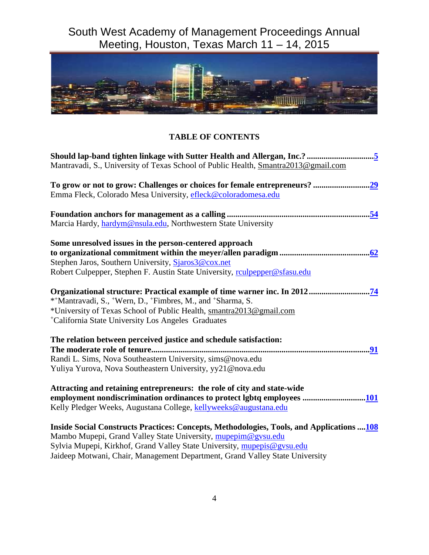

### **TABLE OF CONTENTS**

| Mantravadi, S., University of Texas School of Public Health, Smantra2013@gmail.com              |
|-------------------------------------------------------------------------------------------------|
|                                                                                                 |
| Emma Fleck, Colorado Mesa University, efleck@coloradomesa.edu                                   |
|                                                                                                 |
| Marcia Hardy, hardym@nsula.edu, Northwestern State University                                   |
| Some unresolved issues in the person-centered approach                                          |
|                                                                                                 |
| Stephen Jaros, Southern University, Sjaros3@cox.net                                             |
| Robert Culpepper, Stephen F. Austin State University, rculpepper@sfasu.edu                      |
|                                                                                                 |
| **Mantravadi, S., *Wern, D., *Fimbres, M., and *Sharma, S.                                      |
| *University of Texas School of Public Health, smantra2013@gmail.com                             |
| <sup>+</sup> California State University Los Angeles Graduates                                  |
| The relation between perceived justice and schedule satisfaction:                               |
|                                                                                                 |
| Randi L. Sims, Nova Southeastern University, sims@nova.edu                                      |
| Yuliya Yurova, Nova Southeastern University, yy21@nova.edu                                      |
| Attracting and retaining entrepreneurs: the role of city and state-wide                         |
| employment nondiscrimination ordinances to protect lgbtq employees 101                          |
| Kelly Pledger Weeks, Augustana College, kellyweeks@augustana.edu                                |
| <b>Inside Social Constructs Practices: Concepts, Methodologies, Tools, and Applications 108</b> |
| Mambo Mupepi, Grand Valley State University, mupepim@gysu.edu                                   |
| Sylvia Mupepi, Kirkhof, Grand Valley State University, mupepis@gvsu.edu                         |
| Jaideep Motwani, Chair, Management Department, Grand Valley State University                    |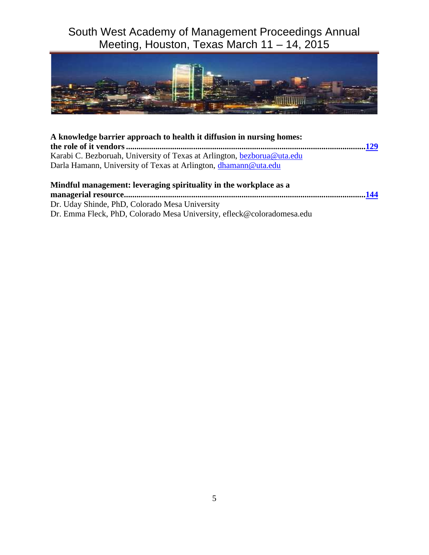

### **A knowledge barrier approach to health it diffusion in nursing homes: the role of it vendors..................................................................................................................129** Karabi C. Bezboruah, University of Texas at Arlington, bezborua@uta.edu Darla Hamann, University of Texas at Arlington, dhamann@uta.edu **Mindful management: leveraging spirituality in the workplace as a**

| миции планадениент. теметадинд эри планту ни пис могкрытсе аз а        |  |
|------------------------------------------------------------------------|--|
|                                                                        |  |
| Dr. Uday Shinde, PhD, Colorado Mesa University                         |  |
| Dr. Emma Fleck, PhD, Colorado Mesa University, efleck@coloradomesa.edu |  |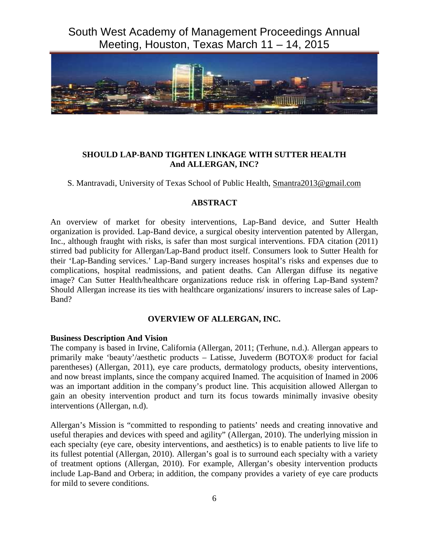

### **SHOULD LAP-BAND TIGHTEN LINKAGE WITH SUTTER HEALTH And ALLERGAN, INC?**

S. Mantravadi, University of Texas School of Public Health, Smantra2013@gmail.com

#### **ABSTRACT**

An overview of market for obesity interventions, Lap-Band device, and Sutter Health organization is provided. Lap-Band device, a surgical obesity intervention patented by Allergan, Inc., although fraught with risks, is safer than most surgical interventions. FDA citation (2011) stirred bad publicity for Allergan/Lap-Band product itself. Consumers look to Sutter Health for their 'Lap-Banding services.' Lap-Band surgery increases hospital's risks and expenses due to complications, hospital readmissions, and patient deaths. Can Allergan diffuse its negative image? Can Sutter Health/healthcare organizations reduce risk in offering Lap-Band system? Should Allergan increase its ties with healthcare organizations/ insurers to increase sales of Lap- Band?

#### **OVERVIEW OF ALLERGAN, INC.**

#### **Business Description And Vision**

The company is based in Irvine, California (Allergan, 2011; (Terhune, n.d.). Allergan appears to primarily make 'beauty'/aesthetic products – Latisse, Juvederm (BOTOX® product for facial parentheses) (Allergan, 2011), eye care products, dermatology products, obesity interventions, and now breast implants, since the company acquired Inamed. The acquisition of Inamed in 2006 was an important addition in the company's product line. This acquisition allowed Allergan to gain an obesity intervention product and turn its focus towards minimally invasive obesity interventions (Allergan, n.d).

Allergan's Mission is "committed to responding to patients' needs and creating innovative and useful therapies and devices with speed and agility" (Allergan, 2010). The underlying mission in each specialty (eye care, obesity interventions, and aesthetics) is to enable patients to live life to its fullest potential (Allergan, 2010). Allergan's goal is to surround each specialty with a variety of treatment options (Allergan, 2010). For example, Allergan's obesity intervention products include Lap-Band and Orbera; in addition, the company provides a variety of eye care products for mild to severe conditions.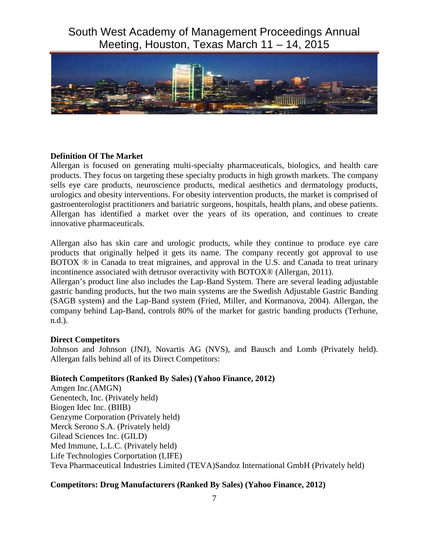

#### **Definition Of The Market**

Allergan is focused on generating multi-specialty pharmaceuticals, biologics, and health care products. They focus on targeting these specialty products in high growth markets. The company sells eye care products, neuroscience products, medical aesthetics and dermatology products, urologics and obesity interventions. For obesity intervention products, the market is comprised of gastroenterologist practitioners and bariatric surgeons, hospitals, health plans, and obese patients. Allergan has identified a market over the years of its operation, and continues to create innovative pharmaceuticals.

Allergan also has skin care and urologic products, while they continue to produce eye care products that originally helped it gets its name. The company recently got approval to use BOTOX  $\otimes$  in Canada to treat migraines, and approval in the U.S. and Canada to treat urinary incontinence associated with detrusor overactivity with BOTOX® (Allergan, 2011).

Allergan's product line also includes the Lap-Band System. There are several leading adjustable gastric banding products, but the two main systems are the Swedish Adjustable Gastric Banding (SAGB system) and the Lap-Band system (Fried, Miller, and Kormanova, 2004). Allergan, the company behind Lap-Band, controls 80% of the market for gastric banding products (Terhune, n.d.).

#### **Direct Competitors**

Johnson and Johnson (JNJ), Novartis AG (NVS), and Bausch and Lomb (Privately held). Allergan falls behind all of its Direct Competitors:

#### **Biotech Competitors (Ranked By Sales) (Yahoo Finance, 2012)**

Amgen Inc.(AMGN) Genentech, Inc. (Privately held) Biogen Idec Inc. (BIIB) Genzyme Corporation (Privately held) Merck Serono S.A. (Privately held) Gilead Sciences Inc. (GILD) Med Immune, L.L.C. (Privately held) Life Technologies Corportation (LIFE) Teva Pharmaceutical Industries Limited (TEVA)Sandoz International GmbH (Privately held)

#### **Competitors: Drug Manufacturers (Ranked By Sales) (Yahoo Finance, 2012)**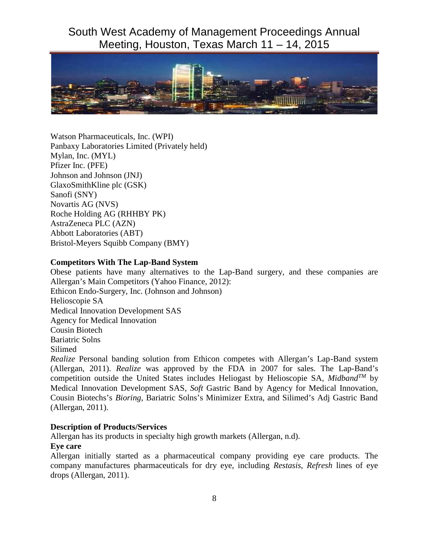

Watson Pharmaceuticals, Inc. (WPI) Panbaxy Laboratories Limited (Privately held) Mylan, Inc. (MYL) Pfizer Inc. (PFE) Johnson and Johnson (JNJ) GlaxoSmithKline plc (GSK) Sanofi (SNY) Novartis AG (NVS) Roche Holding AG (RHHBY PK) AstraZeneca PLC (AZN) Abbott Laboratories (ABT) Bristol-Meyers Squibb Company (BMY)

### **Competitors With The Lap-Band System**

Obese patients have many alternatives to the Lap-Band surgery, and these companies are Allergan's Main Competitors (Yahoo Finance, 2012): Ethicon Endo-Surgery, Inc. (Johnson and Johnson) Helioscopie SA Medical Innovation Development SAS Agency for Medical Innovation Cousin Biotech Bariatric Solns Silimed *Realize* Personal banding solution from Ethicon competes with Allergan's Lap-Band system (Allergan, 2011). *Realize* was approved by the FDA in 2007 for sales. The Lap-Band's

competition outside the United States includes Heliogast by Helioscopie SA*, MidbandTM* by Medical Innovation Development SAS*, Soft* Gastric Band by Agency for Medical Innovation, Cousin Biotechs's *Bioring*, Bariatric Solns's Minimizer Extra, and Silimed's Adj Gastric Band (Allergan, 2011).

#### **Description of Products/Services**

Allergan has its products in specialty high growth markets (Allergan, n.d).

#### **Eye care**

Allergan initially started as a pharmaceutical company providing eye care products. The company manufactures pharmaceuticals for dry eye, including *Restasis, Refresh* lines of eye drops (Allergan, 2011).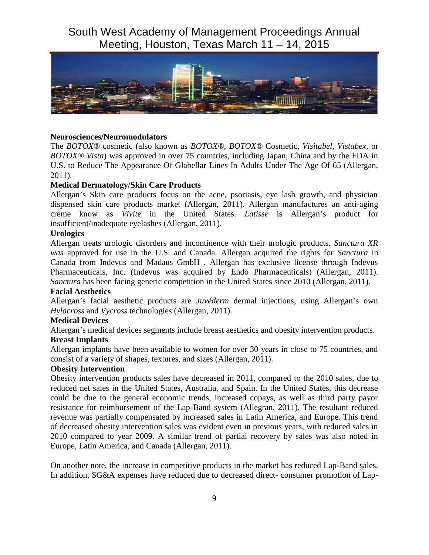

#### **Neurosciences/Neuromodulators**

The *BOTOX®* cosmetic (also known as *BOTOX®, BOTOX®* Cosmetic, *Visitabel, Vistabex,* or *BOTOX® Vista*) was approved in over 75 countries, including Japan, China and by the FDA in U.S. to Reduce The Appearance Of Glabellar Lines In Adults Under The Age Of 65 (Allergan, 2011).

#### **Medical Dermatology/Skin Care Products**

Allergan's Skin care products focus on the acne, psoriasis, eye lash growth, and physician dispensed skin care products market (Allergan, 2011). Allergan manufactures an anti-aging crème know as *Vivite* in the United States. *Latisse* is Allergan's product for insufficient/inadequate eyelashes (Allergan, 2011).

#### **Urologics**

Allergan treats urologic disorders and incontinence with their urologic products. *Sanctura XR was* approved for use in the U.S. and Canada. Allergan acquired the rights for *Sanctura* in Canada from Indevus and Madaus GmbH . Allergan has exclusive license through Indevus Pharmaceuticals, Inc. (Indevus was acquired by Endo Pharmaceuticals) (Allergan, 2011). *Sanctura* has been facing generic competition in the United States since 2010 (Allergan, 2011).

#### **Facial Aesthetics**

Allergan's facial aesthetic products are *Juvéderm* dermal injections, using Allergan's own *Hylacross* and *Vycross* technologies (Allergan, 2011).

#### **Medical Devices**

Allergan's medical devices segments include breast aesthetics and obesity intervention products.

#### **Breast Implants**

Allergan implants have been available to women for over 30 years in close to 75 countries, and consist of a variety of shapes, textures, and sizes (Allergan, 2011).

#### **Obesity Intervention**

Obesity intervention products sales have decreased in 2011, compared to the 2010 sales, due to reduced net sales in the United States, Australia, and Spain. In the United States, this decrease could be due to the general economic trends, increased copays, as well as third party payor resistance for reimbursement of the Lap-Band system (Allegran, 2011). The resultant reduced revenue was partially compensated by increased sales in Latin America, and Europe. This trend of decreased obesity intervention sales was evident even in previous years, with reduced sales in 2010 compared to year 2009. A similar trend of partial recovery by sales was also noted in Europe, Latin America, and Canada (Allergan, 2011).

On another note, the increase in competitive products in the market has reduced Lap-Band sales. In addition, SG&A expenses have reduced due to decreased direct- consumer promotion of Lap-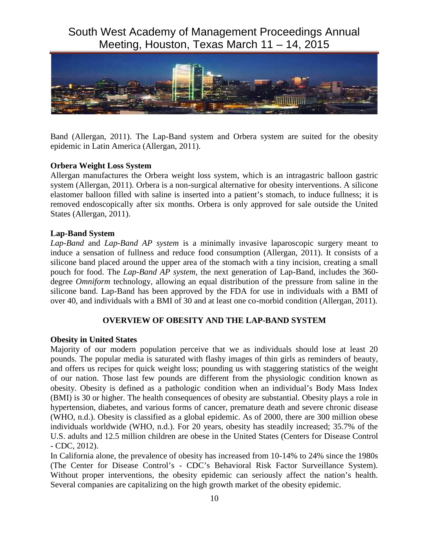

Band (Allergan, 2011). The Lap-Band system and Orbera system are suited for the obesity epidemic in Latin America (Allergan, 2011).

#### **Orbera Weight Loss System**

Allergan manufactures the Orbera weight loss system, which is an intragastric balloon gastric system (Allergan, 2011). Orbera is a non-surgical alternative for obesity interventions. A silicone elastomer balloon filled with saline is inserted into a patient's stomach, to induce fullness; it is removed endoscopically after six months. Orbera is only approved for sale outside the United States (Allergan, 2011).

#### **Lap-Band System**

*Lap-Band* and *Lap-Band AP system* is a minimally invasive laparoscopic surgery meant to induce a sensation of fullness and reduce food consumption (Allergan, 2011). It consists of a silicone band placed around the upper area of the stomach with a tiny incision, creating a small pouch for food. The *Lap-Band AP system*, the next generation of Lap-Band, includes the 360 degree *Omniform* technology, allowing an equal distribution of the pressure from saline in the silicone band. Lap-Band has been approved by the FDA for use in individuals with a BMI of over 40, and individuals with a BMI of 30 and at least one co-morbid condition (Allergan, 2011).

#### **OVERVIEW OF OBESITY AND THE LAP-BAND SYSTEM**

#### **Obesity in United States**

Majority of our modern population perceive that we as individuals should lose at least 20 pounds. The popular media is saturated with flashy images of thin girls as reminders of beauty, and offers us recipes for quick weight loss; pounding us with staggering statistics of the weight of our nation. Those last few pounds are different from the physiologic condition known as obesity. Obesity is defined as a pathologic condition when an individual's Body Mass Index (BMI) is 30 or higher. The health consequences of obesity are substantial. Obesity plays a role in hypertension, diabetes, and various forms of cancer, premature death and severe chronic disease (WHO, n.d.). Obesity is classified as a global epidemic. As of 2000, there are 300 million obese individuals worldwide (WHO, n.d.). For 20 years, obesity has steadily increased; 35.7% of the U.S. adults and 12.5 million children are obese in the United States (Centers for Disease Control - CDC, 2012).

In California alone, the prevalence of obesity has increased from 10-14% to 24% since the 1980s (The Center for Disease Control's - CDC's Behavioral Risk Factor Surveillance System). Without proper interventions, the obesity epidemic can seriously affect the nation's health. Several companies are capitalizing on the high growth market of the obesity epidemic.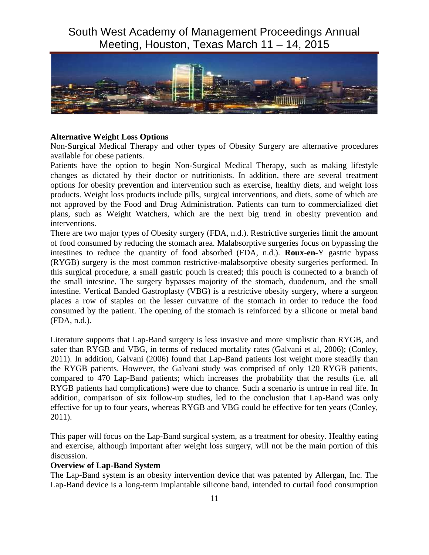

#### **Alternative Weight Loss Options**

Non-Surgical Medical Therapy and other types of Obesity Surgery are alternative procedures available for obese patients.

Patients have the option to begin Non-Surgical Medical Therapy, such as making lifestyle changes as dictated by their doctor or nutritionists. In addition, there are several treatment options for obesity prevention and intervention such as exercise, healthy diets, and weight loss products. Weight loss products include pills, surgical interventions, and diets, some of which are not approved by the Food and Drug Administration. Patients can turn to commercialized diet plans, such as Weight Watchers, which are the next big trend in obesity prevention and interventions.

There are two major types of Obesity surgery (FDA, n.d.). Restrictive surgeries limit the amount of food consumed by reducing the stomach area. Malabsorptive surgeries focus on bypassing the intestines to reduce the quantity of food absorbed (FDA, n.d.). **Roux-en-**Y gastric bypass (RYGB) surgery is the most common restrictive-malabsorptive obesity surgeries performed. In this surgical procedure, a small gastric pouch is created; this pouch is connected to a branch of the small intestine. The surgery bypasses majority of the stomach, duodenum, and the small intestine. Vertical Banded Gastroplasty (VBG) is a restrictive obesity surgery, where a surgeon places a row of staples on the lesser curvature of the stomach in order to reduce the food consumed by the patient. The opening of the stomach is reinforced by a silicone or metal band (FDA, n.d.).

Literature supports that Lap-Band surgery is less invasive and more simplistic than RYGB, and safer than RYGB and VBG, in terms of reduced mortality rates (Galvani et al, 2006); (Conley, 2011). In addition, Galvani (2006) found that Lap-Band patients lost weight more steadily than the RYGB patients. However, the Galvani study was comprised of only 120 RYGB patients, compared to 470 Lap-Band patients; which increases the probability that the results (i.e. all RYGB patients had complications) were due to chance. Such a scenario is untrue in real life. In addition, comparison of six follow-up studies, led to the conclusion that Lap-Band was only effective for up to four years, whereas RYGB and VBG could be effective for ten years (Conley, 2011).

This paper will focus on the Lap-Band surgical system, as a treatment for obesity. Healthy eating and exercise, although important after weight loss surgery, will not be the main portion of this discussion.

#### **Overview of Lap-Band System**

The Lap-Band system is an obesity intervention device that was patented by Allergan, Inc. The Lap-Band device is a long-term implantable silicone band, intended to curtail food consumption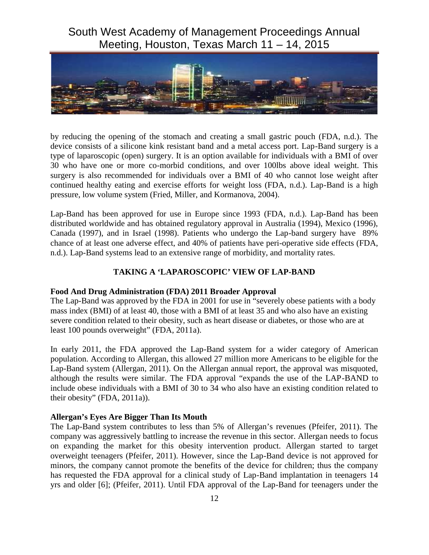

by reducing the opening of the stomach and creating a small gastric pouch (FDA, n.d.). The device consists of a silicone kink resistant band and a metal access port. Lap-Band surgery is a type of laparoscopic (open) surgery. It is an option available for individuals with a BMI of over 30 who have one or more co-morbid conditions, and over 100lbs above ideal weight. This surgery is also recommended for individuals over a BMI of 40 who cannot lose weight after continued healthy eating and exercise efforts for weight loss (FDA, n.d.). Lap-Band is a high pressure, low volume system (Fried, Miller, and Kormanova, 2004).

Lap-Band has been approved for use in Europe since 1993 (FDA, n.d.). Lap-Band has been distributed worldwide and has obtained regulatory approval in Australia (1994), Mexico (1996), Canada (1997), and in Israel (1998). Patients who undergo the Lap-band surgery have 89% chance of at least one adverse effect, and 40% of patients have peri-operative side effects (FDA, n.d.). Lap-Band systems lead to an extensive range of morbidity, and mortality rates.

#### **TAKING A 'LAPAROSCOPIC' VIEW OF LAP-BAND**

#### **Food And Drug Administration (FDA) 2011 Broader Approval**

The Lap-Band was approved by the FDA in 2001 for use in "severely obese patients with a body mass index (BMI) of at least 40, those with a BMI of at least 35 and who also have an existing severe condition related to their obesity, such as heart disease or diabetes, or those who are at least 100 pounds overweight" (FDA, 2011a).

In early 2011, the FDA approved the Lap-Band system for a wider category of American population. According to Allergan, this allowed 27 million more Americans to be eligible for the Lap-Band system (Allergan, 2011). On the Allergan annual report, the approval was misquoted, although the results were similar. The FDA approval "expands the use of the LAP-BAND to include obese individuals with a BMI of 30 to 34 who also have an existing condition related to their obesity" (FDA, 2011a)).

#### **Allergan's Eyes Are Bigger Than Its Mouth**

The Lap-Band system contributes to less than 5% of Allergan's revenues (Pfeifer, 2011). The company was aggressively battling to increase the revenue in this sector. Allergan needs to focus on expanding the market for this obesity intervention product. Allergan started to target overweight teenagers (Pfeifer, 2011). However, since the Lap-Band device is not approved for minors, the company cannot promote the benefits of the device for children; thus the company has requested the FDA approval for a clinical study of Lap-Band implantation in teenagers 14 yrs and older [6]; (Pfeifer, 2011). Until FDA approval of the Lap-Band for teenagers under the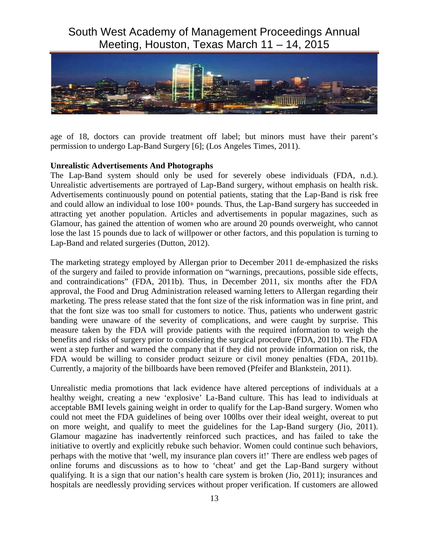

age of 18, doctors can provide treatment off label; but minors must have their parent's permission to undergo Lap-Band Surgery [6]; (Los Angeles Times, 2011).

#### **Unrealistic Advertisements And Photographs**

The Lap-Band system should only be used for severely obese individuals (FDA, n.d.). Unrealistic advertisements are portrayed of Lap-Band surgery, without emphasis on health risk. Advertisements continuously pound on potential patients, stating that the Lap-Band is risk free and could allow an individual to lose 100+ pounds. Thus, the Lap-Band surgery has succeeded in attracting yet another population. Articles and advertisements in popular magazines, such as Glamour, has gained the attention of women who are around 20 pounds overweight, who cannot lose the last 15 pounds due to lack of willpower or other factors, and this population is turning to Lap-Band and related surgeries (Dutton, 2012).

The marketing strategy employed by Allergan prior to December 2011 de-emphasized the risks of the surgery and failed to provide information on "warnings, precautions, possible side effects, and contraindications" (FDA, 2011b). Thus, in December 2011, six months after the FDA approval, the Food and Drug Administration released warning letters to Allergan regarding their marketing. The press release stated that the font size of the risk information was in fine print, and that the font size was too small for customers to notice. Thus, patients who underwent gastric banding were unaware of the severity of complications, and were caught by surprise. This measure taken by the FDA will provide patients with the required information to weigh the benefits and risks of surgery prior to considering the surgical procedure (FDA, 2011b). The FDA went a step further and warned the company that if they did not provide information on risk, the FDA would be willing to consider product seizure or civil money penalties (FDA, 2011b). Currently, a majority of the billboards have been removed (Pfeifer and Blankstein, 2011).

Unrealistic media promotions that lack evidence have altered perceptions of individuals at a healthy weight, creating a new 'explosive' La-Band culture. This has lead to individuals at acceptable BMI levels gaining weight in order to qualify for the Lap-Band surgery. Women who could not meet the FDA guidelines of being over 100lbs over their ideal weight, overeat to put on more weight, and qualify to meet the guidelines for the Lap-Band surgery (Jio, 2011). Glamour magazine has inadvertently reinforced such practices, and has failed to take the initiative to overtly and explicitly rebuke such behavior. Women could continue such behaviors, perhaps with the motive that 'well, my insurance plan covers it!' There are endless web pages of online forums and discussions as to how to 'cheat' and get the Lap-Band surgery without qualifying. It is a sign that our nation's health care system is broken (Jio, 2011); insurances and hospitals are needlessly providing services without proper verification. If customers are allowed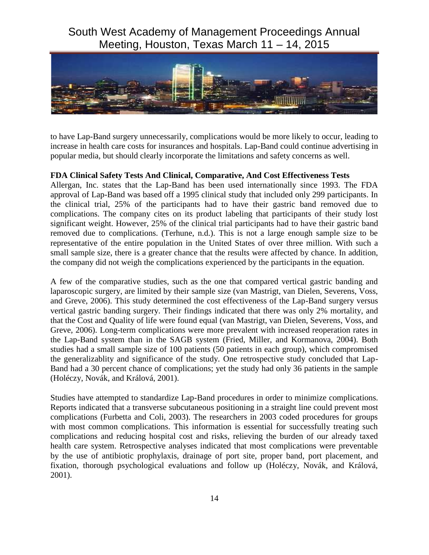

to have Lap-Band surgery unnecessarily, complications would be more likely to occur, leading to increase in health care costs for insurances and hospitals. Lap-Band could continue advertising in popular media, but should clearly incorporate the limitations and safety concerns as well.

#### **FDA Clinical Safety Tests And Clinical, Comparative, And Cost Effectiveness Tests**

Allergan, Inc. states that the Lap-Band has been used internationally since 1993. The FDA approval of Lap-Band was based off a 1995 clinical study that included only 299 participants. In the clinical trial, 25% of the participants had to have their gastric band removed due to complications. The company cites on its product labeling that participants of their study lost significant weight. However, 25% of the clinical trial participants had to have their gastric band removed due to complications. (Terhune, n.d.). This is not a large enough sample size to be representative of the entire population in the United States of over three million. With such a small sample size, there is a greater chance that the results were affected by chance. In addition, the company did not weigh the complications experienced by the participants in the equation.

A few of the comparative studies, such as the one that compared vertical gastric banding and laparoscopic surgery, are limited by their sample size (van Mastrigt, van Dielen, Severens, Voss, and Greve, 2006). This study determined the cost effectiveness of the Lap-Band surgery versus vertical gastric banding surgery. Their findings indicated that there was only 2% mortality, and that the Cost and Quality of life were found equal (van Mastrigt, van Dielen, Severens, Voss, and Greve, 2006). Long-term complications were more prevalent with increased reoperation rates in the Lap-Band system than in the SAGB system (Fried, Miller, and Kormanova, 2004). Both studies had a small sample size of 100 patients (50 patients in each group), which compromised the generalizablity and significance of the study. One retrospective study concluded that Lap- Band had a 30 percent chance of complications; yet the study had only 36 patients in the sample (Holéczy, Novák, and Králová, 2001).

Studies have attempted to standardize Lap-Band procedures in order to minimize complications. Reports indicated that a transverse subcutaneous positioning in a straight line could prevent most complications (Furbetta and Coli, 2003). The researchers in 2003 coded procedures for groups with most common complications. This information is essential for successfully treating such complications and reducing hospital cost and risks, relieving the burden of our already taxed health care system. Retrospective analyses indicated that most complications were preventable by the use of antibiotic prophylaxis, drainage of port site, proper band, port placement, and fixation, thorough psychological evaluations and follow up (Holéczy, Novák, and Králová, 2001).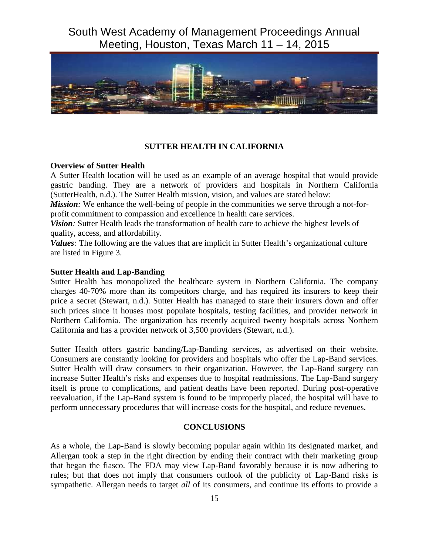

#### **SUTTER HEALTH IN CALIFORNIA**

#### **Overview of Sutter Health**

A Sutter Health location will be used as an example of an average hospital that would provide gastric banding. They are a network of providers and hospitals in Northern California (SutterHealth, n.d.). The Sutter Health mission, vision, and values are stated below:

*Mission*: We enhance the well-being of people in the communities we serve through a not-forprofit commitment to compassion and excellence in health care services.

*Vision*: Sutter Health leads the transformation of health care to achieve the highest levels of quality, access, and affordability.

*Values*: The following are the values that are implicit in Sutter Health's organizational culture are listed in Figure 3.

#### **Sutter Health and Lap-Banding**

Sutter Health has monopolized the healthcare system in Northern California. The company charges 40-70% more than its competitors charge, and has required its insurers to keep their price a secret (Stewart, n.d.). Sutter Health has managed to stare their insurers down and offer such prices since it houses most populate hospitals, testing facilities, and provider network in Northern California. The organization has recently acquired twenty hospitals across Northern California and has a provider network of 3,500 providers (Stewart, n.d.).

Sutter Health offers gastric banding/Lap-Banding services, as advertised on their website. Consumers are constantly looking for providers and hospitals who offer the Lap-Band services. Sutter Health will draw consumers to their organization. However, the Lap-Band surgery can increase Sutter Health's risks and expenses due to hospital readmissions. The Lap-Band surgery itself is prone to complications, and patient deaths have been reported. During post-operative reevaluation, if the Lap-Band system is found to be improperly placed, the hospital will have to perform unnecessary procedures that will increase costs for the hospital, and reduce revenues.

#### **CONCLUSIONS**

As a whole, the Lap-Band is slowly becoming popular again within its designated market, and Allergan took a step in the right direction by ending their contract with their marketing group that began the fiasco. The FDA may view Lap-Band favorably because it is now adhering to rules; but that does not imply that consumers outlook of the publicity of Lap-Band risks is sympathetic. Allergan needs to target *all* of its consumers, and continue its efforts to provide a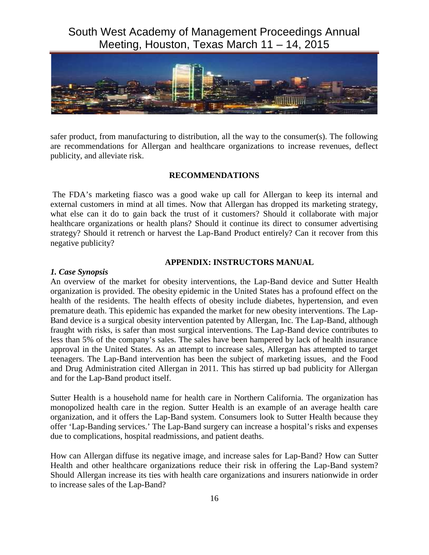

safer product, from manufacturing to distribution, all the way to the consumer(s). The following are recommendations for Allergan and healthcare organizations to increase revenues, deflect publicity, and alleviate risk.

#### **RECOMMENDATIONS**

The FDA's marketing fiasco was a good wake up call for Allergan to keep its internal and external customers in mind at all times. Now that Allergan has dropped its marketing strategy, what else can it do to gain back the trust of it customers? Should it collaborate with major healthcare organizations or health plans? Should it continue its direct to consumer advertising strategy? Should it retrench or harvest the Lap-Band Product entirely? Can it recover from this negative publicity?

#### **APPENDIX: INSTRUCTORS MANUAL**

#### *1. Case Synopsis*

An overview of the market for obesity interventions, the Lap-Band device and Sutter Health organization is provided. The obesity epidemic in the United States has a profound effect on the health of the residents. The health effects of obesity include diabetes, hypertension, and even premature death. This epidemic has expanded the market for new obesity interventions. The Lap- Band device is a surgical obesity intervention patented by Allergan, Inc. The Lap-Band, although fraught with risks, is safer than most surgical interventions. The Lap-Band device contributes to less than 5% of the company's sales. The sales have been hampered by lack of health insurance approval in the United States. As an attempt to increase sales, Allergan has attempted to target teenagers. The Lap-Band intervention has been the subject of marketing issues, and the Food and Drug Administration cited Allergan in 2011. This has stirred up bad publicity for Allergan and for the Lap-Band product itself.

Sutter Health is a household name for health care in Northern California. The organization has monopolized health care in the region. Sutter Health is an example of an average health care organization, and it offers the Lap-Band system. Consumers look to Sutter Health because they offer 'Lap-Banding services.' The Lap-Band surgery can increase a hospital's risks and expenses due to complications, hospital readmissions, and patient deaths.

How can Allergan diffuse its negative image, and increase sales for Lap-Band? How can Sutter Health and other healthcare organizations reduce their risk in offering the Lap-Band system? Should Allergan increase its ties with health care organizations and insurers nationwide in order to increase sales of the Lap-Band?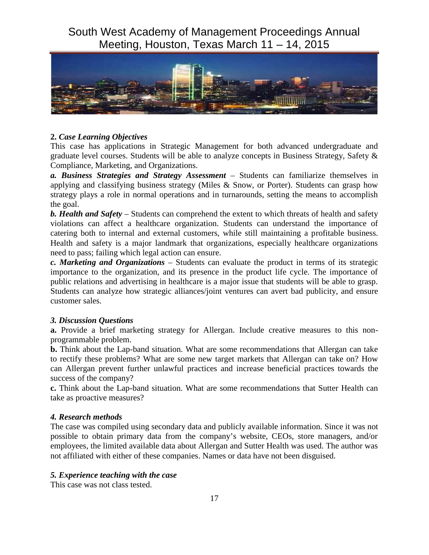

### **2.** *Case Learning Objectives*

This case has applications in Strategic Management for both advanced undergraduate and graduate level courses. Students will be able to analyze concepts in Business Strategy, Safety  $\&$ Compliance, Marketing, and Organizations.

*a. Business Strategies and Strategy Assessment* – Students can familiarize themselves in applying and classifying business strategy (Miles & Snow, or Porter). Students can grasp how strategy plays a role in normal operations and in turnarounds, setting the means to accomplish the goal.

*b. Health and Safety* – Students can comprehend the extent to which threats of health and safety violations can affect a healthcare organization. Students can understand the importance of catering both to internal and external customers, while still maintaining a profitable business. Health and safety is a major landmark that organizations, especially healthcare organizations need to pass; failing which legal action can ensure.

*c. Marketing and Organizations* – Students can evaluate the product in terms of its strategic importance to the organization, and its presence in the product life cycle. The importance of public relations and advertising in healthcare is a major issue that students will be able to grasp. Students can analyze how strategic alliances/joint ventures can avert bad publicity, and ensure customer sales.

#### *3. Discussion Questions*

**a.** Provide a brief marketing strategy for Allergan. Include creative measures to this non programmable problem.

**b.** Think about the Lap-band situation. What are some recommendations that Allergan can take to rectify these problems? What are some new target markets that Allergan can take on? How can Allergan prevent further unlawful practices and increase beneficial practices towards the success of the company?

**c.** Think about the Lap-band situation. What are some recommendations that Sutter Health can take as proactive measures?

#### *4. Research methods*

The case was compiled using secondary data and publicly available information. Since it was not possible to obtain primary data from the company's website, CEOs, store managers, and/or employees, the limited available data about Allergan and Sutter Health was used. The author was not affiliated with either of these companies. Names or data have not been disguised.

#### *5. Experience teaching with the case*

This case was not class tested.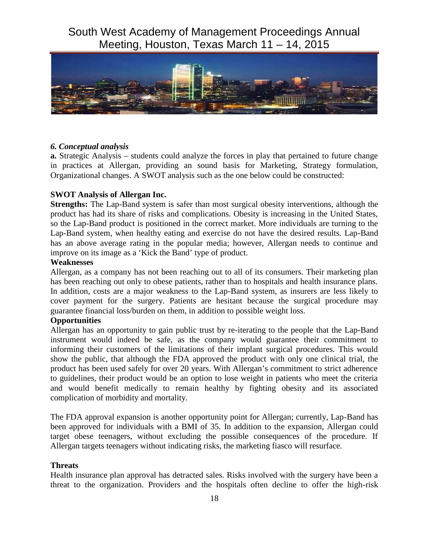

#### *6. Conceptual analysis*

**a.** Strategic Analysis – students could analyze the forces in play that pertained to future change in practices at Allergan, providing an sound basis for Marketing, Strategy formulation, Organizational changes. A SWOT analysis such as the one below could be constructed:

#### **SWOT Analysis of Allergan Inc.**

**Strengths:** The Lap-Band system is safer than most surgical obesity interventions, although the product has had its share of risks and complications. Obesity is increasing in the United States, so the Lap-Band product is positioned in the correct market. More individuals are turning to the Lap-Band system, when healthy eating and exercise do not have the desired results. Lap-Band has an above average rating in the popular media; however, Allergan needs to continue and improve on its image as a 'Kick the Band' type of product.

#### **Weaknesses**

Allergan, as a company has not been reaching out to all of its consumers. Their marketing plan has been reaching out only to obese patients, rather than to hospitals and health insurance plans. In addition, costs are a major weakness to the Lap-Band system, as insurers are less likely to cover payment for the surgery. Patients are hesitant because the surgical procedure may guarantee financial loss/burden on them, in addition to possible weight loss.

#### **Opportunities**

Allergan has an opportunity to gain public trust by re-iterating to the people that the Lap-Band instrument would indeed be safe, as the company would guarantee their commitment to informing their customers of the limitations of their implant surgical procedures. This would show the public, that although the FDA approved the product with only one clinical trial, the product has been used safely for over 20 years. With Allergan's commitment to strict adherence to guidelines, their product would be an option to lose weight in patients who meet the criteria and would benefit medically to remain healthy by fighting obesity and its associated complication of morbidity and mortality.

The FDA approval expansion is another opportunity point for Allergan; currently, Lap-Band has been approved for individuals with a BMI of 35. In addition to the expansion, Allergan could target obese teenagers, without excluding the possible consequences of the procedure. If Allergan targets teenagers without indicating risks, the marketing fiasco will resurface.

#### **Threats**

Health insurance plan approval has detracted sales. Risks involved with the surgery have been a threat to the organization. Providers and the hospitals often decline to offer the high-risk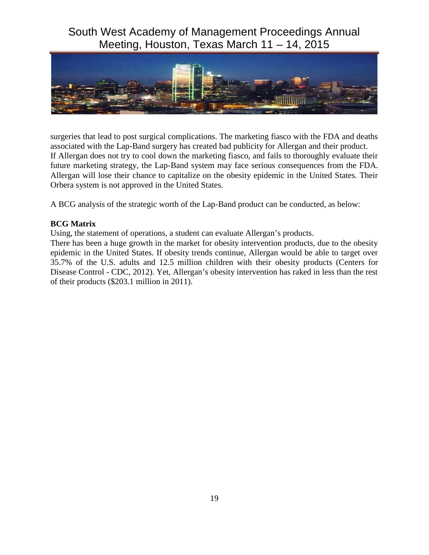

surgeries that lead to post surgical complications. The marketing fiasco with the FDA and deaths associated with the Lap-Band surgery has created bad publicity for Allergan and their product. If Allergan does not try to cool down the marketing fiasco, and fails to thoroughly evaluate their future marketing strategy, the Lap-Band system may face serious consequences from the FDA. Allergan will lose their chance to capitalize on the obesity epidemic in the United States. Their Orbera system is not approved in the United States.

A BCG analysis of the strategic worth of the Lap-Band product can be conducted, as below:

### **BCG Matrix**

Using, the statement of operations, a student can evaluate Allergan's products.

There has been a huge growth in the market for obesity intervention products, due to the obesity epidemic in the United States. If obesity trends continue, Allergan would be able to target over 35.7% of the U.S. adults and 12.5 million children with their obesity products (Centers for Disease Control - CDC, 2012). Yet, Allergan's obesity intervention has raked in less than the rest of their products (\$203.1 million in 2011).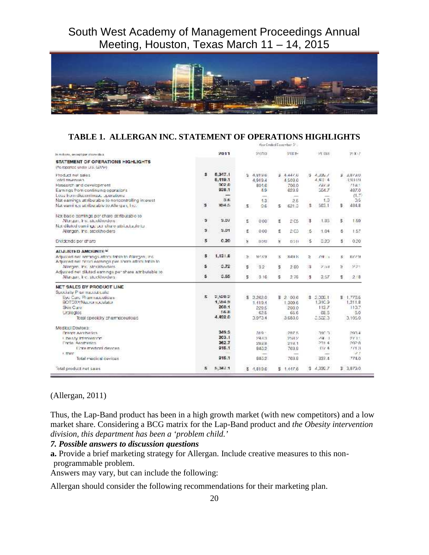

### **TABLE 1. ALLERGAN INC. STATEMENT OF OPERATIONS HIGHLIGHTS**

|                                                                                                                                               | Four Linded Liquidmitter (3) |                                                |        |                                                |        |                                                       |         |                                               |         |                                                 |
|-----------------------------------------------------------------------------------------------------------------------------------------------|------------------------------|------------------------------------------------|--------|------------------------------------------------|--------|-------------------------------------------------------|---------|-----------------------------------------------|---------|-------------------------------------------------|
| In makers, exceptionr share than                                                                                                              |                              | 2011                                           |        | 2011/07                                        |        | 211/2-                                                |         | <b>PESSIE</b>                                 |         | 20012                                           |
| STATEMENT OF OPERATIONS HIGHLIGHTS<br>the reported under U.S. GANH                                                                            |                              |                                                |        |                                                |        |                                                       |         |                                               |         |                                                 |
| Product not sales.<br>intel revenues.<br>Hassarch and development<br>Earnings from continuing operations.                                     | s.                           | 5,347,1<br>E.119.1<br>902.6<br>BG8.1           |        | 生 4.819.6<br>4.919.4<br>801.6<br>49            |        | 5.44470<br>4,509.6<br>706.0<br>623.8                  |         | 34.331.1<br>441.4<br>1313<br>554.7            |         | 8.8780<br>3503318<br>7183<br>487.0              |
| Loss from discontinuaci constions:<br>Not earnings at riburable to noncontrolling interest.<br>Not earnings at ributable to Alle gan, Inc.    | \$                           | -<br><b>3.6</b><br>534.5                       | s.     | 1.3<br>0.6                                     | Ξ.     | 25<br>621.3                                           | s.      | 1.3<br>583.1                                  | B       | (1,7)<br>$35 -$<br>434.8                        |
| Not basic comings por chare statbutable to<br>Alta usin, Inc., stuckholders.                                                                  | s                            | 3.07                                           | š.     | 000                                            | Ħ.     | 2C5                                                   | \$      | 1.35                                          | B.      | 56                                              |
| Not diluted camings per chare attributable to<br>Allergen, Inc. stockholders                                                                  | s                            | 3.01                                           | 圧      | 0.00                                           | E.     | 2.00                                                  | ÷S.     | 1.34                                          | s       | 1.57                                            |
| Dyldende per share                                                                                                                            | s                            | 0.20                                           | 'n.    | 0.90                                           | ¥      | 03541                                                 | š.      | 0.20                                          | s       | 0.20                                            |
| <b>ADJUSTED AMOUNTE</b><br>Acjusted net earnings afford fable to Allergan, inc.<br>Adjusted net basis earnings per abora ettopi tribla to     | s                            | 1,131.8                                        | 洙      | 97.438                                         | ä      | <b>B49 N</b>                                          | 拒       | $1 + 1 - 1$                                   | 标       | 6729                                            |
| Allengen, Inc. strickbolders.<br>Adjusted net diluted earnings per share attributable to:<br>Allargan, Inc. stuckholders.                     | s<br>s                       | 3.72<br>3.55                                   | B<br>B | 32<br>3.16                                     | B<br>玉 | 2.80<br>2.78                                          | 45<br>s | 2.54<br>2.57                                  | Ħ<br>Ŧ. | 991<br>2.18                                     |
| NET SALES BY PRODUCT LINE                                                                                                                     |                              |                                                |        |                                                |        |                                                       |         |                                               |         |                                                 |
| Spocially Pharmacouticale:<br>Ew: Care Phannex uticals<br>BOTOX*/Nectroniculator<br>Skin Care<br>Urbiodico<br>Total specially charmaceutica's | ß.                           | 2,520.2<br>1.594.9<br>260.1<br>56 B<br>4 432 0 | s.     | 2,262.0<br>1.419.4<br>229.5<br>62.5<br>3.973.4 |        | -46.02<br>3200.6<br>1:309.6<br>200.0<br>65.6<br>36836 |         | 3.7001<br>1,310.9<br>113.7<br>69.5<br>5,502.3 |         | E 1.778.6<br>1,211.8<br>110.7<br>5.0<br>3.105.0 |
| Medical Devices:<br><b>Frager Antiballes</b><br>Ubesty interventuor<br>Frida Acathetica<br>Circa medical devices.                             |                              | 349.3<br>203.1<br>362.7<br>915.1               |        | $310 -$<br>24.437<br>283.8<br>846.2            |        | 287.5<br>258.55<br>218.1<br>769.8                     |         | 310.71<br>24.1<br>2714<br>11/4                |         | 293.4<br>20.11<br>2028<br>7713.                 |
| t ther<br>Total medical covides                                                                                                               |                              | 915.1                                          |        | 943.2                                          |        | 763.8                                                 |         | 337.4                                         |         | 27<br>774.0                                     |
| otal product not sales                                                                                                                        | к                            | 5,347.1                                        |        | \$ 4,810.6                                     |        | 图 1.447.6                                             | s       | 4,330.7                                       |         | $E = 3,872.0$                                   |

#### (Allergan, 2011)

Thus, the Lap-Band product has been in a high growth market (with new competitors) and a low market share. Considering a BCG matrix for the Lap-Band product and *the Obesity intervention division, this department has been a 'problem child.'*

### *7. Possible answers to discussion questions*

**a.** Provide a brief marketing strategy for Allergan. Include creative measures to this non-

programmable problem.

Answers may vary, but can include the following:

Allergan should consider the following recommendations for their marketing plan.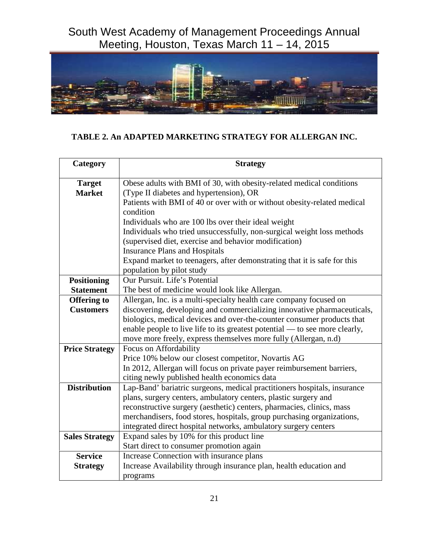

### **TABLE 2. An ADAPTED MARKETING STRATEGY FOR ALLERGAN INC.**

| Category              | <b>Strategy</b>                                                             |  |  |  |  |
|-----------------------|-----------------------------------------------------------------------------|--|--|--|--|
| <b>Target</b>         | Obese adults with BMI of 30, with obesity-related medical conditions        |  |  |  |  |
| <b>Market</b>         | (Type II diabetes and hypertension), OR                                     |  |  |  |  |
|                       | Patients with BMI of 40 or over with or without obesity-related medical     |  |  |  |  |
|                       | condition                                                                   |  |  |  |  |
|                       | Individuals who are 100 lbs over their ideal weight                         |  |  |  |  |
|                       | Individuals who tried unsuccessfully, non-surgical weight loss methods      |  |  |  |  |
|                       | (supervised diet, exercise and behavior modification)                       |  |  |  |  |
|                       | <b>Insurance Plans and Hospitals</b>                                        |  |  |  |  |
|                       | Expand market to teenagers, after demonstrating that it is safe for this    |  |  |  |  |
|                       | population by pilot study                                                   |  |  |  |  |
| <b>Positioning</b>    | Our Pursuit. Life's Potential                                               |  |  |  |  |
| <b>Statement</b>      | The best of medicine would look like Allergan.                              |  |  |  |  |
| <b>Offering to</b>    | Allergan, Inc. is a multi-specialty health care company focused on          |  |  |  |  |
| <b>Customers</b>      | discovering, developing and commercializing innovative pharmaceuticals,     |  |  |  |  |
|                       | biologics, medical devices and over-the-counter consumer products that      |  |  |  |  |
|                       | enable people to live life to its greatest potential - to see more clearly, |  |  |  |  |
|                       | move more freely, express themselves more fully (Allergan, n.d)             |  |  |  |  |
| <b>Price Strategy</b> | Focus on Affordability                                                      |  |  |  |  |
|                       | Price 10% below our closest competitor, Novartis AG                         |  |  |  |  |
|                       | In 2012, Allergan will focus on private payer reimbursement barriers,       |  |  |  |  |
|                       | citing newly published health economics data                                |  |  |  |  |
| <b>Distribution</b>   | Lap-Band' bariatric surgeons, medical practitioners hospitals, insurance    |  |  |  |  |
|                       | plans, surgery centers, ambulatory centers, plastic surgery and             |  |  |  |  |
|                       | reconstructive surgery (aesthetic) centers, pharmacies, clinics, mass       |  |  |  |  |
|                       | merchandisers, food stores, hospitals, group purchasing organizations,      |  |  |  |  |
|                       | integrated direct hospital networks, ambulatory surgery centers             |  |  |  |  |
| <b>Sales Strategy</b> | Expand sales by 10% for this product line                                   |  |  |  |  |
|                       | Start direct to consumer promotion again                                    |  |  |  |  |
| <b>Service</b>        | Increase Connection with insurance plans                                    |  |  |  |  |
| <b>Strategy</b>       | Increase Availability through insurance plan, health education and          |  |  |  |  |
|                       | programs                                                                    |  |  |  |  |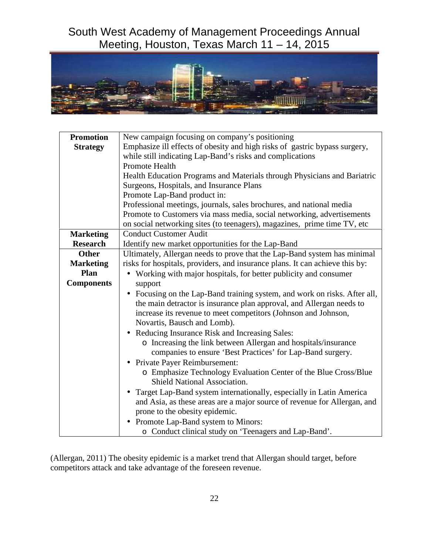

| <b>Promotion</b>  | New campaign focusing on company's positioning                               |  |  |  |
|-------------------|------------------------------------------------------------------------------|--|--|--|
| <b>Strategy</b>   | Emphasize ill effects of obesity and high risks of gastric bypass surgery,   |  |  |  |
|                   | while still indicating Lap-Band's risks and complications                    |  |  |  |
|                   | <b>Promote Health</b>                                                        |  |  |  |
|                   | Health Education Programs and Materials through Physicians and Bariatric     |  |  |  |
|                   | Surgeons, Hospitals, and Insurance Plans                                     |  |  |  |
|                   | Promote Lap-Band product in:                                                 |  |  |  |
|                   | Professional meetings, journals, sales brochures, and national media         |  |  |  |
|                   | Promote to Customers via mass media, social networking, advertisements       |  |  |  |
|                   | on social networking sites (to teenagers), magazines, prime time TV, etc     |  |  |  |
| <b>Marketing</b>  | <b>Conduct Customer Audit</b>                                                |  |  |  |
| <b>Research</b>   | Identify new market opportunities for the Lap-Band                           |  |  |  |
| <b>Other</b>      | Ultimately, Allergan needs to prove that the Lap-Band system has minimal     |  |  |  |
| <b>Marketing</b>  | risks for hospitals, providers, and insurance plans. It can achieve this by: |  |  |  |
| Plan              | Working with major hospitals, for better publicity and consumer              |  |  |  |
| <b>Components</b> | support                                                                      |  |  |  |
|                   | • Focusing on the Lap-Band training system, and work on risks. After all,    |  |  |  |
|                   | the main detractor is insurance plan approval, and Allergan needs to         |  |  |  |
|                   | increase its revenue to meet competitors (Johnson and Johnson,               |  |  |  |
|                   | Novartis, Bausch and Lomb).                                                  |  |  |  |
|                   | Reducing Insurance Risk and Increasing Sales:<br>$\bullet$                   |  |  |  |
|                   | o Increasing the link between Allergan and hospitals/insurance               |  |  |  |
|                   | companies to ensure 'Best Practices' for Lap-Band surgery.                   |  |  |  |
|                   | • Private Payer Reimbursement:                                               |  |  |  |
|                   | o Emphasize Technology Evaluation Center of the Blue Cross/Blue              |  |  |  |
|                   | Shield National Association.                                                 |  |  |  |
|                   | Target Lap-Band system internationally, especially in Latin America          |  |  |  |
|                   | and Asia, as these areas are a major source of revenue for Allergan, and     |  |  |  |
|                   | prone to the obesity epidemic.                                               |  |  |  |
|                   | Promote Lap-Band system to Minors:<br>$\bullet$                              |  |  |  |
|                   | o Conduct clinical study on 'Teenagers and Lap-Band'.                        |  |  |  |

(Allergan, 2011) The obesity epidemic is a market trend that Allergan should target, before competitors attack and take advantage of the foreseen revenue.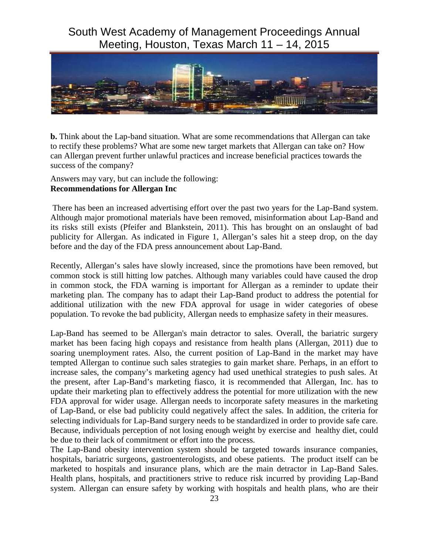

**b.** Think about the Lap-band situation. What are some recommendations that Allergan can take to rectify these problems? What are some new target markets that Allergan can take on? How can Allergan prevent further unlawful practices and increase beneficial practices towards the success of the company?

Answers may vary, but can include the following: **Recommendations for Allergan Inc**

There has been an increased advertising effort over the past two years for the Lap-Band system. Although major promotional materials have been removed, misinformation about Lap-Band and its risks still exists (Pfeifer and Blankstein, 2011). This has brought on an onslaught of bad publicity for Allergan. As indicated in Figure 1, Allergan's sales hit a steep drop, on the day before and the day of the FDA press announcement about Lap-Band.

Recently, Allergan's sales have slowly increased, since the promotions have been removed, but common stock is still hitting low patches. Although many variables could have caused the drop in common stock, the FDA warning is important for Allergan as a reminder to update their marketing plan. The company has to adapt their Lap-Band product to address the potential for additional utilization with the new FDA approval for usage in wider categories of obese population. To revoke the bad publicity, Allergan needs to emphasize safety in their measures.

Lap-Band has seemed to be Allergan's main detractor to sales. Overall, the bariatric surgery market has been facing high copays and resistance from health plans (Allergan, 2011) due to soaring unemployment rates. Also, the current position of Lap-Band in the market may have tempted Allergan to continue such sales strategies to gain market share. Perhaps, in an effort to increase sales, the company's marketing agency had used unethical strategies to push sales. At the present, after Lap-Band's marketing fiasco, it is recommended that Allergan, Inc. has to update their marketing plan to effectively address the potential for more utilization with the new FDA approval for wider usage. Allergan needs to incorporate safety measures in the marketing of Lap-Band, or else bad publicity could negatively affect the sales. In addition, the criteria for selecting individuals for Lap-Band surgery needs to be standardized in order to provide safe care. Because, individuals perception of not losing enough weight by exercise and healthy diet, could be due to their lack of commitment or effort into the process.

The Lap-Band obesity intervention system should be targeted towards insurance companies, hospitals, bariatric surgeons, gastroenterologists, and obese patients. The product itself can be marketed to hospitals and insurance plans, which are the main detractor in Lap-Band Sales. Health plans, hospitals, and practitioners strive to reduce risk incurred by providing Lap-Band system. Allergan can ensure safety by working with hospitals and health plans, who are their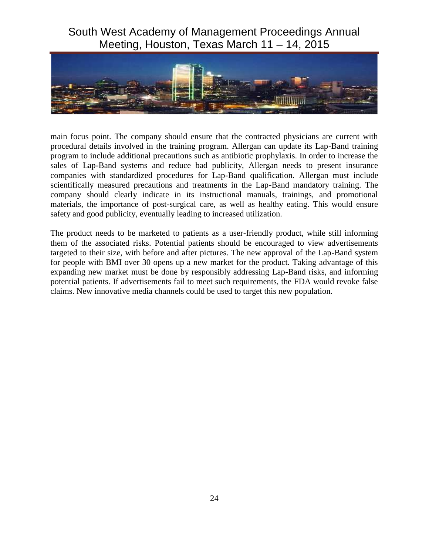

main focus point. The company should ensure that the contracted physicians are current with procedural details involved in the training program. Allergan can update its Lap-Band training program to include additional precautions such as antibiotic prophylaxis. In order to increase the sales of Lap-Band systems and reduce bad publicity, Allergan needs to present insurance companies with standardized procedures for Lap-Band qualification. Allergan must include scientifically measured precautions and treatments in the Lap-Band mandatory training. The company should clearly indicate in its instructional manuals, trainings, and promotional materials, the importance of post-surgical care, as well as healthy eating. This would ensure safety and good publicity, eventually leading to increased utilization.

The product needs to be marketed to patients as a user-friendly product, while still informing them of the associated risks. Potential patients should be encouraged to view advertisements targeted to their size, with before and after pictures. The new approval of the Lap-Band system for people with BMI over 30 opens up a new market for the product. Taking advantage of this expanding new market must be done by responsibly addressing Lap-Band risks, and informing potential patients. If advertisements fail to meet such requirements, the FDA would revoke false claims. New innovative media channels could be used to target this new population.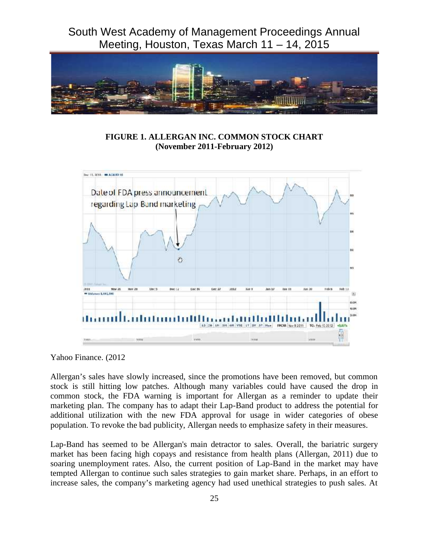

**FIGURE 1. ALLERGAN INC. COMMON STOCK CHART (November 2011-February 2012)**



Yahoo Finance. (2012

Allergan's sales have slowly increased, since the promotions have been removed, but common stock is still hitting low patches. Although many variables could have caused the drop in common stock, the FDA warning is important for Allergan as a reminder to update their marketing plan. The company has to adapt their Lap-Band product to address the potential for additional utilization with the new FDA approval for usage in wider categories of obese population. To revoke the bad publicity, Allergan needs to emphasize safety in their measures.

Lap-Band has seemed to be Allergan's main detractor to sales. Overall, the bariatric surgery market has been facing high copays and resistance from health plans (Allergan, 2011) due to soaring unemployment rates. Also, the current position of Lap-Band in the market may have tempted Allergan to continue such sales strategies to gain market share. Perhaps, in an effort to increase sales, the company's marketing agency had used unethical strategies to push sales. At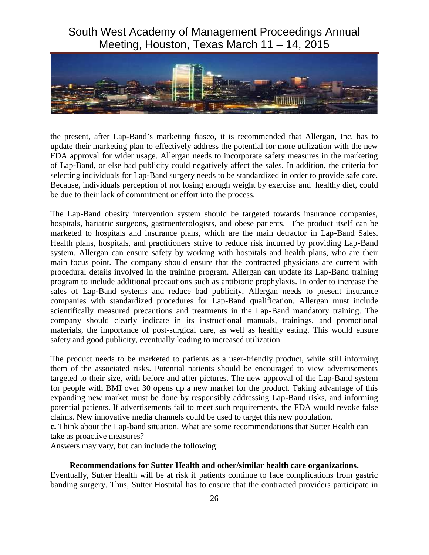

the present, after Lap-Band's marketing fiasco, it is recommended that Allergan, Inc. has to update their marketing plan to effectively address the potential for more utilization with the new FDA approval for wider usage. Allergan needs to incorporate safety measures in the marketing of Lap-Band, or else bad publicity could negatively affect the sales. In addition, the criteria for selecting individuals for Lap-Band surgery needs to be standardized in order to provide safe care. Because, individuals perception of not losing enough weight by exercise and healthy diet, could be due to their lack of commitment or effort into the process.

The Lap-Band obesity intervention system should be targeted towards insurance companies, hospitals, bariatric surgeons, gastroenterologists, and obese patients. The product itself can be marketed to hospitals and insurance plans, which are the main detractor in Lap-Band Sales. Health plans, hospitals, and practitioners strive to reduce risk incurred by providing Lap-Band system. Allergan can ensure safety by working with hospitals and health plans, who are their main focus point. The company should ensure that the contracted physicians are current with procedural details involved in the training program. Allergan can update its Lap-Band training program to include additional precautions such as antibiotic prophylaxis. In order to increase the sales of Lap-Band systems and reduce bad publicity, Allergan needs to present insurance companies with standardized procedures for Lap-Band qualification. Allergan must include scientifically measured precautions and treatments in the Lap-Band mandatory training. The company should clearly indicate in its instructional manuals, trainings, and promotional materials, the importance of post-surgical care, as well as healthy eating. This would ensure safety and good publicity, eventually leading to increased utilization.

The product needs to be marketed to patients as a user-friendly product, while still informing them of the associated risks. Potential patients should be encouraged to view advertisements targeted to their size, with before and after pictures. The new approval of the Lap-Band system for people with BMI over 30 opens up a new market for the product. Taking advantage of this expanding new market must be done by responsibly addressing Lap-Band risks, and informing potential patients. If advertisements fail to meet such requirements, the FDA would revoke false claims. New innovative media channels could be used to target this new population.

**c.** Think about the Lap-band situation. What are some recommendations that Sutter Health can take as proactive measures?

Answers may vary, but can include the following:

#### **Recommendations for Sutter Health and other/similar health care organizations.**

Eventually, Sutter Health will be at risk if patients continue to face complications from gastric banding surgery. Thus, Sutter Hospital has to ensure that the contracted providers participate in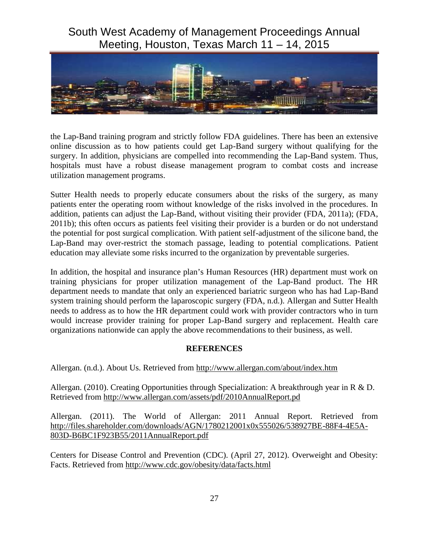

the Lap-Band training program and strictly follow FDA guidelines. There has been an extensive online discussion as to how patients could get Lap-Band surgery without qualifying for the surgery. In addition, physicians are compelled into recommending the Lap-Band system. Thus, hospitals must have a robust disease management program to combat costs and increase utilization management programs.

Sutter Health needs to properly educate consumers about the risks of the surgery, as many patients enter the operating room without knowledge of the risks involved in the procedures. In addition, patients can adjust the Lap-Band, without visiting their provider (FDA, 2011a); (FDA, 2011b); this often occurs as patients feel visiting their provider is a burden or do not understand the potential for post surgical complication. With patient self-adjustment of the silicone band, the Lap-Band may over-restrict the stomach passage, leading to potential complications. Patient education may alleviate some risks incurred to the organization by preventable surgeries.

In addition, the hospital and insurance plan's Human Resources (HR) department must work on training physicians for proper utilization management of the Lap-Band product. The HR department needs to mandate that only an experienced bariatric surgeon who has had Lap-Band system training should perform the laparoscopic surgery (FDA, n.d.). Allergan and Sutter Health needs to address as to how the HR department could work with provider contractors who in turn would increase provider training for proper Lap-Band surgery and replacement. Health care organizations nationwide can apply the above recommendations to their business, as well.

#### **REFERENCES**

Allergan. (n.d.). About Us. Retrieved from http://www.allergan.com/about/index.htm

Allergan. (2010). Creating Opportunities through Specialization: A breakthrough year in R & D. Retrieved from http://www.allergan.com/assets/pdf/2010AnnualReport.pd

Allergan. (2011). The World of Allergan: 2011 Annual Report. Retrieved from http://files.shareholder.com/downloads/AGN/1780212001x0x555026/538927BE-88F4-4E5A- 803D-B6BC1F923B55/2011AnnualReport.pdf

Centers for Disease Control and Prevention (CDC). (April 27, 2012). Overweight and Obesity: Facts. Retrieved from http://www.cdc.gov/obesity/data/facts.html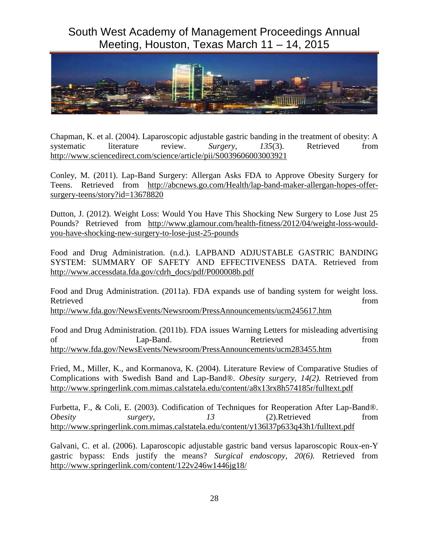

Chapman, K. et al. (2004). Laparoscopic adjustable gastric banding in the treatment of obesity: A systematic literature review. *Surgery, 135*(3). Retrieved from http://www.sciencedirect.com/science/article/pii/S0039606003003921

Conley, M. (2011). Lap-Band Surgery: Allergan Asks FDA to Approve Obesity Surgery for Teens. Retrieved from http://abcnews.go.com/Health/lap-band-maker-allergan-hopes-offer surgery-teens/story?id=13678820

Dutton, J. (2012). Weight Loss: Would You Have This Shocking New Surgery to Lose Just 25 Pounds? Retrieved from http://www.glamour.com/health-fitness/2012/04/weight-loss-would you-have-shocking-new-surgery-to-lose-just-25-pounds

Food and Drug Administration. (n.d.). LAPBAND ADJUSTABLE GASTRIC BANDING SYSTEM: SUMMARY OF SAFETY AND EFFECTIVENESS DATA. Retrieved from http://www.accessdata.fda.gov/cdrh\_docs/pdf/P000008b.pdf

Food and Drug Administration. (2011a). FDA expands use of banding system for weight loss. Retrieved from the state of the state of the state of the state of the state of the state of the state of the state of the state of the state of the state of the state of the state of the state of the state of the state of http://www.fda.gov/NewsEvents/Newsroom/PressAnnouncements/ucm245617.htm

Food and Drug Administration. (2011b). FDA issues Warning Letters for misleading advertising of Eap-Band. Retrieved from http://www.fda.gov/NewsEvents/Newsroom/PressAnnouncements/ucm283455.htm

Fried, M., Miller, K., and Kormanova, K. (2004). Literature Review of Comparative Studies of Complications with Swedish Band and Lap-Band®. *Obesity surgery, 14(2).* Retrieved from http://www.springerlink.com.mimas.calstatela.edu/content/a8x13rx8h574185r/fulltext.pdf

Furbetta, F., & Coli, E. (2003). Codification of Techniques for Reoperation After Lap-Band®. *Obesity surgery,* 13 (2).Retrieved from http://www.springerlink.com.mimas.calstatela.edu/content/y136l37p633q43h1/fulltext.pdf

Galvani, C. et al. (2006). Laparoscopic adjustable gastric band versus laparoscopic Roux-en-Y gastric bypass: Ends justify the means? *Surgical endoscopy, 20(6).* Retrieved from http://www.springerlink.com/content/122v246w1446jg18/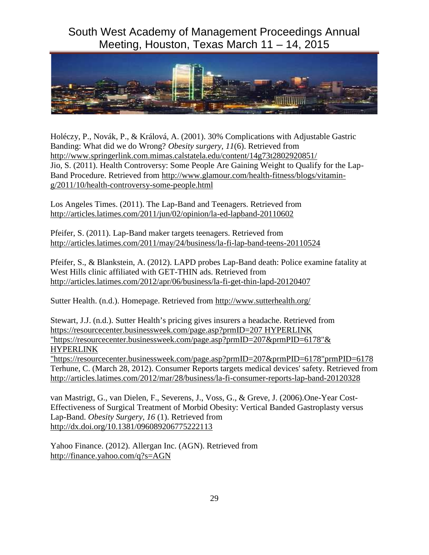

Holéczy, P., Novák, P., & Králová, A. (2001). 30% Complications with Adjustable Gastric Banding: What did we do Wrong? *Obesity surgery, 11*(6). Retrieved from http://www.springerlink.com.mimas.calstatela.edu/content/14g73t2802920851/ Jio, S. (2011). Health Controversy: Some People Are Gaining Weight to Qualify for the Lap- Band Procedure. Retrieved from http://www.glamour.com/health-fitness/blogs/vitamin g/2011/10/health-controversy-some-people.html

Los Angeles Times. (2011). The Lap-Band and Teenagers. Retrieved from http://articles.latimes.com/2011/jun/02/opinion/la-ed-lapband-20110602

Pfeifer, S. (2011). Lap-Band maker targets teenagers. Retrieved from http://articles.latimes.com/2011/may/24/business/la-fi-lap-band-teens-20110524

Pfeifer, S., & Blankstein, A. (2012). LAPD probes Lap-Band death: Police examine fatality at West Hills clinic affiliated with GET-THIN ads. Retrieved from http://articles.latimes.com/2012/apr/06/business/la-fi-get-thin-lapd-20120407

Sutter Health. (n.d.). Homepage. Retrieved from http://www.sutterhealth.org/

Stewart, J.J. (n.d.). Sutter Health's pricing gives insurers a headache. Retrieved from https://resourcecenter.businessweek.com/page.asp?prmID=207 HYPERLINK "https://resourcecenter.businessweek.com/page.asp?prmID=207&prmPID=6178"& HYPERLINK

"https://resourcecenter.businessweek.com/page.asp?prmID=207&prmPID=6178"prmPID=6178 Terhune, C. (March 28, 2012). Consumer Reports targets medical devices' safety. Retrieved from http://articles.latimes.com/2012/mar/28/business/la-fi-consumer-reports-lap-band-20120328

van Mastrigt, G., van Dielen, F., Severens, J., Voss, G., & Greve, J. (2006).One-Year Cost- Effectiveness of Surgical Treatment of Morbid Obesity: Vertical Banded Gastroplasty versus Lap-Band. *Obesity Surgery, 16* (1). Retrieved from http://dx.doi.org/10.1381/096089206775222113

Yahoo Finance. (2012). Allergan Inc. (AGN). Retrieved from http://finance.yahoo.com/q?s=AGN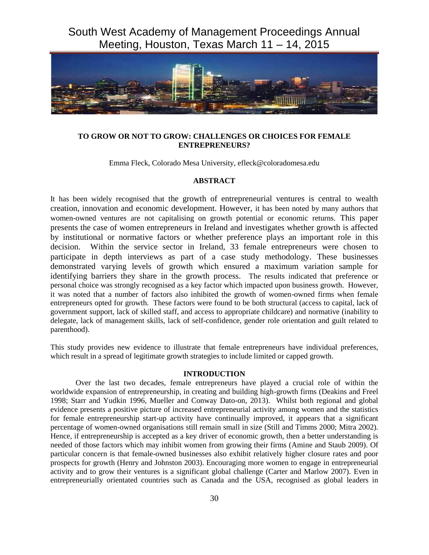

#### **TO GROW OR NOT TO GROW: CHALLENGES OR CHOICES FOR FEMALE ENTREPRENEURS?**

Emma Fleck, Colorado Mesa University, efleck@coloradomesa.edu

#### **ABSTRACT**

It has been widely recognised that the growth of entrepreneurial ventures is central to wealth creation, innovation and economic development. However, it has been noted by many authors that women-owned ventures are not capitalising on growth potential or economic returns. This paper presents the case of women entrepreneurs in Ireland and investigates whether growth is affected by institutional or normative factors or whether preference plays an important role in this decision. Within the service sector in Ireland, 33 female entrepreneurs were chosen to participate in depth interviews as part of a case study methodology. These businesses demonstrated varying levels of growth which ensured a maximum variation sample for identifying barriers they share in the growth process. The results indicated that preference or personal choice was strongly recognised as a key factor which impacted upon business growth. However, it was noted that a number of factors also inhibited the growth of women-owned firms when female entrepreneurs opted for growth. These factors were found to be both structural (access to capital, lack of government support, lack of skilled staff, and access to appropriate childcare) and normative (inability to delegate, lack of management skills, lack of self-confidence, gender role orientation and guilt related to parenthood).

This study provides new evidence to illustrate that female entrepreneurs have individual preferences, which result in a spread of legitimate growth strategies to include limited or capped growth.

#### **INTRODUCTION**

Over the last two decades, female entrepreneurs have played a crucial role of within the worldwide expansion of entrepreneurship, in creating and building high-growth firms (Deakins and Freel 1998; Starr and Yudkin 1996, Mueller and Conway Dato-on, 2013). Whilst both regional and global evidence presents a positive picture of increased entrepreneurial activity among women and the statistics for female entrepreneurship start-up activity have continually improved, it appears that a significant percentage of women-owned organisations still remain small in size (Still and Timms 2000; Mitra 2002). Hence, if entrepreneurship is accepted as a key driver of economic growth, then a better understanding is needed of those factors which may inhibit women from growing their firms (Amine and Staub 2009). Of particular concern is that female-owned businesses also exhibit relatively higher closure rates and poor prospects for growth (Henry and Johnston 2003). Encouraging more women to engage in entrepreneurial activity and to grow their ventures is a significant global challenge (Carter and Marlow 2007). Even in entrepreneurially orientated countries such as Canada and the USA, recognised as global leaders in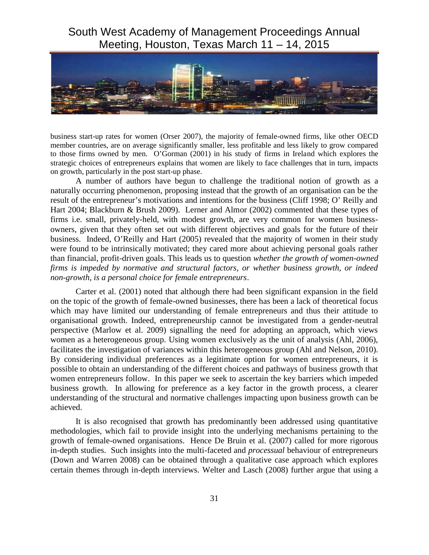

business start-up rates for women (Orser 2007), the majority of female-owned firms, like other OECD member countries, are on average significantly smaller, less profitable and less likely to grow compared to those firms owned by men. O'Gorman (2001) in his study of firms in Ireland which explores the strategic choices of entrepreneurs explains that women are likely to face challenges that in turn, impacts on growth, particularly in the post start-up phase.

A number of authors have begun to challenge the traditional notion of growth as a naturally occurring phenomenon, proposing instead that the growth of an organisation can be the result of the entrepreneur's motivations and intentions for the business (Cliff 1998; O' Reilly and Hart 2004; Blackburn & Brush 2009). Lerner and Almor (2002) commented that these types of firms i.e. small, privately-held, with modest growth, are very common for women business owners, given that they often set out with different objectives and goals for the future of their business. Indeed, O'Reilly and Hart (2005) revealed that the majority of women in their study were found to be intrinsically motivated; they cared more about achieving personal goals rather than financial, profit-driven goals. This leads us to question *whether the growth of women-owned firms is impeded by normative and structural factors, or whether business growth, or indeed non-growth, is a personal choice for female entrepreneurs*.

Carter et al. (2001) noted that although there had been significant expansion in the field on the topic of the growth of female-owned businesses, there has been a lack of theoretical focus which may have limited our understanding of female entrepreneurs and thus their attitude to organisational growth. Indeed, entrepreneurship cannot be investigated from a gender-neutral perspective (Marlow et al. 2009) signalling the need for adopting an approach, which views women as a heterogeneous group. Using women exclusively as the unit of analysis (Ahl, 2006), facilitates the investigation of variances within this heterogeneous group (Ahl and Nelson, 2010). By considering individual preferences as a legitimate option for women entrepreneurs, it is possible to obtain an understanding of the different choices and pathways of business growth that women entrepreneurs follow. In this paper we seek to ascertain the key barriers which impeded business growth. In allowing for preference as a key factor in the growth process, a clearer understanding of the structural and normative challenges impacting upon business growth can be achieved.

It is also recognised that growth has predominantly been addressed using quantitative methodologies, which fail to provide insight into the underlying mechanisms pertaining to the growth of female-owned organisations. Hence De Bruin et al. (2007) called for more rigorous in-depth studies. Such insights into the multi-faceted and *processual* behaviour of entrepreneurs (Down and Warren 2008) can be obtained through a qualitative case approach which explores certain themes through in-depth interviews. Welter and Lasch (2008) further argue that using a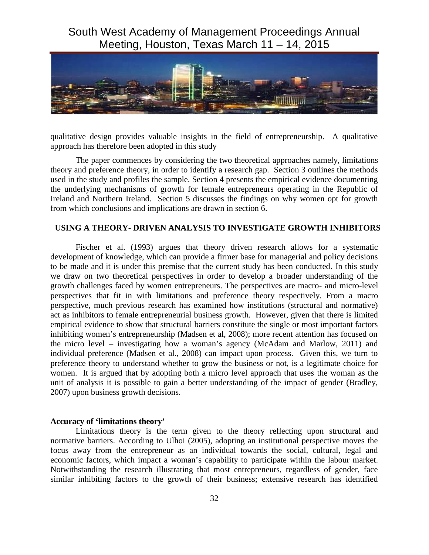

qualitative design provides valuable insights in the field of entrepreneurship. A qualitative approach has therefore been adopted in this study

The paper commences by considering the two theoretical approaches namely, limitations theory and preference theory, in order to identify a research gap. Section 3 outlines the methods used in the study and profiles the sample. Section 4 presents the empirical evidence documenting the underlying mechanisms of growth for female entrepreneurs operating in the Republic of Ireland and Northern Ireland. Section 5 discusses the findings on why women opt for growth from which conclusions and implications are drawn in section 6.

#### **USING A THEORY- DRIVEN ANALYSIS TO INVESTIGATE GROWTH INHIBITORS**

Fischer et al. (1993) argues that theory driven research allows for a systematic development of knowledge, which can provide a firmer base for managerial and policy decisions to be made and it is under this premise that the current study has been conducted. In this study we draw on two theoretical perspectives in order to develop a broader understanding of the growth challenges faced by women entrepreneurs. The perspectives are macro- and micro-level perspectives that fit in with limitations and preference theory respectively. From a macro perspective, much previous research has examined how institutions (structural and normative) act as inhibitors to female entrepreneurial business growth. However, given that there is limited empirical evidence to show that structural barriers constitute the single or most important factors inhibiting women's entrepreneurship (Madsen et al, 2008); more recent attention has focused on the micro level – investigating how a woman's agency (McAdam and Marlow, 2011) and individual preference (Madsen et al., 2008) can impact upon process. Given this, we turn to preference theory to understand whether to grow the business or not, is a legitimate choice for women. It is argued that by adopting both a micro level approach that uses the woman as the unit of analysis it is possible to gain a better understanding of the impact of gender (Bradley, 2007) upon business growth decisions.

#### **Accuracy of 'limitations theory'**

Limitations theory is the term given to the theory reflecting upon structural and normative barriers. According to Ulhoi (2005), adopting an institutional perspective moves the focus away from the entrepreneur as an individual towards the social, cultural, legal and economic factors, which impact a woman's capability to participate within the labour market. Notwithstanding the research illustrating that most entrepreneurs, regardless of gender, face similar inhibiting factors to the growth of their business; extensive research has identified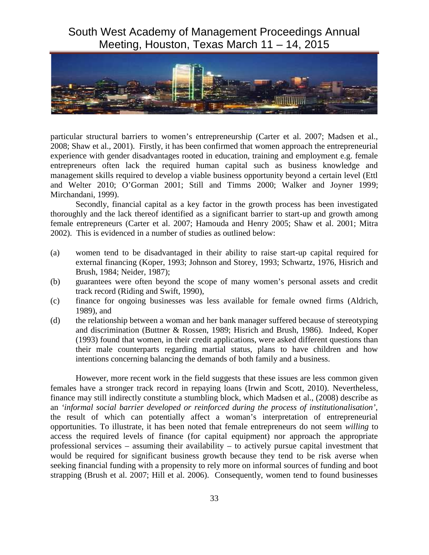

particular structural barriers to women's entrepreneurship (Carter et al. 2007; Madsen et al., 2008; Shaw et al., 2001). Firstly, it has been confirmed that women approach the entrepreneurial experience with gender disadvantages rooted in education, training and employment e.g. female entrepreneurs often lack the required human capital such as business knowledge and management skills required to develop a viable business opportunity beyond a certain level (Ettl and Welter 2010; O'Gorman 2001; Still and Timms 2000; Walker and Joyner 1999; Mirchandani, 1999).

Secondly, financial capital as a key factor in the growth process has been investigated thoroughly and the lack thereof identified as a significant barrier to start-up and growth among female entrepreneurs (Carter et al. 2007; Hamouda and Henry 2005; Shaw et al. 2001; Mitra 2002). This is evidenced in a number of studies as outlined below:

- (a) women tend to be disadvantaged in their ability to raise start-up capital required for external financing (Koper, 1993; Johnson and Storey, 1993; Schwartz, 1976, Hisrich and Brush, 1984; Neider, 1987);
- (b) guarantees were often beyond the scope of many women's personal assets and credit track record (Riding and Swift, 1990),
- (c) finance for ongoing businesses was less available for female owned firms (Aldrich, 1989), and
- (d) the relationship between a woman and her bank manager suffered because of stereotyping and discrimination (Buttner & Rossen, 1989; Hisrich and Brush, 1986). Indeed, Koper (1993) found that women, in their credit applications, were asked different questions than their male counterparts regarding martial status, plans to have children and how intentions concerning balancing the demands of both family and a business.

However, more recent work in the field suggests that these issues are less common given females have a stronger track record in repaying loans (Irwin and Scott, 2010). Nevertheless, finance may still indirectly constitute a stumbling block, which Madsen et al., (2008) describe as an *'informal social barrier developed or reinforced during the process of institutionalisation',* the result of which can potentially affect a woman's interpretation of entrepreneurial opportunities. To illustrate, it has been noted that female entrepreneurs do not seem *willing* to access the required levels of finance (for capital equipment) nor approach the appropriate professional services – assuming their availability – to actively pursue capital investment that would be required for significant business growth because they tend to be risk averse when seeking financial funding with a propensity to rely more on informal sources of funding and boot strapping (Brush et al. 2007; Hill et al. 2006). Consequently, women tend to found businesses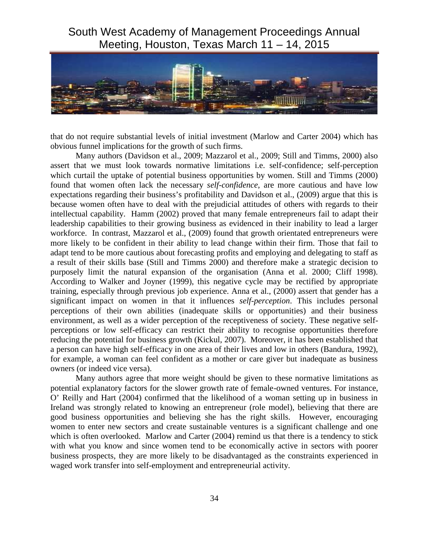

that do not require substantial levels of initial investment (Marlow and Carter 2004) which has obvious funnel implications for the growth of such firms.

Many authors (Davidson et al., 2009; Mazzarol et al., 2009; Still and Timms, 2000) also assert that we must look towards normative limitations i.e. self-confidence; self-perception which curtail the uptake of potential business opportunities by women. Still and Timms (2000) found that women often lack the necessary *self-confidence*, are more cautious and have low expectations regarding their business's profitability and Davidson et al., (2009) argue that this is because women often have to deal with the prejudicial attitudes of others with regards to their intellectual capability. Hamm (2002) proved that many female entrepreneurs fail to adapt their leadership capabilities to their growing business as evidenced in their inability to lead a larger workforce. In contrast, Mazzarol et al., (2009) found that growth orientated entrepreneurs were more likely to be confident in their ability to lead change within their firm. Those that fail to adapt tend to be more cautious about forecasting profits and employing and delegating to staff as a result of their skills base (Still and Timms 2000) and therefore make a strategic decision to purposely limit the natural expansion of the organisation (Anna et al. 2000; Cliff 1998). According to Walker and Joyner (1999), this negative cycle may be rectified by appropriate training, especially through previous job experience. Anna et al., (2000) assert that gender has a significant impact on women in that it influences *self-perception*. This includes personal perceptions of their own abilities (inadequate skills or opportunities) and their business environment, as well as a wider perception of the receptiveness of society. These negative self perceptions or low self-efficacy can restrict their ability to recognise opportunities therefore reducing the potential for business growth (Kickul, 2007). Moreover, it has been established that a person can have high self-efficacy in one area of their lives and low in others (Bandura, 1992), for example, a woman can feel confident as a mother or care giver but inadequate as business owners (or indeed vice versa).

Many authors agree that more weight should be given to these normative limitations as potential explanatory factors for the slower growth rate of female-owned ventures. For instance, O' Reilly and Hart (2004) confirmed that the likelihood of a woman setting up in business in Ireland was strongly related to knowing an entrepreneur (role model), believing that there are good business opportunities and believing she has the right skills. However, encouraging women to enter new sectors and create sustainable ventures is a significant challenge and one which is often overlooked. Marlow and Carter (2004) remind us that there is a tendency to stick with what you know and since women tend to be economically active in sectors with poorer business prospects, they are more likely to be disadvantaged as the constraints experienced in waged work transfer into self-employment and entrepreneurial activity.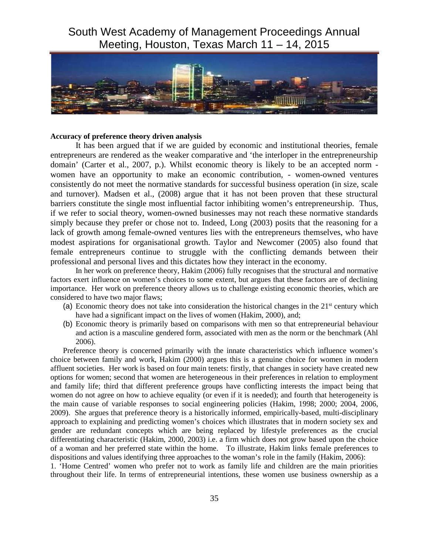

#### **Accuracy of preference theory driven analysis**

It has been argued that if we are guided by economic and institutional theories, female entrepreneurs are rendered as the weaker comparative and 'the interloper in the entrepreneurship domain' (Carter et al., 2007, p.). Whilst economic theory is likely to be an accepted norm women have an opportunity to make an economic contribution, - women-owned ventures consistently do not meet the normative standards for successful business operation (in size, scale and turnover). Madsen et al., (2008) argue that it has not been proven that these structural barriers constitute the single most influential factor inhibiting women's entrepreneurship. Thus, if we refer to social theory, women-owned businesses may not reach these normative standards simply because they prefer or chose not to. Indeed, Long (2003) posits that the reasoning for a lack of growth among female-owned ventures lies with the entrepreneurs themselves, who have modest aspirations for organisational growth. Taylor and Newcomer (2005) also found that female entrepreneurs continue to struggle with the conflicting demands between their professional and personal lives and this dictates how they interact in the economy.

In her work on preference theory, Hakim (2006) fully recognises that the structural and normative factors exert influence on women's choices to some extent, but argues that these factors are of declining importance. Her work on preference theory allows us to challenge existing economic theories, which are considered to have two major flaws;

- (a) Economic theory does not take into consideration the historical changes in the  $21<sup>st</sup>$  century which have had a significant impact on the lives of women (Hakim, 2000), and;
- (b) Economic theory is primarily based on comparisons with men so that entrepreneurial behaviour and action is a masculine gendered form, associated with men as the norm or the benchmark (Ahl 2006).

Preference theory is concerned primarily with the innate characteristics which influence women's choice between family and work, Hakim (2000) argues this is a genuine choice for women in modern affluent societies. Her work is based on four main tenets: firstly, that changes in society have created new options for women; second that women are heterogeneous in their preferences in relation to employment and family life; third that different preference groups have conflicting interests the impact being that women do not agree on how to achieve equality (or even if it is needed); and fourth that heterogeneity is the main cause of variable responses to social engineering policies (Hakim, 1998; 2000; 2004, 2006, 2009). She argues that preference theory is a historically informed, empirically-based, multi-disciplinary approach to explaining and predicting women's choices which illustrates that in modern society sex and gender are redundant concepts which are being replaced by lifestyle preferences as the crucial differentiating characteristic (Hakim, 2000, 2003) i.e. a firm which does not grow based upon the choice of a woman and her preferred state within the home. To illustrate, Hakim links female preferences to dispositions and values identifying three approaches to the woman's role in the family (Hakim, 2006):

1. 'Home Centred' women who prefer not to work as family life and children are the main priorities throughout their life. In terms of entrepreneurial intentions, these women use business ownership as a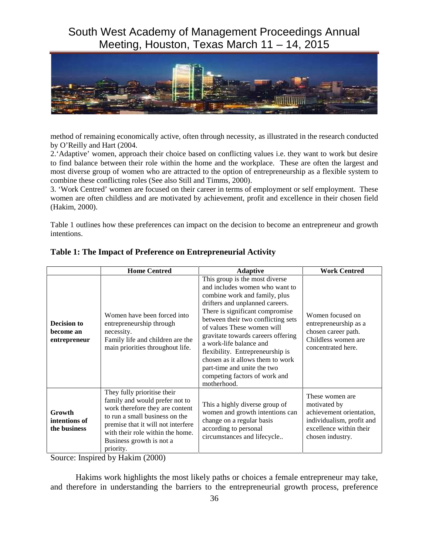

method of remaining economically active, often through necessity, as illustrated in the research conducted by O'Reilly and Hart (2004.

2.'Adaptive' women, approach their choice based on conflicting values i.e. they want to work but desire to find balance between their role within the home and the workplace. These are often the largest and most diverse group of women who are attracted to the option of entrepreneurship as a flexible system to combine these conflicting roles (See also Still and Timms, 2000).

3. 'Work Centred' women are focused on their career in terms of employment or self employment. These women are often childless and are motivated by achievement, profit and excellence in their chosen field (Hakim, 2000).

Table 1 outlines how these preferences can impact on the decision to become an entrepreneur and growth intentions.

|                                          | <b>Home Centred</b>                                                                                                                                                                                                                                   | <b>Adaptive</b>                                                                                                                                                                                                                                                                                                                                                                                                                                                     | <b>Work Centred</b>                                                                                                                      |
|------------------------------------------|-------------------------------------------------------------------------------------------------------------------------------------------------------------------------------------------------------------------------------------------------------|---------------------------------------------------------------------------------------------------------------------------------------------------------------------------------------------------------------------------------------------------------------------------------------------------------------------------------------------------------------------------------------------------------------------------------------------------------------------|------------------------------------------------------------------------------------------------------------------------------------------|
| Decision to<br>become an<br>entrepreneur | Women have been forced into<br>entrepreneurship through<br>necessity.<br>Family life and children are the<br>main priorities throughout life.                                                                                                         | This group is the most diverse<br>and includes women who want to<br>combine work and family, plus<br>drifters and unplanned careers.<br>There is significant compromise<br>between their two conflicting sets<br>of values These women will<br>gravitate towards careers offering<br>a work-life balance and<br>flexibility. Entrepreneurship is<br>chosen as it allows them to work<br>part-time and unite the two<br>competing factors of work and<br>motherhood. | Women focused on<br>entrepreneurship as a<br>chosen career path.<br>Childless women are<br>concentrated here.                            |
| Growth<br>intentions of<br>the business  | They fully prioritise their<br>family and would prefer not to<br>work therefore they are content<br>to run a small business on the<br>premise that it will not interfere<br>with their role within the home.<br>Business growth is not a<br>priority. | This a highly diverse group of<br>women and growth intentions can<br>change on a regular basis<br>according to personal<br>circumstances and lifecycle                                                                                                                                                                                                                                                                                                              | These women are.<br>motivated by<br>achievement orientation,<br>individualism, profit and<br>excellence within their<br>chosen industry. |

#### **Table 1: The Impact of Preference on Entrepreneurial Activity**

Source: Inspired by Hakim (2000)

Hakims work highlights the most likely paths or choices a female entrepreneur may take, and therefore in understanding the barriers to the entrepreneurial growth process, preference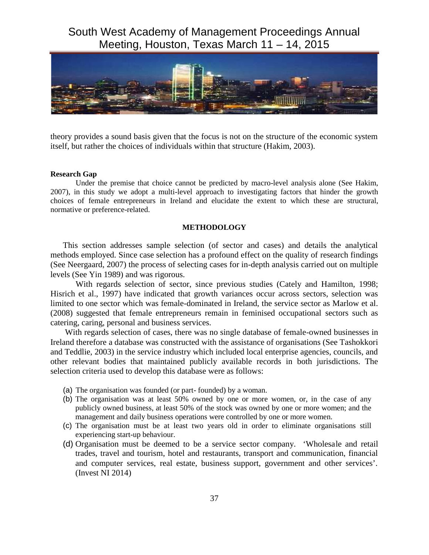

theory provides a sound basis given that the focus is not on the structure of the economic system itself, but rather the choices of individuals within that structure (Hakim, 2003).

#### **Research Gap**

Under the premise that choice cannot be predicted by macro-level analysis alone (See Hakim, 2007), in this study we adopt a multi-level approach to investigating factors that hinder the growth choices of female entrepreneurs in Ireland and elucidate the extent to which these are structural, normative or preference-related.

### **METHODOLOGY**

This section addresses sample selection (of sector and cases) and details the analytical methods employed. Since case selection has a profound effect on the quality of research findings (See Neergaard, 2007) the process of selecting cases for in-depth analysis carried out on multiple levels (See Yin 1989) and was rigorous.

With regards selection of sector, since previous studies (Cately and Hamilton, 1998; Hisrich et al., 1997) have indicated that growth variances occur across sectors, selection was limited to one sector which was female-dominated in Ireland, the service sector as Marlow et al. (2008) suggested that female entrepreneurs remain in feminised occupational sectors such as catering, caring, personal and business services.

With regards selection of cases, there was no single database of female-owned businesses in Ireland therefore a database was constructed with the assistance of organisations (See Tashokkori and Teddlie, 2003) in the service industry which included local enterprise agencies, councils, and other relevant bodies that maintained publicly available records in both jurisdictions. The selection criteria used to develop this database were as follows:

- (a) The organisation was founded (or part- founded) by a woman.
- (b) The organisation was at least 50% owned by one or more women, or, in the case of any publicly owned business, at least 50% of the stock was owned by one or more women; and the management and daily business operations were controlled by one or more women.
- (c) The organisation must be at least two years old in order to eliminate organisations still experiencing start-up behaviour.
- (d) Organisation must be deemed to be a service sector company. 'Wholesale and retail trades, travel and tourism, hotel and restaurants, transport and communication, financial and computer services, real estate, business support, government and other services'. (Invest NI 2014)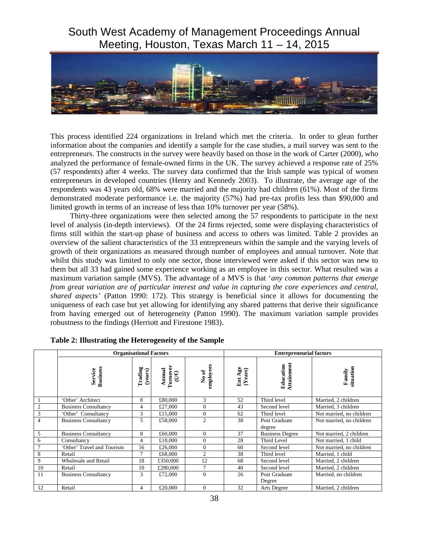

This process identified 224 organizations in Ireland which met the criteria. In order to glean further information about the companies and identify a sample for the case studies, a mail survey was sent to the entrepreneurs. The constructs in the survey were heavily based on those in the work of Carter (2000), who analyzed the performance of female-owned firms in the UK. The survey achieved a response rate of 25% (57 respondents) after 4 weeks. The survey data confirmed that the Irish sample was typical of women entrepreneurs in developed countries (Henry and Kennedy 2003). To illustrate, the average age of the respondents was 43 years old, 68% were married and the majority had children (61%). Most of the firms demonstrated moderate performance i.e. the majority (57%) had pre-tax profits less than \$90,000 and limited growth in terms of an increase of less than 10% turnover per year (58%).

Thirty-three organizations were then selected among the 57 respondents to participate in the next level of analysis (in-depth interviews). Of the 24 firms rejected, some were displaying characteristics of firms still within the start-up phase of business and access to others was limited. Table 2 provides an overview of the salient characteristics of the 33 entrepreneurs within the sample and the varying levels of growth of their organizations as measured through number of employees and annual turnover. Note that whilst this study was limited to only one sector, those interviewed were asked if this sector was new to them but all 33 had gained some experience working as an employee in this sector. What resulted was a maximum variation sample (MVS). The advantage of a MVS is that '*any common patterns that emerge from great variation are of particular interest and value in capturing the core experiences and central, shared aspects'* (Patton 1990: 172). This strategy is beneficial since it allows for documenting the uniqueness of each case but yet allowing for identifying any shared patterns that derive their significance from having emerged out of heterogeneity (Patton 1990). The maximum variation sample provides robustness to the findings (Herriott and Firestone 1983).

|                |                             | <b>Organisational Factors</b> |                                                                                     |                    |                    | <b>Entrepreneurial factors</b> |                          |
|----------------|-----------------------------|-------------------------------|-------------------------------------------------------------------------------------|--------------------|--------------------|--------------------------------|--------------------------|
|                | <b>Business</b><br>Service  | Trading<br>(years)            | 툽<br>Annual<br>$\begin{array}{c} \mathrm{Trmove} \\ (\pounds / \Theta) \end{array}$ | employees<br>No of | Ent Age<br>(Years) | Attainment<br>Education        | Family<br>situation      |
|                | 'Other' Architect           | 8                             | £80,000                                                                             | 3                  | 52                 | Third level                    | Married, 2 children      |
| 2              | <b>Business Consultancy</b> | $\overline{4}$                | £27,000                                                                             | $\theta$           | 43                 | Second level                   | Married, 3 children      |
| $\mathbf{3}$   | 'Other' Consultancy         | 3                             | £15,000                                                                             | $\Omega$           | 62                 | Third level                    | Not married, no children |
| $\overline{4}$ | <b>Business Consultancy</b> | 5                             | £58,000                                                                             | $\overline{c}$     | 38                 | Post Graduate                  | Not married, no children |
|                |                             |                               |                                                                                     |                    |                    | degree                         |                          |
| $\overline{5}$ | <b>Business Consultancy</b> | 8                             | £60,000                                                                             | $\theta$           | 37                 | <b>Business Degree</b>         | Not married, 2 children  |
| 6              | Consultancy                 | $\overline{4}$                | £18,000                                                                             | $\theta$           | 28                 | Third Level                    | Not married, 1 child     |
| $\overline{7}$ | 'Other' Travel and Tourism  | 16                            | £26,000                                                                             | $\theta$           | 60                 | Second level                   | Not married, no children |
| 8              | Retail                      | $\tau$                        | £68,000                                                                             | $\overline{c}$     | 38                 | Third level                    | Married, 1 child         |
| 9              | <b>Wholesale and Retail</b> | 18                            | £350,000                                                                            | 12                 | 68                 | Second level                   | Married, 2 children      |
| 10             | Retail                      | 10                            | £280,000                                                                            | $\mathcal{I}$      | 40                 | Second level                   | Married, 2 children      |
| 11             | <b>Business Consultancy</b> | 3                             | £72,000                                                                             | $\theta$           | 26                 | Post Graduate                  | Married, no children     |
|                |                             |                               |                                                                                     |                    |                    | Degree                         |                          |
| 12             | Retail                      | $\overline{4}$                | £20,000                                                                             | $\overline{0}$     | 32                 | Arts Degree                    | Married, 2 children      |

#### **Table 2: Illustrating the Heterogeneity of the Sample**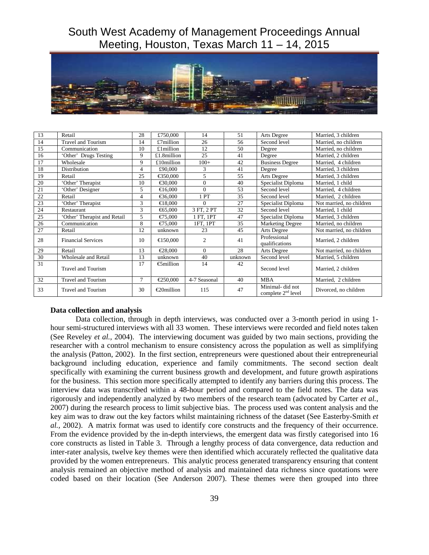

| 13 | Retail                       | 28             | £750,000             | 14             | 51      | Arts Degree                              | Married, 3 children      |
|----|------------------------------|----------------|----------------------|----------------|---------|------------------------------------------|--------------------------|
| 14 | <b>Travel and Tourism</b>    | 14             | $£7$ million         | 26             | 56      | Second level                             | Married, no children     |
| 15 | Communication                | 10             | $£1$ million         | 12             | 50      | Degree                                   | Married, no children     |
| 16 | 'Other' Drugs Testing        | 9              | $£1.8$ million       | 25             | 41      | Degree                                   | Married, 2 children      |
| 17 | Wholesale                    | 9              | £10million           | $100+$         | 42      | <b>Business Degree</b>                   | Married, 4 children      |
| 18 | Distribution                 | 4              | £90,000              | 3              | 41      | Degree                                   | Married, 3 children      |
| 19 | Retail                       | 25             | €350,000             | 5              | 55      | Arts Degree                              | Married, 3 children      |
| 20 | 'Other' Therapist            | 10             | €30,000              | $\Omega$       | 40      | Specialist Diploma                       | Married, 1 child         |
| 21 | 'Other' Designer             | 5              | $\bigoplus$ 6.000    | $\Omega$       | 53      | Second level                             | Married, 4 children      |
| 22 | Retail                       | 4              | €6.000               | 1PT            | 35      | Second level                             | Married, 2 children      |
| 23 | 'Other' Therapist            | 3              | $\bigoplus$ 8,000    | $\Omega$       | 27      | Specialist Diploma                       | Not married, no children |
| 24 | Restaurant                   | 3              | $\bigoplus 5,000$    | 3 FT. 2 PT     | 32      | Second level                             | Married, 1 child         |
| 25 | 'Other' Therapist and Retail | 5              | $\epsilon$ 75,000    | 1 FT, 1PT      | 47      | Specialist Diploma                       | Married, 3 children      |
| 26 | Communication                | 8              | $\epsilon$ 75,000    | 1FT, 1PT       | 35      | <b>Marketing Degree</b>                  | Married, no children     |
| 27 | Retail                       | 12             | unknown              | 23             | 45      | Arts Degree                              | Not married, no children |
| 28 | <b>Financial Services</b>    | 10             | $\bigoplus$ 50,000   | $\overline{2}$ | 41      | Professional<br>qualifications           | Married, 2 children      |
| 29 | Retail                       | 13             | $\bigoplus 8.000$    | $\Omega$       | 28      | Arts Degree                              | Not married, no children |
| 30 | Wholesale and Retail         | 13             | unknown              | 40             | unknown | Second level                             | Married, 5 children      |
| 31 | <b>Travel and Tourism</b>    | 17             | $\epsilon$ million   | 14             | 42      | Second level                             | Married, 2 children      |
| 32 | <b>Travel and Tourism</b>    | $\overline{7}$ | €250,000             | 4-7 Seasonal   | 40      | <b>MBA</b>                               | Married, 2 children      |
| 33 | <b>Travel and Tourism</b>    | 30             | $\epsilon$ 20million | 115            | 47      | Minimal- did not<br>complete $2nd$ level | Divorced, no children    |

#### **Data collection and analysis**

Data collection, through in depth interviews, was conducted over a 3-month period in using 1 hour semi-structured interviews with all 33 women. These interviews were recorded and field notes taken (See Reveley *et al.,* 2004). The interviewing document was guided by two main sections, providing the researcher with a control mechanism to ensure consistency across the population as well as simplifying the analysis (Patton, 2002). In the first section, entrepreneurs were questioned about their entrepreneurial background including education, experience and family commitments. The second section dealt specifically with examining the current business growth and development, and future growth aspirations for the business. This section more specifically attempted to identify any barriers during this process. The interview data was transcribed within a 48-hour period and compared to the field notes. The data was rigorously and independently analyzed by two members of the research team (advocated by Carter *et al.,* 2007) during the research process to limit subjective bias. The process used was content analysis and the key aim was to draw out the key factors whilst maintaining richness of the dataset (See Easterby-Smith *et al.,* 2002). A matrix format was used to identify core constructs and the frequency of their occurrence. From the evidence provided by the in-depth interviews, the emergent data was firstly categorised into 16 core constructs as listed in Table 3. Through a lengthy process of data convergence, data reduction and inter-rater analysis, twelve key themes were then identified which accurately reflected the qualitative data provided by the women entrepreneurs. This analytic process generated transparency ensuring that content analysis remained an objective method of analysis and maintained data richness since quotations were coded based on their location (See Anderson 2007). These themes were then grouped into three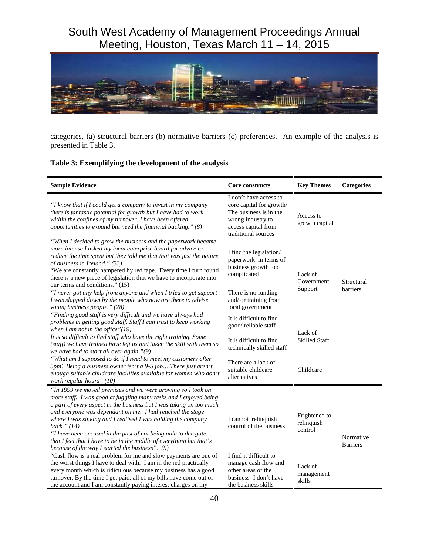

categories, (a) structural barriers (b) normative barriers (c) preferences. An example of the analysis is presented in Table 3.

### **Table 3: Exemplifying the development of the analysis**

| <b>Sample Evidence</b>                                                                                                                                                                                                                                                                                                                                                                                                                                                                | Core constructs                                                                                                                                                 | <b>Key Themes</b>                      | <b>Categories</b>            |  |  |
|---------------------------------------------------------------------------------------------------------------------------------------------------------------------------------------------------------------------------------------------------------------------------------------------------------------------------------------------------------------------------------------------------------------------------------------------------------------------------------------|-----------------------------------------------------------------------------------------------------------------------------------------------------------------|----------------------------------------|------------------------------|--|--|
| "I know that if I could get a company to invest in my company<br>there is fantastic potential for growth but I have had to work<br>within the confines of my turnover. I have been offered<br>opportunities to expand but need the financial backing." (8)                                                                                                                                                                                                                            | I don't have access to<br>core capital for growth/<br>The business is in the<br>wrong industry to<br>access capital from<br>traditional sources                 | Access to<br>growth capital            |                              |  |  |
| "When I decided to grow the business and the paperwork became<br>more intense I asked my local enterprise board for advice to<br>reduce the time spent but they told me that that was just the nature<br>of business in Ireland." (33)<br>"We are constantly hampered by red tape. Every time I turn round<br>there is a new piece of legislation that we have to incorporate into<br>our terms and conditions." (15)                                                                 | I find the legislation/<br>paperwork in terms of<br>business growth too<br>complicated<br>Lack of<br>Government<br>Structural<br>Support<br>There is no funding |                                        |                              |  |  |
| "I never got any help from anyone and when I tried to get support<br>I was slapped down by the people who now are there to advise<br>young business people." (28)                                                                                                                                                                                                                                                                                                                     | and/ or training from<br>local government                                                                                                                       |                                        | barriers                     |  |  |
| "Finding good staff is very difficult and we have always had<br>problems in getting good staff. Staff I can trust to keep working<br>when I am not in the office" $(19)$                                                                                                                                                                                                                                                                                                              | It is difficult to find<br>good/reliable staff                                                                                                                  | Lack of                                |                              |  |  |
| It is so difficult to find staff who have the right training. Some<br>(staff) we have trained have left us and taken the skill with them so<br>we have had to start all over again."(9)                                                                                                                                                                                                                                                                                               | It is difficult to find<br>technically skilled staff                                                                                                            | <b>Skilled Staff</b>                   |                              |  |  |
| "What am I supposed to do if I need to meet my customers after<br>5pm? Being a business owner isn't a 9-5 jobThere just aren't<br>enough suitable childcare facilities available for women who don't<br>work regular hours" (10)                                                                                                                                                                                                                                                      | There are a lack of<br>suitable childcare<br>alternatives                                                                                                       | Childcare                              |                              |  |  |
| "In 1999 we moved premises and we were growing so I took on                                                                                                                                                                                                                                                                                                                                                                                                                           |                                                                                                                                                                 |                                        |                              |  |  |
| more staff. I was good at juggling many tasks and I enjoyed being<br>a part of every aspect in the business but I was taking on too much<br>and everyone was dependant on me. I had reached the stage<br>where I was sinking and I realised I was holding the company<br>back." (14)<br>"I have been accused in the past of not being able to delegate<br>that I feel that I have to be in the middle of everything but that's<br>because of the way $I$ started the business". $(9)$ | I cannot relinquish<br>control of the business                                                                                                                  | Frightened to<br>relinquish<br>control | Normative<br><b>Barriers</b> |  |  |
| "Cash flow is a real problem for me and slow payments are one of<br>the worst things I have to deal with. I am in the red practically<br>every month which is ridiculous because my business has a good<br>turnover. By the time I get paid, all of my bills have come out of<br>the account and I am constantly paying interest charges on my                                                                                                                                        | I find it difficult to<br>manage cash flow and<br>other areas of the<br>business- I don't have<br>the business skills                                           | Lack of<br>management<br>skills        |                              |  |  |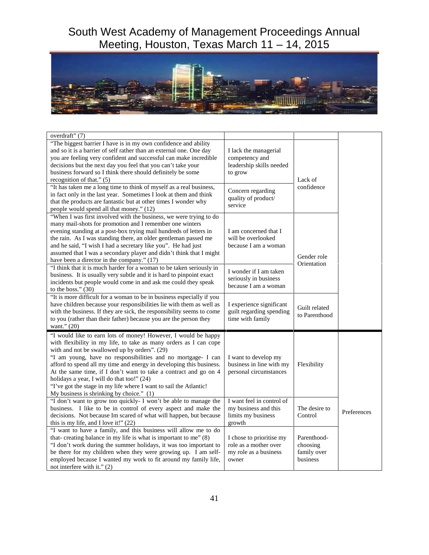

| overdraft" (7)                                                        |                           |               |             |
|-----------------------------------------------------------------------|---------------------------|---------------|-------------|
| "The biggest barrier I have is in my own confidence and ability       |                           |               |             |
| and so it is a barrier of self rather than an external one. One day   | I lack the managerial     |               |             |
| you are feeling very confident and successful can make incredible     | competency and            |               |             |
| decisions but the next day you feel that you can't take your          | leadership skills needed  |               |             |
| business forward so I think there should definitely be some           | to grow                   |               |             |
| recognition of that." (5)                                             |                           | Lack of       |             |
| "It has taken me a long time to think of myself as a real business,   |                           | confidence    |             |
| in fact only in the last year. Sometimes I look at them and think     | Concern regarding         |               |             |
| that the products are fantastic but at other times I wonder why       | quality of product/       |               |             |
| people would spend all that money." (12)                              | service                   |               |             |
| "When I was first involved with the business, we were trying to do    |                           |               |             |
| many mail-shots for promotion and I remember one winters              |                           |               |             |
| evening standing at a post-box trying mail hundreds of letters in     | I am concerned that I     |               |             |
| the rain. As I was standing there, an older gentleman passed me       | will be overlooked        |               |             |
| and he said, "I wish I had a secretary like you". He had just         | because I am a woman      |               |             |
| assumed that I was a secondary player and didn't think that I might   |                           |               |             |
| have been a director in the company." (17)                            |                           | Gender role   |             |
| "I think that it is much harder for a woman to be taken seriously in  |                           | Orientation   |             |
| business. It is usually very subtle and it is hard to pinpoint exact  | I wonder if I am taken    |               |             |
| incidents but people would come in and ask me could they speak        | seriously in business     |               |             |
| to the boss." $(30)$                                                  | because I am a woman      |               |             |
| "It is more difficult for a woman to be in business especially if you |                           |               |             |
| have children because your responsibilities lie with them as well as  | I experience significant  | Guilt related |             |
| with the business. If they are sick, the responsibility seems to come | guilt regarding spending  | to Parenthood |             |
| to you (rather than their father) because you are the person they     | time with family          |               |             |
| want." (20)                                                           |                           |               |             |
| "I would like to earn lots of money! However, I would be happy        |                           |               |             |
| with flexibility in my life, to take as many orders as I can cope     |                           |               |             |
| with and not be swallowed up by orders". (29)                         |                           |               |             |
| "I am young, have no responsibilities and no mortgage- I can          | I want to develop my      |               |             |
| afford to spend all my time and energy in developing this business.   | business in line with my  | Flexibility   |             |
| At the same time, if I don't want to take a contract and go on 4      | personal circumstances    |               |             |
| holidays a year, I will do that too!" (24)                            |                           |               |             |
| "I've got the stage in my life where I want to sail the Atlantic!     |                           |               |             |
| My business is shrinking by choice." $(1)$                            |                           |               |             |
| "I don't want to grow too quickly- I won't be able to manage the      | I want feel in control of |               |             |
| business. I like to be in control of every aspect and make the        | my business and this      | The desire to | Preferences |
| decisions. Not because Im scared of what will happen, but because     | limits my business        | Control       |             |
| this is my life, and I love it!" (22)                                 | growth                    |               |             |
| "I want to have a family, and this business will allow me to do       |                           |               |             |
| that- creating balance in my life is what is important to me" (8)     | I chose to prioritise my  | Parenthood-   |             |
| "I don't work during the summer holidays, it was too important to     | role as a mother over     | choosing      |             |
| be there for my children when they were growing up. I am self-        | my role as a business     | family over   |             |
| employed because I wanted my work to fit around my family life,       | owner                     | business      |             |
| not interfere with it." (2)                                           |                           |               |             |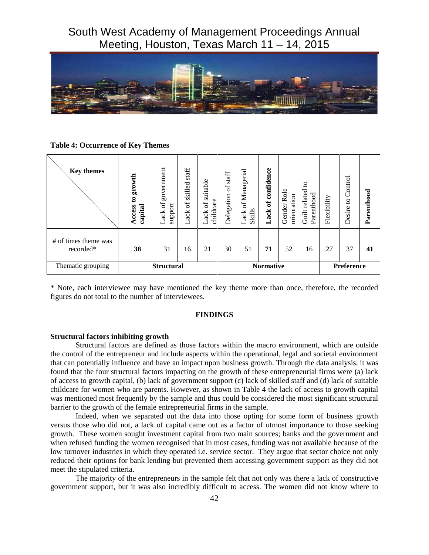

**Table 4: Occurrence of Key Themes**

| <b>Key themes</b>                 | growth<br>$\boldsymbol{\mathsf{s}}$<br>Access<br>capital | government<br>ð<br>support<br>Lack | $_{\mbox{\scriptsize{staff}}}$<br>skilled<br>$\rm 5^{\circ}$<br>ack | of suitable<br>childcare<br>Lack | staff<br>of:<br>Delegation | of Managerial<br>Skills<br>Lack | confidence<br>ซี<br>Lack | Role<br>orientation<br>Gender | $\mathbf{c}$<br>Guilt related<br>Parenthood | Flexibility | Control<br>$\mathbf{S}$<br>Desire | Parenthood |  |
|-----------------------------------|----------------------------------------------------------|------------------------------------|---------------------------------------------------------------------|----------------------------------|----------------------------|---------------------------------|--------------------------|-------------------------------|---------------------------------------------|-------------|-----------------------------------|------------|--|
| # of times theme was<br>recorded* | 38                                                       | 31                                 | 16                                                                  | 21                               | 30                         | 51                              | 71                       | 52                            | 16                                          | 27          | 37                                | 41         |  |
| Thematic grouping                 |                                                          | <b>Structural</b>                  |                                                                     |                                  |                            |                                 | <b>Normative</b>         |                               |                                             |             | Preference                        |            |  |

\* Note, each interviewee may have mentioned the key theme more than once, therefore, the recorded figures do not total to the number of interviewees.

### **FINDINGS**

#### **Structural factors inhibiting growth**

Structural factors are defined as those factors within the macro environment, which are outside the control of the entrepreneur and include aspects within the operational, legal and societal environment that can potentially influence and have an impact upon business growth. Through the data analysis, it was found that the four structural factors impacting on the growth of these entrepreneurial firms were (a) lack of access to growth capital, (b) lack of government support (c) lack of skilled staff and (d) lack of suitable childcare for women who are parents. However, as shown in Table 4 the lack of access to growth capital was mentioned most frequently by the sample and thus could be considered the most significant structural barrier to the growth of the female entrepreneurial firms in the sample.

Indeed, when we separated out the data into those opting for some form of business growth versus those who did not, a lack of capital came out as a factor of utmost importance to those seeking growth. These women sought investment capital from two main sources; banks and the government and when refused funding the women recognised that in most cases, funding was not available because of the low turnover industries in which they operated i.e. service sector. They argue that sector choice not only reduced their options for bank lending but prevented them accessing government support as they did not meet the stipulated criteria.

The majority of the entrepreneurs in the sample felt that not only was there a lack of constructive government support, but it was also incredibly difficult to access. The women did not know where to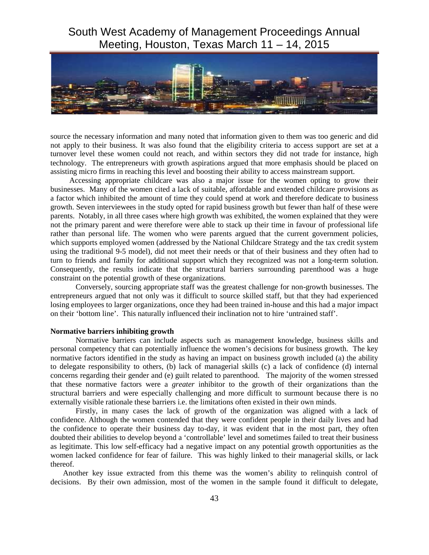

source the necessary information and many noted that information given to them was too generic and did not apply to their business. It was also found that the eligibility criteria to access support are set at a turnover level these women could not reach, and within sectors they did not trade for instance, high technology. The entrepreneurs with growth aspirations argued that more emphasis should be placed on assisting micro firms in reaching this level and boosting their ability to access mainstream support.

Accessing appropriate childcare was also a major issue for the women opting to grow their businesses. Many of the women cited a lack of suitable, affordable and extended childcare provisions as a factor which inhibited the amount of time they could spend at work and therefore dedicate to business growth. Seven interviewees in the study opted for rapid business growth but fewer than half of these were parents. Notably, in all three cases where high growth was exhibited, the women explained that they were not the primary parent and were therefore were able to stack up their time in favour of professional life rather than personal life. The women who were parents argued that the current government policies, which supports employed women (addressed by the National Childcare Strategy and the tax credit system using the traditional 9-5 model), did not meet their needs or that of their business and they often had to turn to friends and family for additional support which they recognized was not a long-term solution. Consequently, the results indicate that the structural barriers surrounding parenthood was a huge constraint on the potential growth of these organizations.

Conversely, sourcing appropriate staff was the greatest challenge for non-growth businesses. The entrepreneurs argued that not only was it difficult to source skilled staff, but that they had experienced losing employees to larger organizations, once they had been trained in-house and this had a major impact on their 'bottom line'. This naturally influenced their inclination not to hire 'untrained staff'.

#### **Normative barriers inhibiting growth**

Normative barriers can include aspects such as management knowledge, business skills and personal competency that can potentially influence the women's decisions for business growth. The key normative factors identified in the study as having an impact on business growth included (a) the ability to delegate responsibility to others, (b) lack of managerial skills (c) a lack of confidence (d) internal concerns regarding their gender and (e) guilt related to parenthood. The majority of the women stressed that these normative factors were a *greater* inhibitor to the growth of their organizations than the structural barriers and were especially challenging and more difficult to surmount because there is no externally visible rationale these barriers i.e. the limitations often existed in their own minds.

Firstly, in many cases the lack of growth of the organization was aligned with a lack of confidence. Although the women contended that they were confident people in their daily lives and had the confidence to operate their business day to-day, it was evident that in the most part, they often doubted their abilities to develop beyond a 'controllable' level and sometimes failed to treat their business as legitimate. This low self-efficacy had a negative impact on any potential growth opportunities as the women lacked confidence for fear of failure. This was highly linked to their managerial skills, or lack thereof.

Another key issue extracted from this theme was the women's ability to relinquish control of decisions. By their own admission, most of the women in the sample found it difficult to delegate,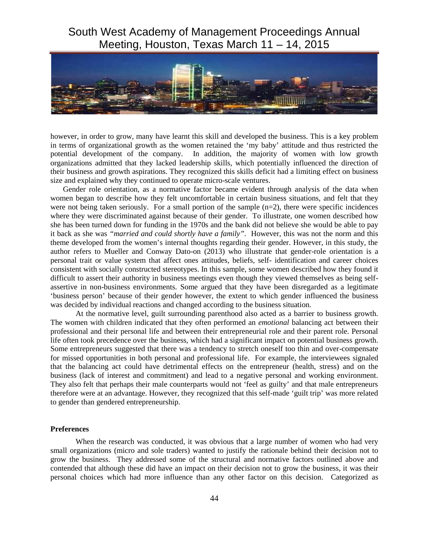

however, in order to grow, many have learnt this skill and developed the business. This is a key problem in terms of organizational growth as the women retained the 'my baby' attitude and thus restricted the potential development of the company. In addition, the majority of women with low growth organizations admitted that they lacked leadership skills, which potentially influenced the direction of their business and growth aspirations. They recognized this skills deficit had a limiting effect on business size and explained why they continued to operate micro-scale ventures.

Gender role orientation, as a normative factor became evident through analysis of the data when women began to describe how they felt uncomfortable in certain business situations, and felt that they were not being taken seriously. For a small portion of the sample  $(n=2)$ , there were specific incidences where they were discriminated against because of their gender. To illustrate, one women described how she has been turned down for funding in the 1970s and the bank did not believe she would be able to pay it back as she was *"married and could shortly have a family".* However, this was not the norm and this theme developed from the women's internal thoughts regarding their gender. However, in this study, the author refers to Mueller and Conway Dato-on (2013) who illustrate that gender-role orientation is a personal trait or value system that affect ones attitudes, beliefs, self- identification and career choices consistent with socially constructed stereotypes. In this sample, some women described how they found it difficult to assert their authority in business meetings even though they viewed themselves as being self assertive in non-business environments. Some argued that they have been disregarded as a legitimate 'business person' because of their gender however, the extent to which gender influenced the business was decided by individual reactions and changed according to the business situation.

At the normative level, guilt surrounding parenthood also acted as a barrier to business growth. The women with children indicated that they often performed an *emotional* balancing act between their professional and their personal life and between their entrepreneurial role and their parent role. Personal life often took precedence over the business, which had a significant impact on potential business growth. Some entrepreneurs suggested that there was a tendency to stretch oneself too thin and over-compensate for missed opportunities in both personal and professional life. For example, the interviewees signaled that the balancing act could have detrimental effects on the entrepreneur (health, stress) and on the business (lack of interest and commitment) and lead to a negative personal and working environment. They also felt that perhaps their male counterparts would not 'feel as guilty' and that male entrepreneurs therefore were at an advantage. However, they recognized that this self-made 'guilt trip' was more related to gender than gendered entrepreneurship.

#### **Preferences**

When the research was conducted, it was obvious that a large number of women who had very small organizations (micro and sole traders) wanted to justify the rationale behind their decision not to grow the business. They addressed some of the structural and normative factors outlined above and contended that although these did have an impact on their decision not to grow the business, it was their personal choices which had more influence than any other factor on this decision. Categorized as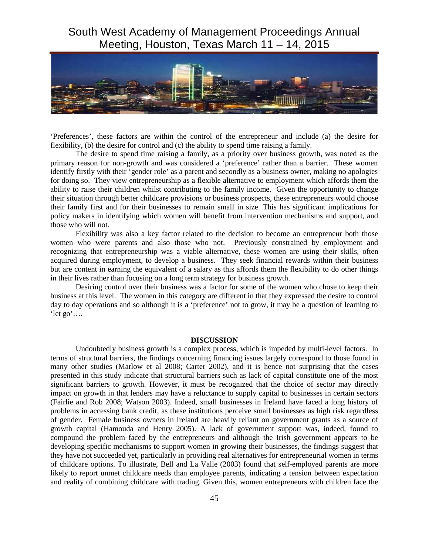

'Preferences', these factors are within the control of the entrepreneur and include (a) the desire for flexibility, (b) the desire for control and (c) the ability to spend time raising a family.

The desire to spend time raising a family, as a priority over business growth, was noted as the primary reason for non-growth and was considered a 'preference' rather than a barrier. These women identify firstly with their 'gender role' as a parent and secondly as a business owner, making no apologies for doing so. They view entrepreneurship as a flexible alternative to employment which affords them the ability to raise their children whilst contributing to the family income. Given the opportunity to change their situation through better childcare provisions or business prospects, these entrepreneurs would choose their family first and for their businesses to remain small in size. This has significant implications for policy makers in identifying which women will benefit from intervention mechanisms and support, and those who will not.

Flexibility was also a key factor related to the decision to become an entrepreneur both those women who were parents and also those who not. Previously constrained by employment and recognizing that entrepreneurship was a viable alternative, these women are using their skills, often acquired during employment, to develop a business. They seek financial rewards within their business but are content in earning the equivalent of a salary as this affords them the flexibility to do other things in their lives rather than focusing on a long term strategy for business growth.

Desiring control over their business was a factor for some of the women who chose to keep their business at this level. The women in this category are different in that they expressed the desire to control day to day operations and so although it is a 'preference' not to grow, it may be a question of learning to 'let go'….

#### **DISCUSSION**

Undoubtedly business growth is a complex process, which is impeded by multi-level factors. In terms of structural barriers, the findings concerning financing issues largely correspond to those found in many other studies (Marlow et al 2008; Carter 2002), and it is hence not surprising that the cases presented in this study indicate that structural barriers such as lack of capital constitute one of the most significant barriers to growth. However, it must be recognized that the choice of sector may directly impact on growth in that lenders may have a reluctance to supply capital to businesses in certain sectors (Fairlie and Rob 2008; Watson 2003). Indeed, small businesses in Ireland have faced a long history of problems in accessing bank credit, as these institutions perceive small businesses as high risk regardless of gender. Female business owners in Ireland are heavily reliant on government grants as a source of growth capital (Hamouda and Henry 2005). A lack of government support was, indeed, found to compound the problem faced by the entrepreneurs and although the Irish government appears to be developing specific mechanisms to support women in growing their businesses, the findings suggest that they have not succeeded yet, particularly in providing real alternatives for entrepreneurial women in terms of childcare options. To illustrate, Bell and La Valle (2003) found that self-employed parents are more likely to report unmet childcare needs than employee parents, indicating a tension between expectation and reality of combining childcare with trading. Given this, women entrepreneurs with children face the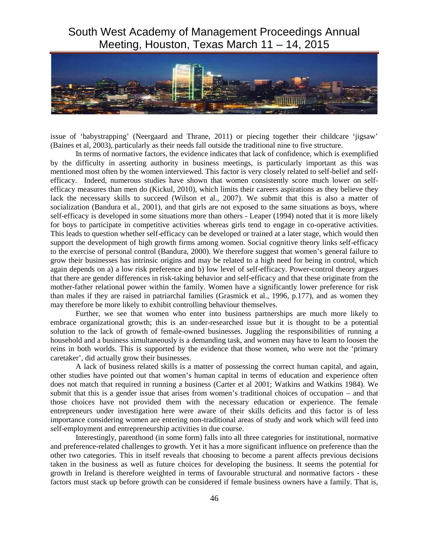

issue of 'babystrapping' (Neergaard and Thrane, 2011) or piecing together their childcare 'jigsaw' (Baines et al, 2003), particularly as their needs fall outside the traditional nine to five structure.

In terms of normative factors, the evidence indicates that lack of confidence, which is exemplified by the difficulty in asserting authority in business meetings, is particularly important as this was mentioned most often by the women interviewed. This factor is very closely related to self-belief and self efficacy. Indeed, numerous studies have shown that women consistently score much lower on self efficacy measures than men do (Kickul, 2010), which limits their careers aspirations as they believe they lack the necessary skills to succeed (Wilson et al., 2007). We submit that this is also a matter of socialization (Bandura et al., 2001), and that girls are not exposed to the same situations as boys, where self-efficacy is developed in some situations more than others - Leaper (1994) noted that it is more likely for boys to participate in competitive activities whereas girls tend to engage in co-operative activities. This leads to question whether self-efficacy can be developed or trained at a later stage, which would then support the development of high growth firms among women. Social cognitive theory links self-efficacy to the exercise of personal control (Bandura, 2000). We therefore suggest that women's general failure to grow their businesses has intrinsic origins and may be related to a high need for being in control, which again depends on a) a low risk preference and b) low level of self-efficacy. Power-control theory argues that there are gender differences in risk-taking behavior and self-efficacy and that these originate from the mother-father relational power within the family. Women have a significantly lower preference for risk than males if they are raised in patriarchal families (Grasmick et al., 1996, p.177), and as women they may therefore be more likely to exhibit controlling behaviour themselves.

Further, we see that women who enter into business partnerships are much more likely to embrace organizational growth; this is an under-researched issue but it is thought to be a potential solution to the lack of growth of female-owned businesses. Juggling the responsibilities of running a household and a business simultaneously is a demanding task, and women may have to learn to loosen the reins in both worlds. This is supported by the evidence that those women, who were not the 'primary caretaker', did actually grow their businesses.

A lack of business related skills is a matter of possessing the correct human capital, and again, other studies have pointed out that women's human capital in terms of education and experience often does not match that required in running a business (Carter et al 2001; Watkins and Watkins 1984). We submit that this is a gender issue that arises from women's traditional choices of occupation – and that those choices have not provided them with the necessary education or experience. The female entrepreneurs under investigation here were aware of their skills deficits and this factor is of less importance considering women are entering non-traditional areas of study and work which will feed into self-employment and entrepreneurship activities in due course.

Interestingly, parenthood (in some form) falls into all three categories for institutional, normative and preference-related challenges to growth. Yet it has a more significant influence on preference than the other two categories. This in itself reveals that choosing to become a parent affects previous decisions taken in the business as well as future choices for developing the business. It seems the potential for growth in Ireland is therefore weighted in terms of favourable structural and normative factors - these factors must stack up before growth can be considered if female business owners have a family. That is,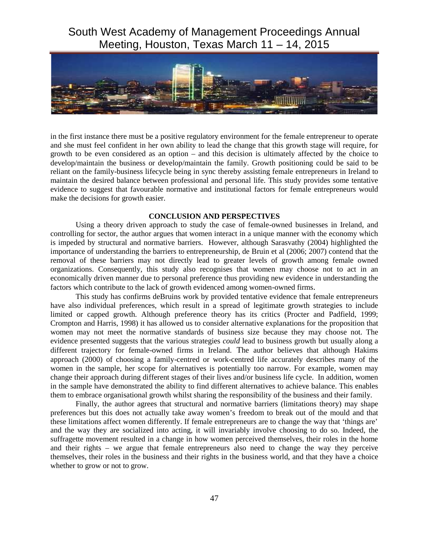

in the first instance there must be a positive regulatory environment for the female entrepreneur to operate and she must feel confident in her own ability to lead the change that this growth stage will require, for growth to be even considered as an option – and this decision is ultimately affected by the choice to develop/maintain the business or develop/maintain the family. Growth positioning could be said to be reliant on the family-business lifecycle being in sync thereby assisting female entrepreneurs in Ireland to maintain the desired balance between professional and personal life. This study provides some tentative evidence to suggest that favourable normative and institutional factors for female entrepreneurs would make the decisions for growth easier.

#### **CONCLUSION AND PERSPECTIVES**

Using a theory driven approach to study the case of female-owned businesses in Ireland, and controlling for sector, the author argues that women interact in a unique manner with the economy which is impeded by structural and normative barriers. However, although Sarasvathy (2004) highlighted the importance of understanding the barriers to entrepreneurship, de Bruin et al (2006; 2007) contend that the removal of these barriers may not directly lead to greater levels of growth among female owned organizations. Consequently, this study also recognises that women may choose not to act in an economically driven manner due to personal preference thus providing new evidence in understanding the factors which contribute to the lack of growth evidenced among women-owned firms.

This study has confirms deBruins work by provided tentative evidence that female entrepreneurs have also individual preferences, which result in a spread of legitimate growth strategies to include limited or capped growth. Although preference theory has its critics (Procter and Padfield, 1999; Crompton and Harris, 1998) it has allowed us to consider alternative explanations for the proposition that women may not meet the normative standards of business size because they may choose not. The evidence presented suggests that the various strategies *could* lead to business growth but usually along a different trajectory for female-owned firms in Ireland. The author believes that although Hakims approach (2000) of choosing a family-centred or work-centred life accurately describes many of the women in the sample, her scope for alternatives is potentially too narrow. For example, women may change their approach during different stages of their lives and/or business life cycle. In addition, women in the sample have demonstrated the ability to find different alternatives to achieve balance. This enables them to embrace organisational growth whilst sharing the responsibility of the business and their family.

Finally, the author agrees that structural and normative barriers (limitations theory) may shape preferences but this does not actually take away women's freedom to break out of the mould and that these limitations affect women differently. If female entrepreneurs are to change the way that 'things are' and the way they are socialized into acting, it will invariably involve choosing to do so. Indeed, the suffragette movement resulted in a change in how women perceived themselves, their roles in the home and their rights – we argue that female entrepreneurs also need to change the way they perceive themselves, their roles in the business and their rights in the business world, and that they have a choice whether to grow or not to grow.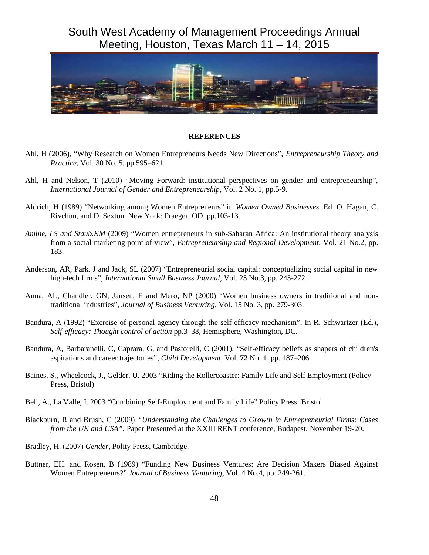

#### **REFERENCES**

- Ahl, H (2006), "Why Research on Women Entrepreneurs Needs New Directions", *Entrepreneurship Theory and Practice*, Vol. 30 No. 5, pp.595–621.
- Ahl, H and Nelson, T (2010) "Moving Forward: institutional perspectives on gender and entrepreneurship", *International Journal of Gender and Entrepreneurship*, Vol. 2 No. 1, pp.5-9.
- Aldrich, H (1989) "Networking among Women Entrepreneurs" in *Women Owned Businesses*. Ed. O. Hagan, C. Rivchun, and D. Sexton. New York: Praeger, OD. pp.103-13.
- *Amine, LS and Staub.KM* (2009) "Women entrepreneurs in sub-Saharan Africa: An institutional theory analysis from a social marketing point of view", *Entrepreneurship and Regional Development,* Vol. 21 No.2, pp. 183.
- Anderson, AR, Park, J and Jack, SL (2007) "Entrepreneurial social capital: conceptualizing social capital in new high-tech firms", *International Small Business Journal*, Vol. 25 No.3, pp. 245-272.
- Anna, AL, Chandler, GN, Jansen, E and Mero, NP (2000) "Women business owners in traditional and nontraditional industries", *Journal of Business Venturing,* Vol. 15 No. 3, pp. 279-303.
- Bandura, A (1992) "Exercise of personal agency through the self-efficacy mechanism", In R. Schwartzer (Ed.), *Self-efficacy: Thought control of action* pp.3–38, Hemisphere, Washington, DC.
- Bandura, A, Barbaranelli, C, Caprara, G, and Pastorelli, C (2001), "Self-efficacy beliefs as shapers of children's aspirations and career trajectories", *Child Development*, Vol. **72** No. 1, pp. 187–206.
- Baines, S., Wheelcock, J., Gelder, U. 2003 "Riding the Rollercoaster: Family Life and Self Employment (Policy Press, Bristol)
- Bell, A., La Valle, I. 2003 "Combining Self-Employment and Family Life" Policy Press: Bristol
- Blackburn, R and Brush, C (2009) *"Understanding the Challenges to Growth in Entrepreneurial Firms: Cases from the UK and USA"*. Paper Presented at the XXIII RENT conference, Budapest, November 19-20.
- Bradley, H. (2007) *Gender*, Polity Press, Cambridge.
- Buttner, EH. and Rosen, B (1989) "Funding New Business Ventures: Are Decision Makers Biased Against Women Entrepreneurs?" *Journal of Business Venturing,* Vol. 4 No.4, pp. 249-261.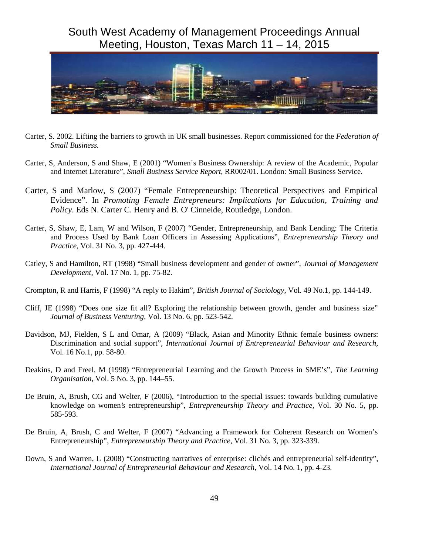

- Carter, S. 2002. Lifting the barriers to growth in UK small businesses. Report commissioned for the *Federation of Small Business.*
- Carter, S, Anderson, S and Shaw, E (2001) "Women's Business Ownership: A review of the Academic, Popular and Internet Literature", *Small Business Service Report*, RR002/01. London: Small Business Service.
- Carter, S and Marlow, S (2007) "Female Entrepreneurship: Theoretical Perspectives and Empirical Evidence". In *Promoting Female Entrepreneurs: Implications for Education, Training and Policy*. Eds N. Carter C. Henry and B. O' Cinneide, Routledge, London.
- Carter, S, Shaw, E, Lam, W and Wilson, F (2007) "Gender, Entrepreneurship, and Bank Lending: The Criteria and Process Used by Bank Loan Officers in Assessing Applications", *Entrepreneurship Theory and Practice*, Vol. 31 No. 3, pp. 427-444.
- Catley, S and Hamilton, RT (1998) "Small business development and gender of owner", *Journal of Management Development*, Vol. 17 No. 1, pp. 75-82.
- Crompton, R and Harris, F (1998) "A reply to Hakim", *British Journal of Sociology*, Vol. 49 No.1, pp. 144-149.
- Cliff, JE (1998) "Does one size fit all? Exploring the relationship between growth, gender and business size" *Journal of Business Venturing*, Vol. 13 No. 6, pp. 523-542.
- Davidson, MJ, Fielden, S L and Omar, A (2009) "Black, Asian and Minority Ethnic female business owners: Discrimination and social support", *International Journal of Entrepreneurial Behaviour and Research,* Vol. 16 No.1, pp. 58-80.
- Deakins, D and Freel, M (1998) "Entrepreneurial Learning and the Growth Process in SME's", *The Learning Organisation*, Vol. 5 No. 3, pp. 144–55.
- De Bruin, A, Brush, CG and Welter, F (2006), "Introduction to the special issues: towards building cumulative knowledge on women's entrepreneurship", *Entrepreneurship Theory and Practice,* Vol. 30 No. 5, pp. 585-593.
- De Bruin, A, Brush, C and Welter, F (2007) "Advancing a Framework for Coherent Research on Women's Entrepreneurship", *Entrepreneurship Theory and Practice*, Vol. 31 No. 3, pp. 323-339.
- Down, S and Warren, L (2008) "Constructing narratives of enterprise: clichés and entrepreneurial self-identity", *International Journal of Entrepreneurial Behaviour and Research*, Vol. 14 No. 1, pp. 4-23.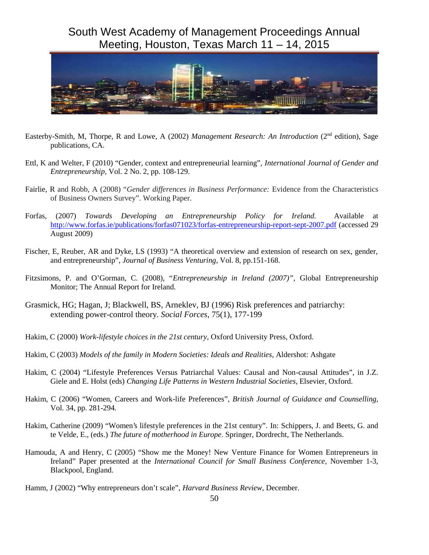

- Easterby-Smith, M, Thorpe, R and Lowe, A (2002) *Management Research: An Introduction* (2nd edition), Sage publications, CA.
- Ettl, K and Welter, F (2010) "Gender, context and entrepreneurial learning", *International Journal of Gender and Entrepreneurship*, Vol. 2 No. 2, pp. 108-129.
- Fairlie, R and Robb, A (2008) "*Gender differences in Business Performance:* Evidence from the Characteristics of Business Owners Survey". Working Paper.
- Forfas, (2007) *Towards Developing an Entrepreneurship Policy for Ireland.* Available at http://www.forfas.ie/publications/forfas071023/forfas-entrepreneurship-report-sept-2007.pdf (accessed 29 August 2009)
- Fischer, E, Reuber, AR and Dyke, LS (1993) "A theoretical overview and extension of research on sex, gender, and entrepreneurship", *Journal of Business Venturing*, Vol. 8, pp.151-168.
- Fitzsimons, P. and O'Gorman, C. (2008), "*Entrepreneurship in Ireland (2007)",* Global Entrepreneurship Monitor; The Annual Report for Ireland.
- Grasmick, HG; Hagan, J; Blackwell, BS, Arneklev, BJ (1996) Risk preferences and patriarchy: extending power-control theory. *Social Forces*, 75(1), 177-199
- Hakim, C (2000) *Work-lifestyle choices in the 21st century,* Oxford University Press, Oxford.
- Hakim, C (2003) *Models of the family in Modern Societies: Ideals and Realities*, Aldershot: Ashgate
- Hakim, C (2004) "Lifestyle Preferences Versus Patriarchal Values: Causal and Non-causal Attitudes", in J.Z. Giele and E. Holst (eds) *Changing Life Patterns in Western Industrial Societies*, Elsevier, Oxford.
- Hakim, C (2006) "Women, Careers and Work-life Preferences", *British Journal of Guidance and Counselling*, Vol. 34, pp. 281-294.
- Hakim, Catherine (2009) "Women's lifestyle preferences in the 21st century". In: Schippers, J. and Beets, G. and te Velde, E., (eds.) *The future of motherhood in Europe*. Springer, Dordrecht, The Netherlands.
- Hamouda, A and Henry, C (2005) "Show me the Money! New Venture Finance for Women Entrepreneurs in Ireland" Paper presented at the *International Council for Small Business Conference*, November 1-3, Blackpool, England.
- Hamm, J (2002) "Why entrepreneurs don't scale", *Harvard Business Review,* December.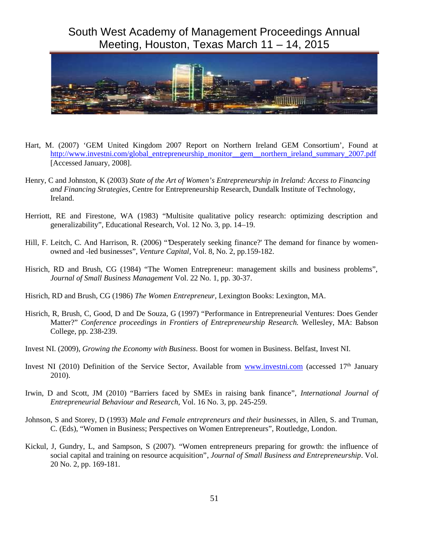

- Hart, M. (2007) 'GEM United Kingdom 2007 Report on Northern Ireland GEM Consortium', Found at http://www.investni.com/global\_entrepreneurship\_monitor\_\_gem\_\_northern\_ireland\_summary\_2007.pdf [Accessed January, 2008].
- Henry, C and Johnston, K (2003) *State of the Art of Women's Entrepreneurship in Ireland: Access to Financing and Financing Strategies*, Centre for Entrepreneurship Research, Dundalk Institute of Technology, Ireland.
- Herriott, RE and Firestone, WA (1983) "Multisite qualitative policy research: optimizing description and generalizability", Educational Research, Vol. 12 No. 3, pp. 14–19.
- Hill, F. Leitch, C. And Harrison, R. (2006) "'Desperately seeking finance?' The demand for finance by women owned and -led businesses", *Venture Capital,* Vol. 8, No. 2, pp.159-182.
- Hisrich, RD and Brush, CG (1984) "The Women Entrepreneur: management skills and business problems", *Journal of Small Business Management* Vol. 22 No. 1, pp. 30-37.
- Hisrich, RD and Brush, CG (1986) *The Women Entrepreneur,* Lexington Books: Lexington, MA.
- Hisrich, R, Brush, C, Good, D and De Souza, G (1997) "Performance in Entrepreneurial Ventures: Does Gender Matter?" *Conference proceedings in Frontiers of Entrepreneurship Research.* Wellesley, MA: Babson College*,* pp. 238-239.
- Invest NI. (2009), *Growing the Economy with Business*. Boost for women in Business. Belfast, Invest NI.
- Invest NI (2010) Definition of the Service Sector, Available from www.investni.com (accessed 17<sup>th</sup> January 2010).
- Irwin, D and Scott, JM (2010) "Barriers faced by SMEs in raising bank finance", *International Journal of Entrepreneurial Behaviour and Research*, Vol. 16 No. 3, pp. 245-259.
- Johnson, S and Storey, D (1993) *Male and Female entrepreneurs and their businesses*, in Allen, S. and Truman, C. (Eds), "Women in Business; Perspectives on Women Entrepreneurs", Routledge, London.
- Kickul, J, Gundry, L, and Sampson, S (2007). "Women entrepreneurs preparing for growth: the influence of social capital and training on resource acquisition", *Journal of Small Business and Entrepreneurship*. Vol. 20 No. 2, pp. 169-181.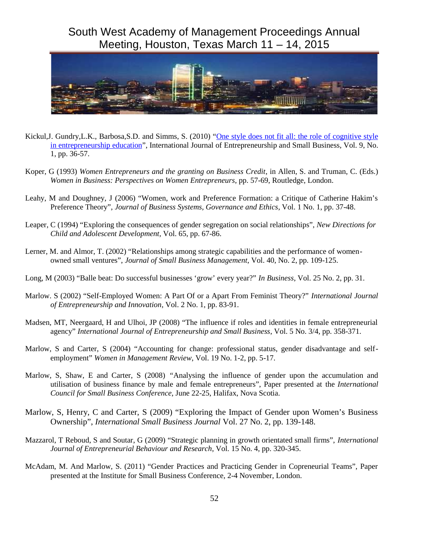

- Kickul,J. Gundry,L.K., Barbosa,S.D. and Simms, S. (2010) "One style does not fit all: the role of cognitive style in entrepreneurship education", International Journal of Entrepreneurship and Small Business, Vol. 9, No. 1, pp. 36-57.
- Koper, G (1993) *Women Entrepreneurs and the granting on Business Credit*, in Allen, S. and Truman, C. (Eds.) *Women in Business: Perspectives on Women Entrepreneurs*, pp. 57-69, Routledge, London.
- Leahy, M and Doughney, J (2006) "Women, work and Preference Formation: a Critique of Catherine Hakim's Preference Theory", *Journal of Business Systems, Governance and Ethics*, Vol. 1 No. 1, pp. 37-48.
- Leaper, C (1994) "Exploring the consequences of gender segregation on social relationships", *New Directions for Child and Adolescent Development,* Vol. 65, pp. 67-86.
- Lerner, M. and Almor, T. (2002) "Relationships among strategic capabilities and the performance of women owned small ventures", *Journal of Small Business Management*, Vol. 40, No. 2, pp. 109-125.
- Long, M (2003) "Balle beat: Do successful businesses 'grow' every year?" *In Business*, Vol. 25 No. 2, pp. 31.
- Marlow. S (2002) "Self-Employed Women: A Part Of or a Apart From Feminist Theory?" *International Journal of Entrepreneurship and Innovation*, Vol. 2 No. 1, pp. 83-91.
- Madsen, MT, Neergaard, H and Ulhoi, JP (2008) "The influence if roles and identities in female entrepreneurial agency" *International Journal of Entrepreneurship and Small Business*, Vol. 5 No. 3/4, pp. 358-371.
- Marlow, S and Carter, S (2004) "Accounting for change: professional status, gender disadvantage and self employment" *Women in Management Review*, Vol. 19 No. 1-2, pp. 5-17.
- Marlow, S, Shaw, E and Carter, S (2008) *"*Analysing the influence of gender upon the accumulation and utilisation of business finance by male and female entrepreneurs", Paper presented at the *International Council for Small Business Conference*, June 22-25, Halifax, Nova Scotia.
- Marlow, S, Henry, C and Carter, S (2009) "Exploring the Impact of Gender upon Women's Business Ownership", *International Small Business Journal* Vol. 27 No. 2, pp. 139-148.
- Mazzarol, T Reboud, S and Soutar, G (2009) "Strategic planning in growth orientated small firms", *International Journal of Entrepreneurial Behaviour and Research*, Vol. 15 No. 4, pp. 320-345.
- McAdam, M. And Marlow, S. (2011) "Gender Practices and Practicing Gender in Copreneurial Teams", Paper presented at the Institute for Small Business Conference, 2-4 November, London.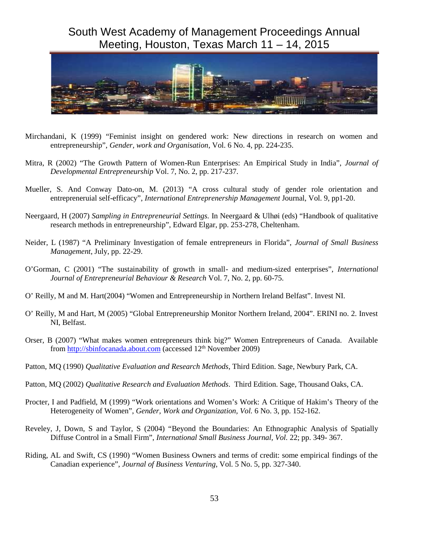

- Mirchandani, K (1999) "Feminist insight on gendered work: New directions in research on women and entrepreneurship", *Gender, work and Organisation*, Vol. 6 No. 4, pp. 224-235.
- Mitra, R (2002) "The Growth Pattern of Women-Run Enterprises: An Empirical Study in India", *Journal of Developmental Entrepreneurship* Vol. 7, No. 2, pp. 217-237.
- Mueller, S. And Conway Dato-on, M. (2013) "A cross cultural study of gender role orientation and entrepreneruial self-efficacy", *International Entreprenership Management* Journal, Vol. 9, pp1-20.
- Neergaard, H (2007) *Sampling in Entrepreneurial Settings.* In Neergaard & Ulhøi (eds) "Handbook of qualitative research methods in entrepreneurship", Edward Elgar, pp. 253-278, Cheltenham.
- Neider, L (1987) "A Preliminary Investigation of female entrepreneurs in Florida", *Journal of Small Business Management*, July, pp. 22-29.
- O'Gorman, C (2001) "The sustainability of growth in small- and medium-sized enterprises", *International Journal of Entrepreneurial Behaviour & Research* Vol. 7, No. 2, pp. 60-75.
- O' Reilly, M and M. Hart(2004) "Women and Entrepreneurship in Northern Ireland Belfast". Invest NI.
- O' Reilly, M and Hart, M (2005) "Global Entrepreneurship Monitor Northern Ireland, 2004". ERINI no. 2. Invest NI, Belfast.
- Orser, B (2007) "What makes women entrepreneurs think big?" Women Entrepreneurs of Canada. Available from http://sbinfocanada.about.com (accessed 12th November 2009)
- Patton, MQ (1990) *Qualitative Evaluation and Research Methods*, Third Edition. Sage, Newbury Park, CA.
- Patton, MQ (2002) *Qualitative Research and Evaluation Methods*. Third Edition. Sage, Thousand Oaks, CA.
- Procter, I and Padfield, M (1999) "Work orientations and Women's Work: A Critique of Hakim's Theory of the Heterogeneity of Women", *Gender, Work and Organization, Vol.* 6 No. 3, pp. 152-162.
- Reveley, J, Down, S and Taylor, S (2004) "Beyond the Boundaries: An Ethnographic Analysis of Spatially Diffuse Control in a Small Firm", *International Small Business Journal, Vol.* 22; pp. 349- 367.
- Riding, AL and Swift, CS (1990) "Women Business Owners and terms of credit: some empirical findings of the Canadian experience", *Journal of Business Venturing*, Vol. 5 No. 5, pp. 327-340.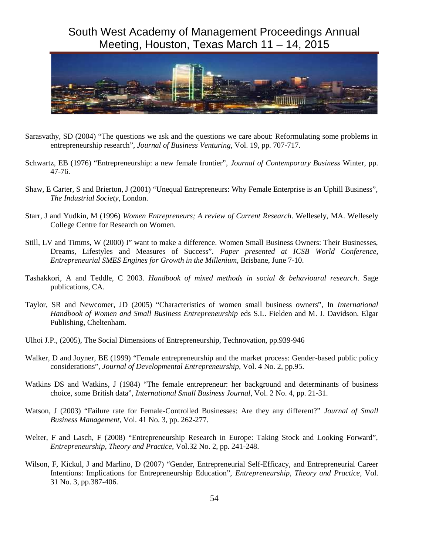

- Sarasvathy, SD (2004) "The questions we ask and the questions we care about: Reformulating some problems in entrepreneurship research", *Journal of Business Venturing*, Vol. 19, pp. 707-717.
- Schwartz, EB (1976) "Entrepreneurship: a new female frontier", *Journal of Contemporary Business* Winter, pp. 47-76.
- Shaw, E Carter, S and Brierton, J (2001) "Unequal Entrepreneurs: Why Female Enterprise is an Uphill Business", *The Industrial Society*, London.
- Starr, J and Yudkin, M (1996) *Women Entrepreneurs; A review of Current Research*. Wellesely, MA. Wellesely College Centre for Research on Women.
- Still, LV and Timms, W (2000) I" want to make a difference. Women Small Business Owners: Their Businesses, Dreams, Lifestyles and Measures of Success". *Paper presented at ICSB World Conference, Entrepreneurial SMES Engines for Growth in the Millenium,* Brisbane, June 7-10.
- Tashakkori, A and Teddle, C 2003. *Handbook of mixed methods in social & behavioural research*. Sage publications, CA.
- Taylor, SR and Newcomer, JD (2005) "Characteristics of women small business owners", In *International Handbook of Women and Small Business Entrepreneurship* eds S.L. Fielden and M. J. Davidson. Elgar Publishing, Cheltenham.
- Ulhoi J.P., (2005), The Social Dimensions of Entrepreneurship, Technovation, pp.939-946
- Walker, D and Joyner, BE (1999) "Female entrepreneurship and the market process: Gender-based public policy considerations", *Journal of Developmental Entrepreneurship,* Vol. 4 No. 2, pp.95.
- Watkins DS and Watkins, J (1984) "The female entrepreneur: her background and determinants of business choice, some British data", *International Small Business Journal,* Vol. 2 No. 4, pp. 21-31.
- Watson, J (2003) "Failure rate for Female-Controlled Businesses: Are they any different?" *Journal of Small Business Management*, Vol. 41 No. 3, pp. 262-277.
- Welter, F and Lasch, F (2008) "Entrepreneurship Research in Europe: Taking Stock and Looking Forward", *Entrepreneurship, Theory and Practice,* Vol.32 No. 2, pp. 241-248.
- Wilson, F, Kickul, J and Marlino, D (2007) "Gender, Entrepreneurial Self-Efficacy, and Entrepreneurial Career Intentions: Implications for Entrepreneurship Education", *Entrepreneurship, Theory and Practice,* Vol. 31 No. 3, pp.387-406.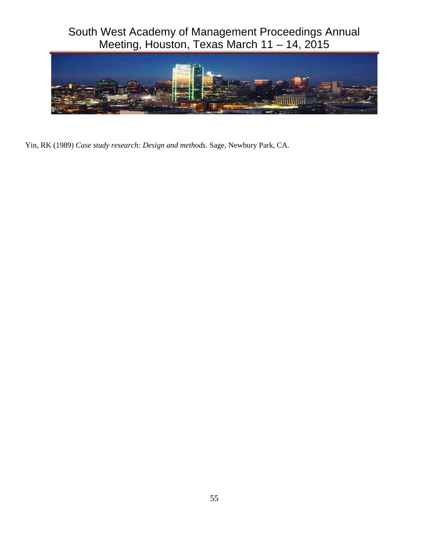

Yin, RK (1989) *Case study research: Design and methods*. Sage, Newbury Park, CA.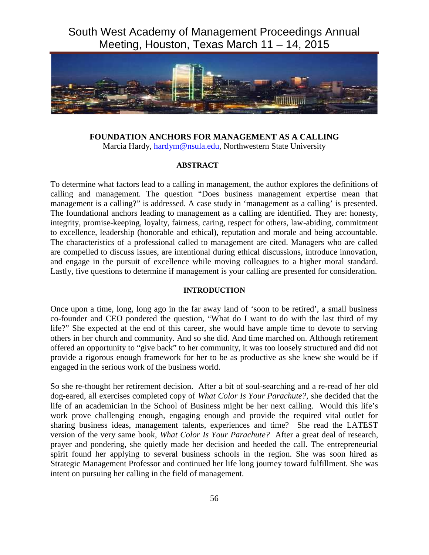



### **FOUNDATION ANCHORS FOR MANAGEMENT AS A CALLING** Marcia Hardy, hardym@nsula.edu, Northwestern State University

### **ABSTRACT**

To determine what factors lead to a calling in management, the author explores the definitions of calling and management. The question "Does business management expertise mean that management is a calling?" is addressed. A case study in 'management as a calling' is presented. The foundational anchors leading to management as a calling are identified. They are: honesty, integrity, promise-keeping, loyalty, fairness, caring, respect for others, law-abiding, commitment to excellence, leadership (honorable and ethical), reputation and morale and being accountable. The characteristics of a professional called to management are cited. Managers who are called are compelled to discuss issues, are intentional during ethical discussions, introduce innovation, and engage in the pursuit of excellence while moving colleagues to a higher moral standard. Lastly, five questions to determine if management is your calling are presented for consideration.

### **INTRODUCTION**

Once upon a time, long, long ago in the far away land of 'soon to be retired', a small business co-founder and CEO pondered the question, "What do I want to do with the last third of my life?" She expected at the end of this career, she would have ample time to devote to serving others in her church and community. And so she did. And time marched on. Although retirement offered an opportunity to "give back" to her community, it was too loosely structured and did not provide a rigorous enough framework for her to be as productive as she knew she would be if engaged in the serious work of the business world.

So she re-thought her retirement decision. After a bit of soul-searching and a re-read of her old dog-eared, all exercises completed copy of *What Color Is Your Parachute?,* she decided that the life of an academician in the School of Business might be her next calling. Would this life's work prove challenging enough, engaging enough and provide the required vital outlet for sharing business ideas, management talents, experiences and time? She read the LATEST version of the very same book, *What Color Is Your Parachute?* After a great deal of research, prayer and pondering, she quietly made her decision and heeded the call. The entrepreneurial spirit found her applying to several business schools in the region. She was soon hired as Strategic Management Professor and continued her life long journey toward fulfillment. She was intent on pursuing her calling in the field of management.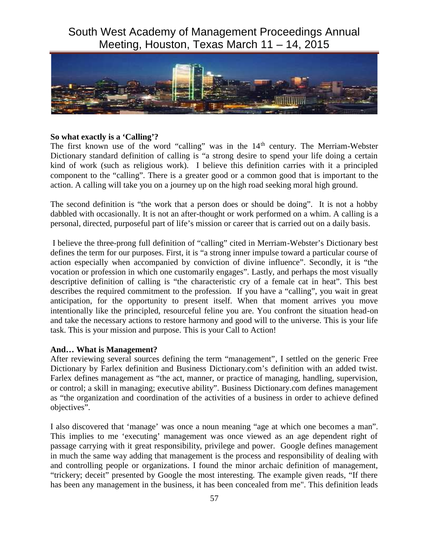

### **So what exactly is a 'Calling'?**

The first known use of the word "calling" was in the  $14<sup>th</sup>$  century. The Merriam-Webster Dictionary standard definition of calling is "a strong desire to spend your life doing a certain kind of work (such as religious work). I believe this definition carries with it a principled component to the "calling". There is a greater good or a common good that is important to the action. A calling will take you on a journey up on the high road seeking moral high ground.

The second definition is "the work that a person does or should be doing". It is not a hobby dabbled with occasionally. It is not an after-thought or work performed on a whim. A calling is a personal, directed, purposeful part of life's mission or career that is carried out on a daily basis.

I believe the three-prong full definition of "calling" cited in Merriam-Webster's Dictionary best defines the term for our purposes. First, it is "a strong inner impulse toward a particular course of action especially when accompanied by conviction of divine influence". Secondly, it is "the vocation or profession in which one customarily engages". Lastly, and perhaps the most visually descriptive definition of calling is "the characteristic cry of a female cat in heat". This best describes the required commitment to the profession. If you have a "calling", you wait in great anticipation, for the opportunity to present itself. When that moment arrives you move intentionally like the principled, resourceful feline you are. You confront the situation head-on and take the necessary actions to restore harmony and good will to the universe. This is your life task. This is your mission and purpose. This is your Call to Action!

#### **And… What is Management?**

After reviewing several sources defining the term "management", I settled on the generic Free Dictionary by Farlex definition and Business Dictionary.com's definition with an added twist. Farlex defines management as "the act, manner, or practice of managing, handling, supervision, or control; a skill in managing; executive ability". Business Dictionary.com defines management as "the organization and coordination of the activities of a business in order to achieve defined objectives".

I also discovered that 'manage' was once a noun meaning "age at which one becomes a man". This implies to me 'executing' management was once viewed as an age dependent right of passage carrying with it great responsibility, privilege and power. Google defines management in much the same way adding that management is the process and responsibility of dealing with and controlling people or organizations. I found the minor archaic definition of management, "trickery; deceit" presented by Google the most interesting. The example given reads, "If there has been any management in the business, it has been concealed from me". This definition leads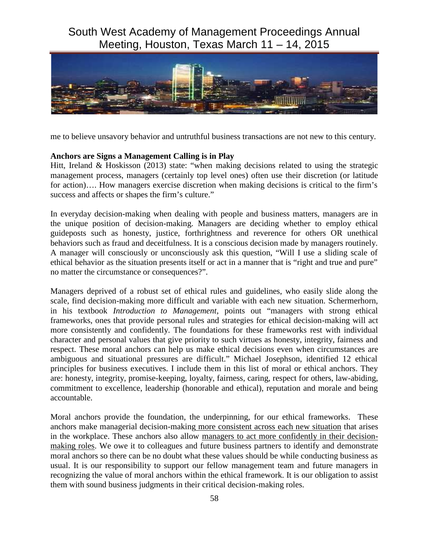

me to believe unsavory behavior and untruthful business transactions are not new to this century.

#### **Anchors are Signs a Management Calling is in Play**

Hitt, Ireland & Hoskisson (2013) state: "when making decisions related to using the strategic management process, managers (certainly top level ones) often use their discretion (or latitude for action).... How managers exercise discretion when making decisions is critical to the firm's success and affects or shapes the firm's culture."

In everyday decision-making when dealing with people and business matters, managers are in the unique position of decision-making. Managers are deciding whether to employ ethical guideposts such as honesty, justice, forthrightness and reverence for others OR unethical behaviors such as fraud and deceitfulness. It is a conscious decision made by managers routinely. A manager will consciously or unconsciously ask this question, "Will I use a sliding scale of ethical behavior as the situation presents itself or act in a manner that is "right and true and pure" no matter the circumstance or consequences?".

Managers deprived of a robust set of ethical rules and guidelines, who easily slide along the scale, find decision-making more difficult and variable with each new situation. Schermerhorn, in his textbook *Introduction to Management*, points out "managers with strong ethical frameworks, ones that provide personal rules and strategies for ethical decision-making will act more consistently and confidently. The foundations for these frameworks rest with individual character and personal values that give priority to such virtues as honesty, integrity, fairness and respect. These moral anchors can help us make ethical decisions even when circumstances are ambiguous and situational pressures are difficult." Michael Josephson, identified 12 ethical principles for business executives. I include them in this list of moral or ethical anchors. They are: honesty, integrity, promise-keeping, loyalty, fairness, caring, respect for others, law-abiding, commitment to excellence, leadership (honorable and ethical), reputation and morale and being accountable.

Moral anchors provide the foundation, the underpinning, for our ethical frameworks. These anchors make managerial decision-making more consistent across each new situation that arises in the workplace. These anchors also allow managers to act more confidently in their decision making roles. We owe it to colleagues and future business partners to identify and demonstrate moral anchors so there can be no doubt what these values should be while conducting business as usual. It is our responsibility to support our fellow management team and future managers in recognizing the value of moral anchors within the ethical framework. It is our obligation to assist them with sound business judgments in their critical decision-making roles.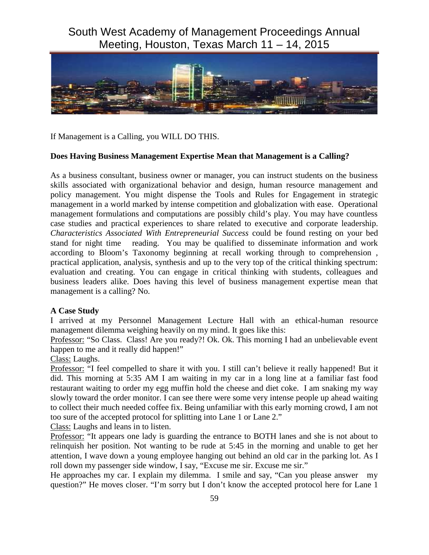

If Management is a Calling, you WILL DO THIS.

### **Does Having Business Management Expertise Mean that Management is a Calling?**

As a business consultant, business owner or manager, you can instruct students on the business skills associated with organizational behavior and design, human resource management and policy management. You might dispense the Tools and Rules for Engagement in strategic management in a world marked by intense competition and globalization with ease. Operational management formulations and computations are possibly child's play. You may have countless case studies and practical experiences to share related to executive and corporate leadership. *Characteristics Associated With Entrepreneurial Success* could be found resting on your bed stand for night time reading. You may be qualified to disseminate information and work according to Bloom's Taxonomy beginning at recall working through to comprehension , practical application, analysis, synthesis and up to the very top of the critical thinking spectrum: evaluation and creating. You can engage in critical thinking with students, colleagues and business leaders alike. Does having this level of business management expertise mean that management is a calling? No.

#### **A Case Study**

I arrived at my Personnel Management Lecture Hall with an ethical-human resource management dilemma weighing heavily on my mind. It goes like this:

Professor: "So Class. Class! Are you ready?! Ok. Ok. This morning I had an unbelievable event happen to me and it really did happen!"

Class: Laughs.

Professor: "I feel compelled to share it with you. I still can't believe it really happened! But it did. This morning at 5:35 AM I am waiting in my car in a long line at a familiar fast food restaurant waiting to order my egg muffin hold the cheese and diet coke. I am snaking my way slowly toward the order monitor. I can see there were some very intense people up ahead waiting to collect their much needed coffee fix. Being unfamiliar with this early morning crowd, I am not too sure of the accepted protocol for splitting into Lane 1 or Lane 2."

Class: Laughs and leans in to listen.

Professor: "It appears one lady is guarding the entrance to BOTH lanes and she is not about to relinquish her position. Not wanting to be rude at 5:45 in the morning and unable to get her attention, I wave down a young employee hanging out behind an old car in the parking lot. As I roll down my passenger side window, I say, "Excuse me sir. Excuse me sir."

He approaches my car. I explain my dilemma. I smile and say, "Can you please answer my question?" He moves closer. "I'm sorry but I don't know the accepted protocol here for Lane 1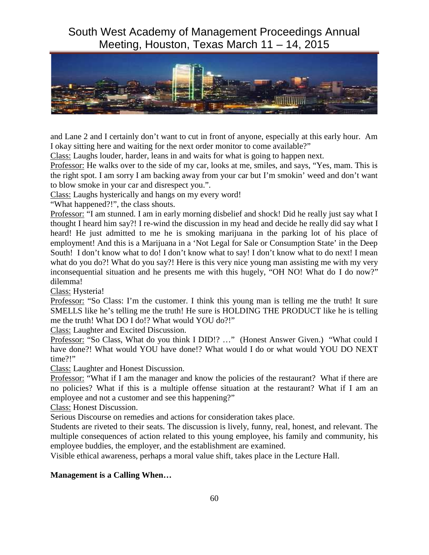

and Lane 2 and I certainly don't want to cut in front of anyone, especially at this early hour. Am I okay sitting here and waiting for the next order monitor to come available?"

Class: Laughs louder, harder, leans in and waits for what is going to happen next.

Professor: He walks over to the side of my car, looks at me, smiles, and says, "Yes, mam. This is the right spot. I am sorry I am backing away from your car but I'm smokin' weed and don't want to blow smoke in your car and disrespect you.".

Class: Laughs hysterically and hangs on my every word!

"What happened?!", the class shouts.

Professor: "I am stunned. I am in early morning disbelief and shock! Did he really just say what I thought I heard him say?! I re-wind the discussion in my head and decide he really did say what I heard! He just admitted to me he is smoking marijuana in the parking lot of his place of employment! And this is a Marijuana in a 'Not Legal for Sale or Consumption State' in the Deep South! I don't know what to do! I don't know what to say! I don't know what to do next! I mean what do you do?! What do you say?! Here is this very nice young man assisting me with my very inconsequential situation and he presents me with this hugely, "OH NO! What do I do now?" dilemma!

Class: Hysteria!

Professor: "So Class: I'm the customer. I think this young man is telling me the truth! It sure SMELLS like he's telling me the truth! He sure is HOLDING THE PRODUCT like he is telling me the truth! What DO I do!? What would YOU do?!"

Class: Laughter and Excited Discussion.

Professor: "So Class, What do you think I DID!? ..." (Honest Answer Given.) "What could I have done?! What would YOU have done!? What would I do or what would YOU DO NEXT time?!"

Class: Laughter and Honest Discussion.

Professor: "What if I am the manager and know the policies of the restaurant? What if there are no policies? What if this is a multiple offense situation at the restaurant? What if I am an employee and not a customer and see this happening?"

Class: Honest Discussion.

Serious Discourse on remedies and actions for consideration takes place.

Students are riveted to their seats. The discussion is lively, funny, real, honest, and relevant. The multiple consequences of action related to this young employee, his family and community, his employee buddies, the employer, and the establishment are examined.

Visible ethical awareness, perhaps a moral value shift, takes place in the Lecture Hall.

### **Management is a Calling When…**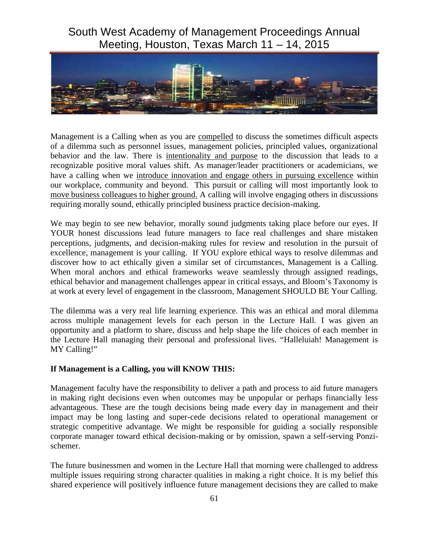

Management is a Calling when as you are compelled to discuss the sometimes difficult aspects of a dilemma such as personnel issues, management policies, principled values, organizational behavior and the law. There is intentionality and purpose to the discussion that leads to a recognizable positive moral values shift. As manager/leader practitioners or academicians, we have a calling when we introduce innovation and engage others in pursuing excellence within our workplace, community and beyond. This pursuit or calling will most importantly look to move business colleagues to higher ground. A calling will involve engaging others in discussions requiring morally sound, ethically principled business practice decision-making.

We may begin to see new behavior, morally sound judgments taking place before our eyes. If YOUR honest discussions lead future managers to face real challenges and share mistaken perceptions, judgments, and decision-making rules for review and resolution in the pursuit of excellence, management is your calling. If YOU explore ethical ways to resolve dilemmas and discover how to act ethically given a similar set of circumstances, Management is a Calling. When moral anchors and ethical frameworks weave seamlessly through assigned readings, ethical behavior and management challenges appear in critical essays, and Bloom's Taxonomy is at work at every level of engagement in the classroom, Management SHOULD BE Your Calling.

The dilemma was a very real life learning experience. This was an ethical and moral dilemma across multiple management levels for each person in the Lecture Hall. I was given an opportunity and a platform to share, discuss and help shape the life choices of each member in the Lecture Hall managing their personal and professional lives. "Halleluiah! Management is MY Calling!"

### **If Management is a Calling, you will KNOW THIS:**

Management faculty have the responsibility to deliver a path and process to aid future managers in making right decisions even when outcomes may be unpopular or perhaps financially less advantageous. These are the tough decisions being made every day in management and their impact may be long lasting and super-cede decisions related to operational management or strategic competitive advantage. We might be responsible for guiding a socially responsible corporate manager toward ethical decision-making or by omission, spawn a self-serving Ponzi schemer.

The future businessmen and women in the Lecture Hall that morning were challenged to address multiple issues requiring strong character qualities in making a right choice. It is my belief this shared experience will positively influence future management decisions they are called to make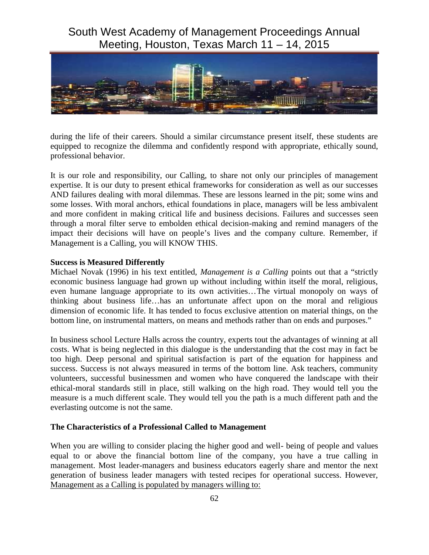

during the life of their careers. Should a similar circumstance present itself, these students are equipped to recognize the dilemma and confidently respond with appropriate, ethically sound, professional behavior.

It is our role and responsibility, our Calling, to share not only our principles of management expertise. It is our duty to present ethical frameworks for consideration as well as our successes AND failures dealing with moral dilemmas. These are lessons learned in the pit; some wins and some losses. With moral anchors, ethical foundations in place, managers will be less ambivalent and more confident in making critical life and business decisions. Failures and successes seen through a moral filter serve to embolden ethical decision-making and remind managers of the impact their decisions will have on people's lives and the company culture. Remember, if Management is a Calling, you will KNOW THIS.

### **Success is Measured Differently**

Michael Novak (1996) in his text entitled, *Management is a Calling* points out that a "strictly economic business language had grown up without including within itself the moral, religious, even humane language appropriate to its own activities…The virtual monopoly on ways of thinking about business life…has an unfortunate affect upon on the moral and religious dimension of economic life. It has tended to focus exclusive attention on material things, on the bottom line, on instrumental matters, on means and methods rather than on ends and purposes."

In business school Lecture Halls across the country, experts tout the advantages of winning at all costs. What is being neglected in this dialogue is the understanding that the cost may in fact be too high. Deep personal and spiritual satisfaction is part of the equation for happiness and success. Success is not always measured in terms of the bottom line. Ask teachers, community volunteers, successful businessmen and women who have conquered the landscape with their ethical-moral standards still in place, still walking on the high road. They would tell you the measure is a much different scale. They would tell you the path is a much different path and the everlasting outcome is not the same.

### **The Characteristics of a Professional Called to Management**

When you are willing to consider placing the higher good and well- being of people and values equal to or above the financial bottom line of the company, you have a true calling in management. Most leader-managers and business educators eagerly share and mentor the next generation of business leader managers with tested recipes for operational success. However, Management as a Calling is populated by managers willing to: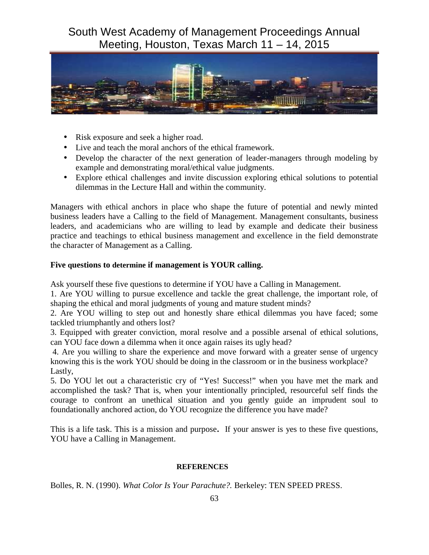

- Risk exposure and seek a higher road.
- Live and teach the moral anchors of the ethical framework.
- Develop the character of the next generation of leader-managers through modeling by example and demonstrating moral/ethical value judgments.
- Explore ethical challenges and invite discussion exploring ethical solutions to potential dilemmas in the Lecture Hall and within the community.

Managers with ethical anchors in place who shape the future of potential and newly minted business leaders have a Calling to the field of Management. Management consultants, business leaders, and academicians who are willing to lead by example and dedicate their business practice and teachings to ethical business management and excellence in the field demonstrate the character of Management as a Calling.

### **Five questions to determine if management is YOUR calling.**

Ask yourself these five questions to determine if YOU have a Calling in Management.

1. Are YOU willing to pursue excellence and tackle the great challenge, the important role, of shaping the ethical and moral judgments of young and mature student minds?

2. Are YOU willing to step out and honestly share ethical dilemmas you have faced; some tackled triumphantly and others lost?

3. Equipped with greater conviction, moral resolve and a possible arsenal of ethical solutions, can YOU face down a dilemma when it once again raises its ugly head?

4. Are you willing to share the experience and move forward with a greater sense of urgency knowing this is the work YOU should be doing in the classroom or in the business workplace? Lastly,

5. Do YOU let out a characteristic cry of "Yes! Success!" when you have met the mark and accomplished the task? That is, when your intentionally principled, resourceful self finds the courage to confront an unethical situation and you gently guide an imprudent soul to foundationally anchored action, do YOU recognize the difference you have made?

This is a life task. This is a mission and purpose**.** If your answer is yes to these five questions, YOU have a Calling in Management.

### **REFERENCES**

Bolles, R. N. (1990). *What Color Is Your Parachute?.* Berkeley: TEN SPEED PRESS.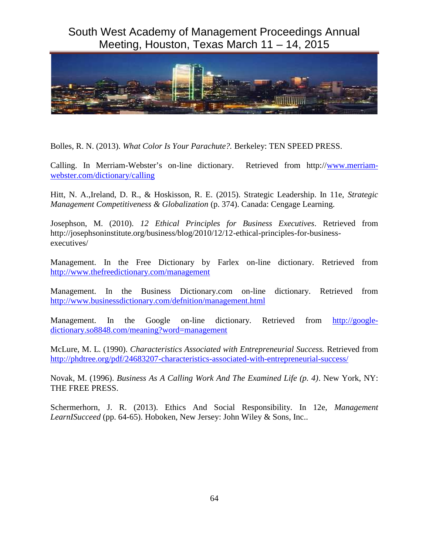

Bolles, R. N. (2013). *What Color Is Your Parachute?.* Berkeley: TEN SPEED PRESS.

Calling. In Merriam-Webster's on-line dictionary. Retrieved from http://www.merriam webster.com/dictionary/calling

Hitt, N. A.,Ireland, D. R., & Hoskisson, R. E. (2015). Strategic Leadership. In 11e, *Strategic Management Competitiveness & Globalization* (p. 374). Canada: Cengage Learning.

Josephson, M. (2010). *12 Ethical Principles for Business Executives*. Retrieved from http://josephsoninstitute.org/business/blog/2010/12/12-ethical-principles-for-business executives/

Management. In the Free Dictionary by Farlex on-line dictionary. Retrieved from http://www.thefreedictionary.com/management

Management. In the Business Dictionary.com on-line dictionary. Retrieved from http://www.businessdictionary.com/defnition/management.html

Management. In the Google on-line dictionary. Retrieved from http://google dictionary.so8848.com/meaning?word=management

McLure, M. L. (1990). *Characteristics Associated with Entrepreneurial Success.* Retrieved from http://phdtree.org/pdf/24683207-characteristics-associated-with-entrepreneurial-success/

Novak, M. (1996). *Business As A Calling Work And The Examined Life (p. 4)*. New York, NY: THE FREE PRESS.

Schermerhorn, J. R. (2013). Ethics And Social Responsibility. In 12e, *Management LearnISucceed* (pp. 64-65). Hoboken, New Jersey: John Wiley & Sons, Inc..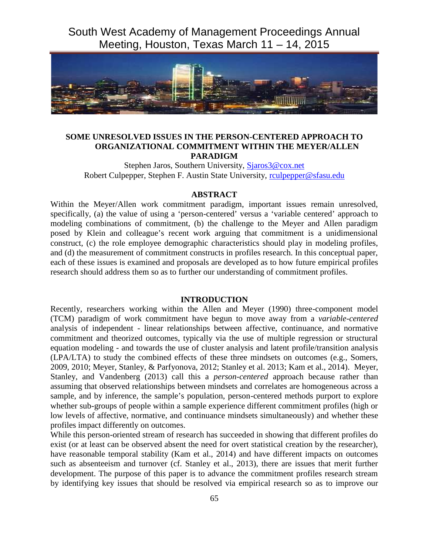

### **SOME UNRESOLVED ISSUES IN THE PERSON-CENTERED APPROACH TO ORGANIZATIONAL COMMITMENT WITHIN THE MEYER/ALLEN PARADIGM**

Stephen Jaros, Southern University, Sjaros3@cox.net Robert Culpepper, Stephen F. Austin State University, rculpepper@sfasu.edu

#### **ABSTRACT**

Within the Meyer/Allen work commitment paradigm, important issues remain unresolved, specifically, (a) the value of using a 'person-centered' versus a 'variable centered' approach to modeling combinations of commitment, (b) the challenge to the Meyer and Allen paradigm posed by Klein and colleague's recent work arguing that commitment is a unidimensional construct, (c) the role employee demographic characteristics should play in modeling profiles, and (d) the measurement of commitment constructs in profiles research. In this conceptual paper, each of these issues is examined and proposals are developed as to how future empirical profiles research should address them so as to further our understanding of commitment profiles.

### **INTRODUCTION**

Recently, researchers working within the Allen and Meyer (1990) three-component model (TCM) paradigm of work commitment have begun to move away from a *variable-centered* analysis of independent - linear relationships between affective, continuance, and normative commitment and theorized outcomes, typically via the use of multiple regression or structural equation modeling - and towards the use of cluster analysis and latent profile/transition analysis (LPA/LTA) to study the combined effects of these three mindsets on outcomes (e.g., Somers, 2009, 2010; Meyer, Stanley, & Parfyonova, 2012; Stanley et al. 2013; Kam et al., 2014). Meyer, Stanley, and Vandenberg (2013) call this a *person-centered* approach because rather than assuming that observed relationships between mindsets and correlates are homogeneous across a sample, and by inference, the sample's population, person-centered methods purport to explore whether sub-groups of people within a sample experience different commitment profiles (high or low levels of affective, normative, and continuance mindsets simultaneously) and whether these profiles impact differently on outcomes.

While this person-oriented stream of research has succeeded in showing that different profiles do exist (or at least can be observed absent the need for overt statistical creation by the researcher), have reasonable temporal stability (Kam et al., 2014) and have different impacts on outcomes such as absenteeism and turnover (cf. Stanley et al., 2013), there are issues that merit further development. The purpose of this paper is to advance the commitment profiles research stream by identifying key issues that should be resolved via empirical research so as to improve our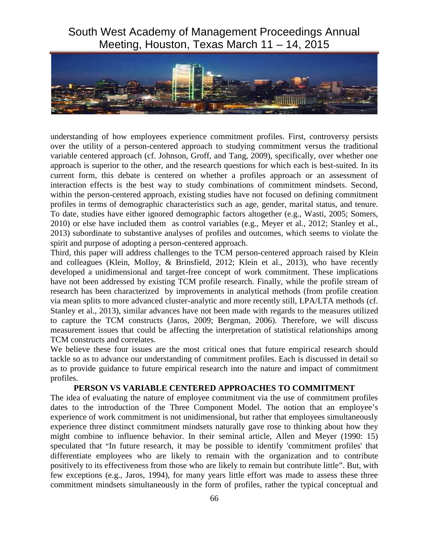

understanding of how employees experience commitment profiles. First, controversy persists over the utility of a person-centered approach to studying commitment versus the traditional variable centered approach (cf. Johnson, Groff, and Tang, 2009), specifically, over whether one approach is superior to the other, and the research questions for which each is best-suited. In its current form, this debate is centered on whether a profiles approach or an assessment of interaction effects is the best way to study combinations of commitment mindsets. Second, within the person-centered approach, existing studies have not focused on defining commitment profiles in terms of demographic characteristics such as age, gender, marital status, and tenure. To date, studies have either ignored demographic factors altogether (e.g., Wasti, 2005; Somers, 2010) or else have included them as control variables (e.g., Meyer et al., 2012; Stanley et al., 2013) subordinate to substantive analyses of profiles and outcomes, which seems to violate the spirit and purpose of adopting a person-centered approach.

Third, this paper will address challenges to the TCM person-centered approach raised by Klein and colleagues (Klein, Molloy, & Brinsfield, 2012; Klein et al., 2013), who have recently developed a unidimensional and target-free concept of work commitment. These implications have not been addressed by existing TCM profile research. Finally, while the profile stream of research has been characterized by improvements in analytical methods (from profile creation via mean splits to more advanced cluster-analytic and more recently still, LPA/LTA methods (cf. Stanley et al., 2013), similar advances have not been made with regards to the measures utilized to capture the TCM constructs (Jaros, 2009; Bergman, 2006). Therefore, we will discuss measurement issues that could be affecting the interpretation of statistical relationships among TCM constructs and correlates.

We believe these four issues are the most critical ones that future empirical research should tackle so as to advance our understanding of commitment profiles. Each is discussed in detail so as to provide guidance to future empirical research into the nature and impact of commitment profiles.

### **PERSON VS VARIABLE CENTERED APPROACHES TO COMMITMENT**

The idea of evaluating the nature of employee commitment via the use of commitment profiles dates to the introduction of the Three Component Model. The notion that an employee's experience of work commitment is not unidimensional, but rather that employees simultaneously experience three distinct commitment mindsets naturally gave rose to thinking about how they might combine to influence behavior. In their seminal article, Allen and Meyer (1990: 15) speculated that "In future research, it may be possible to identify 'commitment profiles' that differentiate employees who are likely to remain with the organization and to contribute positively to its effectiveness from those who are likely to remain but contribute little". But, with few exceptions (e.g., Jaros, 1994), for many years little effort was made to assess these three commitment mindsets simultaneously in the form of profiles, rather the typical conceptual and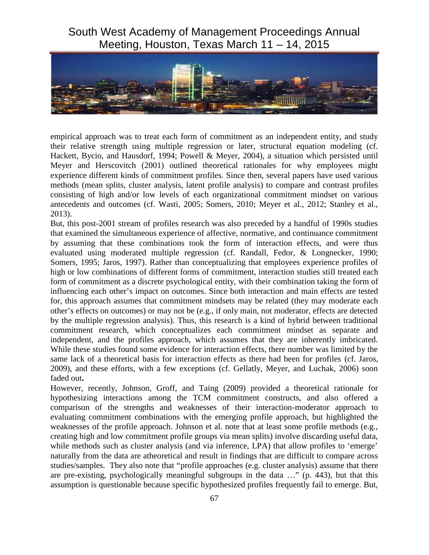

empirical approach was to treat each form of commitment as an independent entity, and study their relative strength using multiple regression or later, structural equation modeling (cf. Hackett, Bycio, and Hausdorf, 1994; Powell & Meyer, 2004), a situation which persisted until Meyer and Herscovitch (2001) outlined theoretical rationales for why employees might experience different kinds of commitment profiles. Since then, several papers have used various methods (mean splits, cluster analysis, latent profile analysis) to compare and contrast profiles consisting of high and/or low levels of each organizational commitment mindset on various antecedents and outcomes (cf. Wasti, 2005; Somers, 2010; Meyer et al., 2012; Stanley et al., 2013).

But, this post-2001 stream of profiles research was also preceded by a handful of 1990s studies that examined the simultaneous experience of affective, normative, and continuance commitment by assuming that these combinations took the form of interaction effects, and were thus evaluated using moderated multiple regression (cf. Randall, Fedor, & Longnecker, 1990; Somers, 1995; Jaros, 1997). Rather than conceptualizing that employees experience profiles of high or low combinations of different forms of commitment, interaction studies still treated each form of commitment as a discrete psychological entity, with their combination taking the form of influencing each other's impact on outcomes. Since both interaction and main effects are tested for, this approach assumes that commitment mindsets may be related (they may moderate each other's effects on outcomes) or may not be (e.g., if only main, not moderator, effects are detected by the multiple regression analysis). Thus, this research is a kind of hybrid between traditional commitment research, which conceptualizes each commitment mindset as separate and independent, and the profiles approach, which assumes that they are inherently imbricated. While these studies found some evidence for interaction effects, there number was limited by the same lack of a theoretical basis for interaction effects as there had been for profiles (cf. Jaros, 2009), and these efforts, with a few exceptions (cf. Gellatly, Meyer, and Luchak, 2006) soon faded out**.**

However, recently, Johnson, Groff, and Taing (2009) provided a theoretical rationale for hypothesizing interactions among the TCM commitment constructs, and also offered a comparison of the strengths and weaknesses of their interaction-moderator approach to evaluating commitment combinations with the emerging profile approach, but highlighted the weaknesses of the profile approach. Johnson et al. note that at least some profile methods (e.g., creating high and low commitment profile groups via mean splits) involve discarding useful data, while methods such as cluster analysis (and via inference, LPA) that allow profiles to 'emerge' naturally from the data are atheoretical and result in findings that are difficult to compare across studies/samples. They also note that "profile approaches (e.g. cluster analysis) assume that there are pre-existing, psychologically meaningful subgroups in the data …" (p. 443), but that this assumption is questionable because specific hypothesized profiles frequently fail to emerge. But,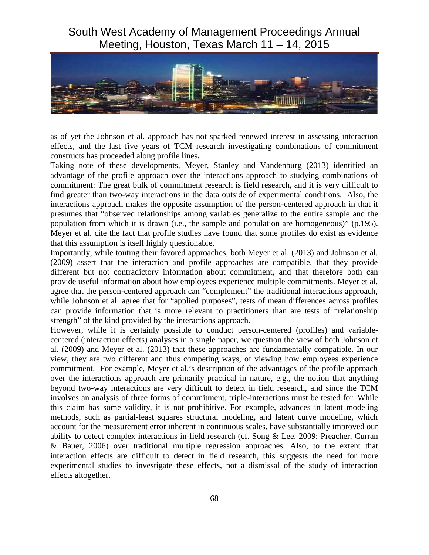

as of yet the Johnson et al. approach has not sparked renewed interest in assessing interaction effects, and the last five years of TCM research investigating combinations of commitment constructs has proceeded along profile lines**.**

Taking note of these developments, Meyer, Stanley and Vandenburg (2013) identified an advantage of the profile approach over the interactions approach to studying combinations of commitment: The great bulk of commitment research is field research, and it is very difficult to find greater than two-way interactions in the data outside of experimental conditions. Also, the interactions approach makes the opposite assumption of the person-centered approach in that it presumes that "observed relationships among variables generalize to the entire sample and the population from which it is drawn (i.e., the sample and population are homogeneous)" (p.195). Meyer et al. cite the fact that profile studies have found that some profiles do exist as evidence that this assumption is itself highly questionable.

Importantly, while touting their favored approaches, both Meyer et al. (2013) and Johnson et al. (2009) assert that the interaction and profile approaches are compatible, that they provide different but not contradictory information about commitment, and that therefore both can provide useful information about how employees experience multiple commitments. Meyer et al. agree that the person-centered approach can "complement" the traditional interactions approach, while Johnson et al. agree that for "applied purposes", tests of mean differences across profiles can provide information that is more relevant to practitioners than are tests of "relationship strength" of the kind provided by the interactions approach.

However, while it is certainly possible to conduct person-centered (profiles) and variable centered (interaction effects) analyses in a single paper, we question the view of both Johnson et al. (2009) and Meyer et al. (2013) that these approaches are fundamentally compatible. In our view, they are two different and thus competing ways, of viewing how employees experience commitment. For example, Meyer et al.'s description of the advantages of the profile approach over the interactions approach are primarily practical in nature, e.g., the notion that anything beyond two-way interactions are very difficult to detect in field research, and since the TCM involves an analysis of three forms of commitment, triple-interactions must be tested for. While this claim has some validity, it is not prohibitive. For example, advances in latent modeling methods, such as partial-least squares structural modeling, and latent curve modeling, which account for the measurement error inherent in continuous scales, have substantially improved our ability to detect complex interactions in field research (cf. Song & Lee, 2009; Preacher, Curran & Bauer, 2006) over traditional multiple regression approaches. Also, to the extent that interaction effects are difficult to detect in field research, this suggests the need for more experimental studies to investigate these effects, not a dismissal of the study of interaction effects altogether.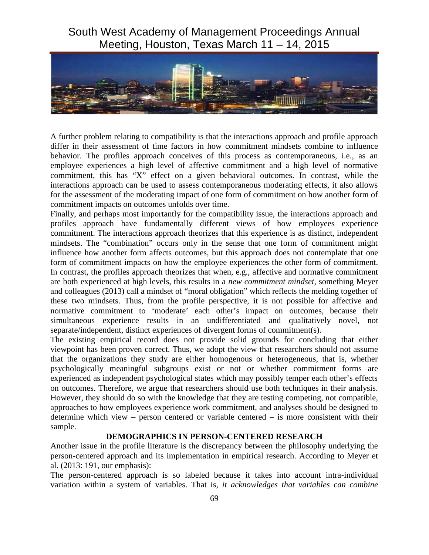

A further problem relating to compatibility is that the interactions approach and profile approach differ in their assessment of time factors in how commitment mindsets combine to influence behavior. The profiles approach conceives of this process as contemporaneous, i.e., as an employee experiences a high level of affective commitment and a high level of normative commitment, this has "X" effect on a given behavioral outcomes. In contrast, while the interactions approach can be used to assess contemporaneous moderating effects, it also allows for the assessment of the moderating impact of one form of commitment on how another form of commitment impacts on outcomes unfolds over time.

Finally, and perhaps most importantly for the compatibility issue, the interactions approach and profiles approach have fundamentally different views of how employees experience commitment. The interactions approach theorizes that this experience is as distinct, independent mindsets. The "combination" occurs only in the sense that one form of commitment might influence how another form affects outcomes, but this approach does not contemplate that one form of commitment impacts on how the employee experiences the other form of commitment. In contrast, the profiles approach theorizes that when, e.g., affective and normative commitment are both experienced at high levels, this results in a *new commitment mindset*, something Meyer and colleagues (2013) call a mindset of "moral obligation" which reflects the melding together of these two mindsets. Thus, from the profile perspective, it is not possible for affective and normative commitment to 'moderate' each other's impact on outcomes, because their simultaneous experience results in an undifferentiated and qualitatively novel, not separate/independent, distinct experiences of divergent forms of commitment(s).

The existing empirical record does not provide solid grounds for concluding that either viewpoint has been proven correct. Thus, we adopt the view that researchers should not assume that the organizations they study are either homogenous or heterogeneous, that is, whether psychologically meaningful subgroups exist or not or whether commitment forms are experienced as independent psychological states which may possibly temper each other's effects on outcomes. Therefore, we argue that researchers should use both techniques in their analysis. However, they should do so with the knowledge that they are testing competing, not compatible, approaches to how employees experience work commitment, and analyses should be designed to determine which view – person centered or variable centered – is more consistent with their sample.

### **DEMOGRAPHICS IN PERSON-CENTERED RESEARCH**

Another issue in the profile literature is the discrepancy between the philosophy underlying the person-centered approach and its implementation in empirical research. According to Meyer et al. (2013: 191, our emphasis):

The person-centered approach is so labeled because it takes into account intra-individual variation within a system of variables. That is, *it acknowledges that variables can combine*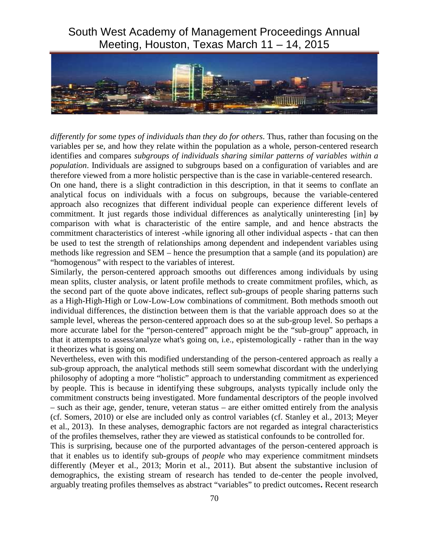

*differently for some types of individuals than they do for others*. Thus, rather than focusing on the variables per se, and how they relate within the population as a whole, person-centered research identifies and compares *subgroups of individuals sharing similar patterns of variables within a population*. Individuals are assigned to subgroups based on a configuration of variables and are therefore viewed from a more holistic perspective than is the case in variable-centered research.

On one hand, there is a slight contradiction in this description, in that it seems to conflate an analytical focus on individuals with a focus on subgroups, because the variable-centered approach also recognizes that different individual people can experience different levels of commitment. It just regards those individual differences as analytically uninteresting [in] by comparison with what is characteristic of the entire sample, and and hence abstracts the commitment characteristics of interest -while ignoring all other individual aspects - that can then be used to test the strength of relationships among dependent and independent variables using methods like regression and SEM – hence the presumption that a sample (and its population) are "homogenous" with respect to the variables of interest.

Similarly, the person-centered approach smooths out differences among individuals by using mean splits, cluster analysis, or latent profile methods to create commitment profiles, which, as the second part of the quote above indicates, reflect sub-groups of people sharing patterns such as a High-High-High or Low-Low-Low combinations of commitment. Both methods smooth out individual differences, the distinction between them is that the variable approach does so at the sample level, whereas the person-centered approach does so at the sub-group level. So perhaps a more accurate label for the "person-centered" approach might be the "sub-group" approach, in that it attempts to assess/analyze what's going on, i.e., epistemologically - rather than in the way it theorizes what is going on.

Nevertheless, even with this modified understanding of the person-centered approach as really a sub-group approach, the analytical methods still seem somewhat discordant with the underlying philosophy of adopting a more "holistic" approach to understanding commitment as experienced by people. This is because in identifying these subgroups, analysts typically include only the commitment constructs being investigated. More fundamental descriptors of the people involved – such as their age, gender, tenure, veteran status – are either omitted entirely from the analysis (cf. Somers, 2010) or else are included only as control variables (cf. Stanley et al., 2013; Meyer et al., 2013). In these analyses, demographic factors are not regarded as integral characteristics of the profiles themselves, rather they are viewed as statistical confounds to be controlled for.

This is surprising, because one of the purported advantages of the person-centered approach is that it enables us to identify sub-groups of *people* who may experience commitment mindsets differently (Meyer et al., 2013; Morin et al., 2011). But absent the substantive inclusion of demographics, the existing stream of research has tended to de-center the people involved, arguably treating profiles themselves as abstract "variables" to predict outcomes**.** Recent research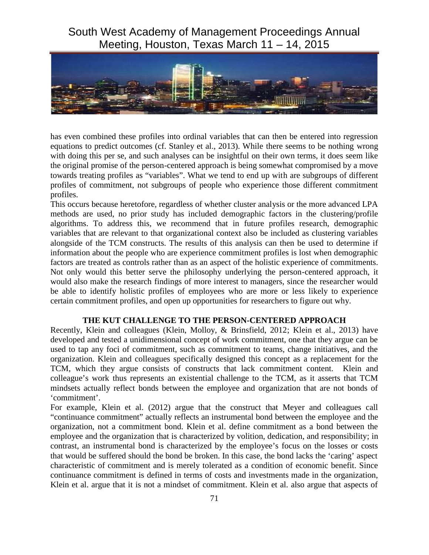

has even combined these profiles into ordinal variables that can then be entered into regression equations to predict outcomes (cf. Stanley et al., 2013). While there seems to be nothing wrong with doing this per se, and such analyses can be insightful on their own terms, it does seem like the original promise of the person-centered approach is being somewhat compromised by a move towards treating profiles as "variables". What we tend to end up with are subgroups of different profiles of commitment, not subgroups of people who experience those different commitment profiles.

This occurs because heretofore, regardless of whether cluster analysis or the more advanced LPA methods are used, no prior study has included demographic factors in the clustering/profile algorithms. To address this, we recommend that in future profiles research, demographic variables that are relevant to that organizational context also be included as clustering variables alongside of the TCM constructs. The results of this analysis can then be used to determine if information about the people who are experience commitment profiles is lost when demographic factors are treated as controls rather than as an aspect of the holistic experience of commitments. Not only would this better serve the philosophy underlying the person-centered approach, it would also make the research findings of more interest to managers, since the researcher would be able to identify holistic profiles of employees who are more or less likely to experience certain commitment profiles, and open up opportunities for researchers to figure out why.

### **THE KUT CHALLENGE TO THE PERSON-CENTERED APPROACH**

Recently, Klein and colleagues (Klein, Molloy, & Brinsfield, 2012; Klein et al., 2013) have developed and tested a unidimensional concept of work commitment, one that they argue can be used to tap any foci of commitment, such as commitment to teams, change initiatives, and the organization. Klein and colleagues specifically designed this concept as a replacement for the TCM, which they argue consists of constructs that lack commitment content. Klein and colleague's work thus represents an existential challenge to the TCM, as it asserts that TCM mindsets actually reflect bonds between the employee and organization that are not bonds of 'commitment'.

For example, Klein et al. (2012) argue that the construct that Meyer and colleagues call "continuance commitment" actually reflects an instrumental bond between the employee and the organization, not a commitment bond. Klein et al. define commitment as a bond between the employee and the organization that is characterized by volition, dedication, and responsibility; in contrast, an instrumental bond is characterized by the employee's focus on the losses or costs that would be suffered should the bond be broken. In this case, the bond lacks the 'caring' aspect characteristic of commitment and is merely tolerated as a condition of economic benefit. Since continuance commitment is defined in terms of costs and investments made in the organization, Klein et al. argue that it is not a mindset of commitment. Klein et al. also argue that aspects of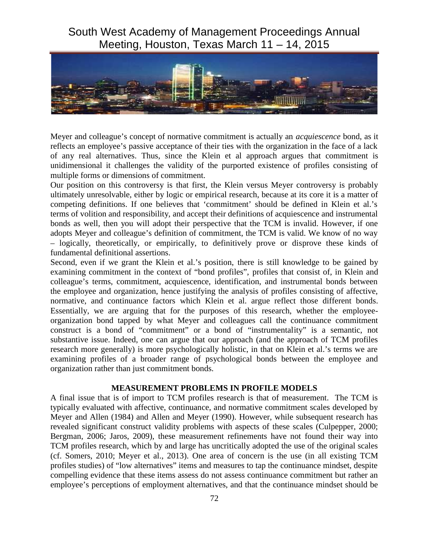

Meyer and colleague's concept of normative commitment is actually an *acquiescence* bond, as it reflects an employee's passive acceptance of their ties with the organization in the face of a lack of any real alternatives. Thus, since the Klein et al approach argues that commitment is unidimensional it challenges the validity of the purported existence of profiles consisting of multiple forms or dimensions of commitment.

Our position on this controversy is that first, the Klein versus Meyer controversy is probably ultimately unresolvable, either by logic or empirical research, because at its core it is a matter of competing definitions. If one believes that 'commitment' should be defined in Klein et al.'s terms of volition and responsibility, and accept their definitions of acquiescence and instrumental bonds as well, then you will adopt their perspective that the TCM is invalid. However, if one adopts Meyer and colleague's definition of commitment, the TCM is valid. We know of no way – logically, theoretically, or empirically, to definitively prove or disprove these kinds of fundamental definitional assertions.

Second, even if we grant the Klein et al.'s position, there is still knowledge to be gained by examining commitment in the context of "bond profiles", profiles that consist of, in Klein and colleague's terms, commitment, acquiescence, identification, and instrumental bonds between the employee and organization, hence justifying the analysis of profiles consisting of affective, normative, and continuance factors which Klein et al. argue reflect those different bonds. Essentially, we are arguing that for the purposes of this research, whether the employee organization bond tapped by what Meyer and colleagues call the continuance commitment construct is a bond of "commitment" or a bond of "instrumentality" is a semantic, not substantive issue. Indeed, one can argue that our approach (and the approach of TCM profiles research more generally) is more psychologically holistic, in that on Klein et al.'s terms we are examining profiles of a broader range of psychological bonds between the employee and organization rather than just commitment bonds.

### **MEASUREMENT PROBLEMS IN PROFILE MODELS**

A final issue that is of import to TCM profiles research is that of measurement. The TCM is typically evaluated with affective, continuance, and normative commitment scales developed by Meyer and Allen (1984) and Allen and Meyer (1990). However, while subsequent research has revealed significant construct validity problems with aspects of these scales (Culpepper, 2000; Bergman, 2006; Jaros, 2009), these measurement refinements have not found their way into TCM profiles research, which by and large has uncritically adopted the use of the original scales (cf. Somers, 2010; Meyer et al., 2013). One area of concern is the use (in all existing TCM profiles studies) of "low alternatives" items and measures to tap the continuance mindset, despite compelling evidence that these items assess do not assess continuance commitment but rather an employee's perceptions of employment alternatives, and that the continuance mindset should be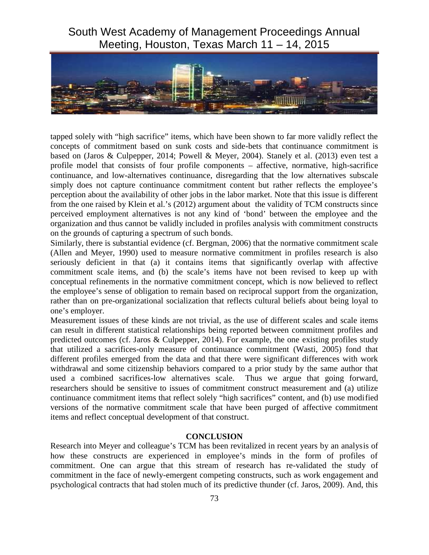

tapped solely with "high sacrifice" items, which have been shown to far more validly reflect the concepts of commitment based on sunk costs and side-bets that continuance commitment is based on (Jaros & Culpepper, 2014; Powell & Meyer, 2004). Stanely et al. (2013) even test a profile model that consists of four profile components – affective, normative, high-sacrifice continuance, and low-alternatives continuance, disregarding that the low alternatives subscale simply does not capture continuance commitment content but rather reflects the employee's perception about the availability of other jobs in the labor market. Note that this issue is different from the one raised by Klein et al.'s (2012) argument about the validity of TCM constructs since perceived employment alternatives is not any kind of 'bond' between the employee and the organization and thus cannot be validly included in profiles analysis with commitment constructs on the grounds of capturing a spectrum of such bonds.

Similarly, there is substantial evidence (cf. Bergman, 2006) that the normative commitment scale (Allen and Meyer, 1990) used to measure normative commitment in profiles research is also seriously deficient in that (a) it contains items that significantly overlap with affective commitment scale items, and (b) the scale's items have not been revised to keep up with conceptual refinements in the normative commitment concept, which is now believed to reflect the employee's sense of obligation to remain based on reciprocal support from the organization, rather than on pre-organizational socialization that reflects cultural beliefs about being loyal to one's employer.

Measurement issues of these kinds are not trivial, as the use of different scales and scale items can result in different statistical relationships being reported between commitment profiles and predicted outcomes (cf. Jaros & Culpepper, 2014). For example, the one existing profiles study that utilized a sacrifices-only measure of continuance commitment (Wasti, 2005) fond that different profiles emerged from the data and that there were significant differences with work withdrawal and some citizenship behaviors compared to a prior study by the same author that used a combined sacrifices-low alternatives scale. Thus we argue that going forward, researchers should be sensitive to issues of commitment construct measurement and (a) utilize continuance commitment items that reflect solely "high sacrifices" content, and (b) use modified versions of the normative commitment scale that have been purged of affective commitment items and reflect conceptual development of that construct.

### **CONCLUSION**

Research into Meyer and colleague's TCM has been revitalized in recent years by an analysis of how these constructs are experienced in employee's minds in the form of profiles of commitment. One can argue that this stream of research has re-validated the study of commitment in the face of newly-emergent competing constructs, such as work engagement and psychological contracts that had stolen much of its predictive thunder (cf. Jaros, 2009). And, this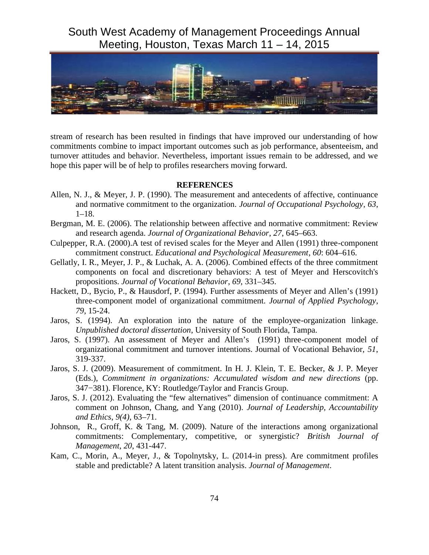

stream of research has been resulted in findings that have improved our understanding of how commitments combine to impact important outcomes such as job performance, absenteeism, and turnover attitudes and behavior. Nevertheless, important issues remain to be addressed, and we hope this paper will be of help to profiles researchers moving forward.

### **REFERENCES**

- Allen, N. J., & Meyer, J. P. (1990). The measurement and antecedents of affective, continuance and normative commitment to the organization. *Journal of Occupational Psychology*, *63*, 1–18.
- Bergman, M. E. (2006). The relationship between affective and normative commitment: Review and research agenda. *Journal of Organizational Behavior*, *27*, 645–663.
- Culpepper, R.A. (2000).A test of revised scales for the Meyer and Allen (1991) three-component commitment construct. *Educational and Psychological Measurement*, *60*: 604–616.
- Gellatly, I. R., Meyer, J. P., & Luchak, A. A. (2006). Combined effects of the three commitment components on focal and discretionary behaviors: A test of Meyer and Herscovitch's propositions. *Journal of Vocational Behavior*, *69*, 331–345.
- Hackett, D., Bycio, P., & Hausdorf, P. (1994). Further assessments of Meyer and Allen's (1991) three-component model of organizational commitment. *Journal of Applied Psychology*, *79*, 15-24.
- Jaros, S. (1994). An exploration into the nature of the employee-organization linkage. *Unpublished doctoral dissertation*, University of South Florida, Tampa.
- Jaros, S. (1997). An assessment of Meyer and Allen's (1991) three-component model of organizational commitment and turnover intentions. Journal of Vocational Behavior, *51*, 319-337.
- Jaros, S. J. (2009). Measurement of commitment. In H. J. Klein, T. E. Becker, & J. P. Meyer (Eds.), *Commitment in organizations: Accumulated wisdom and new directions* (pp. 347−381). Florence, KY: Routledge/Taylor and Francis Group.
- Jaros, S. J. (2012). Evaluating the "few alternatives" dimension of continuance commitment: A comment on Johnson, Chang, and Yang (2010). *Journal of Leadership, Accountability and Ethics*, *9(4),* 63–71.
- Johnson, R., Groff, K. & Tang, M. (2009). Nature of the interactions among organizational commitments: Complementary, competitive, or synergistic? *British Journal of Management*, *20*, 431-447.
- Kam, C., Morin, A., Meyer, J., & Topolnytsky, L. (2014-in press). Are commitment profiles stable and predictable? A latent transition analysis. *Journal of Management*.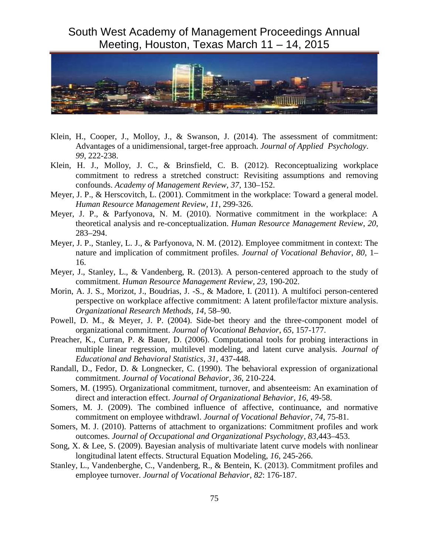

- Klein, H., Cooper, J., Molloy, J., & Swanson, J. (2014). The assessment of commitment: Advantages of a unidimensional, target-free approach. *Journal of Applied Psychology*. *99*, 222-238.
- Klein, H. J., Molloy, J. C., & Brinsfield, C. B. (2012). Reconceptualizing workplace commitment to redress a stretched construct: Revisiting assumptions and removing confounds. *Academy of Management Review*, *37*, 130–152.
- Meyer, J. P., & Herscovitch, L. (2001). Commitment in the workplace: Toward a general model. *Human Resource Management Review*, *11*, 299-326.
- Meyer, J. P., & Parfyonova, N. M. (2010). Normative commitment in the workplace: A theoretical analysis and re-conceptualization. *Human Resource Management Review*, *20*, 283–294.
- Meyer, J. P., Stanley, L. J., & Parfyonova, N. M. (2012). Employee commitment in context: The nature and implication of commitment profiles. *Journal of Vocational Behavior*, *80*, 1– 16.
- Meyer, J., Stanley, L., & Vandenberg, R. (2013). A person-centered approach to the study of commitment. *Human Resource Management Review*, *23*, 190-202.
- Morin, A. J. S., Morizot, J., Boudrias, J. -S., & Madore, I. (2011). A multifoci person-centered perspective on workplace affective commitment: A latent profile/factor mixture analysis. *Organizational Research Methods*, *14,* 58–90.
- Powell, D. M., & Meyer, J. P. (2004). Side-bet theory and the three-component model of organizational commitment. *Journal of Vocational Behavior*, *65*, 157-177.
- Preacher, K., Curran, P. & Bauer, D. (2006). Computational tools for probing interactions in multiple linear regression, multilevel modeling, and latent curve analysis. *Journal of Educational and Behavioral Statistics*, *31*, 437-448.
- Randall, D., Fedor, D. & Longnecker, C. (1990). The behavioral expression of organizational commitment. *Journal of Vocational Behavior*, *36*, 210-224.
- Somers, M. (1995). Organizational commitment, turnover, and absenteeism: An examination of direct and interaction effect. *Journal of Organizational Behavior*, *16*, 49-58.
- Somers, M. J. (2009). The combined influence of affective, continuance, and normative commitment on employee withdrawl. *Journal of Vocational Behavior*, *74*, 75-81.
- Somers, M. J. (2010). Patterns of attachment to organizations: Commitment profiles and work outcomes. *Journal of Occupational and Organizational Psychology*, *83*,443–453.
- Song, X. & Lee, S. (2009). Bayesian analysis of multivariate latent curve models with nonlinear longitudinal latent effects. Structural Equation Modeling, *16*, 245-266.
- Stanley, L., Vandenberghe, C., Vandenberg, R., & Bentein, K. (2013). Commitment profiles and employee turnover. *Journal of Vocational Behavior*, *82*: 176-187.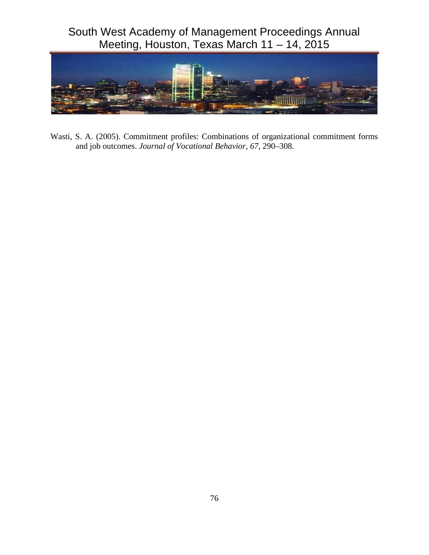

Wasti, S. A. (2005). Commitment profiles: Combinations of organizational commitment forms and job outcomes. *Journal of Vocational Behavior*, *67*, 290–308.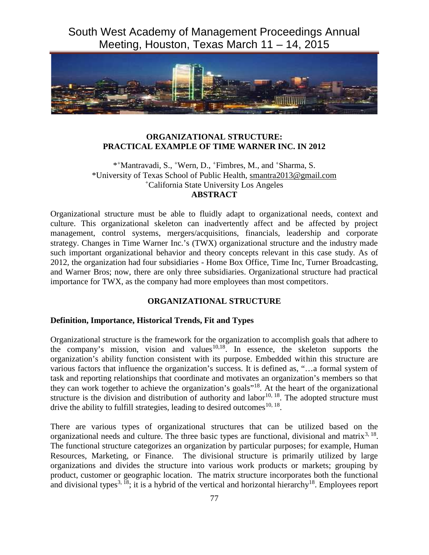

### **ORGANIZATIONAL STRUCTURE: PRACTICAL EXAMPLE OF TIME WARNER INC. IN 2012**

\*<sup>+</sup>Mantravadi, S., <sup>+</sup>Wern, D., <sup>+</sup>Fimbres, M., and <sup>+</sup>Sharma, S. \*University of Texas School of Public Health, smantra2013@gmail.com <sup>+</sup>California State University Los Angeles **ABSTRACT**

Organizational structure must be able to fluidly adapt to organizational needs, context and culture. This organizational skeleton can inadvertently affect and be affected by project management, control systems, mergers/acquisitions, financials, leadership and corporate strategy. Changes in Time Warner Inc.'s (TWX) organizational structure and the industry made such important organizational behavior and theory concepts relevant in this case study. As of 2012, the organization had four subsidiaries - Home Box Office, Time Inc, Turner Broadcasting, and Warner Bros; now, there are only three subsidiaries. Organizational structure had practical importance for TWX, as the company had more employees than most competitors.

### **ORGANIZATIONAL STRUCTURE**

### **Definition, Importance, Historical Trends, Fit and Types**

Organizational structure is the framework for the organization to accomplish goals that adhere to the company's mission, vision and values $10,18$ . In essence, the skeleton supports the organization's ability function consistent with its purpose. Embedded within this structure are various factors that influence the organization's success. It is defined as, "…a formal system of task and reporting relationships that coordinate and motivates an organization's members so that they can work together to achieve the organization's goals"<sup>18</sup>. At the heart of the organizational structure is the division and distribution of authority and labor<sup>10, 18</sup>. The adopted structure must drive the ability to fulfill strategies, leading to desired outcomes  $10, 18$ .

There are various types of organizational structures that can be utilized based on the organizational needs and culture. The three basic types are functional, divisional and matrix<sup>3, 18</sup>. The functional structure categorizes an organization by particular purposes; for example, Human Resources, Marketing, or Finance. The divisional structure is primarily utilized by large organizations and divides the structure into various work products or markets; grouping by product, customer or geographic location. The matrix structure incorporates both the functional and divisional types<sup>3, 18</sup>; it is a hybrid of the vertical and horizontal hierarchy<sup>18</sup>. Employees report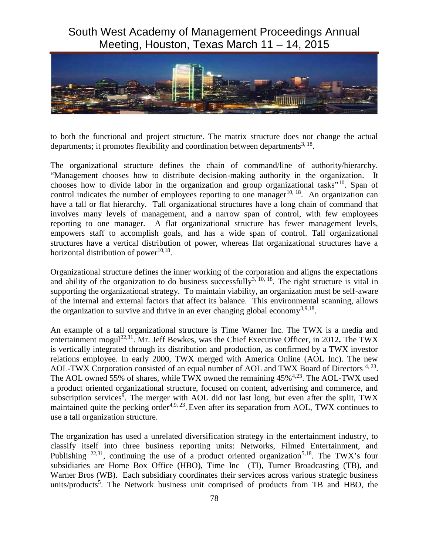

to both the functional and project structure. The matrix structure does not change the actual departments; it promotes flexibility and coordination between departments<sup>3, 18</sup>.

The organizational structure defines the chain of command/line of authority/hierarchy. "Management chooses how to distribute decision-making authority in the organization. It chooses how to divide labor in the organization and group organizational tasks"<sup>10</sup>. Span of control indicates the number of employees reporting to one manager<sup>10, 18</sup>. An organization can have a tall or flat hierarchy. Tall organizational structures have a long chain of command that involves many levels of management, and a narrow span of control, with few employees reporting to one manager. A flat organizational structure has fewer management levels, empowers staff to accomplish goals, and has a wide span of control. Tall organizational structures have a vertical distribution of power, whereas flat organizational structures have a horizontal distribution of power<sup>10,18</sup>.

Organizational structure defines the inner working of the corporation and aligns the expectations and ability of the organization to do business successfully<sup>3, 10, 18</sup>. The right structure is vital in supporting the organizational strategy. To maintain viability, an organization must be self-aware of the internal and external factors that affect its balance. This environmental scanning, allows the organization to survive and thrive in an ever changing global economy<sup>3,9,18</sup>.

An example of a tall organizational structure is Time Warner Inc. The TWX is a media and entertainment mogul<sup>22,31</sup>. Mr. Jeff Bewkes, was the Chief Executive Officer, in 2012. The TWX is vertically integrated through its distribution and production, as confirmed by a TWX investor relations employee. In early 2000, TWX merged with America Online (AOL Inc). The new AOL-TWX Corporation consisted of an equal number of AOL and TWX Board of Directors<sup>4, 23</sup>. The AOL owned 55% of shares, while TWX owned the remaining 45%<sup>4,23</sup>. The AOL-TWX used a product oriented organizational structure, focused on content, advertising and commerce, and subscription services<sup>9</sup>. The merger with AOL did not last long, but even after the split, TWX maintained quite the pecking order<sup>4,9, 23</sup>. Even after its separation from AOL,-TWX continues to use a tall organization structure.

The organization has used a unrelated diversification strategy in the entertainment industry, to classify itself into three business reporting units: Networks, Filmed Entertainment, and Publishing  $22,31$ , continuing the use of a product oriented organization<sup>5,18</sup>. The TWX's four subsidiaries are Home Box Office (HBO), Time Inc (TI), Turner Broadcasting (TB), and Warner Bros (WB). Each subsidiary coordinates their services across various strategic business units/products<sup>5</sup>. The Network business unit comprised of products from TB and HBO, the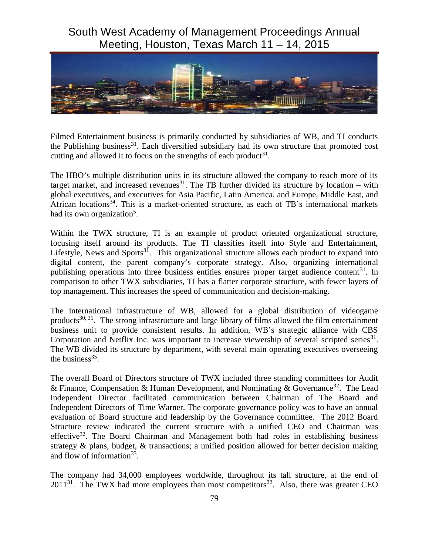

Filmed Entertainment business is primarily conducted by subsidiaries of WB, and TI conducts the Publishing business<sup>31</sup>. Each diversified subsidiary had its own structure that promoted cost cutting and allowed it to focus on the strengths of each product<sup>31</sup>.

The HBO's multiple distribution units in its structure allowed the company to reach more of its target market, and increased revenues<sup>31</sup>. The TB further divided its structure by location – with global executives, and executives for Asia Pacific, Latin America, and Europe, Middle East, and African locations<sup>34</sup>. This is a market-oriented structure, as each of TB's international markets had its own organization<sup>5</sup>.

Within the TWX structure, TI is an example of product oriented organizational structure, focusing itself around its products. The TI classifies itself into Style and Entertainment, Lifestyle, News and Sports<sup>31</sup>. This organizational structure allows each product to expand into digital content, the parent company's corporate strategy. Also, organizing international publishing operations into three business entities ensures proper target audience content<sup>31</sup>. In comparison to other TWX subsidiaries, TI has a flatter corporate structure, with fewer layers of top management. This increases the speed of communication and decision-making.

The international infrastructure of WB, allowed for a global distribution of videogame products<sup>30, 31</sup>. The strong infrastructure and large library of films allowed the film entertainment business unit to provide consistent results. In addition, WB's strategic alliance with CBS Corporation and Netflix Inc. was important to increase viewership of several scripted series $^{31}$ . The WB divided its structure by department, with several main operating executives overseeing the business $35$ .

The overall Board of Directors structure of TWX included three standing committees for Audit & Finance, Compensation & Human Development, and Nominating & Governance<sup>32</sup>. The Lead Independent Director facilitated communication between Chairman of The Board and Independent Directors of Time Warner. The corporate governance policy was to have an annual evaluation of Board structure and leadership by the Governance committee. The 2012 Board Structure review indicated the current structure with a unified CEO and Chairman was effective<sup>32</sup>. The Board Chairman and Management both had roles in establishing business strategy & plans, budget, & transactions; a unified position allowed for better decision making and flow of information<sup>33</sup>.

The company had 34,000 employees worldwide, throughout its tall structure, at the end of  $2011^{31}$ . The TWX had more employees than most competitors<sup>22</sup>. Also, there was greater CEO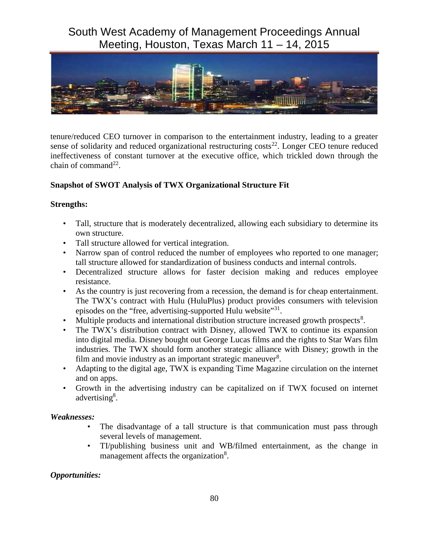

tenure/reduced CEO turnover in comparison to the entertainment industry, leading to a greater sense of solidarity and reduced organizational restructuring  $\cos(s^{22})$ . Longer CEO tenure reduced ineffectiveness of constant turnover at the executive office, which trickled down through the chain of command<sup>22</sup>.

### **Snapshot of SWOT Analysis of TWX Organizational Structure Fit**

### **Strengths:**

- Tall, structure that is moderately decentralized, allowing each subsidiary to determine its own structure.
- Tall structure allowed for vertical integration.
- Narrow span of control reduced the number of employees who reported to one manager; tall structure allowed for standardization of business conducts and internal controls.
- Decentralized structure allows for faster decision making and reduces employee resistance.
- As the country is just recovering from a recession, the demand is for cheap entertainment. The TWX's contract with Hulu (HuluPlus) product provides consumers with television episodes on the "free, advertising-supported Hulu website"<sup>31</sup>.
- Multiple products and international distribution structure increased growth prospects<sup>8</sup>.
- The TWX's distribution contract with Disney, allowed TWX to continue its expansion into digital media. Disney bought out George Lucas films and the rights to Star Wars film industries. The TWX should form another strategic alliance with Disney; growth in the film and movie industry as an important strategic maneuver<sup>8</sup>.
- Adapting to the digital age, TWX is expanding Time Magazine circulation on the internet and on apps.
- Growth in the advertising industry can be capitalized on if TWX focused on internet advertising<sup>8</sup>.

### *Weaknesses:*

- The disadvantage of a tall structure is that communication must pass through several levels of management.
- TI/publishing business unit and WB/filmed entertainment, as the change in management affects the organization<sup>8</sup>.

### *Opportunities:*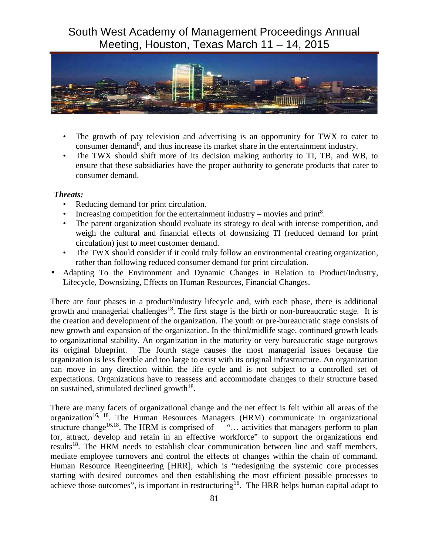

- The growth of pay television and advertising is an opportunity for TWX to cater to consumer demand<sup>8</sup>, and thus increase its market share in the entertainment industry.
- The TWX should shift more of its decision making authority to TI, TB, and WB, to ensure that these subsidiaries have the proper authority to generate products that cater to consumer demand.

#### *Threats:*

- Reducing demand for print circulation.
- Increasing competition for the entertainment industry movies and print<sup>8</sup>.
- The parent organization should evaluate its strategy to deal with intense competition, and weigh the cultural and financial effects of downsizing TI (reduced demand for print circulation) just to meet customer demand.
- The TWX should consider if it could truly follow an environmental creating organization, rather than following reduced consumer demand for print circulation.
- Adapting To the Environment and Dynamic Changes in Relation to Product/Industry, Lifecycle, Downsizing, Effects on Human Resources, Financial Changes.

There are four phases in a product/industry lifecycle and, with each phase, there is additional growth and managerial challenges<sup>18</sup>. The first stage is the birth or non-bureaucratic stage. It is the creation and development of the organization. The youth or pre-bureaucratic stage consists of new growth and expansion of the organization. In the third/midlife stage, continued growth leads to organizational stability. An organization in the maturity or very bureaucratic stage outgrows its original blueprint. The fourth stage causes the most managerial issues because the organization is less flexible and too large to exist with its original infrastructure. An organization can move in any direction within the life cycle and is not subject to a controlled set of expectations. Organizations have to reassess and accommodate changes to their structure based on sustained, stimulated declined growth<sup>18</sup>.

There are many facets of organizational change and the net effect is felt within all areas of the organization<sup>16, 18</sup>. The Human Resources Managers (HRM) communicate in organizational structure change<sup>16,18</sup>. The HRM is comprised of  $\cdots$  activities that managers perform to plan for, attract, develop and retain in an effective workforce" to support the organizations end results<sup>18</sup>. The HRM needs to establish clear communication between line and staff members, mediate employee turnovers and control the effects of changes within the chain of command. Human Resource Reengineering [HRR], which is "redesigning the systemic core processes starting with desired outcomes and then establishing the most efficient possible processes to achieve those outcomes", is important in restructuring<sup>16</sup>. The HRR helps human capital adapt to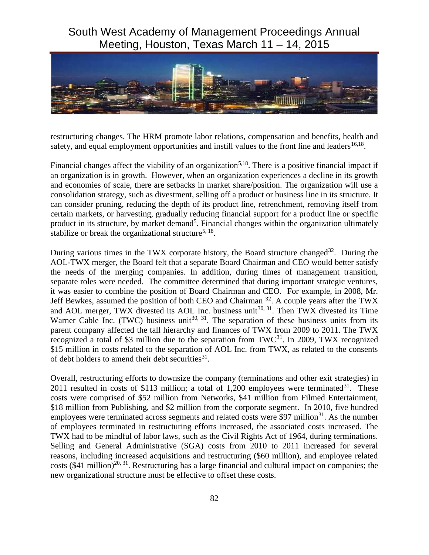

restructuring changes. The HRM promote labor relations, compensation and benefits, health and safety, and equal employment opportunities and instill values to the front line and leaders<sup>16,18</sup>.

Financial changes affect the viability of an organization<sup>5,18</sup>. There is a positive financial impact if an organization is in growth. However, when an organization experiences a decline in its growth and economies of scale, there are setbacks in market share/position. The organization will use a consolidation strategy, such as divestment, selling off a product or business line in its structure. It can consider pruning, reducing the depth of its product line, retrenchment, removing itself from certain markets, or harvesting, gradually reducing financial support for a product line or specific product in its structure, by market demand<sup>5</sup>. Financial changes within the organization ultimately stabilize or break the organizational structure<sup>5, 18</sup>.

During various times in the TWX corporate history, the Board structure changed<sup>32</sup>. During the AOL-TWX merger, the Board felt that a separate Board Chairman and CEO would better satisfy the needs of the merging companies. In addition, during times of management transition, separate roles were needed. The committee determined that during important strategic ventures, it was easier to combine the position of Board Chairman and CEO. For example, in 2008, Mr. Jeff Bewkes, assumed the position of both CEO and Chairman <sup>32</sup>. A couple years after the TWX and AOL merger, TWX divested its AOL Inc. business unit<sup>30, 31</sup>. Then TWX divested its Time Warner Cable Inc. (TWC) business unit<sup>30, 31</sup>. The separation of these business units from its parent company affected the tall hierarchy and finances of TWX from 2009 to 2011. The TWX recognized a total of \$3 million due to the separation from  $TWC<sup>31</sup>$ . In 2009, TWX recognized \$15 million in costs related to the separation of AOL Inc. from TWX, as related to the consents of debt holders to amend their debt securities $^{31}$ .

Overall, restructuring efforts to downsize the company (terminations and other exit strategies) in 2011 resulted in costs of \$113 million; a total of 1,200 employees were terminated  $3^1$ . These costs were comprised of \$52 million from Networks, \$41 million from Filmed Entertainment, \$18 million from Publishing, and \$2 million from the corporate segment. In 2010, five hundred employees were terminated across segments and related costs were \$97 million<sup>31</sup>. As the number of employees terminated in restructuring efforts increased, the associated costs increased. The TWX had to be mindful of labor laws, such as the Civil Rights Act of 1964, during terminations. Selling and General Administrative (SGA) costs from 2010 to 2011 increased for several reasons, including increased acquisitions and restructuring (\$60 million), and employee related costs (\$41 million)<sup>20, 31</sup>. Restructuring has a large financial and cultural impact on companies; the new organizational structure must be effective to offset these costs.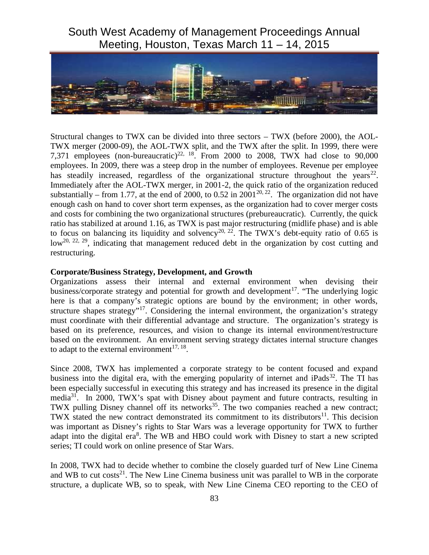

Structural changes to TWX can be divided into three sectors – TWX (before 2000), the AOL- TWX merger (2000-09), the AOL-TWX split, and the TWX after the split. In 1999, there were 7,371 employees (non-bureaucratic)<sup>22, 18</sup>. From 2000 to 2008, TWX had close to 90,000 employees. In 2009, there was a steep drop in the number of employees. Revenue per employee has steadily increased, regardless of the organizational structure throughout the years<sup>22</sup>. Immediately after the AOL-TWX merger, in 2001-2, the quick ratio of the organization reduced substantially – from 1.77, at the end of 2000, to 0.52 in  $2001^{20,22}$ . The organization did not have enough cash on hand to cover short term expenses, as the organization had to cover merger costs and costs for combining the two organizational structures (prebureaucratic). Currently, the quick ratio has stabilized at around 1.16, as TWX is past major restructuring (midlife phase) and is able to focus on balancing its liquidity and solvency<sup>20, 22</sup>. The TWX's debt-equity ratio of 0.65 is low<sup>20, 22, 29</sup>, indicating that management reduced debt in the organization by cost cutting and restructuring.

#### **Corporate/Business Strategy, Development, and Growth**

Organizations assess their internal and external environment when devising their business/corporate strategy and potential for growth and development<sup>17</sup>. "The underlying logic here is that a company's strategic options are bound by the environment; in other words, structure shapes strategy"<sup>17</sup>. Considering the internal environment, the organization's strategy must coordinate with their differential advantage and structure. The organization's strategy is based on its preference, resources, and vision to change its internal environment/restructure based on the environment. An environment serving strategy dictates internal structure changes to adapt to the external environment $^{17, 18}$ .

Since 2008, TWX has implemented a corporate strategy to be content focused and expand business into the digital era, with the emerging popularity of internet and iPads<sup>32</sup>. The TI has been especially successful in executing this strategy and has increased its presence in the digital media<sup>31</sup>. In 2000, TWX's spat with Disney about payment and future contracts, resulting in TWX pulling Disney channel off its networks<sup>35</sup>. The two companies reached a new contract; TWX stated the new contract demonstrated its commitment to its distributors<sup>11</sup>. This decision was important as Disney's rights to Star Wars was a leverage opportunity for TWX to further adapt into the digital era<sup>8</sup>. The WB and HBO could work with Disney to start a new scripted series; TI could work on online presence of Star Wars.

In 2008, TWX had to decide whether to combine the closely guarded turf of New Line Cinema and WB to cut  $costs<sup>21</sup>$ . The New Line Cinema business unit was parallel to WB in the corporate structure, a duplicate WB, so to speak, with New Line Cinema CEO reporting to the CEO of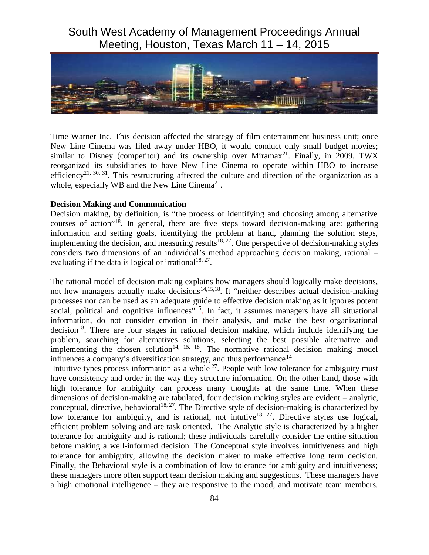

Time Warner Inc. This decision affected the strategy of film entertainment business unit; once New Line Cinema was filed away under HBO, it would conduct only small budget movies; similar to Disney (competitor) and its ownership over Miramax<sup>21</sup>. Finally, in 2009, TWX reorganized its subsidiaries to have New Line Cinema to operate within HBO to increase efficiency<sup>21, 30, 31</sup>. This restructuring affected the culture and direction of the organization as a whole, especially WB and the New Line Cinema $^{21}$ .

### **Decision Making and Communication**

Decision making, by definition, is "the process of identifying and choosing among alternative courses of action"<sup>18</sup>. In general, there are five steps toward decision-making are: gathering information and setting goals, identifying the problem at hand, planning the solution steps, implementing the decision, and measuring results<sup>18, 27</sup>. One perspective of decision-making styles considers two dimensions of an individual's method approaching decision making, rational – evaluating if the data is logical or irrational<sup>18, 27</sup>.

The rational model of decision making explains how managers should logically make decisions, not how managers actually make decisions<sup>14,15,18</sup>. It "neither describes actual decision-making" processes nor can be used as an adequate guide to effective decision making as it ignores potent social, political and cognitive influences"<sup>15</sup>. In fact, it assumes managers have all situational information, do not consider emotion in their analysis, and make the best organizational decision<sup>18</sup>. There are four stages in rational decision making, which include identifying the problem, searching for alternatives solutions, selecting the best possible alternative and implementing the chosen solution<sup>14, 15, 18</sup>. The normative rational decision making model influences a company's diversification strategy, and thus performance $^{14}$ .

Intuitive types process information as a whole  $27$ . People with low tolerance for ambiguity must have consistency and order in the way they structure information. On the other hand, those with high tolerance for ambiguity can process many thoughts at the same time. When these dimensions of decision-making are tabulated, four decision making styles are evident – analytic, conceptual, directive, behavioral<sup>18, 27</sup>. The Directive style of decision-making is characterized by low tolerance for ambiguity, and is rational, not intutive<sup>18, 27</sup>. Directive styles use logical, efficient problem solving and are task oriented. The Analytic style is characterized by a higher tolerance for ambiguity and is rational; these individuals carefully consider the entire situation before making a well-informed decision. The Conceptual style involves intuitiveness and high tolerance for ambiguity, allowing the decision maker to make effective long term decision. Finally, the Behavioral style is a combination of low tolerance for ambiguity and intuitiveness; these managers more often support team decision making and suggestions. These managers have a high emotional intelligence – they are responsive to the mood, and motivate team members.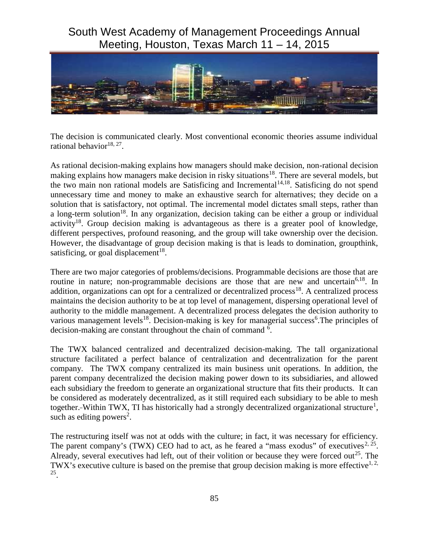

The decision is communicated clearly. Most conventional economic theories assume individual rational behavior $^{18, 27}$ .

As rational decision-making explains how managers should make decision, non-rational decision making explains how managers make decision in risky situations<sup>18</sup>. There are several models, but the two main non rational models are Satisficing and Incremental<sup>14,18</sup>. Satisficing do not spend unnecessary time and money to make an exhaustive search for alternatives; they decide on a solution that is satisfactory, not optimal. The incremental model dictates small steps, rather than a long-term solution<sup>18</sup>. In any organization, decision taking can be either a group or individual activity<sup>18</sup>. Group decision making is advantageous as there is a greater pool of knowledge, different perspectives, profound reasoning, and the group will take ownership over the decision. However, the disadvantage of group decision making is that is leads to domination, groupthink, satisficing, or goal displacement<sup>18</sup>.

There are two major categories of problems/decisions. Programmable decisions are those that are routine in nature; non-programmable decisions are those that are new and uncertain<sup>6,18</sup>. In addition, organizations can opt for a centralized or decentralized process<sup>18</sup>. A centralized process maintains the decision authority to be at top level of management, dispersing operational level of authority to the middle management. A decentralized process delegates the decision authority to various management levels<sup>18</sup>. Decision-making is key for managerial success<sup>6</sup>. The principles of decision-making are constant throughout the chain of command <sup>6</sup>.

The TWX balanced centralized and decentralized decision-making. The tall organizational structure facilitated a perfect balance of centralization and decentralization for the parent company. The TWX company centralized its main business unit operations. In addition, the parent company decentralized the decision making power down to its subsidiaries, and allowed each subsidiary the freedom to generate an organizational structure that fits their products. It can be considered as moderately decentralized, as it still required each subsidiary to be able to mesh together.-Within TWX, TI has historically had a strongly decentralized organizational structure<sup>1</sup>, such as editing powers<sup>2</sup>.

The restructuring itself was not at odds with the culture; in fact, it was necessary for efficiency. The parent company's (TWX) CEO had to act, as he feared a "mass exodus" of executives<sup>2, 25</sup>. Already, several executives had left, out of their volition or because they were forced out<sup>25</sup>. The TWX's executive culture is based on the premise that group decision making is more effective<sup>1, 2,</sup> 25 .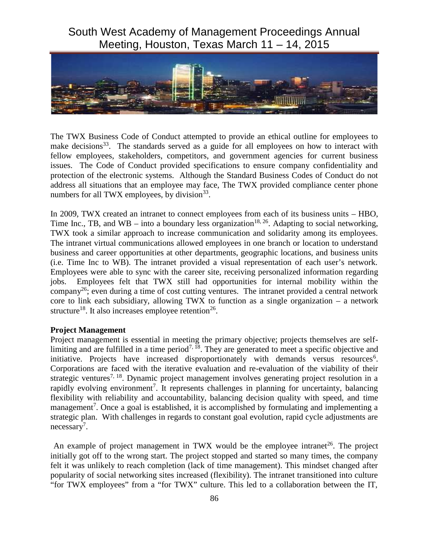

The TWX Business Code of Conduct attempted to provide an ethical outline for employees to make decisions<sup>33</sup>. The standards served as a guide for all employees on how to interact with fellow employees, stakeholders, competitors, and government agencies for current business issues. The Code of Conduct provided specifications to ensure company confidentiality and protection of the electronic systems. Although the Standard Business Codes of Conduct do not address all situations that an employee may face, The TWX provided compliance center phone numbers for all TWX employees, by division<sup>33</sup>.

In 2009, TWX created an intranet to connect employees from each of its business units – HBO, Time Inc., TB, and WB – into a boundary less organization<sup>18, 26</sup>. Adapting to social networking, TWX took a similar approach to increase communication and solidarity among its employees. The intranet virtual communications allowed employees in one branch or location to understand business and career opportunities at other departments, geographic locations, and business units (i.e. Time Inc to WB). The intranet provided a visual representation of each user's network. Employees were able to sync with the career site, receiving personalized information regarding jobs. Employees felt that TWX still had opportunities for internal mobility within the company<sup>26</sup>; even during a time of cost cutting ventures. The intranet provided a central network core to link each subsidiary, allowing TWX to function as a single organization – a network structure<sup>18</sup>. It also increases employee retention<sup>26</sup>.

#### **Project Management**

Project management is essential in meeting the primary objective; projects themselves are selflimiting and are fulfilled in a time period<sup>7, 18</sup>. They are generated to meet a specific objective and initiative. Projects have increased disproportionately with demands versus resources<sup>6</sup>. Corporations are faced with the iterative evaluation and re-evaluation of the viability of their strategic ventures<sup>7, 18</sup>. Dynamic project management involves generating project resolution in a rapidly evolving environment<sup>7</sup>. It represents challenges in planning for uncertainty, balancing flexibility with reliability and accountability, balancing decision quality with speed, and time management<sup>7</sup>. Once a goal is established, it is accomplished by formulating and implementing a strategic plan. With challenges in regards to constant goal evolution, rapid cycle adjustments are necessary<sup>7</sup>.

An example of project management in TWX would be the employee intranet<sup>26</sup>. The project initially got off to the wrong start. The project stopped and started so many times, the company felt it was unlikely to reach completion (lack of time management). This mindset changed after popularity of social networking sites increased (flexibility). The intranet transitioned into culture "for TWX employees" from a "for TWX" culture. This led to a collaboration between the IT,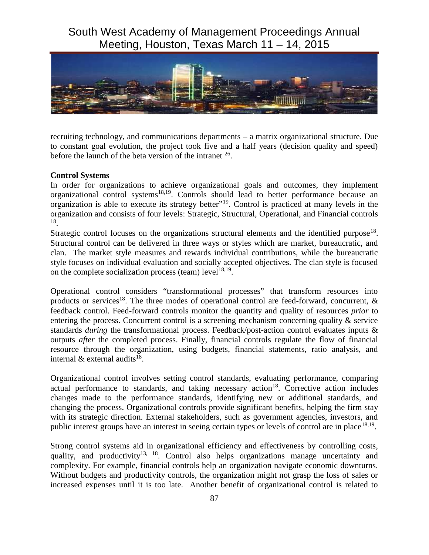

recruiting technology, and communications departments – a matrix organizational structure. Due to constant goal evolution, the project took five and a half years (decision quality and speed) before the launch of the beta version of the intranet  $26$ .

#### **Control Systems**

In order for organizations to achieve organizational goals and outcomes, they implement organizational control systems<sup>18,19</sup>. Controls should lead to better performance because an organization is able to execute its strategy better"<sup>19</sup>. Control is practiced at many levels in the organization and consists of four levels: Strategic, Structural, Operational, and Financial controls 18 .

Strategic control focuses on the organizations structural elements and the identified purpose<sup>18</sup>. Structural control can be delivered in three ways or styles which are market, bureaucratic, and clan. The market style measures and rewards individual contributions, while the bureaucratic style focuses on individual evaluation and socially accepted objectives. The clan style is focused on the complete socialization process (team) level<sup>18,19</sup>.

Operational control considers "transformational processes" that transform resources into products or services<sup>18</sup>. The three modes of operational control are feed-forward, concurrent,  $\&$ feedback control. Feed-forward controls monitor the quantity and quality of resources *prior* to entering the process. Concurrent control is a screening mechanism concerning quality & service standards *during* the transformational process. Feedback/post-action control evaluates inputs & outputs *after* the completed process. Finally, financial controls regulate the flow of financial resource through the organization, using budgets, financial statements, ratio analysis, and internal  $\&$  external audits<sup>18</sup>.

Organizational control involves setting control standards, evaluating performance, comparing actual performance to standards, and taking necessary action<sup>18</sup>. Corrective action includes changes made to the performance standards, identifying new or additional standards, and changing the process. Organizational controls provide significant benefits, helping the firm stay with its strategic direction. External stakeholders, such as government agencies, investors, and public interest groups have an interest in seeing certain types or levels of control are in place<sup>18,19</sup>.

Strong control systems aid in organizational efficiency and effectiveness by controlling costs, quality, and productivity<sup>13, 18</sup>. Control also helps organizations manage uncertainty and complexity. For example, financial controls help an organization navigate economic downturns. Without budgets and productivity controls, the organization might not grasp the loss of sales or increased expenses until it is too late. Another benefit of organizational control is related to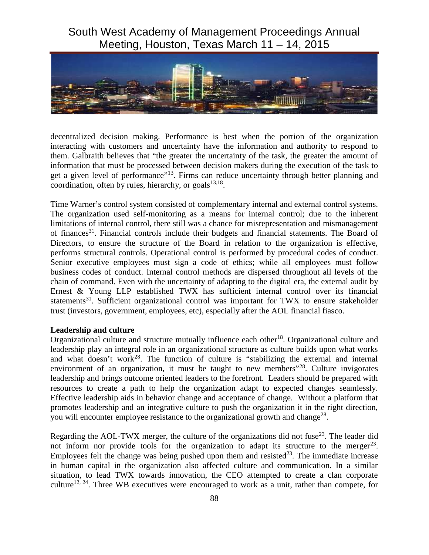

decentralized decision making. Performance is best when the portion of the organization interacting with customers and uncertainty have the information and authority to respond to them. Galbraith believes that "the greater the uncertainty of the task, the greater the amount of information that must be processed between decision makers during the execution of the task to get a given level of performance<sup>"13</sup>. Firms can reduce uncertainty through better planning and coordination, often by rules, hierarchy, or goals<sup>13,18</sup>.

Time Warner's control system consisted of complementary internal and external control systems. The organization used self-monitoring as a means for internal control; due to the inherent limitations of internal control, there still was a chance for misrepresentation and mismanagement of finances<sup>31</sup>. Financial controls include their budgets and financial statements. The Board of Directors, to ensure the structure of the Board in relation to the organization is effective, performs structural controls. Operational control is performed by procedural codes of conduct. Senior executive employees must sign a code of ethics; while all employees must follow business codes of conduct. Internal control methods are dispersed throughout all levels of the chain of command. Even with the uncertainty of adapting to the digital era, the external audit by Ernest & Young LLP established TWX has sufficient internal control over its financial statements<sup>31</sup>. Sufficient organizational control was important for TWX to ensure stakeholder trust (investors, government, employees, etc), especially after the AOL financial fiasco.

#### **Leadership and culture**

Organizational culture and structure mutually influence each other<sup>18</sup>. Organizational culture and leadership play an integral role in an organizational structure as culture builds upon what works and what doesn't work<sup>28</sup>. The function of culture is "stabilizing the external and internal environment of an organization, it must be taught to new members<sup> $128$ </sup>. Culture invigorates leadership and brings outcome oriented leaders to the forefront. Leaders should be prepared with resources to create a path to help the organization adapt to expected changes seamlessly. Effective leadership aids in behavior change and acceptance of change. Without a platform that promotes leadership and an integrative culture to push the organization it in the right direction, you will encounter employee resistance to the organizational growth and change<sup>28</sup>.

Regarding the AOL-TWX merger, the culture of the organizations did not fuse<sup>23</sup>. The leader did not inform nor provide tools for the organization to adapt its structure to the merger<sup>23</sup>. Employees felt the change was being pushed upon them and resisted<sup>23</sup>. The immediate increase in human capital in the organization also affected culture and communication. In a similar situation, to lead TWX towards innovation, the CEO attempted to create a clan corporate culture<sup>12, 24</sup>. Three WB executives were encouraged to work as a unit, rather than compete, for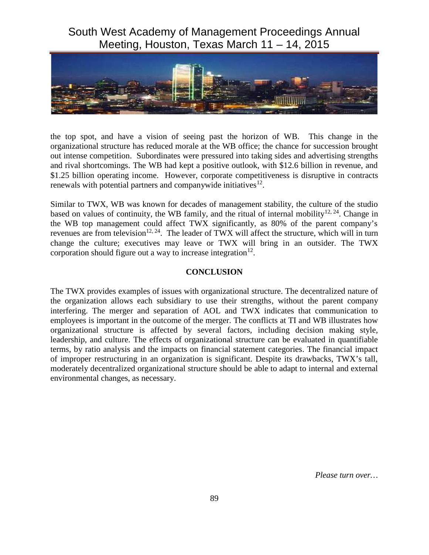

the top spot, and have a vision of seeing past the horizon of WB. This change in the organizational structure has reduced morale at the WB office; the chance for succession brought out intense competition. Subordinates were pressured into taking sides and advertising strengths and rival shortcomings. The WB had kept a positive outlook, with \$12.6 billion in revenue, and \$1.25 billion operating income. However, corporate competitiveness is disruptive in contracts renewals with potential partners and companywide initiatives<sup>12</sup>.

Similar to TWX, WB was known for decades of management stability, the culture of the studio based on values of continuity, the WB family, and the ritual of internal mobility  $12, 24$ . Change in the WB top management could affect TWX significantly, as 80% of the parent company's revenues are from television<sup>12, 24</sup>. The leader of TWX will affect the structure, which will in turn change the culture; executives may leave or TWX will bring in an outsider. The TWX corporation should figure out a way to increase integration $12$ .

#### **CONCLUSION**

The TWX provides examples of issues with organizational structure. The decentralized nature of the organization allows each subsidiary to use their strengths, without the parent company interfering. The merger and separation of AOL and TWX indicates that communication to employees is important in the outcome of the merger. The conflicts at TI and WB illustrates how organizational structure is affected by several factors, including decision making style, leadership, and culture. The effects of organizational structure can be evaluated in quantifiable terms, by ratio analysis and the impacts on financial statement categories. The financial impact of improper restructuring in an organization is significant. Despite its drawbacks, TWX's tall, moderately decentralized organizational structure should be able to adapt to internal and external environmental changes, as necessary.

*Please turn over…*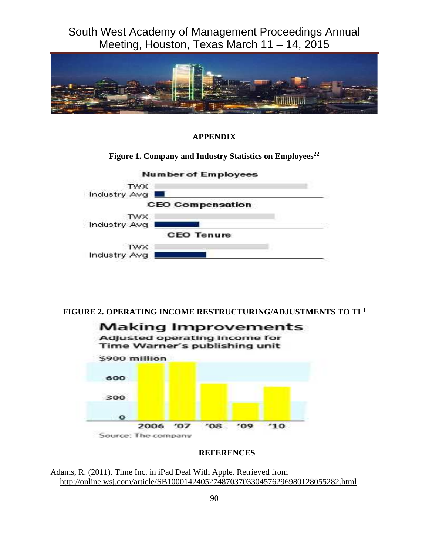

### **APPENDIX**

**Figure 1. Company and Industry Statistics on Employees<sup>22</sup>**



**FIGURE 2. OPERATING INCOME RESTRUCTURING/ADJUSTMENTS TO TI <sup>1</sup>**



### **REFERENCES**

Adams, R. (2011). Time Inc. in iPad Deal With Apple. Retrieved from http://online.wsj.com/article/SB10001424052748703703304576296980128055282.html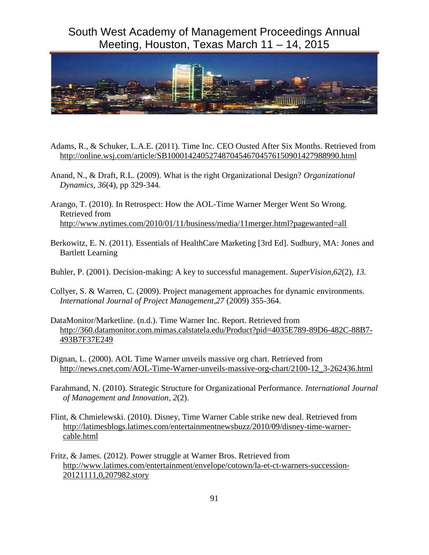

- Adams, R., & Schuker, L.A.E. (2011). Time Inc. CEO Ousted After Six Months. Retrieved from http://online.wsj.com/article/SB10001424052748704546704576150901427988990.html
- Anand, N., & Draft, R.L. (2009). What is the right Organizational Design? *Organizational Dynamics, 36*(4), pp 329-344.
- Arango, T. (2010). In Retrospect: How the AOL-Time Warner Merger Went So Wrong. Retrieved from http://www.nytimes.com/2010/01/11/business/media/11merger.html?pagewanted=all
- Berkowitz, E. N. (2011). Essentials of HealthCare Marketing [3rd Ed]. Sudbury, MA: Jones and Bartlett Learning
- Buhler, P. (2001). Decision-making: A key to successful management. *SuperVision,62*(2), *13.*
- Collyer, S. & Warren, C. (2009). Project management approaches for dynamic environments. *International Journal of Project Management,27* (2009) 355-364.
- DataMonitor/Marketline. (n.d.). Time Warner Inc. Report. Retrieved from http://360.datamonitor.com.mimas.calstatela.edu/Product?pid=4035E789-89D6-482C-88B7- 493B7F37E249
- Dignan, L. (2000). AOL Time Warner unveils massive org chart. Retrieved from http://news.cnet.com/AOL-Time-Warner-unveils-massive-org-chart/2100-12\_3-262436.html
- Farahmand, N. (2010). Strategic Structure for Organizational Performance. *International Journal of Management and Innovation, 2*(2).
- Flint, & Chmielewski. (2010). Disney, Time Warner Cable strike new deal. Retrieved from http://latimesblogs.latimes.com/entertainmentnewsbuzz/2010/09/disney-time-warner cable.html
- Fritz, & James. (2012). Power struggle at Warner Bros. Retrieved from http://www.latimes.com/entertainment/envelope/cotown/la-et-ct-warners-succession- 20121111,0,207982.story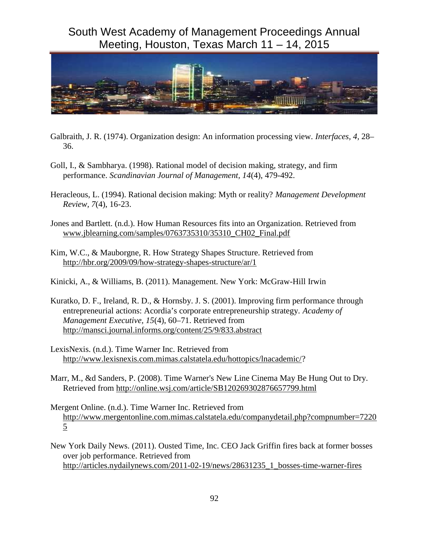

- Galbraith, J. R. (1974). Organization design: An information processing view. *Interfaces, 4,* 28– 36.
- Goll, I., & Sambharya. (1998). Rational model of decision making, strategy, and firm performance. *Scandinavian Journal of Management, 14*(4), 479-492.
- Heracleous, L. (1994). Rational decision making: Myth or reality? *Management Development Review, 7*(4), 16-23.
- Jones and Bartlett. (n.d.). How Human Resources fits into an Organization. Retrieved from www.jblearning.com/samples/0763735310/35310\_CH02\_Final.pdf
- Kim, W.C., & Mauborgne, R. How Strategy Shapes Structure. Retrieved from http://hbr.org/2009/09/how-strategy-shapes-structure/ar/1
- Kinicki, A., & Williams, B. (2011). Management. New York: McGraw-Hill Irwin
- Kuratko, D. F., Ireland, R. D., & Hornsby. J. S. (2001). Improving firm performance through entrepreneurial actions: Acordia's corporate entrepreneurship strategy. *Academy of Management Executive, 15*(4), 60–71. Retrieved from http://mansci.journal.informs.org/content/25/9/833.abstract
- LexisNexis. (n.d.). Time Warner Inc. Retrieved from http://www.lexisnexis.com.mimas.calstatela.edu/hottopics/lnacademic/?
- Marr, M., &d Sanders, P. (2008). Time Warner's New Line Cinema May Be Hung Out to Dry. Retrieved from http://online.wsj.com/article/SB120269302876657799.html
- Mergent Online. (n.d.). Time Warner Inc. Retrieved from http://www.mergentonline.com.mimas.calstatela.edu/companydetail.php?compnumber=7220 5
- New York Daily News. (2011). Ousted Time, Inc. CEO Jack Griffin fires back at former bosses over job performance. Retrieved from http://articles.nydailynews.com/2011-02-19/news/28631235\_1\_bosses-time-warner-fires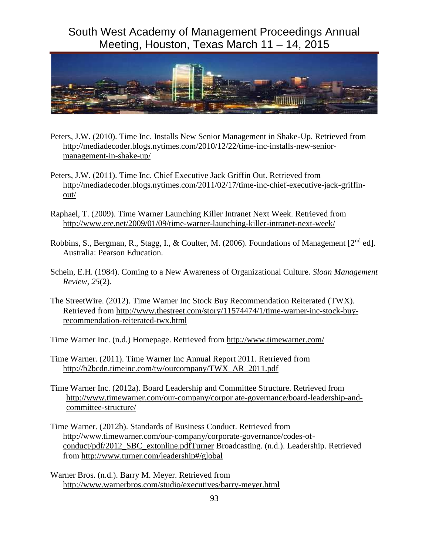

- Peters, J.W. (2010). Time Inc. Installs New Senior Management in Shake-Up. Retrieved from http://mediadecoder.blogs.nytimes.com/2010/12/22/time-inc-installs-new-senior management-in-shake-up/
- Peters, J.W. (2011). Time Inc. Chief Executive Jack Griffin Out. Retrieved from http://mediadecoder.blogs.nytimes.com/2011/02/17/time-inc-chief-executive-jack-griffin- <u>out/</u>
- Raphael, T. (2009). Time Warner Launching Killer Intranet Next Week. Retrieved from http://www.ere.net/2009/01/09/time-warner-launching-killer-intranet-next-week/
- Robbins, S., Bergman, R., Stagg, I., & Coulter, M. (2006). Foundations of Management [2<sup>nd</sup> ed]. Australia: Pearson Education.
- Schein, E.H. (1984). Coming to a New Awareness of Organizational Culture*. Sloan Management Review, 25*(2).
- The StreetWire. (2012). Time Warner Inc Stock Buy Recommendation Reiterated (TWX). Retrieved from http://www.thestreet.com/story/11574474/1/time-warner-inc-stock-buyrecommendation-reiterated-twx.html
- Time Warner Inc. (n.d.) Homepage. Retrieved from http://www.timewarner.com/
- Time Warner. (2011). Time Warner Inc Annual Report 2011. Retrieved from http://b2bcdn.timeinc.com/tw/ourcompany/TWX\_AR\_2011.pdf
- Time Warner Inc. (2012a). Board Leadership and Committee Structure. Retrieved from http://www.timewarner.com/our-company/corpor ate-governance/board-leadership-and committee-structure/
- Time Warner. (2012b). Standards of Business Conduct. Retrieved from http://www.timewarner.com/our-company/corporate-governance/codes-of conduct/pdf/2012\_SBC\_extonline.pdfTurner Broadcasting. (n.d.). Leadership. Retrieved from http://www.turner.com/leadership#/global
- Warner Bros. (n.d.). Barry M. Meyer. Retrieved from http://www.warnerbros.com/studio/executives/barry-meyer.html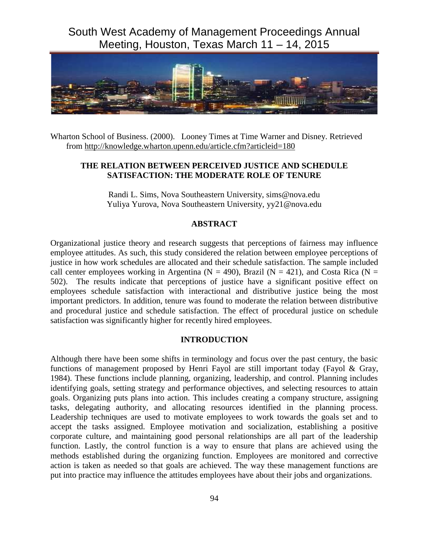

Wharton School of Business. (2000). Looney Times at Time Warner and Disney. Retrieved from http://knowledge.wharton.upenn.edu/article.cfm?articleid=180

### **THE RELATION BETWEEN PERCEIVED JUSTICE AND SCHEDULE SATISFACTION: THE MODERATE ROLE OF TENURE**

Randi L. Sims, Nova Southeastern University, sims@nova.edu Yuliya Yurova, Nova Southeastern University, yy21@nova.edu

### **ABSTRACT**

Organizational justice theory and research suggests that perceptions of fairness may influence employee attitudes. As such, this study considered the relation between employee perceptions of justice in how work schedules are allocated and their schedule satisfaction. The sample included call center employees working in Argentina ( $N = 490$ ), Brazil ( $N = 421$ ), and Costa Rica ( $N = 490$ ) 502). The results indicate that perceptions of justice have a significant positive effect on employees schedule satisfaction with interactional and distributive justice being the most important predictors. In addition, tenure was found to moderate the relation between distributive and procedural justice and schedule satisfaction. The effect of procedural justice on schedule satisfaction was significantly higher for recently hired employees.

### **INTRODUCTION**

Although there have been some shifts in terminology and focus over the past century, the basic functions of management proposed by Henri Fayol are still important today (Fayol & Gray, 1984). These functions include planning, organizing, leadership, and control. Planning includes identifying goals, setting strategy and performance objectives, and selecting resources to attain goals. Organizing puts plans into action. This includes creating a company structure, assigning tasks, delegating authority, and allocating resources identified in the planning process. Leadership techniques are used to motivate employees to work towards the goals set and to accept the tasks assigned. Employee motivation and socialization, establishing a positive corporate culture, and maintaining good personal relationships are all part of the leadership function. Lastly, the control function is a way to ensure that plans are achieved using the methods established during the organizing function. Employees are monitored and corrective action is taken as needed so that goals are achieved. The way these management functions are put into practice may influence the attitudes employees have about their jobs and organizations.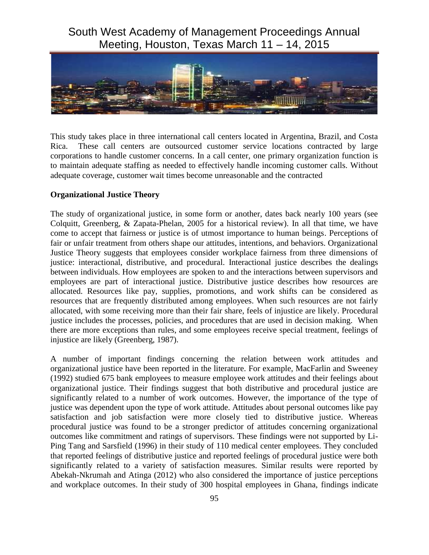

This study takes place in three international call centers located in Argentina, Brazil, and Costa Rica. These call centers are outsourced customer service locations contracted by large corporations to handle customer concerns. In a call center, one primary organization function is to maintain adequate staffing as needed to effectively handle incoming customer calls. Without adequate coverage, customer wait times become unreasonable and the contracted

#### **Organizational Justice Theory**

The study of organizational justice, in some form or another, dates back nearly 100 years (see Colquitt, Greenberg, & Zapata-Phelan, 2005 for a historical review). In all that time, we have come to accept that fairness or justice is of utmost importance to human beings. Perceptions of fair or unfair treatment from others shape our attitudes, intentions, and behaviors. Organizational Justice Theory suggests that employees consider workplace fairness from three dimensions of justice: interactional, distributive, and procedural. Interactional justice describes the dealings between individuals. How employees are spoken to and the interactions between supervisors and employees are part of interactional justice. Distributive justice describes how resources are allocated. Resources like pay, supplies, promotions, and work shifts can be considered as resources that are frequently distributed among employees. When such resources are not fairly allocated, with some receiving more than their fair share, feels of injustice are likely. Procedural justice includes the processes, policies, and procedures that are used in decision making. When there are more exceptions than rules, and some employees receive special treatment, feelings of injustice are likely (Greenberg, 1987).

A number of important findings concerning the relation between work attitudes and organizational justice have been reported in the literature. For example, MacFarlin and Sweeney (1992) studied 675 bank employees to measure employee work attitudes and their feelings about organizational justice. Their findings suggest that both distributive and procedural justice are significantly related to a number of work outcomes. However, the importance of the type of justice was dependent upon the type of work attitude. Attitudes about personal outcomes like pay satisfaction and job satisfaction were more closely tied to distributive justice. Whereas procedural justice was found to be a stronger predictor of attitudes concerning organizational outcomes like commitment and ratings of supervisors. These findings were not supported by Li- Ping Tang and Sarsfield (1996) in their study of 110 medical center employees. They concluded that reported feelings of distributive justice and reported feelings of procedural justice were both significantly related to a variety of satisfaction measures. Similar results were reported by Abekah-Nkrumah and Atinga (2012) who also considered the importance of justice perceptions and workplace outcomes. In their study of 300 hospital employees in Ghana, findings indicate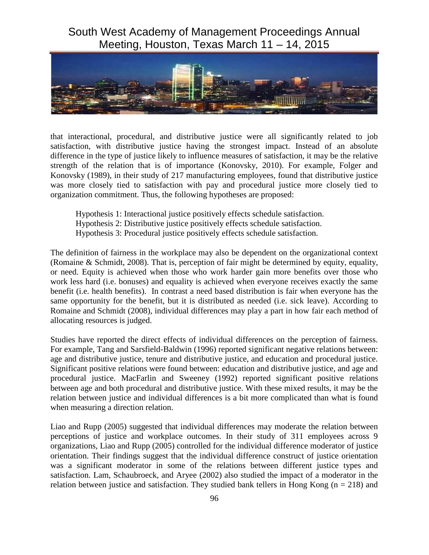

that interactional, procedural, and distributive justice were all significantly related to job satisfaction, with distributive justice having the strongest impact. Instead of an absolute difference in the type of justice likely to influence measures of satisfaction, it may be the relative strength of the relation that is of importance (Konovsky, 2010). For example, Folger and Konovsky (1989), in their study of 217 manufacturing employees, found that distributive justice was more closely tied to satisfaction with pay and procedural justice more closely tied to organization commitment. Thus, the following hypotheses are proposed:

Hypothesis 1: Interactional justice positively effects schedule satisfaction. Hypothesis 2: Distributive justice positively effects schedule satisfaction. Hypothesis 3: Procedural justice positively effects schedule satisfaction.

The definition of fairness in the workplace may also be dependent on the organizational context (Romaine & Schmidt, 2008). That is, perception of fair might be determined by equity, equality, or need. Equity is achieved when those who work harder gain more benefits over those who work less hard (i.e. bonuses) and equality is achieved when everyone receives exactly the same benefit (i.e. health benefits). In contrast a need based distribution is fair when everyone has the same opportunity for the benefit, but it is distributed as needed (i.e. sick leave). According to Romaine and Schmidt (2008), individual differences may play a part in how fair each method of allocating resources is judged.

Studies have reported the direct effects of individual differences on the perception of fairness. For example, Tang and Sarsfield-Baldwin (1996) reported significant negative relations between: age and distributive justice, tenure and distributive justice, and education and procedural justice. Significant positive relations were found between: education and distributive justice, and age and procedural justice. MacFarlin and Sweeney (1992) reported significant positive relations between age and both procedural and distributive justice. With these mixed results, it may be the relation between justice and individual differences is a bit more complicated than what is found when measuring a direction relation.

Liao and Rupp (2005) suggested that individual differences may moderate the relation between perceptions of justice and workplace outcomes. In their study of 311 employees across 9 organizations, Liao and Rupp (2005) controlled for the individual difference moderator of justice orientation. Their findings suggest that the individual difference construct of justice orientation was a significant moderator in some of the relations between different justice types and satisfaction. Lam, Schaubroeck, and Aryee (2002) also studied the impact of a moderator in the relation between justice and satisfaction. They studied bank tellers in Hong Kong ( $n = 218$ ) and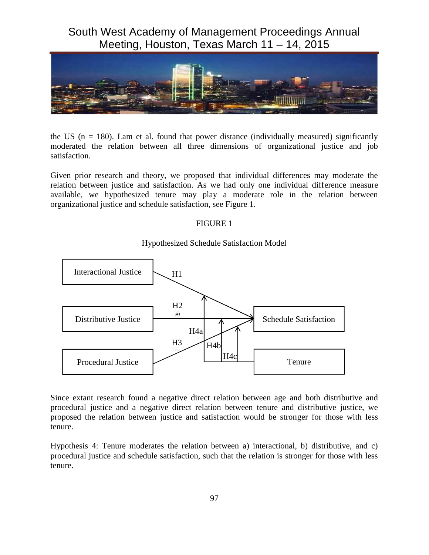

the US ( $n = 180$ ). Lam et al. found that power distance (individually measured) significantly moderated the relation between all three dimensions of organizational justice and job satisfaction.

Given prior research and theory, we proposed that individual differences may moderate the relation between justice and satisfaction. As we had only one individual difference measure available, we hypothesized tenure may play a moderate role in the relation between organizational justice and schedule satisfaction, see Figure 1.

### FIGURE 1



### Hypothesized Schedule Satisfaction Model

Since extant research found a negative direct relation between age and both distributive and procedural justice and a negative direct relation between tenure and distributive justice, we proposed the relation between justice and satisfaction would be stronger for those with less tenure.

Hypothesis 4: Tenure moderates the relation between a) interactional, b) distributive, and c) procedural justice and schedule satisfaction, such that the relation is stronger for those with less tenure.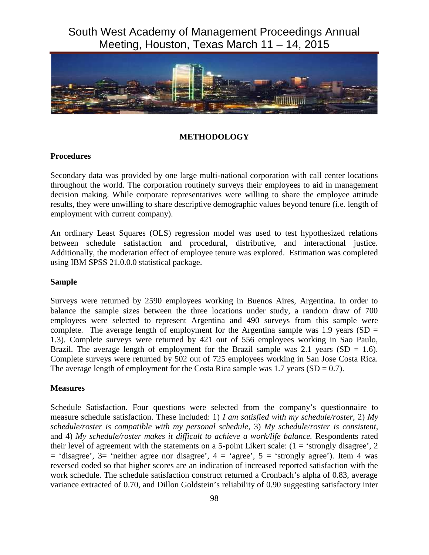

### **METHODOLOGY**

#### **Procedures**

Secondary data was provided by one large multi-national corporation with call center locations throughout the world. The corporation routinely surveys their employees to aid in management decision making. While corporate representatives were willing to share the employee attitude results, they were unwilling to share descriptive demographic values beyond tenure (i.e. length of employment with current company).

An ordinary Least Squares (OLS) regression model was used to test hypothesized relations between schedule satisfaction and procedural, distributive, and interactional justice. Additionally, the moderation effect of employee tenure was explored. Estimation was completed using IBM SPSS 21.0.0.0 statistical package.

#### **Sample**

Surveys were returned by 2590 employees working in Buenos Aires, Argentina. In order to balance the sample sizes between the three locations under study, a random draw of 700 employees were selected to represent Argentina and 490 surveys from this sample were complete. The average length of employment for the Argentina sample was 1.9 years ( $SD =$ 1.3). Complete surveys were returned by 421 out of 556 employees working in Sao Paulo, Brazil. The average length of employment for the Brazil sample was 2.1 years  $(SD = 1.6)$ . Complete surveys were returned by 502 out of 725 employees working in San Jose Costa Rica. The average length of employment for the Costa Rica sample was  $1.7$  years (SD = 0.7).

#### **Measures**

Schedule Satisfaction. Four questions were selected from the company's questionnaire to measure schedule satisfaction. These included: 1) *I am satisfied with my schedule/roster,* 2) *My schedule/roster is compatible with my personal schedule*, 3) *My schedule/roster is consistent,* and 4) *My schedule/roster makes it difficult to achieve a work/life balance.* Respondents rated their level of agreement with the statements on a 5-point Likert scale:  $(1 -$ strongly disagree', 2  $=$  'disagree', 3= 'neither agree nor disagree', 4 = 'agree', 5 = 'strongly agree'). Item 4 was reversed coded so that higher scores are an indication of increased reported satisfaction with the work schedule. The schedule satisfaction construct returned a Cronbach's alpha of 0.83, average variance extracted of 0.70, and Dillon Goldstein's reliability of 0.90 suggesting satisfactory inter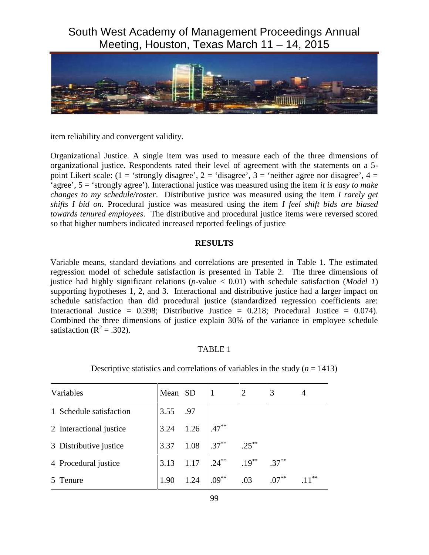

item reliability and convergent validity.

Organizational Justice. A single item was used to measure each of the three dimensions of organizational justice. Respondents rated their level of agreement with the statements on a 5 point Likert scale: (1 = 'strongly disagree', 2 = 'disagree', 3 = 'neither agree nor disagree', 4 = 'agree', 5 = 'strongly agree'). Interactional justice was measured using the item *it is easy to make changes to my schedule/roster*. Distributive justice was measured using the item *I rarely get shifts I bid on.* Procedural justice was measured using the item *I feel shift bids are biased towards tenured employees*. The distributive and procedural justice items were reversed scored so that higher numbers indicated increased reported feelings of justice

### **RESULTS**

Variable means, standard deviations and correlations are presented in Table 1. The estimated regression model of schedule satisfaction is presented in Table 2. The three dimensions of justice had highly significant relations (*p-*value < 0.01) with schedule satisfaction (*Model 1*) supporting hypotheses 1, 2, and 3. Interactional and distributive justice had a larger impact on schedule satisfaction than did procedural justice (standardized regression coefficients are: Interactional Justice =  $0.398$ ; Distributive Justice =  $0.218$ ; Procedural Justice =  $0.074$ ). Combined the three dimensions of justice explain 30% of the variance in employee schedule satisfaction ( $R^2 = .302$ ).

#### TABLE 1

| Variables               | Mean SD |      |           |          | 3        | 4         |
|-------------------------|---------|------|-----------|----------|----------|-----------|
| 1 Schedule satisfaction | 3.55    | .97  |           |          |          |           |
| 2 Interactional justice | 3.24    | 1.26 | $.47***$  |          |          |           |
| 3 Distributive justice  | 3.37    | 1.08 | $.37***$  | $.25***$ |          |           |
| 4 Procedural justice    | 3.13    | 1.17 | $1.24***$ | $.19***$ | $.37***$ |           |
| Tenure                  | 1.90    | 1.24 | $.09***$  | .03      | $.07***$ | $11^{**}$ |

Descriptive statistics and correlations of variables in the study  $(n = 1413)$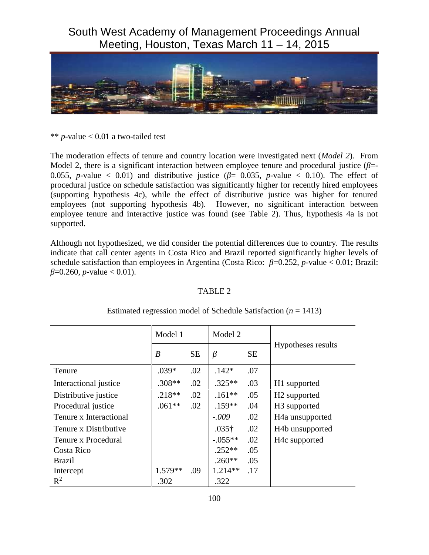

\*\* *p*-value < 0.01 a two-tailed test

The moderation effects of tenure and country location were investigated next (*Model 2*). From Model 2, there is a significant interaction between employee tenure and procedural justice ( $=$ 0.055, *p*-value  $\langle$  0.01) and distributive justice ( = 0.035, *p*-value  $\langle$  0.10). The effect of procedural justice on schedule satisfaction was significantly higher for recently hired employees (supporting hypothesis 4c), while the effect of distributive justice was higher for tenured employees (not supporting hypothesis 4b). However, no significant interaction between employee tenure and interactive justice was found (see Table 2). Thus, hypothesis 4a is not supported.

Although not hypothesized, we did consider the potential differences due to country. The results indicate that call center agents in Costa Rico and Brazil reported significantly higher levels of schedule satisfaction than employees in Argentina (Costa Rico:  $=0.252$ , *p*-value < 0.01; Brazil:  $=0.260$ , *p*-value  $< 0.01$ ).

### TABLE 2

|                        | Model 1   |           | Model 2       |           |                              |  |
|------------------------|-----------|-----------|---------------|-----------|------------------------------|--|
|                        |           | <b>SE</b> |               | <b>SE</b> | Hypotheses results           |  |
| <b>Tenure</b>          | $.039*$   | .02       | $.142*$       | .07       |                              |  |
| Interactional justice  | $.308**$  | .02       | $.325**$      | .03       | H1 supported                 |  |
| Distributive justice   | $.218**$  | .02       | $.161**$      | .05       | H <sub>2</sub> supported     |  |
| Procedural justice     | $.061**$  | .02       | $.159**$      | .04       | H <sub>3</sub> supported     |  |
| Tenure x Interactional |           |           | $-.009$       | .02       | H <sub>4</sub> a unsupported |  |
| Tenure x Distributive  |           |           | $.035\dagger$ | .02       | H <sub>4</sub> b unsupported |  |
| Tenure x Procedural    |           |           | $-.055**$     | .02       | H <sub>4</sub> c supported   |  |
| Costa Rico             |           |           | $.252**$      | .05       |                              |  |
| <b>Brazil</b>          |           |           | $.260**$      | .05       |                              |  |
| Intercept              | $1.579**$ | .09       | $1.214**$     | .17       |                              |  |
| $R^2$                  | .302      |           | .322          |           |                              |  |

### Estimated regression model of Schedule Satisfaction (*n* = 1413)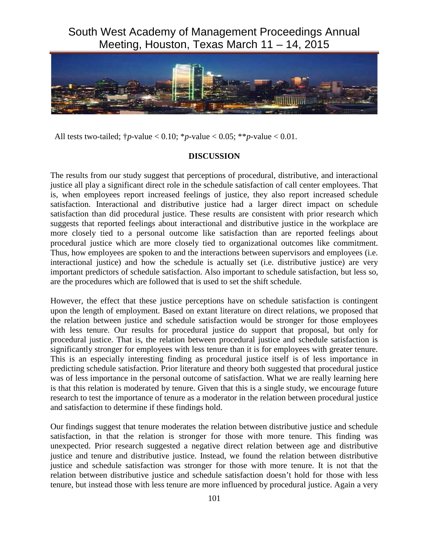

All tests two-tailed;  $\uparrow p$ -value < 0.10;  $\uparrow p$ -value < 0.05;  $\uparrow \uparrow p$ -value < 0.01.

#### **DISCUSSION**

The results from our study suggest that perceptions of procedural, distributive, and interactional justice all play a significant direct role in the schedule satisfaction of call center employees. That is, when employees report increased feelings of justice, they also report increased schedule satisfaction. Interactional and distributive justice had a larger direct impact on schedule satisfaction than did procedural justice. These results are consistent with prior research which suggests that reported feelings about interactional and distributive justice in the workplace are more closely tied to a personal outcome like satisfaction than are reported feelings about procedural justice which are more closely tied to organizational outcomes like commitment. Thus, how employees are spoken to and the interactions between supervisors and employees (i.e. interactional justice) and how the schedule is actually set (i.e. distributive justice) are very important predictors of schedule satisfaction. Also important to schedule satisfaction, but less so, are the procedures which are followed that is used to set the shift schedule.

However, the effect that these justice perceptions have on schedule satisfaction is contingent upon the length of employment. Based on extant literature on direct relations, we proposed that the relation between justice and schedule satisfaction would be stronger for those employees with less tenure. Our results for procedural justice do support that proposal, but only for procedural justice. That is, the relation between procedural justice and schedule satisfaction is significantly stronger for employees with less tenure than it is for employees with greater tenure. This is an especially interesting finding as procedural justice itself is of less importance in predicting schedule satisfaction. Prior literature and theory both suggested that procedural justice was of less importance in the personal outcome of satisfaction. What we are really learning here is that this relation is moderated by tenure. Given that this is a single study, we encourage future research to test the importance of tenure as a moderator in the relation between procedural justice and satisfaction to determine if these findings hold.

Our findings suggest that tenure moderates the relation between distributive justice and schedule satisfaction, in that the relation is stronger for those with more tenure. This finding was unexpected. Prior research suggested a negative direct relation between age and distributive justice and tenure and distributive justice. Instead, we found the relation between distributive justice and schedule satisfaction was stronger for those with more tenure. It is not that the relation between distributive justice and schedule satisfaction doesn't hold for those with less tenure, but instead those with less tenure are more influenced by procedural justice. Again a very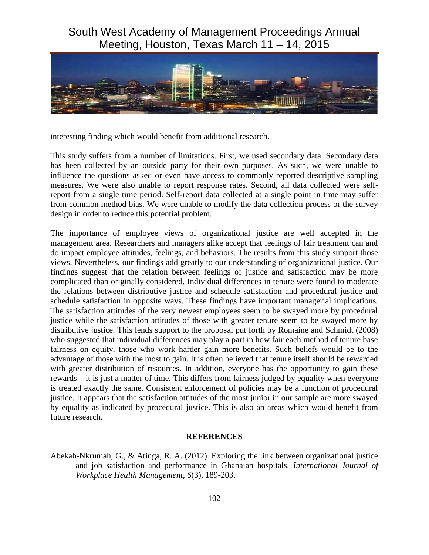

interesting finding which would benefit from additional research.

This study suffers from a number of limitations. First, we used secondary data. Secondary data has been collected by an outside party for their own purposes. As such, we were unable to influence the questions asked or even have access to commonly reported descriptive sampling measures. We were also unable to report response rates. Second, all data collected were selfreport from a single time period. Self-report data collected at a single point in time may suffer from common method bias. We were unable to modify the data collection process or the survey design in order to reduce this potential problem.

The importance of employee views of organizational justice are well accepted in the management area. Researchers and managers alike accept that feelings of fair treatment can and do impact employee attitudes, feelings, and behaviors. The results from this study support those views. Nevertheless, our findings add greatly to our understanding of organizational justice. Our findings suggest that the relation between feelings of justice and satisfaction may be more complicated than originally considered. Individual differences in tenure were found to moderate the relations between distributive justice and schedule satisfaction and procedural justice and schedule satisfaction in opposite ways. These findings have important managerial implications. The satisfaction attitudes of the very newest employees seem to be swayed more by procedural justice while the satisfaction attitudes of those with greater tenure seem to be swayed more by distributive justice. This lends support to the proposal put forth by Romaine and Schmidt (2008) who suggested that individual differences may play a part in how fair each method of tenure base fairness on equity, those who work harder gain more benefits. Such beliefs would be to the advantage of those with the most to gain. It is often believed that tenure itself should be rewarded with greater distribution of resources. In addition, everyone has the opportunity to gain these rewards – it is just a matter of time. This differs from fairness judged by equality when everyone is treated exactly the same. Consistent enforcement of policies may be a function of procedural justice. It appears that the satisfaction attitudes of the most junior in our sample are more swayed by equality as indicated by procedural justice. This is also an areas which would benefit from future research.

#### **REFERENCES**

Abekah-Nkrumah, G., & Atinga, R. A. (2012). Exploring the link between organizational justice and job satisfaction and performance in Ghanaian hospitals. *International Journal of Workplace Health Management, 6*(3), 189-203.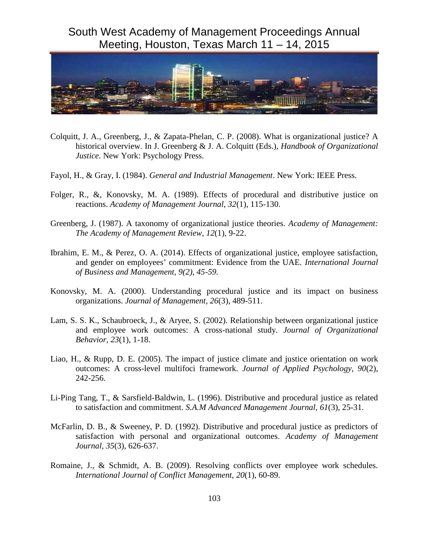

- Colquitt, J. A., Greenberg, J., & Zapata-Phelan, C. P. (2008). What is organizational justice? A historical overview. In J. Greenberg & J. A. Colquitt (Eds.), *Handbook of Organizational Justice*. New York: Psychology Press.
- Fayol, H., & Gray, I. (1984). *General and Industrial Management*. New York: IEEE Press.
- Folger, R., &, Konovsky, M. A. (1989). Effects of procedural and distributive justice on reactions. *Academy of Management Journal, 32*(1), 115-130.
- Greenberg, J. (1987). A taxonomy of organizational justice theories. *Academy of Management: The Academy of Management Review, 12*(1), 9-22.
- Ibrahim, E. M., & Perez, O. A. (2014). Effects of organizational justice, employee satisfaction, and gender on employees' commitment: Evidence from the UAE. *International Journal of Business and Management, 9(2), 45-59.*
- Konovsky, M. A. (2000). Understanding procedural justice and its impact on business organizations. *Journal of Management, 26*(3), 489-511.
- Lam, S. S. K., Schaubroeck, J., & Aryee, S. (2002). Relationship between organizational justice and employee work outcomes: A cross-national study. *Journal of Organizational Behavior, 23*(1), 1-18.
- Liao, H., & Rupp, D. E. (2005). The impact of justice climate and justice orientation on work outcomes: A cross-level multifoci framework. *Journal of Applied Psychology, 90*(2), 242-256.
- Li-Ping Tang, T., & Sarsfield-Baldwin, L. (1996). Distributive and procedural justice as related to satisfaction and commitment. *S.A.M Advanced Management Journal, 61*(3), 25-31.
- McFarlin, D. B., & Sweeney, P. D. (1992). Distributive and procedural justice as predictors of satisfaction with personal and organizational outcomes. *Academy of Management Journal, 35*(3), 626-637.
- Romaine, J., & Schmidt, A. B. (2009). Resolving conflicts over employee work schedules. *International Journal of Conflict Management, 20*(1), 60-89.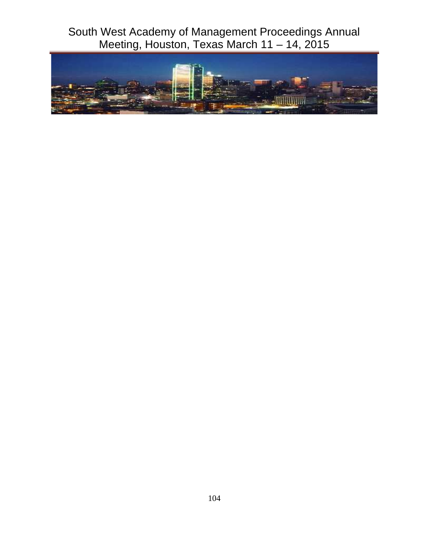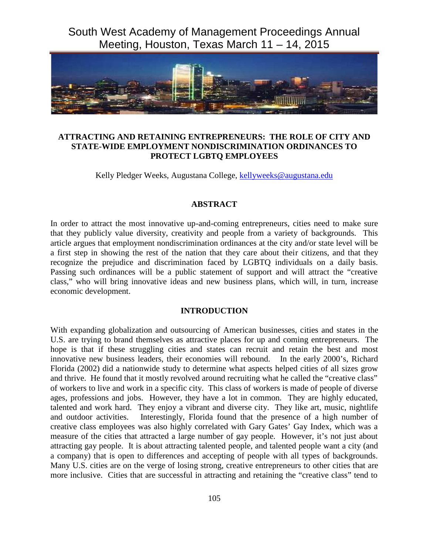

### **ATTRACTING AND RETAINING ENTREPRENEURS: THE ROLE OF CITY AND STATE-WIDE EMPLOYMENT NONDISCRIMINATION ORDINANCES TO PROTECT LGBTQ EMPLOYEES**

Kelly Pledger Weeks, Augustana College, kellyweeks@augustana.edu

### **ABSTRACT**

In order to attract the most innovative up-and-coming entrepreneurs, cities need to make sure that they publicly value diversity, creativity and people from a variety of backgrounds. This article argues that employment nondiscrimination ordinances at the city and/or state level will be a first step in showing the rest of the nation that they care about their citizens, and that they recognize the prejudice and discrimination faced by LGBTQ individuals on a daily basis. Passing such ordinances will be a public statement of support and will attract the "creative class," who will bring innovative ideas and new business plans, which will, in turn, increase economic development.

#### **INTRODUCTION**

With expanding globalization and outsourcing of American businesses, cities and states in the U.S. are trying to brand themselves as attractive places for up and coming entrepreneurs. The hope is that if these struggling cities and states can recruit and retain the best and most innovative new business leaders, their economies will rebound. In the early 2000's, Richard Florida (2002) did a nationwide study to determine what aspects helped cities of all sizes grow and thrive. He found that it mostly revolved around recruiting what he called the "creative class" of workers to live and work in a specific city. This class of workers is made of people of diverse ages, professions and jobs. However, they have a lot in common. They are highly educated, talented and work hard. They enjoy a vibrant and diverse city. They like art, music, nightlife and outdoor activities. Interestingly, Florida found that the presence of a high number of creative class employees was also highly correlated with Gary Gates' Gay Index, which was a measure of the cities that attracted a large number of gay people. However, it's not just about attracting gay people. It is about attracting talented people, and talented people want a city (and a company) that is open to differences and accepting of people with all types of backgrounds. Many U.S. cities are on the verge of losing strong, creative entrepreneurs to other cities that are more inclusive. Cities that are successful in attracting and retaining the "creative class" tend to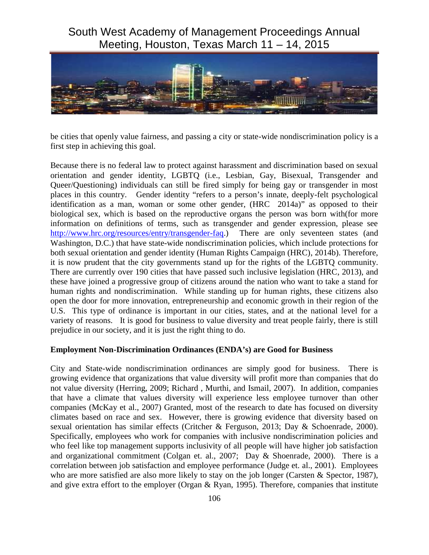

be cities that openly value fairness, and passing a city or state-wide nondiscrimination policy is a first step in achieving this goal.

Because there is no federal law to protect against harassment and discrimination based on sexual orientation and gender identity, LGBTQ (i.e., Lesbian, Gay, Bisexual, Transgender and Queer/Questioning) individuals can still be fired simply for being gay or transgender in most places in this country. Gender identity "refers to a person's innate, deeply-felt psychological identification as a man, woman or some other gender, (HRC 2014a)" as opposed to their biological sex, which is based on the reproductive organs the person was born with(for more information on definitions of terms, such as transgender and gender expression, please see http://www.hrc.org/resources/entry/transgender-faq.) There are only seventeen states (and Washington, D.C.) that have state-wide nondiscrimination policies, which include protections for both sexual orientation and gender identity (Human Rights Campaign (HRC), 2014b). Therefore, it is now prudent that the city governments stand up for the rights of the LGBTQ community. There are currently over 190 cities that have passed such inclusive legislation (HRC, 2013), and these have joined a progressive group of citizens around the nation who want to take a stand for human rights and nondiscrimination. While standing up for human rights, these citizens also open the door for more innovation, entrepreneurship and economic growth in their region of the U.S. This type of ordinance is important in our cities, states, and at the national level for a variety of reasons. It is good for business to value diversity and treat people fairly, there is still prejudice in our society, and it is just the right thing to do.

#### **Employment Non-Discrimination Ordinances (ENDA's) are Good for Business**

City and State-wide nondiscrimination ordinances are simply good for business. There is growing evidence that organizations that value diversity will profit more than companies that do not value diversity (Herring, 2009; Richard , Murthi, and Ismail, 2007). In addition, companies that have a climate that values diversity will experience less employee turnover than other companies (McKay et al., 2007) Granted, most of the research to date has focused on diversity climates based on race and sex. However, there is growing evidence that diversity based on sexual orientation has similar effects (Critcher & Ferguson, 2013; Day & Schoenrade, 2000). Specifically, employees who work for companies with inclusive nondiscrimination policies and who feel like top management supports inclusivity of all people will have higher job satisfaction and organizational commitment (Colgan et. al., 2007; Day & Shoenrade, 2000). There is a correlation between job satisfaction and employee performance (Judge et. al., 2001). Employees who are more satisfied are also more likely to stay on the job longer (Carsten & Spector, 1987), and give extra effort to the employer (Organ & Ryan, 1995). Therefore, companies that institute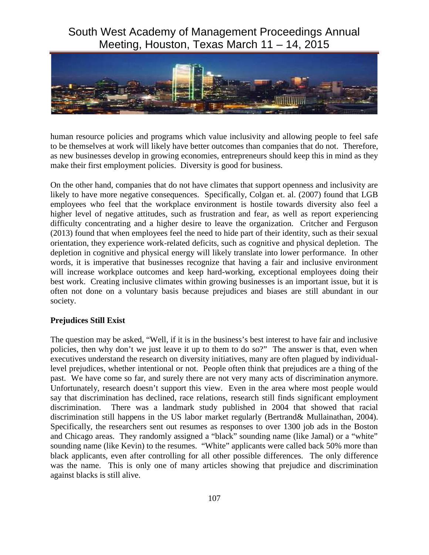

human resource policies and programs which value inclusivity and allowing people to feel safe to be themselves at work will likely have better outcomes than companies that do not. Therefore, as new businesses develop in growing economies, entrepreneurs should keep this in mind as they make their first employment policies. Diversity is good for business.

On the other hand, companies that do not have climates that support openness and inclusivity are likely to have more negative consequences. Specifically, Colgan et. al. (2007) found that LGB employees who feel that the workplace environment is hostile towards diversity also feel a higher level of negative attitudes, such as frustration and fear, as well as report experiencing difficulty concentrating and a higher desire to leave the organization. Critcher and Ferguson (2013) found that when employees feel the need to hide part of their identity, such as their sexual orientation, they experience work-related deficits, such as cognitive and physical depletion. The depletion in cognitive and physical energy will likely translate into lower performance. In other words, it is imperative that businesses recognize that having a fair and inclusive environment will increase workplace outcomes and keep hard-working, exceptional employees doing their best work. Creating inclusive climates within growing businesses is an important issue, but it is often not done on a voluntary basis because prejudices and biases are still abundant in our society.

### **Prejudices Still Exist**

The question may be asked, "Well, if it is in the business's best interest to have fair and inclusive policies, then why don't we just leave it up to them to do so?" The answer is that, even when executives understand the research on diversity initiatives, many are often plagued by individuallevel prejudices, whether intentional or not. People often think that prejudices are a thing of the past. We have come so far, and surely there are not very many acts of discrimination anymore. Unfortunately, research doesn't support this view. Even in the area where most people would say that discrimination has declined, race relations, research still finds significant employment discrimination. There was a landmark study published in 2004 that showed that racial discrimination still happens in the US labor market regularly (Bertrand& Mullainathan, 2004). Specifically, the researchers sent out resumes as responses to over 1300 job ads in the Boston and Chicago areas. They randomly assigned a "black" sounding name (like Jamal) or a "white" sounding name (like Kevin) to the resumes. "White" applicants were called back 50% more than black applicants, even after controlling for all other possible differences. The only difference was the name. This is only one of many articles showing that prejudice and discrimination against blacks is still alive.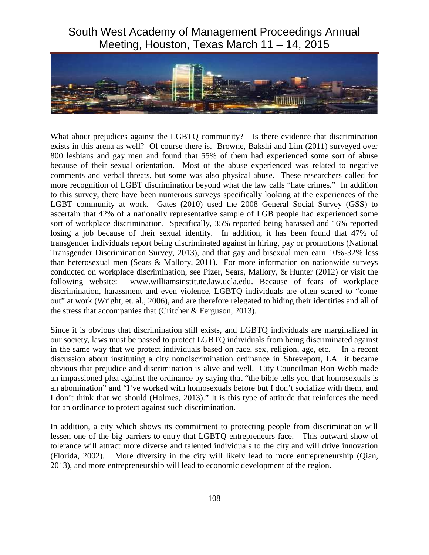

What about prejudices against the LGBTQ community? Is there evidence that discrimination exists in this arena as well? Of course there is. Browne, Bakshi and Lim (2011) surveyed over 800 lesbians and gay men and found that 55% of them had experienced some sort of abuse because of their sexual orientation. Most of the abuse experienced was related to negative comments and verbal threats, but some was also physical abuse. These researchers called for more recognition of LGBT discrimination beyond what the law calls "hate crimes." In addition to this survey, there have been numerous surveys specifically looking at the experiences of the LGBT community at work. Gates (2010) used the 2008 General Social Survey (GSS) to ascertain that 42% of a nationally representative sample of LGB people had experienced some sort of workplace discrimination. Specifically, 35% reported being harassed and 16% reported losing a job because of their sexual identity. In addition, it has been found that 47% of transgender individuals report being discriminated against in hiring, pay or promotions (National Transgender Discrimination Survey, 2013), and that gay and bisexual men earn 10%-32% less than heterosexual men (Sears & Mallory, 2011). For more information on nationwide surveys conducted on workplace discrimination, see Pizer, Sears, Mallory, & Hunter (2012) or visit the following website: www.williamsinstitute.law.ucla.edu. Because of fears of workplace discrimination, harassment and even violence, LGBTQ individuals are often scared to "come out" at work (Wright, et. al., 2006), and are therefore relegated to hiding their identities and all of the stress that accompanies that (Critcher & Ferguson, 2013).

Since it is obvious that discrimination still exists, and LGBTQ individuals are marginalized in our society, laws must be passed to protect LGBTQ individuals from being discriminated against in the same way that we protect individuals based on race, sex, religion, age, etc. In a recent discussion about instituting a city nondiscrimination ordinance in Shreveport, LA it became obvious that prejudice and discrimination is alive and well. City Councilman Ron Webb made an impassioned plea against the ordinance by saying that "the bible tells you that homosexuals is an abomination" and "I've worked with homosexuals before but I don't socialize with them, and I don't think that we should (Holmes, 2013)." It is this type of attitude that reinforces the need for an ordinance to protect against such discrimination.

In addition, a city which shows its commitment to protecting people from discrimination will lessen one of the big barriers to entry that LGBTQ entrepreneurs face. This outward show of tolerance will attract more diverse and talented individuals to the city and will drive innovation (Florida, 2002). More diversity in the city will likely lead to more entrepreneurship (Qian, 2013), and more entrepreneurship will lead to economic development of the region.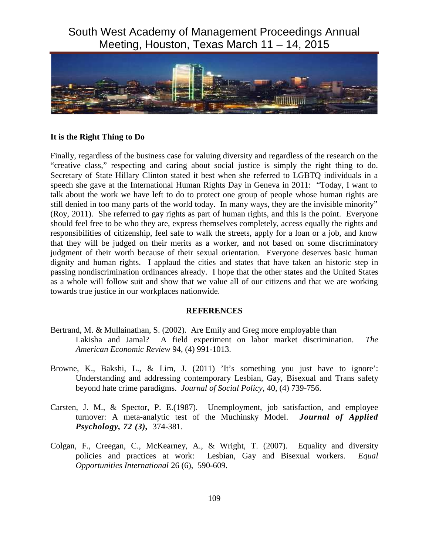

### **It is the Right Thing to Do**

Finally, regardless of the business case for valuing diversity and regardless of the research on the "creative class," respecting and caring about social justice is simply the right thing to do. Secretary of State Hillary Clinton stated it best when she referred to LGBTQ individuals in a speech she gave at the International Human Rights Day in Geneva in 2011: "Today, I want to talk about the work we have left to do to protect one group of people whose human rights are still denied in too many parts of the world today. In many ways, they are the invisible minority" (Roy, 2011). She referred to gay rights as part of human rights, and this is the point. Everyone should feel free to be who they are, express themselves completely, access equally the rights and responsibilities of citizenship, feel safe to walk the streets, apply for a loan or a job, and know that they will be judged on their merits as a worker, and not based on some discriminatory judgment of their worth because of their sexual orientation. Everyone deserves basic human dignity and human rights. I applaud the cities and states that have taken an historic step in passing nondiscrimination ordinances already. I hope that the other states and the United States as a whole will follow suit and show that we value all of our citizens and that we are working towards true justice in our workplaces nationwide.

#### **REFERENCES**

- Bertrand, M. & Mullainathan, S. (2002). Are Emily and Greg more employable than Lakisha and Jamal? A field experiment on labor market discrimination. *The American Economic Review* 94, (4) 991-1013.
- Browne, K., Bakshi, L., & Lim, J. (2011) 'It's something you just have to ignore': Understanding and addressing contemporary Lesbian, Gay, Bisexual and Trans safety beyond hate crime paradigms. *Journal of Social Policy,* 40, (4) 739-756.
- Carsten, J. M., & Spector, P. E.(1987). Unemployment, job satisfaction, and employee turnover: A meta-analytic test of the Muchinsky Model. *Journal of Applied Psychology, 72 (3),* 374-381.
- Colgan, F., Creegan, C., McKearney, A., & Wright, T. (2007). Equality and diversity policies and practices at work: Lesbian, Gay and Bisexual workers. *Equal Opportunities International* 26 (6), 590-609.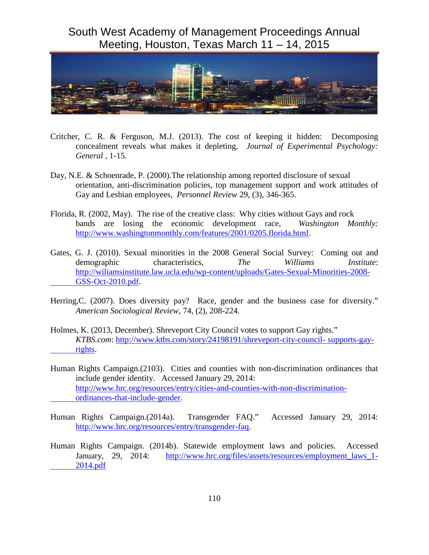

- Critcher, C. R. & Ferguson, M.J. (2013). The cost of keeping it hidden: Decomposing concealment reveals what makes it depleting, *Journal of Experimental Psychology: General* , 1-15.
- Day, N.E. & Schoenrade, P. (2000).The relationship among reported disclosure of sexual orientation, anti-discrimination policies, top management support and work attitudes of Gay and Lesbian employees, *Personnel Review* 29, (3), 346-365.
- Florida, R. (2002, May). The rise of the creative class: Why cities without Gays and rock bands are losing the economic development race, *Washington Monthly:* http://www.washingtonmonthly.com/features/2001/0205.florida.html.
- Gates, G. J. (2010). Sexual minorities in the 2008 General Social Survey: Coming out and demographic characteristics, *The Williams Institute*: http://wiliamsinstitute.law.ucla.edu/wp-content/uploads/Gates-Sexual-Minorities-2008- GSS-Oct-2010.pdf.
- Herring, C. (2007). Does diversity pay? Race, gender and the business case for diversity." *American Sociological Review,* 74, (2), 208-224.
- Holmes, K. (2013, December). Shreveport City Council votes to support Gay rights." *KTBS.com*: http://www.ktbs.com/story/24198191/shreveport-city-council- supports-gayrights.
- Human Rights Campaign.(2103). Cities and counties with non-discrimination ordinances that include gender identity. Accessed January 29, 2014: http://www.hrc.org/resources/entry/cities-and-counties-with-non-discrimination ordinances-that-include-gender.
- Human Rights Campaign.(2014a). Transgender FAQ." Accessed January 29, 2014: http://www.hrc.org/resources/entry/transgender-faq.
- Human Rights Campaign. (2014b). Statewide employment laws and policies. Accessed January, 29, 2014: http://www.hrc.org/files/assets/resources/employment\_laws\_1- 2014.pdf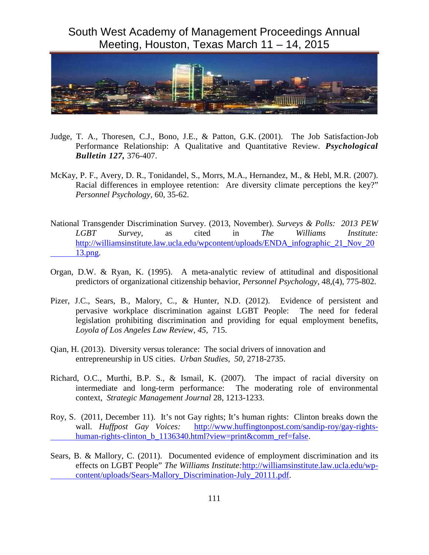

- Judge, T. A., Thoresen, C.J., Bono, J.E., & Patton, G.K. (2001). The Job Satisfaction-Job Performance Relationship: A Qualitative and Quantitative Review. *Psychological Bulletin 127,*376-407.
- McKay, P. F., Avery, D. R., Tonidandel, S., Morrs, M.A., Hernandez, M., & Hebl, M.R. (2007). Racial differences in employee retention: Are diversity climate perceptions the key?" *Personnel Psychology,* 60, 35-62.
- National Transgender Discrimination Survey. (2013, November). *Surveys & Polls: 2013 PEW LGBT Survey,* as cited in *The Williams Institute:* http://williamsinstitute.law.ucla.edu/wpcontent/uploads/ENDA\_infographic\_21\_Nov\_20 13.png.
- Organ, D.W. & Ryan, K. (1995). A meta-analytic review of attitudinal and dispositional predictors of organizational citizenship behavior, *Personnel Psychology*, 48,(4), 775-802.
- Pizer, J.C., Sears, B., Malory, C., & Hunter, N.D. (2012). Evidence of persistent and pervasive workplace discrimination against LGBT People: The need for federal legislation prohibiting discrimination and providing for equal employment benefits, *Loyola of Los Angeles Law Review, 45,* 715.
- Qian, H. (2013). Diversity versus tolerance: The social drivers of innovation and entrepreneurship in US cities. *Urban Studies, 50,* 2718-2735.
- Richard, O.C., Murthi, B.P. S., & Ismail, K. (2007). The impact of racial diversity on intermediate and long-term performance: The moderating role of environmental context, *Strategic Management Journal* 28, 1213-1233.
- Roy, S. (2011, December 11). It's not Gay rights; It's human rights: Clinton breaks down the wall. *Huffpost Gay Voices:* http://www.huffingtonpost.com/sandip-roy/gay-rights human-rights-clinton\_b\_1136340.html?view=print&comm\_ref=false.
- Sears, B. & Mallory, C. (2011). Documented evidence of employment discrimination and its effects on LGBT People" *The Williams Institute:*http://williamsinstitute.law.ucla.edu/wp content/uploads/Sears-Mallory\_Discrimination-July\_20111.pdf.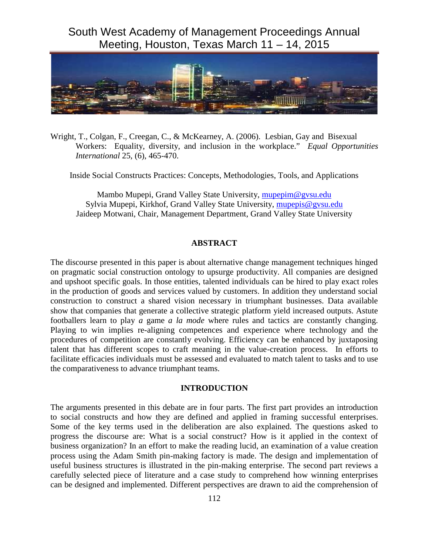

Wright, T., Colgan, F., Creegan, C., & McKearney, A. (2006). Lesbian, Gay and Bisexual Workers: Equality, diversity, and inclusion in the workplace." *Equal Opportunities International* 25, (6), 465-470.

Inside Social Constructs Practices: Concepts, Methodologies, Tools, and Applications

Mambo Mupepi, Grand Valley State University, mupepim@gysu.edu Sylvia Mupepi, Kirkhof, Grand Valley State University, mupepis@gvsu.edu Jaideep Motwani, Chair, Management Department, Grand Valley State University

### **ABSTRACT**

The discourse presented in this paper is about alternative change management techniques hinged on pragmatic social construction ontology to upsurge productivity. All companies are designed and upshoot specific goals. In those entities, talented individuals can be hired to play exact roles in the production of goods and services valued by customers. In addition they understand social construction to construct a shared vision necessary in triumphant businesses. Data available show that companies that generate a collective strategic platform yield increased outputs. Astute footballers learn to play *a* game *a la mode* where rules and tactics are constantly changing. Playing to win implies re-aligning competences and experience where technology and the procedures of competition are constantly evolving. Efficiency can be enhanced by juxtaposing talent that has different scopes to craft meaning in the value-creation process. In efforts to facilitate efficacies individuals must be assessed and evaluated to match talent to tasks and to use the comparativeness to advance triumphant teams.

#### **INTRODUCTION**

The arguments presented in this debate are in four parts. The first part provides an introduction to social constructs and how they are defined and applied in framing successful enterprises. Some of the key terms used in the deliberation are also explained. The questions asked to progress the discourse are: What is a social construct? How is it applied in the context of business organization? In an effort to make the reading lucid, an examination of a value creation process using the Adam Smith pin-making factory is made. The design and implementation of useful business structures is illustrated in the pin-making enterprise. The second part reviews a carefully selected piece of literature and a case study to comprehend how winning enterprises can be designed and implemented. Different perspectives are drawn to aid the comprehension of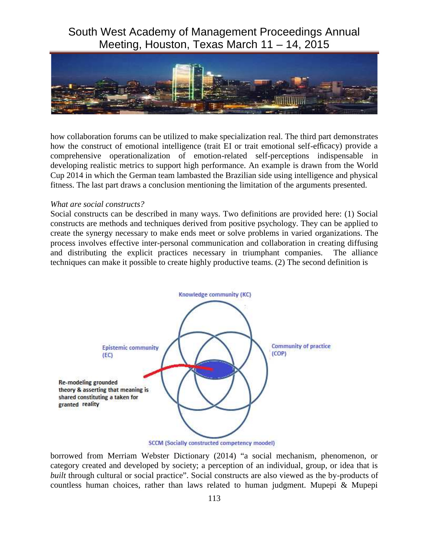

how collaboration forums can be utilized to make specialization real. The third part demonstrates how the construct of emotional intelligence (trait EI or trait emotional self-efficacy) provide a comprehensive operationalization of emotion-related self-perceptions indispensable in developing realistic metrics to support high performance. An example is drawn from the World Cup 2014 in which the German team lambasted the Brazilian side using intelligence and physical fitness. The last part draws a conclusion mentioning the limitation of the arguments presented.

#### *What are social constructs?*

Social constructs can be described in many ways. Two definitions are provided here: (1) Social constructs are methods and techniques derived from positive psychology. They can be applied to create the synergy necessary to make ends meet or solve problems in varied organizations. The process involves effective inter-personal communication and collaboration in creating diffusing and distributing the explicit practices necessary in triumphant companies. The alliance techniques can make it possible to create highly productive teams. (2) The second definition is



SCCM (Socially constructed competency moodel)

borrowed from Merriam Webster Dictionary (2014) "a social mechanism, phenomenon, or category created and developed by society; a perception of an individual, group, or idea that is *built* through cultural or social practice". Social constructs are also viewed as the by-products of countless human choices, rather than laws related to human judgment. Mupepi & Mupepi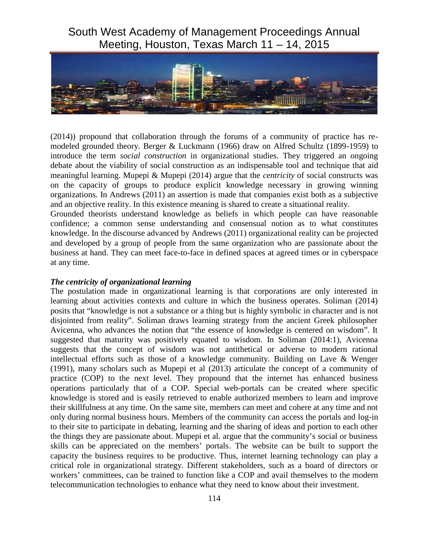

(2014)) propound that collaboration through the forums of a community of practice has re modeled grounded theory. Berger & Luckmann (1966) draw on Alfred Schultz (1899-1959) to introduce the term *social construction* in organizational studies. They triggered an ongoing debate about the viability of social construction as an indispensable tool and technique that aid meaningful learning. Mupepi & Mupepi (2014) argue that the *centricity* of social constructs was on the capacity of groups to produce explicit knowledge necessary in growing winning organizations. In Andrews (2011) an assertion is made that companies exist both as a subjective and an objective reality. In this existence meaning is shared to create a situational reality.

Grounded theorists understand knowledge as beliefs in which people can have reasonable confidence; a common sense understanding and consensual notion as to what constitutes knowledge. In the discourse advanced by Andrews (2011) organizational reality can be projected and developed by a group of people from the same organization who are passionate about the business at hand. They can meet face-to-face in defined spaces at agreed times or in cyberspace at any time.

#### *The centricity of organizational learning*

The postulation made in organizational learning is that corporations are only interested in learning about activities contexts and culture in which the business operates. Soliman (2014) posits that "knowledge is not a substance or a thing but is highly symbolic in character and is not disjointed from reality". Soliman draws learning strategy from the ancient Greek philosopher Avicenna, who advances the notion that "the essence of knowledge is centered on wisdom". It suggested that maturity was positively equated to wisdom. In Soliman (2014:1), Avicenna suggests that the concept of wisdom was not antithetical or adverse to modern rational intellectual efforts such as those of a knowledge community. Building on Lave & Wenger (1991), many scholars such as Mupepi et al (2013) articulate the concept of a community of practice (COP) to the next level. They propound that the internet has enhanced business operations particularly that of a COP. Special web-portals can be created where specific knowledge is stored and is easily retrieved to enable authorized members to learn and improve their skillfulness at any time. On the same site, members can meet and cohere at any time and not only during normal business hours. Members of the community can access the portals and log-in to their site to participate in debating, learning and the sharing of ideas and portion to each other the things they are passionate about. Mupepi et al. argue that the community's social or business skills can be appreciated on the members' portals. The website can be built to support the capacity the business requires to be productive. Thus, internet learning technology can play a critical role in organizational strategy. Different stakeholders, such as a board of directors or workers' committees, can be trained to function like a COP and avail themselves to the modern telecommunication technologies to enhance what they need to know about their investment.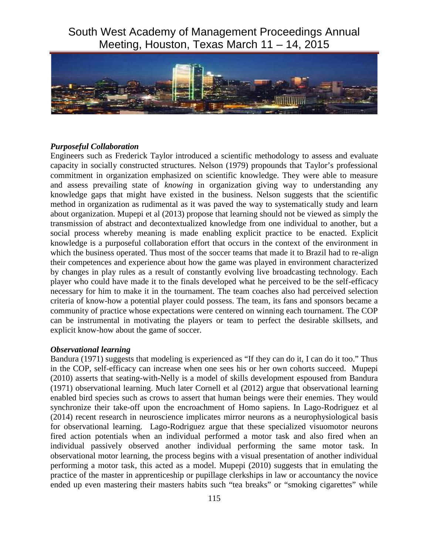

### *Purposeful Collaboration*

Engineers such as Frederick Taylor introduced a scientific methodology to assess and evaluate capacity in socially constructed structures. Nelson (1979) propounds that Taylor's professional commitment in organization emphasized on scientific knowledge. They were able to measure and assess prevailing state of *knowing* in organization giving way to understanding any knowledge gaps that might have existed in the business. Nelson suggests that the scientific method in organization as rudimental as it was paved the way to systematically study and learn about organization. Mupepi et al (2013) propose that learning should not be viewed as simply the transmission of abstract and decontextualized knowledge from one individual to another, but a social process whereby meaning is made enabling explicit practice to be enacted. Explicit knowledge is a purposeful collaboration effort that occurs in the context of the environment in which the business operated. Thus most of the soccer teams that made it to Brazil had to re-align their competences and experience about how the game was played in environment characterized by changes in play rules as a result of constantly evolving live broadcasting technology. Each player who could have made it to the finals developed what he perceived to be the self-efficacy necessary for him to make it in the tournament. The team coaches also had perceived selection criteria of know-how a potential player could possess. The team, its fans and sponsors became a community of practice whose expectations were centered on winning each tournament. The COP can be instrumental in motivating the players or team to perfect the desirable skillsets, and explicit know-how about the game of soccer.

#### *Observational learning*

Bandura (1971) suggests that modeling is experienced as "If they can do it, I can do it too." Thus in the COP, self-efficacy can increase when one sees his or her own cohorts succeed. Mupepi (2010) asserts that seating-with-Nelly is a model of skills development espoused from Bandura (1971) observational learning. Much later Cornell et al (2012) argue that observational learning enabled bird species such as crows to assert that human beings were their enemies. They would synchronize their take-off upon the encroachment of Homo sapiens. In Lago-Rodriguez et al (2014) recent research in neuroscience implicates mirror neurons as a neurophysiological basis for observational learning. Lago-Rodriguez argue that these specialized visuomotor neurons fired action potentials when an individual performed a motor task and also fired when an individual passively observed another individual performing the same motor task. In observational motor learning, the process begins with a visual presentation of another individual performing a motor task, this acted as a model. Mupepi (2010) suggests that in emulating the practice of the master in apprenticeship or pupillage clerkships in law or accountancy the novice ended up even mastering their masters habits such "tea breaks" or "smoking cigarettes" while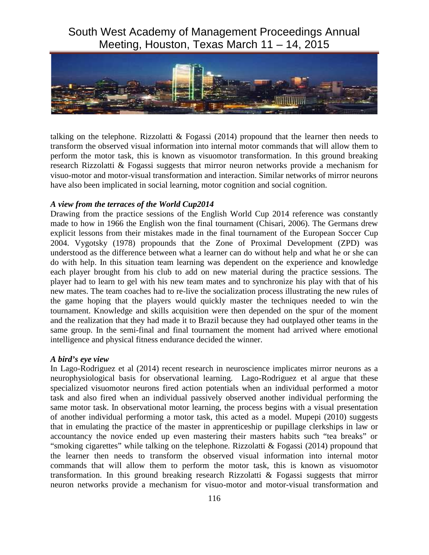

talking on the telephone. Rizzolatti & Fogassi (2014) propound that the learner then needs to transform the observed visual information into internal motor commands that will allow them to perform the motor task, this is known as visuomotor transformation. In this ground breaking research Rizzolatti & Fogassi suggests that mirror neuron networks provide a mechanism for visuo-motor and motor-visual transformation and interaction. Similar networks of mirror neurons have also been implicated in social learning, motor cognition and social cognition.

### *A view from the terraces of the World Cup2014*

Drawing from the practice sessions of the English World Cup 2014 reference was constantly made to how in 1966 the English won the final tournament (Chisari, 2006). The Germans drew explicit lessons from their mistakes made in the final tournament of the European Soccer Cup 2004. Vygotsky (1978) propounds that the Zone of Proximal Development (ZPD) was understood as the difference between what a learner can do without help and what he or she can do with help. In this situation team learning was dependent on the experience and knowledge each player brought from his club to add on new material during the practice sessions. The player had to learn to gel with his new team mates and to synchronize his play with that of his new mates. The team coaches had to re-live the socialization process illustrating the new rules of the game hoping that the players would quickly master the techniques needed to win the tournament. Knowledge and skills acquisition were then depended on the spur of the moment and the realization that they had made it to Brazil because they had outplayed other teams in the same group. In the semi-final and final tournament the moment had arrived where emotional intelligence and physical fitness endurance decided the winner.

#### *A bird's eye view*

In Lago-Rodriguez et al (2014) recent research in neuroscience implicates mirror neurons as a neurophysiological basis for observational learning. Lago-Rodriguez et al argue that these specialized visuomotor neurons fired action potentials when an individual performed a motor task and also fired when an individual passively observed another individual performing the same motor task. In observational motor learning, the process begins with a visual presentation of another individual performing a motor task, this acted as a model. Mupepi (2010) suggests that in emulating the practice of the master in apprenticeship or pupillage clerkships in law or accountancy the novice ended up even mastering their masters habits such "tea breaks" or "smoking cigarettes" while talking on the telephone. Rizzolatti  $&$  Fogassi (2014) propound that the learner then needs to transform the observed visual information into internal motor commands that will allow them to perform the motor task, this is known as visuomotor transformation. In this ground breaking research Rizzolatti & Fogassi suggests that mirror neuron networks provide a mechanism for visuo-motor and motor-visual transformation and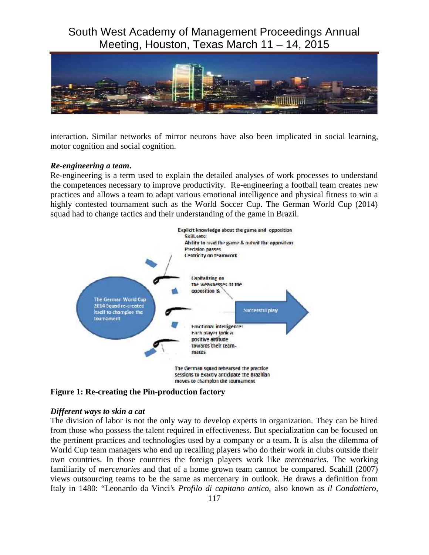

interaction. Similar networks of mirror neurons have also been implicated in social learning, motor cognition and social cognition.

#### *Re-engineering a team***.**

Re-engineering is a term used to explain the detailed analyses of work processes to understand the competences necessary to improve productivity. Re-engineering a football team creates new practices and allows a team to adapt various emotional intelligence and physical fitness to win a highly contested tournament such as the World Soccer Cup. The German World Cup (2014) squad had to change tactics and their understanding of the game in Brazil.



**Figure 1: Re-creating the Pin-production factory**

#### *Different ways to skin a cat*

The division of labor is not the only way to develop experts in organization. They can be hired from those who possess the talent required in effectiveness. But specialization can be focused on the pertinent practices and technologies used by a company or a team. It is also the dilemma of World Cup team managers who end up recalling players who do their work in clubs outside their own countries. In those countries the foreign players work like *mercenaries.* The working familiarity of *mercenaries* and that of a home grown team cannot be compared. Scahill (2007) views outsourcing teams to be the same as mercenary in outlook. He draws a definition from Italy in 1480: "Leonardo da Vinci's *Profilo di capitano antico,* also known as *il Condottiero,*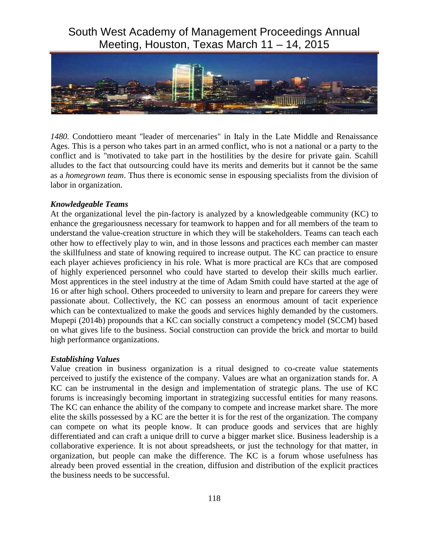

*1480.* Condottiero meant "leader of mercenaries" in Italy in the Late Middle and Renaissance Ages. This is a person who takes part in an armed conflict, who is not a national or a party to the conflict and is "motivated to take part in the hostilities by the desire for private gain. Scahill alludes to the fact that outsourcing could have its merits and demerits but it cannot be the same as a *homegrown team*. Thus there is economic sense in espousing specialists from the division of labor in organization.

### *Knowledgeable Teams*

At the organizational level the pin-factory is analyzed by a knowledgeable community (KC) to enhance the gregariousness necessary for teamwork to happen and for all members of the team to understand the value-creation structure in which they will be stakeholders. Teams can teach each other how to effectively play to win, and in those lessons and practices each member can master the skillfulness and state of knowing required to increase output. The KC can practice to ensure each player achieves proficiency in his role. What is more practical are KCs that are composed of highly experienced personnel who could have started to develop their skills much earlier. Most apprentices in the steel industry at the time of Adam Smith could have started at the age of 16 or after high school. Others proceeded to university to learn and prepare for careers they were passionate about. Collectively, the KC can possess an enormous amount of tacit experience which can be contextualized to make the goods and services highly demanded by the customers. Mupepi (2014b) propounds that a KC can socially construct a competency model (SCCM) based on what gives life to the business. Social construction can provide the brick and mortar to build high performance organizations.

#### *Establishing Values*

Value creation in business organization is a ritual designed to co-create value statements perceived to justify the existence of the company. Values are what an organization stands for. A KC can be instrumental in the design and implementation of strategic plans. The use of KC forums is increasingly becoming important in strategizing successful entities for many reasons. The KC can enhance the ability of the company to compete and increase market share. The more elite the skills possessed by a KC are the better it is for the rest of the organization. The company can compete on what its people know. It can produce goods and services that are highly differentiated and can craft a unique drill to curve a bigger market slice. Business leadership is a collaborative experience. It is not about spreadsheets, or just the technology for that matter, in organization, but people can make the difference. The KC is a forum whose usefulness has already been proved essential in the creation, diffusion and distribution of the explicit practices the business needs to be successful.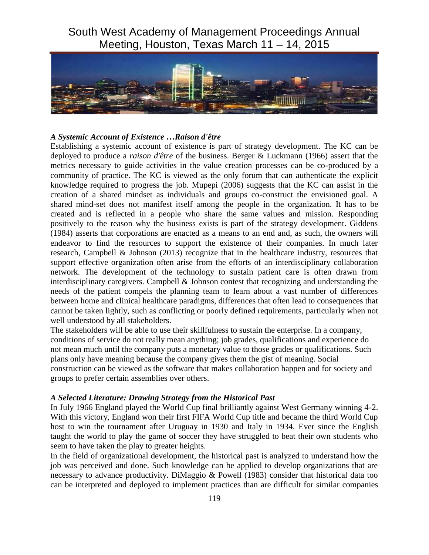

### *A Systemic Account of Existence* **…***Raison d'être*

Establishing a systemic account of existence is part of strategy development. The KC can be deployed to produce a *raison d'être* of the business. Berger & Luckmann (1966) assert that the metrics necessary to guide activities in the value creation processes can be co-produced by a community of practice. The KC is viewed as the only forum that can authenticate the explicit knowledge required to progress the job. Mupepi (2006) suggests that the KC can assist in the creation of a shared mindset as individuals and groups co-construct the envisioned goal. A shared mind-set does not manifest itself among the people in the organization. It has to be created and is reflected in a people who share the same values and mission. Responding positively to the reason why the business exists is part of the strategy development. Giddens (1984) asserts that corporations are enacted as a means to an end and, as such, the owners will endeavor to find the resources to support the existence of their companies. In much later research, Campbell & Johnson (2013) recognize that in the healthcare industry, resources that support effective organization often arise from the efforts of an interdisciplinary collaboration network. The development of the technology to sustain patient care is often drawn from interdisciplinary caregivers. Campbell & Johnson contest that recognizing and understanding the needs of the patient compels the planning team to learn about a vast number of differences between home and clinical healthcare paradigms, differences that often lead to consequences that cannot be taken lightly, such as conflicting or poorly defined requirements, particularly when not well understood by all stakeholders.

The stakeholders will be able to use their skillfulness to sustain the enterprise. In a company, conditions of service do not really mean anything; job grades, qualifications and experience do not mean much until the company puts a monetary value to those grades or qualifications. Such plans only have meaning because the company gives them the gist of meaning. Social construction can be viewed as the software that makes collaboration happen and for society and groups to prefer certain assemblies over others.

#### *A Selected Literature: Drawing Strategy from the Historical Past*

In July 1966 England played the World Cup final brilliantly against West Germany winning 4-2. With this victory, England won their first FIFA World Cup title and became the third World Cup host to win the tournament after Uruguay in 1930 and Italy in 1934. Ever since the English taught the world to play the game of soccer they have struggled to beat their own students who seem to have taken the play to greater heights.

In the field of organizational development, the historical past is analyzed to understand how the job was perceived and done. Such knowledge can be applied to develop organizations that are necessary to advance productivity. DiMaggio & Powell (1983) consider that historical data too can be interpreted and deployed to implement practices than are difficult for similar companies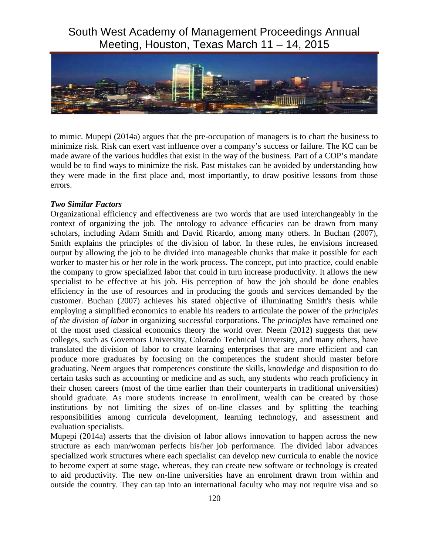

to mimic. Mupepi (2014a) argues that the pre-occupation of managers is to chart the business to minimize risk. Risk can exert vast influence over a company's success or failure. The KC can be made aware of the various huddles that exist in the way of the business. Part of a COP's mandate would be to find ways to minimize the risk. Past mistakes can be avoided by understanding how they were made in the first place and, most importantly, to draw positive lessons from those errors.

#### *Two Similar Factors*

Organizational efficiency and effectiveness are two words that are used interchangeably in the context of organizing the job. The ontology to advance efficacies can be drawn from many scholars, including Adam Smith and David Ricardo, among many others. In Buchan (2007), Smith explains the principles of the division of labor. In these rules, he envisions increased output by allowing the job to be divided into manageable chunks that make it possible for each worker to master his or her role in the work process. The concept, put into practice, could enable the company to grow specialized labor that could in turn increase productivity. It allows the new specialist to be effective at his job. His perception of how the job should be done enables efficiency in the use of resources and in producing the goods and services demanded by the customer. Buchan (2007) achieves his stated objective of illuminating Smith's thesis while employing a simplified economics to enable his readers to articulate the power of the *principles of the division of labor* in organizing successful corporations. The *principles* have remained one of the most used classical economics theory the world over. Neem (2012) suggests that new colleges, such as Governors University, Colorado Technical University, and many others, have translated the division of labor to create learning enterprises that are more efficient and can produce more graduates by focusing on the competences the student should master before graduating. Neem argues that competences constitute the skills, knowledge and disposition to do certain tasks such as accounting or medicine and as such, any students who reach proficiency in their chosen careers (most of the time earlier than their counterparts in traditional universities) should graduate. As more students increase in enrollment, wealth can be created by those institutions by not limiting the sizes of on-line classes and by splitting the teaching responsibilities among curricula development, learning technology, and assessment and evaluation specialists.

Mupepi (2014a) asserts that the division of labor allows innovation to happen across the new structure as each man/woman perfects his/her job performance. The divided labor advances specialized work structures where each specialist can develop new curricula to enable the novice to become expert at some stage, whereas, they can create new software or technology is created to aid productivity. The new on-line universities have an enrolment drawn from within and outside the country. They can tap into an international faculty who may not require visa and so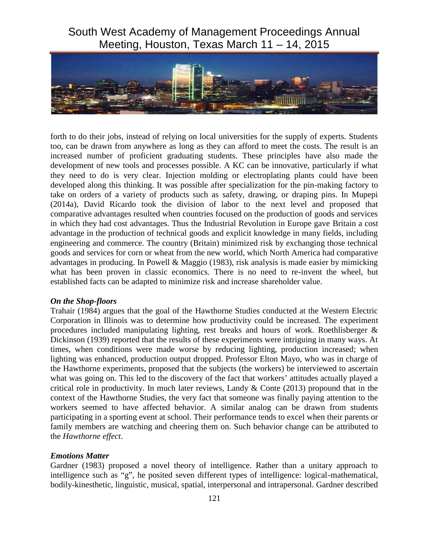

forth to do their jobs, instead of relying on local universities for the supply of experts. Students too, can be drawn from anywhere as long as they can afford to meet the costs. The result is an increased number of proficient graduating students. These principles have also made the development of new tools and processes possible. A KC can be innovative, particularly if what they need to do is very clear. Injection molding or electroplating plants could have been developed along this thinking. It was possible after specialization for the pin-making factory to take on orders of a variety of products such as safety, drawing, or draping pins. In Mupepi (2014a), David Ricardo took the division of labor to the next level and proposed that comparative advantages resulted when countries focused on the production of goods and services in which they had cost advantages. Thus the Industrial Revolution in Europe gave Britain a cost advantage in the production of technical goods and explicit knowledge in many fields, including engineering and commerce. The country (Britain) minimized risk by exchanging those technical goods and services for corn or wheat from the new world, which North America had comparative advantages in producing. In Powell & Maggio (1983), risk analysis is made easier by mimicking what has been proven in classic economics. There is no need to re-invent the wheel, but established facts can be adapted to minimize risk and increase shareholder value.

#### *On the Shop-floors*

Trahair (1984) argues that the goal of the Hawthorne Studies conducted at the Western Electric Corporation in Illinois was to determine how productivity could be increased. The experiment procedures included manipulating lighting, rest breaks and hours of work. Roethlisberger & Dickinson (1939) reported that the results of these experiments were intriguing in many ways. At times, when conditions were made worse by reducing lighting, production increased; when lighting was enhanced, production output dropped. Professor Elton Mayo, who was in charge of the Hawthorne experiments, proposed that the subjects (the workers) be interviewed to ascertain what was going on. This led to the discovery of the fact that workers' attitudes actually played a critical role in productivity. In much later reviews, Landy  $&$  Conte (2013) propound that in the context of the Hawthorne Studies, the very fact that someone was finally paying attention to the workers seemed to have affected behavior. A similar analog can be drawn from students participating in a sporting event at school. Their performance tends to excel when their parents or family members are watching and cheering them on. Such behavior change can be attributed to the *Hawthorne effect*.

### *Emotions Matter*

Gardner (1983) proposed a novel theory of intelligence. Rather than a unitary approach to intelligence such as "g", he posited seven different types of intelligence: logical-mathematical, bodily-kinesthetic, linguistic, musical, spatial, interpersonal and intrapersonal. Gardner described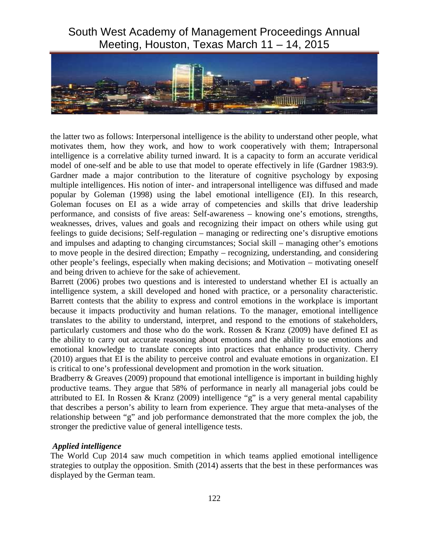

the latter two as follows: Interpersonal intelligence is the ability to understand other people, what motivates them, how they work, and how to work cooperatively with them; Intrapersonal intelligence is a correlative ability turned inward. It is a capacity to form an accurate veridical model of one-self and be able to use that model to operate effectively in life (Gardner 1983:9). Gardner made a major contribution to the literature of cognitive psychology by exposing multiple intelligences. His notion of inter- and intrapersonal intelligence was diffused and made popular by Goleman (1998) using the label emotional intelligence (EI). In this research, Goleman focuses on EI as a wide array of competencies and skills that drive leadership performance, and consists of five areas: Self-awareness – knowing one's emotions, strengths, weaknesses, drives, values and goals and recognizing their impact on others while using gut feelings to guide decisions; Self-regulation – managing or redirecting one's disruptive emotions and impulses and adapting to changing circumstances; Social skill – managing other's emotions to move people in the desired direction; Empathy – recognizing, understanding, and considering other people's feelings, especially when making decisions; and Motivation – motivating oneself and being driven to achieve for the sake of achievement.

Barrett (2006) probes two questions and is interested to understand whether EI is actually an intelligence system, a skill developed and honed with practice, or a personality characteristic. Barrett contests that the ability to express and control emotions in the workplace is important because it impacts productivity and human relations. To the manager, emotional intelligence translates to the ability to understand, interpret, and respond to the emotions of stakeholders, particularly customers and those who do the work. Rossen & Kranz (2009) have defined EI as the ability to carry out accurate reasoning about emotions and the ability to use emotions and emotional knowledge to translate concepts into practices that enhance productivity. Cherry (2010) argues that EI is the ability to perceive control and evaluate emotions in organization. EI is critical to one's professional development and promotion in the work situation.

Bradberry & Greaves (2009) propound that emotional intelligence is important in building highly productive teams. They argue that 58% of performance in nearly all managerial jobs could be attributed to EI. In Rossen & Kranz (2009) intelligence "g" is a very general mental capability that describes a person's ability to learn from experience. They argue that meta-analyses of the relationship between "g" and job performance demonstrated that the more complex the job, the stronger the predictive value of general intelligence tests.

#### *Applied intelligence*

The World Cup 2014 saw much competition in which teams applied emotional intelligence strategies to outplay the opposition. Smith (2014) asserts that the best in these performances was displayed by the German team.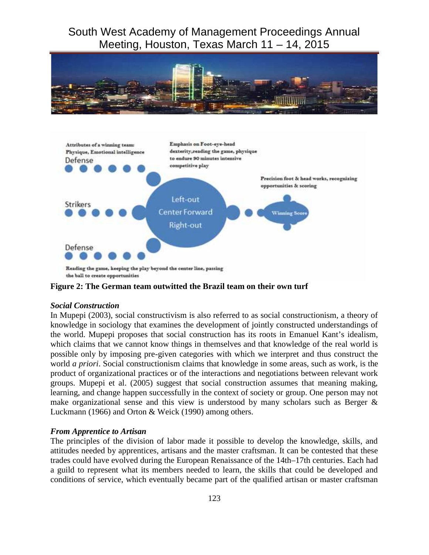



**Figure 2: The German team outwitted the Brazil team on their own turf**

#### *Social Construction*

In Mupepi (2003), social constructivism is also referred to as social constructionism, a theory of knowledge in sociology that examines the development of jointly constructed understandings of the world. Mupepi proposes that social construction has its roots in Emanuel Kant's idealism, which claims that we cannot know things in themselves and that knowledge of the real world is possible only by imposing pre-given categories with which we interpret and thus construct the world *a priori*. Social constructionism claims that knowledge in some areas, such as work, is the product of organizational practices or of the interactions and negotiations between relevant work groups. Mupepi et al. (2005) suggest that social construction assumes that meaning making, learning, and change happen successfully in the context of society or group. One person may not make organizational sense and this view is understood by many scholars such as Berger  $\&$ Luckmann (1966) and Orton & Weick (1990) among others.

### *From Apprentice to Artisan*

The principles of the division of labor made it possible to develop the knowledge, skills, and attitudes needed by apprentices, artisans and the master craftsman. It can be contested that these trades could have evolved during the European Renaissance of the 14th–17th centuries. Each had a guild to represent what its members needed to learn, the skills that could be developed and conditions of service, which eventually became part of the qualified artisan or master craftsman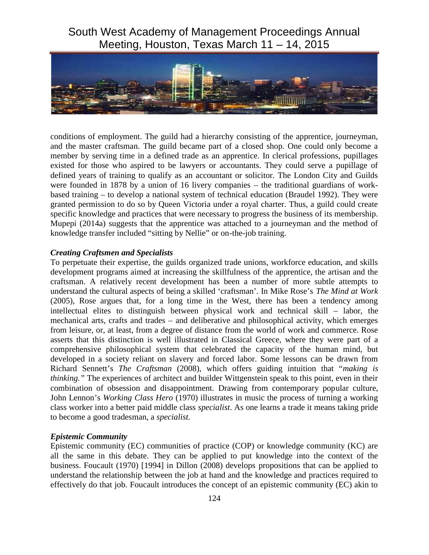

conditions of employment. The guild had a hierarchy consisting of the apprentice, journeyman, and the master craftsman. The guild became part of a closed shop. One could only become a member by serving time in a defined trade as an apprentice. In clerical professions, pupillages existed for those who aspired to be lawyers or accountants. They could serve a pupillage of defined years of training to qualify as an accountant or solicitor. The London City and Guilds were founded in 1878 by a union of 16 livery companies – the traditional guardians of work based training – to develop a national system of technical education (Braudel 1992). They were granted permission to do so by Queen Victoria under a royal charter. Thus, a guild could create specific knowledge and practices that were necessary to progress the business of its membership. Mupepi (2014a) suggests that the apprentice was attached to a journeyman and the method of knowledge transfer included "sitting by Nellie" or on-the-job training.

#### *Creating Craftsmen and Specialists*

To perpetuate their expertise, the guilds organized trade unions, workforce education, and skills development programs aimed at increasing the skillfulness of the apprentice, the artisan and the craftsman. A relatively recent development has been a number of more subtle attempts to understand the cultural aspects of being a skilled 'craftsman'. In Mike Rose's *The Mind at Work* (2005), Rose argues that, for a long time in the West, there has been a tendency among intellectual elites to distinguish between physical work and technical skill – labor, the mechanical arts, crafts and trades – and deliberative and philosophical activity, which emerges from leisure, or, at least, from a degree of distance from the world of work and commerce. Rose asserts that this distinction is well illustrated in Classical Greece, where they were part of a comprehensive philosophical system that celebrated the capacity of the human mind, but developed in a society reliant on slavery and forced labor. Some lessons can be drawn from Richard Sennett's *The Craftsman* (2008), which offers guiding intuition that "*making is thinking."* The experiences of architect and builder Wittgenstein speak to this point, even in their combination of obsession and disappointment. Drawing from contemporary popular culture, John Lennon's *Working Class Hero* (1970) illustrates in music the process of turning a working class worker into a better paid middle class *specialist*. As one learns a trade it means taking pride to become a good tradesman, a *specialist.*

#### *Epistemic Community*

Epistemic community (EC) communities of practice (COP) or knowledge community (KC) are all the same in this debate. They can be applied to put knowledge into the context of the business. Foucault (1970) [1994] in Dillon (2008) develops propositions that can be applied to understand the relationship between the job at hand and the knowledge and practices required to effectively do that job. Foucault introduces the concept of an epistemic community (EC) akin to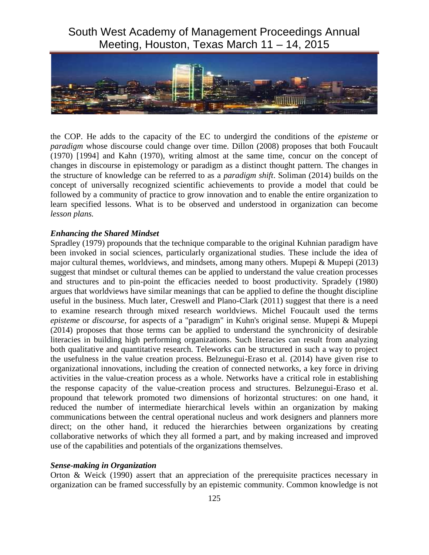

the COP. He adds to the capacity of the EC to undergird the conditions of the *episteme* or *paradigm* whose discourse could change over time. Dillon (2008) proposes that both Foucault (1970) [1994] and Kahn (1970), writing almost at the same time, concur on the concept of changes in discourse in epistemology or paradigm as a distinct thought pattern. The changes in the structure of knowledge can be referred to as a *paradigm shift*. Soliman (2014) builds on the concept of universally recognized scientific achievements to provide a model that could be followed by a community of practice to grow innovation and to enable the entire organization to learn specified lessons. What is to be observed and understood in organization can become *lesson plans.*

#### *Enhancing the Shared Mindset*

Spradley (1979) propounds that the technique comparable to the original Kuhnian paradigm have been invoked in social sciences, particularly organizational studies. These include the idea of major cultural themes, worldviews, and mindsets, among many others. Mupepi & Mupepi (2013) suggest that mindset or cultural themes can be applied to understand the value creation processes and structures and to pin-point the efficacies needed to boost productivity. Spradely (1980) argues that worldviews have similar meanings that can be applied to define the thought discipline useful in the business. Much later, Creswell and Plano-Clark (2011) suggest that there is a need to examine research through mixed research worldviews. Michel Foucault used the terms *episteme* or *discourse*, for aspects of a "paradigm" in Kuhn's original sense. Mupepi & Mupepi (2014) proposes that those terms can be applied to understand the synchronicity of desirable literacies in building high performing organizations. Such literacies can result from analyzing both qualitative and quantitative research. Teleworks can be structured in such a way to project the usefulness in the value creation process. Belzunegui-Eraso et al. (2014) have given rise to organizational innovations, including the creation of connected networks, a key force in driving activities in the value-creation process as a whole. Networks have a critical role in establishing the response capacity of the value-creation process and structures. Belzunegui-Eraso et al. propound that telework promoted two dimensions of horizontal structures: on one hand, it reduced the number of intermediate hierarchical levels within an organization by making communications between the central operational nucleus and work designers and planners more direct; on the other hand, it reduced the hierarchies between organizations by creating collaborative networks of which they all formed a part, and by making increased and improved use of the capabilities and potentials of the organizations themselves.

#### *Sense-making in Organization*

Orton & Weick (1990) assert that an appreciation of the prerequisite practices necessary in organization can be framed successfully by an epistemic community. Common knowledge is not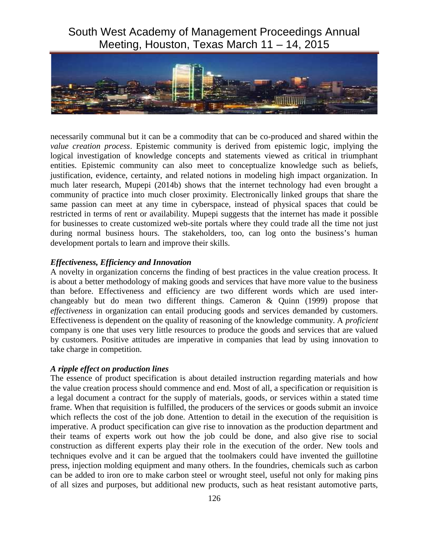

necessarily communal but it can be a commodity that can be co-produced and shared within the *value creation process*. Epistemic community is derived from epistemic logic, implying the logical investigation of knowledge concepts and statements viewed as critical in triumphant entities. Epistemic community can also meet to conceptualize knowledge such as beliefs, justification, evidence, certainty, and related notions in modeling high impact organization. In much later research, Mupepi (2014b) shows that the internet technology had even brought a community of practice into much closer proximity. Electronically linked groups that share the same passion can meet at any time in cyberspace, instead of physical spaces that could be restricted in terms of rent or availability. Mupepi suggests that the internet has made it possible for businesses to create customized web-site portals where they could trade all the time not just during normal business hours. The stakeholders, too, can log onto the business's human development portals to learn and improve their skills.

### *Effectiveness, Efficiency and Innovation*

A novelty in organization concerns the finding of best practices in the value creation process. It is about a better methodology of making goods and services that have more value to the business than before. Effectiveness and efficiency are two different words which are used inter changeably but do mean two different things. Cameron & Quinn (1999) propose that *effectiveness* in organization can entail producing goods and services demanded by customers. Effectiveness is dependent on the quality of reasoning of the knowledge community. A *proficient* company is one that uses very little resources to produce the goods and services that are valued by customers. Positive attitudes are imperative in companies that lead by using innovation to take charge in competition.

#### *A ripple effect on production lines*

The essence of product specification is about detailed instruction regarding materials and how the value creation process should commence and end. Most of all, a specification or requisition is a legal document a contract for the supply of materials, goods, or services within a stated time frame. When that requisition is fulfilled, the producers of the services or goods submit an invoice which reflects the cost of the job done. Attention to detail in the execution of the requisition is imperative. A product specification can give rise to innovation as the production department and their teams of experts work out how the job could be done, and also give rise to social construction as different experts play their role in the execution of the order. New tools and techniques evolve and it can be argued that the toolmakers could have invented the guillotine press, injection molding equipment and many others. In the foundries, chemicals such as carbon can be added to iron ore to make carbon steel or wrought steel, useful not only for making pins of all sizes and purposes, but additional new products, such as heat resistant automotive parts,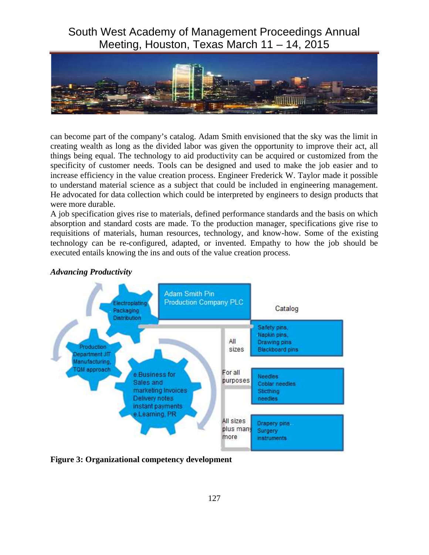

can become part of the company's catalog. Adam Smith envisioned that the sky was the limit in creating wealth as long as the divided labor was given the opportunity to improve their act, all things being equal. The technology to aid productivity can be acquired or customized from the specificity of customer needs. Tools can be designed and used to make the job easier and to increase efficiency in the value creation process. Engineer Frederick W. Taylor made it possible to understand material science as a subject that could be included in engineering management. He advocated for data collection which could be interpreted by engineers to design products that were more durable.

A job specification gives rise to materials, defined performance standards and the basis on which absorption and standard costs are made. To the production manager, specifications give rise to requisitions of materials, human resources, technology, and know-how. Some of the existing technology can be re-configured, adapted, or invented. Empathy to how the job should be executed entails knowing the ins and outs of the value creation process.



### *Advancing Productivity*

**Figure 3: Organizational competency development**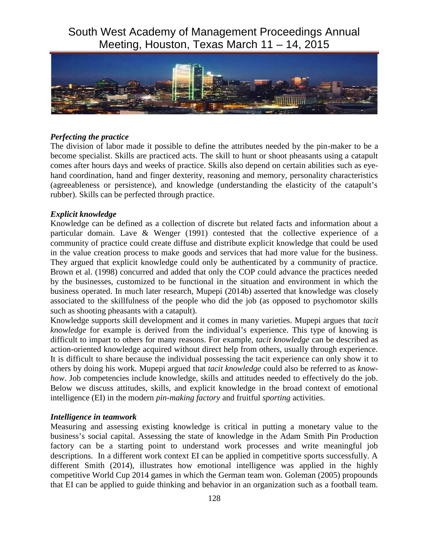

#### *Perfecting the practice*

The division of labor made it possible to define the attributes needed by the pin-maker to be a become specialist. Skills are practiced acts. The skill to hunt or shoot pheasants using a catapult comes after hours days and weeks of practice. Skills also depend on certain abilities such as eye hand coordination, hand and finger dexterity, reasoning and memory, personality characteristics (agreeableness or persistence), and knowledge (understanding the elasticity of the catapult's rubber). Skills can be perfected through practice.

#### *Explicit knowledge*

Knowledge can be defined as a collection of discrete but related facts and information about a particular domain. Lave & Wenger (1991) contested that the collective experience of a community of practice could create diffuse and distribute explicit knowledge that could be used in the value creation process to make goods and services that had more value for the business. They argued that explicit knowledge could only be authenticated by a community of practice. Brown et al. (1998) concurred and added that only the COP could advance the practices needed by the businesses, customized to be functional in the situation and environment in which the business operated. In much later research, Mupepi (2014b) asserted that knowledge was closely associated to the skillfulness of the people who did the job (as opposed to psychomotor skills such as shooting pheasants with a catapult).

Knowledge supports skill development and it comes in many varieties. Mupepi argues that *tacit knowledge* for example is derived from the individual's experience. This type of knowing is difficult to impart to others for many reasons. For example, *tacit knowledge* can be described as action-oriented knowledge acquired without direct help from others, usually through experience. It is difficult to share because the individual possessing the tacit experience can only show it to others by doing his work. Mupepi argued that *tacit knowledge* could also be referred to as *know how*. Job competencies include knowledge, skills and attitudes needed to effectively do the job. Below we discuss attitudes, skills, and explicit knowledge in the broad context of emotional intelligence (EI) in the modern *pin-making factory* and fruitful *sporting* activities.

### *Intelligence in teamwork*

Measuring and assessing existing knowledge is critical in putting a monetary value to the business's social capital. Assessing the state of knowledge in the Adam Smith Pin Production factory can be a starting point to understand work processes and write meaningful job descriptions. In a different work context EI can be applied in competitive sports successfully. A different Smith (2014), illustrates how emotional intelligence was applied in the highly competitive World Cup 2014 games in which the German team won. Goleman (2005) propounds that EI can be applied to guide thinking and behavior in an organization such as a football team.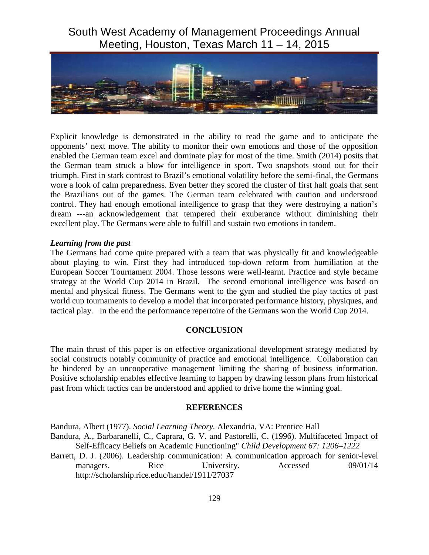

Explicit knowledge is demonstrated in the ability to read the game and to anticipate the opponents' next move. The ability to monitor their own emotions and those of the opposition enabled the German team excel and dominate play for most of the time. Smith (2014) posits that the German team struck a blow for intelligence in sport. Two snapshots stood out for their triumph. First in stark contrast to Brazil's emotional volatility before the semi-final, the Germans wore a look of calm preparedness. Even better they scored the cluster of first half goals that sent the Brazilians out of the games. The German team celebrated with caution and understood control. They had enough emotional intelligence to grasp that they were destroying a nation's dream ---an acknowledgement that tempered their exuberance without diminishing their excellent play. The Germans were able to fulfill and sustain two emotions in tandem.

### *Learning from the past*

The Germans had come quite prepared with a team that was physically fit and knowledgeable about playing to win. First they had introduced top-down reform from humiliation at the European Soccer Tournament 2004. Those lessons were well-learnt. Practice and style became strategy at the World Cup 2014 in Brazil. The second emotional intelligence was based on mental and physical fitness. The Germans went to the gym and studied the play tactics of past world cup tournaments to develop a model that incorporated performance history, physiques, and tactical play. In the end the performance repertoire of the Germans won the World Cup 2014.

#### **CONCLUSION**

The main thrust of this paper is on effective organizational development strategy mediated by social constructs notably community of practice and emotional intelligence. Collaboration can be hindered by an uncooperative management limiting the sharing of business information. Positive scholarship enables effective learning to happen by drawing lesson plans from historical past from which tactics can be understood and applied to drive home the winning goal.

#### **REFERENCES**

Bandura, Albert (1977). *Social Learning Theory.* Alexandria, VA: Prentice Hall

Bandura, A., Barbaranelli, C., Caprara, G. V. and Pastorelli, C. (1996). Multifaceted Impact of Self-Efficacy Beliefs on Academic Functioning" *Child Development 67: 1206–1222*

Barrett, D. J. (2006). Leadership communication: A communication approach for senior-level managers. Rice University. Accessed 09/01/14 http://scholarship.rice.educ/handel/1911/27037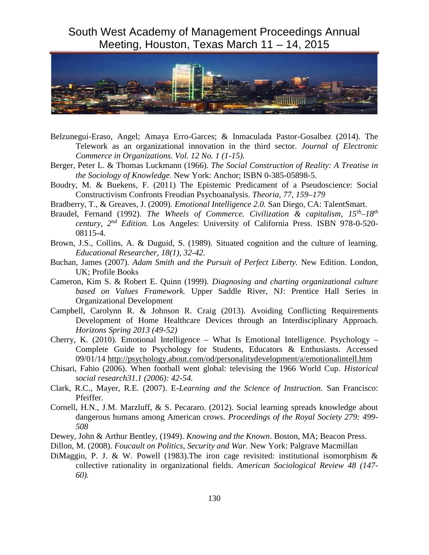

- Belzunegui-Eraso, Angel; Amaya Erro-Garces; & Inmaculada Pastor-Gosalbez (2014). The Telework as an organizational innovation in the third sector. *Journal of Electronic Commerce in Organizations. Vol. 12 No. 1 (1-15).*
- Berger, Peter L. & Thomas Luckmann (1966). *The Social Construction of Reality: A Treatise in the Sociology of Knowledge*. New York: Anchor; ISBN 0-385-05898-5.
- Boudry, M. & Buekens, F. (2011) The Epistemic Predicament of a Pseudoscience: Social Constructivism Confronts Freudian Psychoanalysis. *Theoria, 77, 159–179*
- Bradberry, T., & Greaves, J. (2009). *Emotional Intelligence 2.0.* San Diego, CA: TalentSmart.
- Braudel, Fernand (1992). *The Wheels of Commerce. Civilization & capitalism, 15th–18th century, 2nd Edition.* Los Angeles: University of California Press. ISBN 978-0-520- 08115-4.
- Brown, J.S., Collins, A. & Duguid, S. (1989). Situated cognition and the culture of learning. *Educational Researcher, 18(1), 32-42.*
- Buchan, James (2007). *Adam Smith and the Pursuit of Perfect Liberty.* New Edition. London, UK; Profile Books
- Cameron, Kim S. & Robert E. Quinn (1999). *Diagnosing and charting organizational culture based on Values Framework.* Upper Saddle River, NJ: Prentice Hall Series in Organizational Development
- Campbell, Carolynn R. & Johnson R. Craig (2013). Avoiding Conflicting Requirements Development of Home Healthcare Devices through an Interdisciplinary Approach. *Horizons Spring 2013 (49-52)*
- Cherry, K. (2010). Emotional Intelligence What Is Emotional Intelligence. Psychology Complete Guide to Psychology for Students, Educators & Enthusiasts. Accessed 09/01/14 http://psychology.about.com/od/personalitydevelopment/a/emotionalintell.htm
- Chisari, Fabio (2006). When football went global: televising the 1966 World Cup*. Historical social research31.1 (2006): 42-54.*
- Clark, R.C., Mayer, R.E. (2007). E*-Learning and the Science of Instruction.* San Francisco: Pfeiffer.
- Cornell, H.N., J.M. Marzluff, & S. Pecararo. (2012). Social learning spreads knowledge about dangerous humans among American crows. *Proceedings of the Royal Society 279: 499- 508*
- Dewey, John & Arthur Bentley, (1949). *Knowing and the Known*. Boston, MA; Beacon Press.
- Dillon, M. (2008). *Foucault on Politics, Security and War.* New York: Palgrave Macmillan
- DiMaggio, P. J. & W. Powell (1983).The iron cage revisited: institutional isomorphism & collective rationality in organizational fields. *American Sociological Review 48 (147- 60).*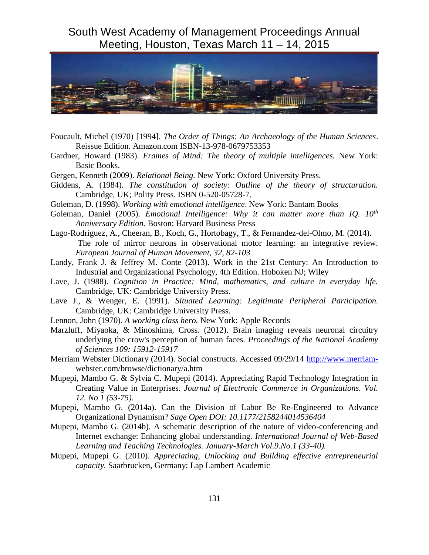

- Foucault, Michel (1970) [1994]. *The Order of Things: An Archaeology of the Human Sciences*. Reissue Edition. Amazon.com ISBN-13-978-0679753353
- Gardner, Howard (1983). *Frames of Mind: The theory of multiple intelligences.* New York: Basic Books.
- Gergen, Kenneth (2009). *Relational Being.* New York: Oxford University Press.
- Giddens, A. (1984). *The constitution of society: Outline of the theory of structuration.* Cambridge, UK; Polity Press. ISBN 0-520-05728-7.
- Goleman, D. (1998). *Working with emotional intelligence*. New York: Bantam Books
- Goleman, Daniel (2005). *Emotional Intelligence: Why it can matter more than IQ. 10th Anniversary Edition.* Boston: Harvard Business Press
- Lago-Rodríguez, A., Cheeran, B., Koch, G., Hortobagy, T., & Fernandez-del-Olmo, M. (2014). The role of mirror neurons in observational motor learning: an integrative review. *European Journal of Human Movement, 32, 82-103*
- Landy, Frank J. & Jeffrey M. Conte (2013). Work in the 21st Century: An Introduction to Industrial and Organizational Psychology, 4th Edition. Hoboken NJ; Wiley
- Lave, J. (1988). *Cognition in Practice: Mind, mathematics, and culture in everyday life.* Cambridge, UK: Cambridge University Press.
- Lave J., & Wenger, E. (1991). *Situated Learning: Legitimate Peripheral Participation.* Cambridge, UK: Cambridge University Press.
- Lennon, John (1970). *A working class hero.* New York: Apple Records
- Marzluff, Miyaoka, & Minoshima, Cross. (2012). Brain imaging reveals neuronal circuitry underlying the crow's perception of human faces. *Proceedings of the National Academy of Sciences 109: 15912-15917*
- Merriam Webster Dictionary (2014). Social constructs. Accessed 09/29/14 http://www.merriam webster.com/browse/dictionary/a.htm
- Mupepi, Mambo G. & Sylvia C. Mupepi (2014). Appreciating Rapid Technology Integration in Creating Value in Enterprises. *Journal of Electronic Commerce in Organizations. Vol. 12. No 1 (53-75).*
- Mupepi, Mambo G. (2014a). Can the Division of Labor Be Re-Engineered to Advance Organizational Dynamism? *Sage Open DOI: 10.1177/2158244014536404*
- Mupepi, Mambo G. (2014b). A schematic description of the nature of video-conferencing and Internet exchange: Enhancing global understanding. *International Journal of Web-Based Learning and Teaching Technologies. January-March Vol.9.No.1 (33-40).*
- Mupepi, Mupepi G. (2010). *Appreciating, Unlocking and Building effective entrepreneurial capacity.* Saarbrucken, Germany; Lap Lambert Academic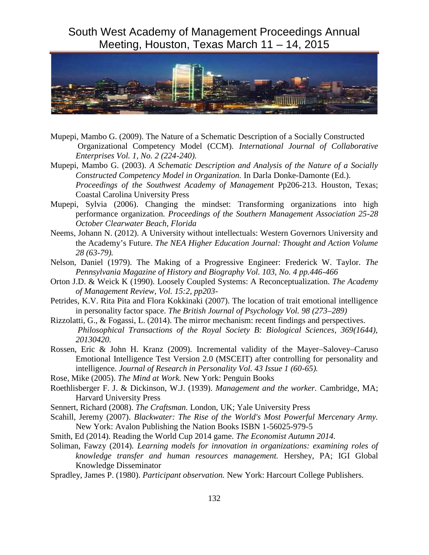

- Mupepi, Mambo G. (2009). The Nature of a Schematic Description of a Socially Constructed Organizational Competency Model (CCM). *International Journal of Collaborative Enterprises Vol. 1, No. 2 (224-240).*
- Mupepi, Mambo G. (2003). *A Schematic Description and Analysis of the Nature of a Socially Constructed Competency Model in Organization.* In Darla Donke-Damonte (Ed.). *Proceedings of the Southwest Academy of Management* Pp206-213. Houston, Texas; Coastal Carolina University Press
- Mupepi, Sylvia (2006). Changing the mindset: Transforming organizations into high performance organization*. Proceedings of the Southern Management Association 25-28 October Clearwater Beach, Florida*
- Neems, Johann N. (2012). A University without intellectuals: Western Governors University and the Academy's Future. *The NEA Higher Education Journal: Thought and Action Volume 28 (63-79).*
- Nelson, Daniel (1979). The Making of a Progressive Engineer: Frederick W. Taylor. *The Pennsylvania Magazine of History and Biography Vol. 103, No. 4 pp.446-466*
- Orton J.D. & Weick K (1990). Loosely Coupled Systems: A Reconceptualization. *The Academy of Management Review, Vol. 15:2, pp203-*
- Petrides, K.V. Rita Pita and Flora Kokkinaki (2007). The location of trait emotional intelligence in personality factor space. *The British Journal of Psychology Vol. 98 (273–289)*
- Rizzolatti, G., & Fogassi, L. (2014). The mirror mechanism: recent findings and perspectives. *Philosophical Transactions of the Royal Society B: Biological Sciences, 369(1644), 20130420.*
- Rossen, Eric & John H. Kranz (2009). Incremental validity of the Mayer–Salovey–Caruso Emotional Intelligence Test Version 2.0 (MSCEIT) after controlling for personality and intelligence. *Journal of Research in Personality Vol. 43 Issue 1 (60-65).*
- Rose, Mike (2005). *The Mind at Work.* New York: Penguin Books
- Roethlisberger F. J. & Dickinson, W.J. (1939). *Management and the worker.* Cambridge, MA; Harvard University Press
- Sennert, Richard (2008). *The Craftsman.* London, UK; Yale University Press
- Scahill, Jeremy (2007). *Blackwater: The Rise of the World's Most Powerful Mercenary Army.* New York: Avalon Publishing the Nation Books ISBN 1-56025-979-5
- Smith, Ed (2014). Reading the World Cup 2014 game. *The Economist Autumn 2014.*
- Soliman, Fawzy (2014)*. Learning models for innovation in organizations: examining roles of knowledge transfer and human resources management.* Hershey, PA; IGI Global Knowledge Disseminator
- Spradley, James P. (1980). *Participant observation.* New York: Harcourt College Publishers.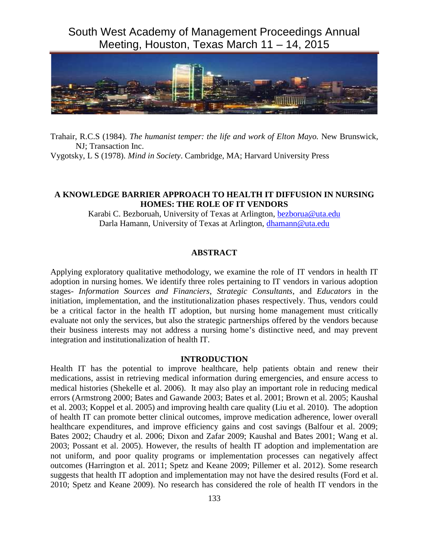

Trahair, R.C.S (1984). *The humanist temper: the life and work of Elton Mayo.* New Brunswick, NJ; Transaction Inc.

Vygotsky, L S (1978). *Mind in Society*. Cambridge, MA; Harvard University Press

### **A KNOWLEDGE BARRIER APPROACH TO HEALTH IT DIFFUSION IN NURSING HOMES: THE ROLE OF IT VENDORS**

Karabi C. Bezboruah, University of Texas at Arlington, bezborua@uta.edu Darla Hamann, University of Texas at Arlington, dhamann@uta.edu

#### **ABSTRACT**

Applying exploratory qualitative methodology, we examine the role of IT vendors in health IT adoption in nursing homes. We identify three roles pertaining to IT vendors in various adoption stages- *Information Sources and Financiers*, *Strategic Consultants*, and *Educators* in the initiation, implementation, and the institutionalization phases respectively. Thus, vendors could be a critical factor in the health IT adoption, but nursing home management must critically evaluate not only the services, but also the strategic partnerships offered by the vendors because their business interests may not address a nursing home's distinctive need, and may prevent integration and institutionalization of health IT.

### **INTRODUCTION**

Health IT has the potential to improve healthcare, help patients obtain and renew their medications, assist in retrieving medical information during emergencies, and ensure access to medical histories (Shekelle et al. 2006). It may also play an important role in reducing medical errors (Armstrong 2000; Bates and Gawande 2003; Bates et al. 2001; Brown et al. 2005; Kaushal et al. 2003; Koppel et al. 2005) and improving health care quality (Liu et al. 2010). The adoption of health IT can promote better clinical outcomes, improve medication adherence, lower overall healthcare expenditures, and improve efficiency gains and cost savings (Balfour et al. 2009; Bates 2002; Chaudry et al. 2006; Dixon and Zafar 2009; Kaushal and Bates 2001; Wang et al. 2003; Possant et al. 2005). However, the results of health IT adoption and implementation are not uniform, and poor quality programs or implementation processes can negatively affect outcomes (Harrington et al. 2011; Spetz and Keane 2009; Pillemer et al. 2012). Some research suggests that health IT adoption and implementation may not have the desired results (Ford et al. 2010; Spetz and Keane 2009). No research has considered the role of health IT vendors in the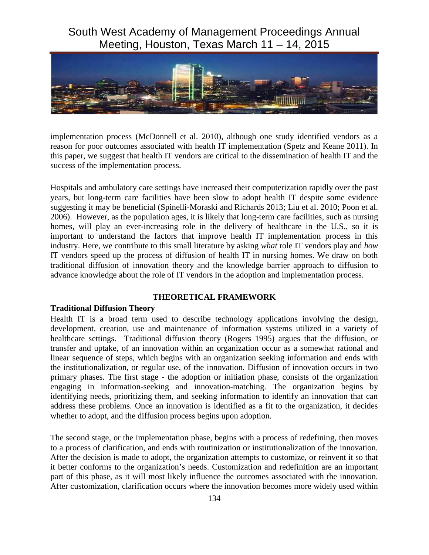

implementation process (McDonnell et al. 2010), although one study identified vendors as a reason for poor outcomes associated with health IT implementation (Spetz and Keane 2011). In this paper, we suggest that health IT vendors are critical to the dissemination of health IT and the success of the implementation process.

Hospitals and ambulatory care settings have increased their computerization rapidly over the past years, but long-term care facilities have been slow to adopt health IT despite some evidence suggesting it may be beneficial (Spinelli-Moraski and Richards 2013; Liu et al. 2010; Poon et al. 2006). However, as the population ages, it is likely that long-term care facilities, such as nursing homes, will play an ever-increasing role in the delivery of healthcare in the U.S., so it is important to understand the factors that improve health IT implementation process in this industry. Here, we contribute to this small literature by asking *what* role IT vendors play and *how* IT vendors speed up the process of diffusion of health IT in nursing homes. We draw on both traditional diffusion of innovation theory and the knowledge barrier approach to diffusion to advance knowledge about the role of IT vendors in the adoption and implementation process.

### **THEORETICAL FRAMEWORK**

#### **Traditional Diffusion Theory**

Health IT is a broad term used to describe technology applications involving the design, development, creation, use and maintenance of information systems utilized in a variety of healthcare settings. Traditional diffusion theory (Rogers 1995) argues that the diffusion, or transfer and uptake, of an innovation within an organization occur as a somewhat rational and linear sequence of steps, which begins with an organization seeking information and ends with the institutionalization, or regular use, of the innovation. Diffusion of innovation occurs in two primary phases. The first stage - the adoption or initiation phase, consists of the organization engaging in information-seeking and innovation-matching. The organization begins by identifying needs, prioritizing them, and seeking information to identify an innovation that can address these problems. Once an innovation is identified as a fit to the organization, it decides whether to adopt, and the diffusion process begins upon adoption.

The second stage, or the implementation phase, begins with a process of redefining, then moves to a process of clarification, and ends with routinization or institutionalization of the innovation. After the decision is made to adopt, the organization attempts to customize, or reinvent it so that it better conforms to the organization's needs. Customization and redefinition are an important part of this phase, as it will most likely influence the outcomes associated with the innovation. After customization, clarification occurs where the innovation becomes more widely used within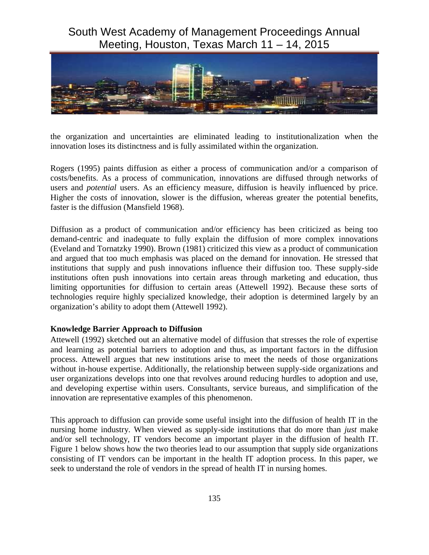

the organization and uncertainties are eliminated leading to institutionalization when the innovation loses its distinctness and is fully assimilated within the organization.

Rogers (1995) paints diffusion as either a process of communication and/or a comparison of costs/benefits. As a process of communication, innovations are diffused through networks of users and *potential* users. As an efficiency measure, diffusion is heavily influenced by price. Higher the costs of innovation, slower is the diffusion, whereas greater the potential benefits, faster is the diffusion (Mansfield 1968).

Diffusion as a product of communication and/or efficiency has been criticized as being too demand-centric and inadequate to fully explain the diffusion of more complex innovations (Eveland and Tornatzky 1990). Brown (1981) criticized this view as a product of communication and argued that too much emphasis was placed on the demand for innovation. He stressed that institutions that supply and push innovations influence their diffusion too. These supply-side institutions often push innovations into certain areas through marketing and education, thus limiting opportunities for diffusion to certain areas (Attewell 1992). Because these sorts of technologies require highly specialized knowledge, their adoption is determined largely by an organization's ability to adopt them (Attewell 1992).

#### **Knowledge Barrier Approach to Diffusion**

Attewell (1992) sketched out an alternative model of diffusion that stresses the role of expertise and learning as potential barriers to adoption and thus, as important factors in the diffusion process. Attewell argues that new institutions arise to meet the needs of those organizations without in-house expertise. Additionally, the relationship between supply-side organizations and user organizations develops into one that revolves around reducing hurdles to adoption and use, and developing expertise within users. Consultants, service bureaus, and simplification of the innovation are representative examples of this phenomenon.

This approach to diffusion can provide some useful insight into the diffusion of health IT in the nursing home industry. When viewed as supply-side institutions that do more than *just* make and/or sell technology, IT vendors become an important player in the diffusion of health IT. Figure 1 below shows how the two theories lead to our assumption that supply side organizations consisting of IT vendors can be important in the health IT adoption process. In this paper, we seek to understand the role of vendors in the spread of health IT in nursing homes.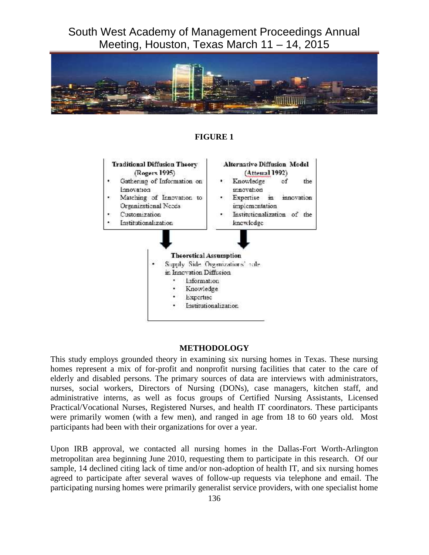

### **FIGURE 1**



#### **METHODOLOGY**

This study employs grounded theory in examining six nursing homes in Texas. These nursing homes represent a mix of for-profit and nonprofit nursing facilities that cater to the care of elderly and disabled persons. The primary sources of data are interviews with administrators, nurses, social workers, Directors of Nursing (DONs), case managers, kitchen staff, and administrative interns, as well as focus groups of Certified Nursing Assistants, Licensed Practical/Vocational Nurses, Registered Nurses, and health IT coordinators. These participants were primarily women (with a few men), and ranged in age from 18 to 60 years old. Most participants had been with their organizations for over a year.

Upon IRB approval, we contacted all nursing homes in the Dallas-Fort Worth-Arlington metropolitan area beginning June 2010, requesting them to participate in this research. Of our sample, 14 declined citing lack of time and/or non-adoption of health IT, and six nursing homes agreed to participate after several waves of follow-up requests via telephone and email. The participating nursing homes were primarily generalist service providers, with one specialist home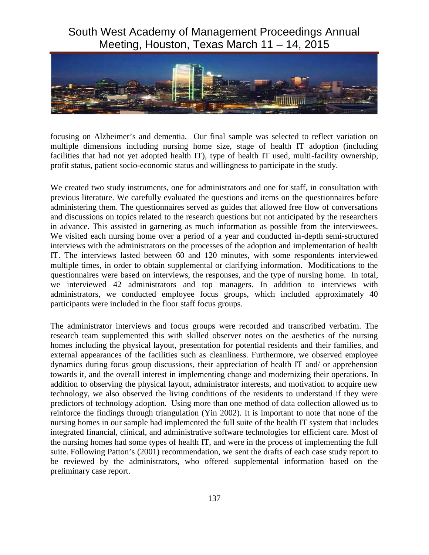

focusing on Alzheimer's and dementia. Our final sample was selected to reflect variation on multiple dimensions including nursing home size, stage of health IT adoption (including facilities that had not yet adopted health IT), type of health IT used, multi-facility ownership, profit status, patient socio-economic status and willingness to participate in the study.

We created two study instruments, one for administrators and one for staff, in consultation with previous literature. We carefully evaluated the questions and items on the questionnaires before administering them. The questionnaires served as guides that allowed free flow of conversations and discussions on topics related to the research questions but not anticipated by the researchers in advance. This assisted in garnering as much information as possible from the interviewees. We visited each nursing home over a period of a year and conducted in-depth semi-structured interviews with the administrators on the processes of the adoption and implementation of health IT. The interviews lasted between 60 and 120 minutes, with some respondents interviewed multiple times, in order to obtain supplemental or clarifying information. Modifications to the questionnaires were based on interviews, the responses, and the type of nursing home. In total, we interviewed 42 administrators and top managers. In addition to interviews with administrators, we conducted employee focus groups, which included approximately 40 participants were included in the floor staff focus groups.

The administrator interviews and focus groups were recorded and transcribed verbatim. The research team supplemented this with skilled observer notes on the aesthetics of the nursing homes including the physical layout, presentation for potential residents and their families, and external appearances of the facilities such as cleanliness. Furthermore, we observed employee dynamics during focus group discussions, their appreciation of health IT and/ or apprehension towards it, and the overall interest in implementing change and modernizing their operations. In addition to observing the physical layout, administrator interests, and motivation to acquire new technology, we also observed the living conditions of the residents to understand if they were predictors of technology adoption. Using more than one method of data collection allowed us to reinforce the findings through triangulation (Yin 2002). It is important to note that none of the nursing homes in our sample had implemented the full suite of the health IT system that includes integrated financial, clinical, and administrative software technologies for efficient care. Most of the nursing homes had some types of health IT, and were in the process of implementing the full suite. Following Patton's (2001) recommendation, we sent the drafts of each case study report to be reviewed by the administrators, who offered supplemental information based on the preliminary case report.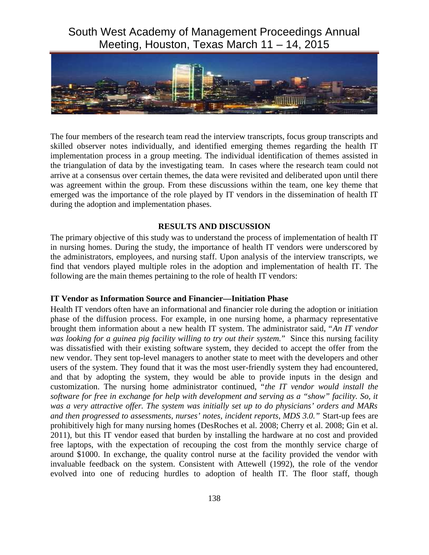

The four members of the research team read the interview transcripts, focus group transcripts and skilled observer notes individually, and identified emerging themes regarding the health IT implementation process in a group meeting. The individual identification of themes assisted in the triangulation of data by the investigating team. In cases where the research team could not arrive at a consensus over certain themes, the data were revisited and deliberated upon until there was agreement within the group. From these discussions within the team, one key theme that emerged was the importance of the role played by IT vendors in the dissemination of health IT during the adoption and implementation phases.

#### **RESULTS AND DISCUSSION**

The primary objective of this study was to understand the process of implementation of health IT in nursing homes. During the study, the importance of health IT vendors were underscored by the administrators, employees, and nursing staff. Upon analysis of the interview transcripts, we find that vendors played multiple roles in the adoption and implementation of health IT. The following are the main themes pertaining to the role of health IT vendors:

### **IT Vendor as Information Source and Financier***—***Initiation Phase**

Health IT vendors often have an informational and financier role during the adoption or initiation phase of the diffusion process. For example, in one nursing home, a pharmacy representative brought them information about a new health IT system. The administrator said, "*An IT vendor was looking for a guinea pig facility willing to try out their system.*" Since this nursing facility was dissatisfied with their existing software system, they decided to accept the offer from the new vendor. They sent top-level managers to another state to meet with the developers and other users of the system. They found that it was the most user-friendly system they had encountered, and that by adopting the system, they would be able to provide inputs in the design and customization. The nursing home administrator continued, "*the IT vendor would install the software for free in exchange for help with development and serving as a "show" facility. So, it was a very attractive offer. The system was initially set up to do physicians' orders and MARs and then progressed to assessments, nurses' notes, incident reports, MDS 3.0."* Start-up fees are prohibitively high for many nursing homes (DesRoches et al. 2008; Cherry et al. 2008; Gin et al. 2011), but this IT vendor eased that burden by installing the hardware at no cost and provided free laptops, with the expectation of recouping the cost from the monthly service charge of around \$1000. In exchange, the quality control nurse at the facility provided the vendor with invaluable feedback on the system. Consistent with Attewell (1992), the role of the vendor evolved into one of reducing hurdles to adoption of health IT. The floor staff, though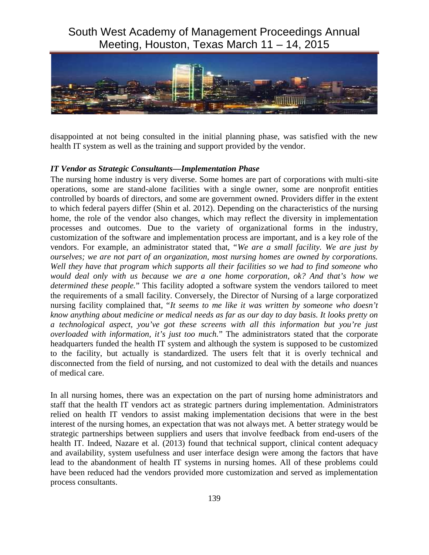

disappointed at not being consulted in the initial planning phase, was satisfied with the new health IT system as well as the training and support provided by the vendor.

#### *IT Vendor as Strategic Consultants—Implementation Phase*

The nursing home industry is very diverse. Some homes are part of corporations with multi-site operations, some are stand-alone facilities with a single owner, some are nonprofit entities controlled by boards of directors, and some are government owned. Providers differ in the extent to which federal payers differ (Shin et al. 2012). Depending on the characteristics of the nursing home, the role of the vendor also changes, which may reflect the diversity in implementation processes and outcomes. Due to the variety of organizational forms in the industry, customization of the software and implementation process are important, and is a key role of the vendors. For example, an administrator stated that, "*We are a small facility. We are just by ourselves; we are not part of an organization, most nursing homes are owned by corporations. Well they have that program which supports all their facilities so we had to find someone who would deal only with us because we are a one home corporation, ok? And that's how we determined these people.*" This facility adopted a software system the vendors tailored to meet the requirements of a small facility. Conversely, the Director of Nursing of a large corporatized nursing facility complained that, "*It seems to me like it was written by someone who doesn't know anything about medicine or medical needs as far as our day to day basis. It looks pretty on a technological aspect, you've got these screens with all this information but you're just overloaded with information, it's just too much.*" The administrators stated that the corporate headquarters funded the health IT system and although the system is supposed to be customized to the facility, but actually is standardized. The users felt that it is overly technical and disconnected from the field of nursing, and not customized to deal with the details and nuances of medical care.

In all nursing homes, there was an expectation on the part of nursing home administrators and staff that the health IT vendors act as strategic partners during implementation. Administrators relied on health IT vendors to assist making implementation decisions that were in the best interest of the nursing homes, an expectation that was not always met. A better strategy would be strategic partnerships between suppliers and users that involve feedback from end-users of the health IT. Indeed, Nazare et al. (2013) found that technical support, clinical content adequacy and availability, system usefulness and user interface design were among the factors that have lead to the abandonment of health IT systems in nursing homes. All of these problems could have been reduced had the vendors provided more customization and served as implementation process consultants.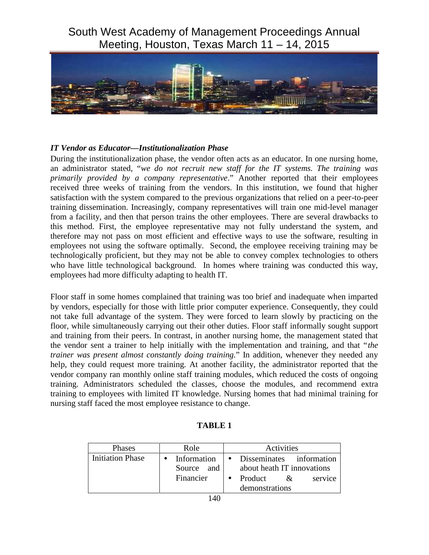

### *IT Vendor as Educator—Institutionalization Phase*

During the institutionalization phase, the vendor often acts as an educator. In one nursing home, an administrator stated, "*we do not recruit new staff for the IT systems. The training was primarily provided by a company representative*." Another reported that their employees received three weeks of training from the vendors. In this institution, we found that higher satisfaction with the system compared to the previous organizations that relied on a peer-to-peer training dissemination. Increasingly, company representatives will train one mid-level manager from a facility, and then that person trains the other employees. There are several drawbacks to this method. First, the employee representative may not fully understand the system, and therefore may not pass on most efficient and effective ways to use the software, resulting in employees not using the software optimally. Second, the employee receiving training may be technologically proficient, but they may not be able to convey complex technologies to others who have little technological background. In homes where training was conducted this way, employees had more difficulty adapting to health IT.

Floor staff in some homes complained that training was too brief and inadequate when imparted by vendors, especially for those with little prior computer experience. Consequently, they could not take full advantage of the system. They were forced to learn slowly by practicing on the floor, while simultaneously carrying out their other duties. Floor staff informally sought support and training from their peers. In contrast, in another nursing home, the management stated that the vendor sent a trainer to help initially with the implementation and training, and that "*the trainer was present almost constantly doing training.*" In addition, whenever they needed any help, they could request more training. At another facility, the administrator reported that the vendor company ran monthly online staff training modules, which reduced the costs of ongoing training. Administrators scheduled the classes, choose the modules, and recommend extra training to employees with limited IT knowledge. Nursing homes that had minimal training for nursing staff faced the most employee resistance to change.

| Phases                  | Role                                   | Activities                                               |
|-------------------------|----------------------------------------|----------------------------------------------------------|
| <b>Initiation Phase</b> | Information<br>$\bullet$<br>Source and | • Disseminates information<br>about heath IT innovations |
|                         | Financier                              | Product<br>service                                       |
|                         |                                        | demonstrations                                           |

### **TABLE 1**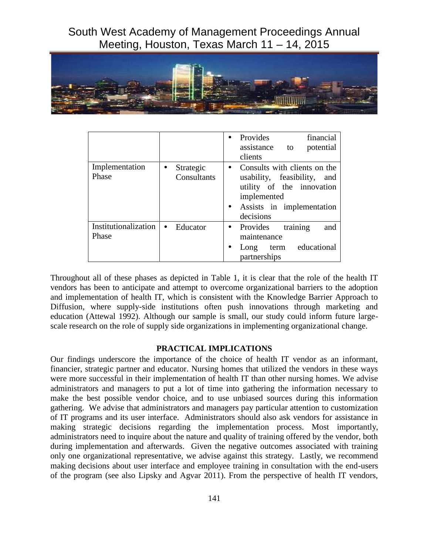

|                               |                                       | financial<br>Provides<br>$\bullet$<br>assistance<br>potential<br>to<br>clients                                                                                              |
|-------------------------------|---------------------------------------|-----------------------------------------------------------------------------------------------------------------------------------------------------------------------------|
| Implementation<br>Phase       | Strategic<br>$\bullet$<br>Consultants | Consults with clients on the<br>$\bullet$<br>usability, feasibility, and<br>utility of the innovation<br>implemented<br>Assists in implementation<br>$\bullet$<br>decisions |
| Institutionalization<br>Phase | Educator<br>$\bullet$                 | training<br>Provides<br>and<br>$\bullet$<br>maintenance<br>educational<br>Long term<br>$\bullet$<br>partnerships                                                            |

Throughout all of these phases as depicted in Table 1, it is clear that the role of the health IT vendors has been to anticipate and attempt to overcome organizational barriers to the adoption and implementation of health IT, which is consistent with the Knowledge Barrier Approach to Diffusion, where supply-side institutions often push innovations through marketing and education (Attewal 1992). Although our sample is small, our study could inform future large scale research on the role of supply side organizations in implementing organizational change.

#### **PRACTICAL IMPLICATIONS**

Our findings underscore the importance of the choice of health IT vendor as an informant, financier, strategic partner and educator. Nursing homes that utilized the vendors in these ways were more successful in their implementation of health IT than other nursing homes. We advise administrators and managers to put a lot of time into gathering the information necessary to make the best possible vendor choice, and to use unbiased sources during this information gathering. We advise that administrators and managers pay particular attention to customization of IT programs and its user interface. Administrators should also ask vendors for assistance in making strategic decisions regarding the implementation process. Most importantly, administrators need to inquire about the nature and quality of training offered by the vendor, both during implementation and afterwards. Given the negative outcomes associated with training only one organizational representative, we advise against this strategy. Lastly, we recommend making decisions about user interface and employee training in consultation with the end-users of the program (see also Lipsky and Agvar 2011). From the perspective of health IT vendors,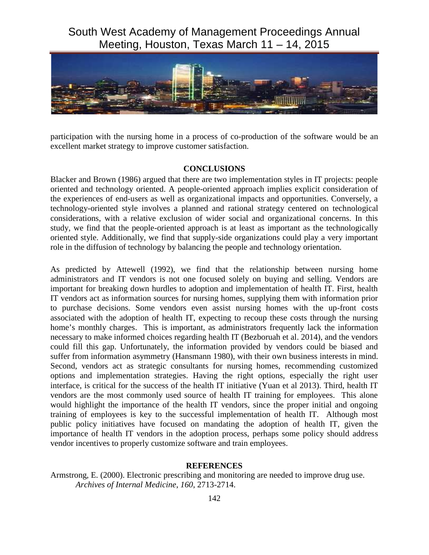

participation with the nursing home in a process of co-production of the software would be an excellent market strategy to improve customer satisfaction.

#### **CONCLUSIONS**

Blacker and Brown (1986) argued that there are two implementation styles in IT projects: people oriented and technology oriented. A people-oriented approach implies explicit consideration of the experiences of end-users as well as organizational impacts and opportunities. Conversely, a technology-oriented style involves a planned and rational strategy centered on technological considerations, with a relative exclusion of wider social and organizational concerns. In this study, we find that the people-oriented approach is at least as important as the technologically oriented style. Additionally, we find that supply-side organizations could play a very important role in the diffusion of technology by balancing the people and technology orientation.

As predicted by Attewell (1992), we find that the relationship between nursing home administrators and IT vendors is not one focused solely on buying and selling. Vendors are important for breaking down hurdles to adoption and implementation of health IT. First, health IT vendors act as information sources for nursing homes, supplying them with information prior to purchase decisions. Some vendors even assist nursing homes with the up-front costs associated with the adoption of health IT, expecting to recoup these costs through the nursing home's monthly charges. This is important, as administrators frequently lack the information necessary to make informed choices regarding health IT (Bezboruah et al. 2014), and the vendors could fill this gap. Unfortunately, the information provided by vendors could be biased and suffer from information asymmetry (Hansmann 1980), with their own business interests in mind. Second, vendors act as strategic consultants for nursing homes, recommending customized options and implementation strategies. Having the right options, especially the right user interface, is critical for the success of the health IT initiative (Yuan et al 2013). Third, health IT vendors are the most commonly used source of health IT training for employees. This alone would highlight the importance of the health IT vendors, since the proper initial and ongoing training of employees is key to the successful implementation of health IT. Although most public policy initiatives have focused on mandating the adoption of health IT, given the importance of health IT vendors in the adoption process, perhaps some policy should address vendor incentives to properly customize software and train employees.

#### **REFERENCES**

Armstrong, E. (2000). Electronic prescribing and monitoring are needed to improve drug use. *Archives of Internal Medicine*, *160*, 2713-2714.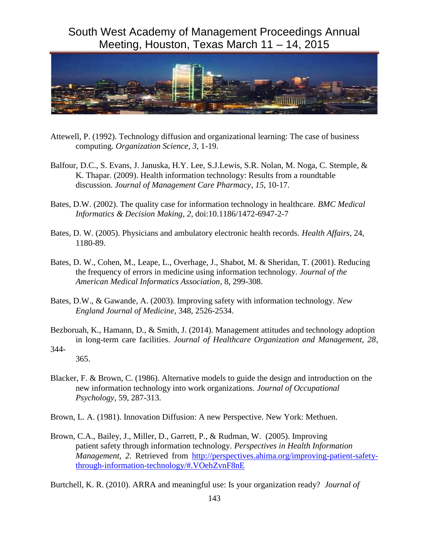

- Attewell, P. (1992). Technology diffusion and organizational learning: The case of business computing. *Organization Science*, *3*, 1-19.
- Balfour, D.C., S. Evans, J. Januska, H.Y. Lee, S.J.Lewis, S.R. Nolan, M. Noga, C. Stemple, & K. Thapar. (2009). Health information technology: Results from a roundtable discussion. *Journal of Management Care Pharmacy*, *15*, 10-17.
- Bates, D.W. (2002). The quality case for information technology in healthcare. *BMC Medical Informatics & Decision Making*, *2*, doi:10.1186/1472-6947-2-7
- Bates, D. W. (2005). Physicians and ambulatory electronic health records. *Health Affairs*, 24, 1180-89.
- Bates, D. W., Cohen, M., Leape, L., Overhage, J., Shabot, M. & Sheridan, T. (2001). Reducing the frequency of errors in medicine using information technology. *Journal of the American Medical Informatics Association*, 8, 299-308.
- Bates, D.W., & Gawande, A. (2003). Improving safety with information technology*. New England Journal of Medicine*, 348, 2526-2534.
- Bezboruah, K., Hamann, D., & Smith, J. (2014). Management attitudes and technology adoption in long-term care facilities. *Journal of Healthcare Organization and Management, 28*, 344- 365.
- Blacker, F. & Brown, C. (1986). Alternative models to guide the design and introduction on the new information technology into work organizations. *Journal of Occupational Psychology*, 59, 287-313.
- Brown, L. A. (1981). Innovation Diffusion: A new Perspective. New York: Methuen.
- Brown, C.A., Bailey, J., Miller, D., Garrett, P., & Rudman, W. (2005). Improving patient safety through information technology. *Perspectives in Health Information Management*, *2*. Retrieved from http://perspectives.ahima.org/improving-patient-safetythrough-information-technology/#.VOehZvnF8nE

Burtchell, K. R. (2010). ARRA and meaningful use: Is your organization ready? *Journal of*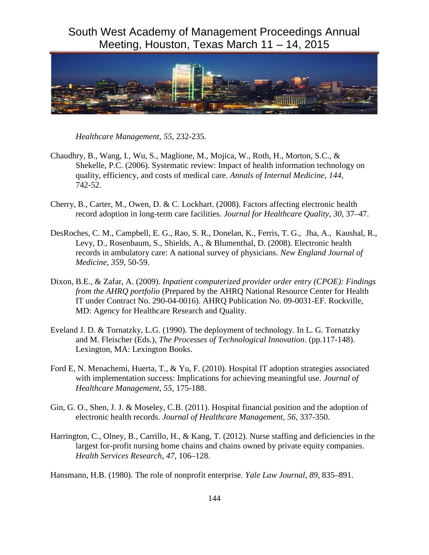

*Healthcare Management, 55*, 232-235.

- Chaudhry, B., Wang, I., Wu, S., Maglione, M., Mojica, W., Roth, H., Morton, S.C., & Shekelle, P.C. (2006). Systematic review: Impact of health information technology on quality, efficiency, and costs of medical care. *Annals of Internal Medicine*, *144*, 742-52.
- Cherry, B., Carter, M., Owen, D. & C. Lockhart. (2008). Factors affecting electronic health record adoption in long-term care facilities. *Journal for Healthcare Quality*, *30*, 37–47.
- DesRoches, C. M., Campbell, E. G., Rao, S. R., Donelan, K., Ferris, T. G., Jha, A., Kaushal, R., Levy, D., Rosenbaum, S., Shields, A., & Blumenthal, D. (2008). Electronic health records in ambulatory care: A national survey of physicians*. New England Journal of Medicine*, *359*, 50-59.
- Dixon, B.E., & Zafar, A. (2009). *Inpatient computerized provider order entry (CPOE): Findings from the AHRQ portfolio* (Prepared by the AHRQ National Resource Center for Health IT under Contract No. 290-04-0016). AHRQ Publication No. 09-0031-EF. Rockville, MD: Agency for Healthcare Research and Quality.
- Eveland J. D. & Tornatzky, L.G. (1990). The deployment of technology. In L. G. Tornatzky and M. Fleischer (Eds.), *The Processes of Technological Innovation*. (pp.117-148). Lexington, MA: Lexington Books.
- Ford E, N. Menachemi, Huerta, T., & Yu, F. (2010). Hospital IT adoption strategies associated with implementation success: Implications for achieving meaningful use. *Journal of Healthcare Management*, *55*, 175-188.
- Gin, G. O., Shen, J. J. & Moseley, C.B. (2011). Hospital financial position and the adoption of electronic health records. *Journal of Healthcare Management, 56*, 337-350.
- Harrington, C., Olney, B., Carrillo, H., & Kang, T. (2012). Nurse staffing and deficiencies in the largest for-profit nursing home chains and chains owned by private equity companies. *Health Services Research*, *47*, 106–128.

Hansmann, H.B. (1980). The role of nonprofit enterprise. *Yale Law Journal, 89*, 835–891.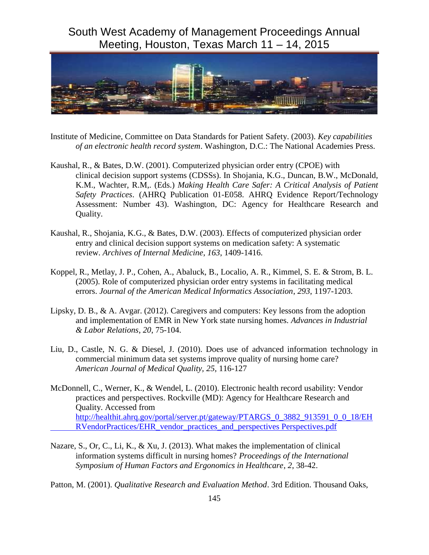

- Institute of Medicine, Committee on Data Standards for Patient Safety. (2003). *Key capabilities of an electronic health record system*. Washington, D.C.: The National Academies Press.
- Kaushal, R., & Bates, D.W. (2001). Computerized physician order entry (CPOE) with clinical decision support systems (CDSSs). In Shojania, K.G., Duncan, B.W., McDonald, K.M., Wachter, R.M,. (Eds.) *Making Health Care Safer: A Critical Analysis of Patient Safety Practices*. (AHRQ Publication 01-E058. AHRQ Evidence Report/Technology Assessment: Number 43). Washington, DC: Agency for Healthcare Research and Quality.
- Kaushal, R., Shojania, K.G., & Bates, D.W. (2003). Effects of computerized physician order entry and clinical decision support systems on medication safety: A systematic review. *Archives of Internal Medicine*, *163*, 1409-1416.
- Koppel, R., Metlay, J. P., Cohen, A., Abaluck, B., Localio, A. R., Kimmel, S. E. & Strom, B. L. (2005). Role of computerized physician order entry systems in facilitating medical errors. *Journal of the American Medical Informatics Association*, *293*, 1197-1203.
- Lipsky, D. B., & A. Avgar. (2012). Caregivers and computers: Key lessons from the adoption and implementation of EMR in New York state nursing homes. *Advances in Industrial & Labor Relations*, *20*, 75-104.
- Liu, D., Castle, N. G. & Diesel, J. (2010). Does use of advanced information technology in commercial minimum data set systems improve quality of nursing home care? *American Journal of Medical Quality, 25*, 116-127
- McDonnell, C., Werner, K., & Wendel, L. (2010). Electronic health record usability: Vendor practices and perspectives. Rockville (MD): Agency for Healthcare Research and Quality. Accessed from http://healthit.ahrq.gov/portal/server.pt/gateway/PTARGS\_0\_3882\_913591\_0\_0\_18/EH RVendorPractices/EHR\_vendor\_practices\_and\_perspectives Perspectives.pdf
- Nazare, S., Or, C., Li, K., & Xu, J. (2013). What makes the implementation of clinical information systems difficult in nursing homes? *Proceedings of the International Symposium of Human Factors and Ergonomics in Healthcare*, *2*, 38-42.

Patton, M. (2001). *Qualitative Research and Evaluation Method*. 3rd Edition. Thousand Oaks,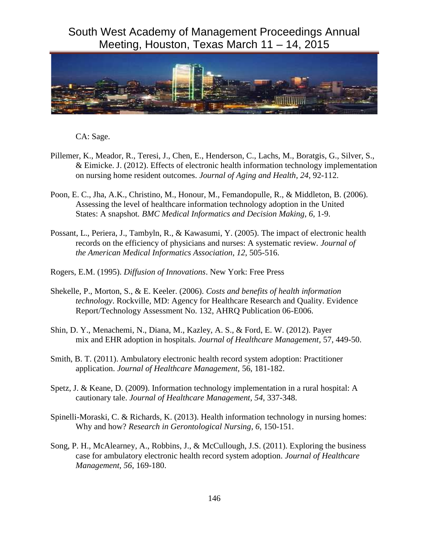

CA: Sage.

- Pillemer, K., Meador, R., Teresi, J., Chen, E., Henderson, C., Lachs, M., Boratgis, G., Silver, S., & Eimicke. J. (2012). Effects of electronic health information technology implementation on nursing home resident outcomes. *Journal of Aging and Health*, *24*, 92-112.
- Poon, E. C., Jha, A.K., Christino, M., Honour, M., Femandopulle, R., & Middleton, B. (2006). Assessing the level of healthcare information technology adoption in the United States: A snapshot*. BMC Medical Informatics and Decision Making*, *6*, 1-9.
- Possant, L., Periera, J., Tambyln, R., & Kawasumi, Y. (2005). The impact of electronic health records on the efficiency of physicians and nurses: A systematic review. *Journal of the American Medical Informatics Association*, *12*, 505-516.
- Rogers, E.M. (1995). *Diffusion of Innovations*. New York: Free Press
- Shekelle, P., Morton, S., & E. Keeler. (2006). *Costs and benefits of health information technology*. Rockville, MD: Agency for Healthcare Research and Quality. Evidence Report/Technology Assessment No. 132, AHRQ Publication 06-E006.
- Shin, D. Y., Menachemi, N., Diana, M., Kazley, A. S., & Ford, E. W. (2012). Payer mix and EHR adoption in hospitals. *Journal of Healthcare Management*, 57, 449-50.
- Smith, B. T. (2011). Ambulatory electronic health record system adoption: Practitioner application. *Journal of Healthcare Management,* 56, 181-182.
- Spetz, J. & Keane, D. (2009). Information technology implementation in a rural hospital: A cautionary tale. *Journal of Healthcare Management, 54*, 337-348.
- Spinelli-Moraski, C. & Richards, K. (2013). Health information technology in nursing homes: Why and how? *Research in Gerontological Nursing*, *6*, 150-151.
- Song, P. H., McAlearney, A., Robbins, J., & McCullough, J.S. (2011). Exploring the business case for ambulatory electronic health record system adoption*. Journal of Healthcare Management*, *56*, 169-180.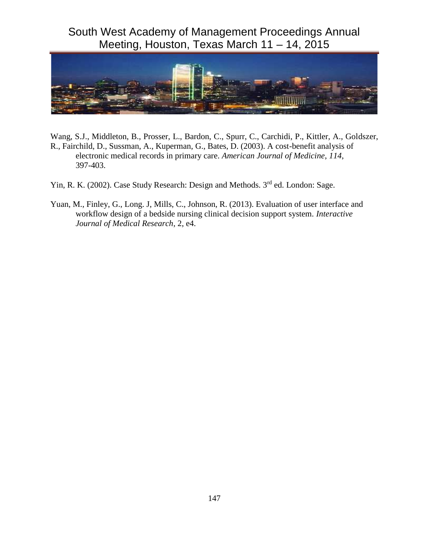

- Wang, S.J., Middleton, B., Prosser, L., Bardon, C., Spurr, C., Carchidi, P., Kittler, A., Goldszer, R., Fairchild, D., Sussman, A., Kuperman, G., Bates, D. (2003). A cost-benefit analysis of electronic medical records in primary care. *American Journal of Medicine*, *114*, 397-403.
- Yin, R. K. (2002). Case Study Research: Design and Methods. 3<sup>rd</sup> ed. London: Sage.
- Yuan, M., Finley, G., Long. J, Mills, C., Johnson, R. (2013). Evaluation of user interface and workflow design of a bedside nursing clinical decision support system. *Interactive Journal of Medical Research*, 2, e4.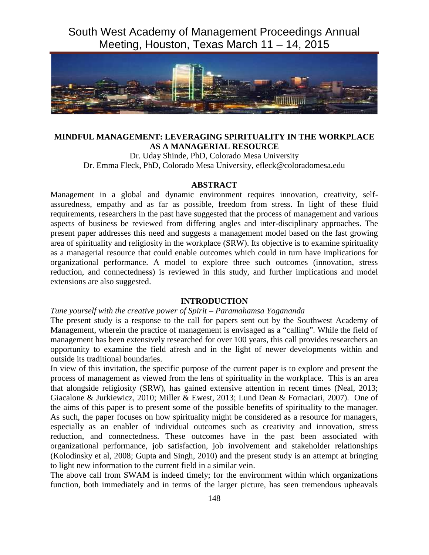

### **MINDFUL MANAGEMENT: LEVERAGING SPIRITUALITY IN THE WORKPLACE AS A MANAGERIAL RESOURCE**

Dr. Uday Shinde, PhD, Colorado Mesa University Dr. Emma Fleck, PhD, Colorado Mesa University, efleck@coloradomesa.edu

#### **ABSTRACT**

Management in a global and dynamic environment requires innovation, creativity, self assuredness, empathy and as far as possible, freedom from stress. In light of these fluid requirements, researchers in the past have suggested that the process of management and various aspects of business be reviewed from differing angles and inter-disciplinary approaches. The present paper addresses this need and suggests a management model based on the fast growing area of spirituality and religiosity in the workplace (SRW). Its objective is to examine spirituality as a managerial resource that could enable outcomes which could in turn have implications for organizational performance. A model to explore three such outcomes (innovation, stress reduction, and connectedness) is reviewed in this study, and further implications and model extensions are also suggested.

### **INTRODUCTION**

*Tune yourself with the creative power of Spirit* – *Paramahamsa Yogananda*

The present study is a response to the call for papers sent out by the Southwest Academy of Management, wherein the practice of management is envisaged as a "calling". While the field of management has been extensively researched for over 100 years, this call provides researchers an opportunity to examine the field afresh and in the light of newer developments within and outside its traditional boundaries.

In view of this invitation, the specific purpose of the current paper is to explore and present the process of management as viewed from the lens of spirituality in the workplace. This is an area that alongside religiosity (SRW), has gained extensive attention in recent times (Neal, 2013; Giacalone & Jurkiewicz, 2010; Miller & Ewest, 2013; Lund Dean & Fornaciari, 2007). One of the aims of this paper is to present some of the possible benefits of spirituality to the manager. As such, the paper focuses on how spirituality might be considered as a resource for managers, especially as an enabler of individual outcomes such as creativity and innovation, stress reduction, and connectedness. These outcomes have in the past been associated with organizational performance, job satisfaction, job involvement and stakeholder relationships (Kolodinsky et al, 2008; Gupta and Singh, 2010) and the present study is an attempt at bringing to light new information to the current field in a similar vein.

The above call from SWAM is indeed timely; for the environment within which organizations function, both immediately and in terms of the larger picture, has seen tremendous upheavals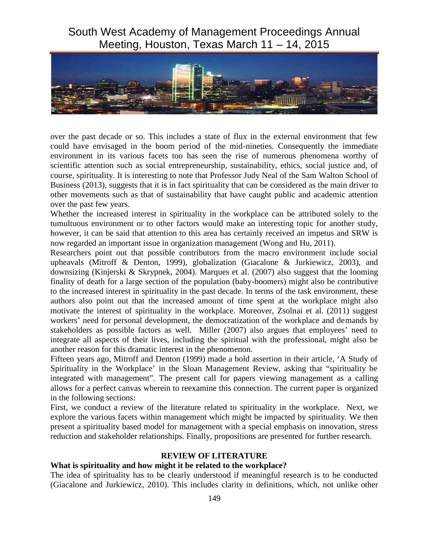

over the past decade or so. This includes a state of flux in the external environment that few could have envisaged in the boom period of the mid-nineties. Consequently the immediate environment in its various facets too has seen the rise of numerous phenomena worthy of scientific attention such as social entrepreneurship, sustainability, ethics, social justice and, of course, spirituality. It is interesting to note that Professor Judy Neal of the Sam Walton School of Business (2013), suggests that it is in fact spirituality that can be considered as the main driver to other movements such as that of sustainability that have caught public and academic attention over the past few years.

Whether the increased interest in spirituality in the workplace can be attributed solely to the tumultuous environment or to other factors would make an interesting topic for another study, however, it can be said that attention to this area has certainly received an impetus and SRW is now regarded an important issue in organization management (Wong and Hu, 2011).

Researchers point out that possible contributors from the macro environment include social upheavals (Mitroff & Denton, 1999), globalization (Giacalone & Jurkiewicz, 2003), and downsizing (Kinjerski & Skrypnek, 2004). Marques et al. (2007) also suggest that the looming finality of death for a large section of the population (baby-boomers) might also be contributive to the increased interest in spirituality in the past decade. In terms of the task environment, these authors also point out that the increased amount of time spent at the workplace might also motivate the interest of spirituality in the workplace. Moreover, Zsolnai et al. (2011) suggest workers' need for personal development, the democratization of the workplace and demands by stakeholders as possible factors as well. Miller (2007) also argues that employees' need to integrate all aspects of their lives, including the spiritual with the professional, might also be another reason for this dramatic interest in the phenomenon.

Fifteen years ago, Mitroff and Denton (1999) made a bold assertion in their article, 'A Study of Spirituality in the Workplace' in the Sloan Management Review, asking that "spirituality be integrated with management". The present call for papers viewing management as a calling allows for a perfect canvas wherein to reexamine this connection. The current paper is organized in the following sections:

First, we conduct a review of the literature related to spirituality in the workplace. Next, we explore the various facets within management which might be impacted by spirituality. We then present a spirituality based model for management with a special emphasis on innovation, stress reduction and stakeholder relationships. Finally, propositions are presented for further research.

### **REVIEW OF LITERATURE**

#### **What is spirituality and how might it be related to the workplace?**

The idea of spirituality has to be clearly understood if meaningful research is to be conducted (Giacalone and Jurkiewicz, 2010). This includes clarity in definitions, which, not unlike other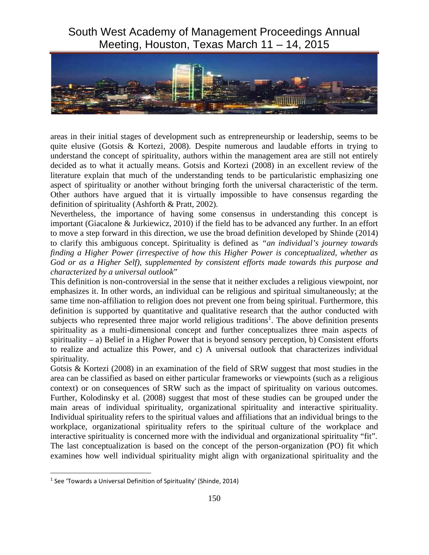

areas in their initial stages of development such as entrepreneurship or leadership, seems to be quite elusive (Gotsis & Kortezi, 2008). Despite numerous and laudable efforts in trying to understand the concept of spirituality, authors within the management area are still not entirely decided as to what it actually means. Gotsis and Kortezi (2008) in an excellent review of the literature explain that much of the understanding tends to be particularistic emphasizing one aspect of spirituality or another without bringing forth the universal characteristic of the term. Other authors have argued that it is virtually impossible to have consensus regarding the definition of spirituality (Ashforth & Pratt, 2002).

Nevertheless, the importance of having some consensus in understanding this concept is important (Giacalone & Jurkiewicz, 2010) if the field has to be advanced any further. In an effort to move a step forward in this direction, we use the broad definition developed by Shinde (2014) to clarify this ambiguous concept. Spirituality is defined as *"an individual's journey towards finding a Higher Power (irrespective of how this Higher Power is conceptualized, whether as God or as a Higher Self), supplemented by consistent efforts made towards this purpose and characterized by a universal outlook*"

This definition is non-controversial in the sense that it neither excludes a religious viewpoint, nor emphasizes it. In other words, an individual can be religious and spiritual simultaneously; at the same time non-affiliation to religion does not prevent one from being spiritual. Furthermore, this definition is supported by quantitative and qualitative research that the author conducted with subjects who represented three major world religious traditions<sup>1</sup>. The above definition presents spirituality as a multi-dimensional concept and further conceptualizes three main aspects of spirituality – a) Belief in a Higher Power that is beyond sensory perception, b) Consistent efforts to realize and actualize this Power, and c) A universal outlook that characterizes individual spirituality.

Gotsis & Kortezi (2008) in an examination of the field of SRW suggest that most studies in the area can be classified as based on either particular frameworks or viewpoints (such as a religious context) or on consequences of SRW such as the impact of spirituality on various outcomes. Further, Kolodinsky et al. (2008) suggest that most of these studies can be grouped under the main areas of individual spirituality, organizational spirituality and interactive spirituality. Individual spirituality refers to the spiritual values and affiliations that an individual brings to the workplace, organizational spirituality refers to the spiritual culture of the workplace and interactive spirituality is concerned more with the individual and organizational spirituality "fit". The last conceptualization is based on the concept of the person-organization (PO) fit which examines how well individual spirituality might align with organizational spirituality and the

<sup>&</sup>lt;sup>1</sup> See 'Towards a Universal Definition of Spirituality' (Shinde, 2014)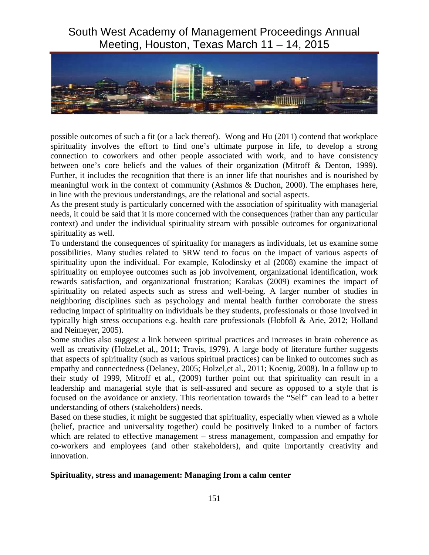

possible outcomes of such a fit (or a lack thereof). Wong and Hu (2011) contend that workplace spirituality involves the effort to find one's ultimate purpose in life, to develop a strong connection to coworkers and other people associated with work, and to have consistency between one's core beliefs and the values of their organization (Mitroff & Denton, 1999). Further, it includes the recognition that there is an inner life that nourishes and is nourished by meaningful work in the context of community (Ashmos & Duchon, 2000). The emphases here, in line with the previous understandings, are the relational and social aspects.

As the present study is particularly concerned with the association of spirituality with managerial needs, it could be said that it is more concerned with the consequences (rather than any particular context) and under the individual spirituality stream with possible outcomes for organizational spirituality as well.

To understand the consequences of spirituality for managers as individuals, let us examine some possibilities. Many studies related to SRW tend to focus on the impact of various aspects of spirituality upon the individual. For example, Kolodinsky et al (2008) examine the impact of spirituality on employee outcomes such as job involvement, organizational identification, work rewards satisfaction, and organizational frustration; Karakas (2009) examines the impact of spirituality on related aspects such as stress and well-being. A larger number of studies in neighboring disciplines such as psychology and mental health further corroborate the stress reducing impact of spirituality on individuals be they students, professionals or those involved in typically high stress occupations e.g. health care professionals (Hobfoll & Arie, 2012; Holland and Neimeyer, 2005).

Some studies also suggest a link between spiritual practices and increases in brain coherence as well as creativity (Holzel, et al., 2011; Travis, 1979). A large body of literature further suggests that aspects of spirituality (such as various spiritual practices) can be linked to outcomes such as empathy and connectedness (Delaney, 2005; Holzel,et al., 2011; Koenig, 2008). In a follow up to their study of 1999, Mitroff et al., (2009) further point out that spirituality can result in a leadership and managerial style that is self-assured and secure as opposed to a style that is focused on the avoidance or anxiety. This reorientation towards the "Self" can lead to a better understanding of others (stakeholders) needs.

Based on these studies, it might be suggested that spirituality, especially when viewed as a whole (belief, practice and universality together) could be positively linked to a number of factors which are related to effective management – stress management, compassion and empathy for co-workers and employees (and other stakeholders), and quite importantly creativity and innovation.

### **Spirituality, stress and management: Managing from a calm center**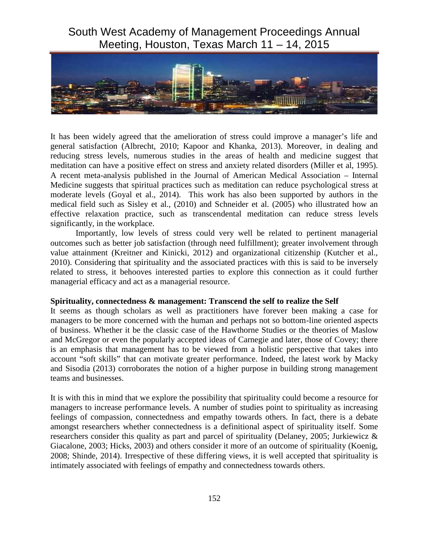

It has been widely agreed that the amelioration of stress could improve a manager's life and general satisfaction (Albrecht, 2010; Kapoor and Khanka, 2013). Moreover, in dealing and reducing stress levels, numerous studies in the areas of health and medicine suggest that meditation can have a positive effect on stress and anxiety related disorders (Miller et al, 1995). A recent meta-analysis published in the Journal of American Medical Association – Internal Medicine suggests that spiritual practices such as meditation can reduce psychological stress at moderate levels (Goyal et al., 2014). This work has also been supported by authors in the medical field such as Sisley et al., (2010) and Schneider et al. (2005) who illustrated how an effective relaxation practice, such as transcendental meditation can reduce stress levels significantly, in the workplace.

Importantly, low levels of stress could very well be related to pertinent managerial outcomes such as better job satisfaction (through need fulfillment); greater involvement through value attainment (Kreitner and Kinicki, 2012) and organizational citizenship (Kutcher et al., 2010). Considering that spirituality and the associated practices with this is said to be inversely related to stress, it behooves interested parties to explore this connection as it could further managerial efficacy and act as a managerial resource.

#### **Spirituality, connectedness & management: Transcend the self to realize the Self**

It seems as though scholars as well as practitioners have forever been making a case for managers to be more concerned with the human and perhaps not so bottom-line oriented aspects of business. Whether it be the classic case of the Hawthorne Studies or the theories of Maslow and McGregor or even the popularly accepted ideas of Carnegie and later, those of Covey; there is an emphasis that management has to be viewed from a holistic perspective that takes into account "soft skills" that can motivate greater performance. Indeed, the latest work by Macky and Sisodia (2013) corroborates the notion of a higher purpose in building strong management teams and businesses.

It is with this in mind that we explore the possibility that spirituality could become a resource for managers to increase performance levels. A number of studies point to spirituality as increasing feelings of compassion, connectedness and empathy towards others. In fact, there is a debate amongst researchers whether connectedness is a definitional aspect of spirituality itself. Some researchers consider this quality as part and parcel of spirituality (Delaney, 2005; Jurkiewicz  $\&$ Giacalone, 2003; Hicks, 2003) and others consider it more of an outcome of spirituality (Koenig, 2008; Shinde, 2014). Irrespective of these differing views, it is well accepted that spirituality is intimately associated with feelings of empathy and connectedness towards others.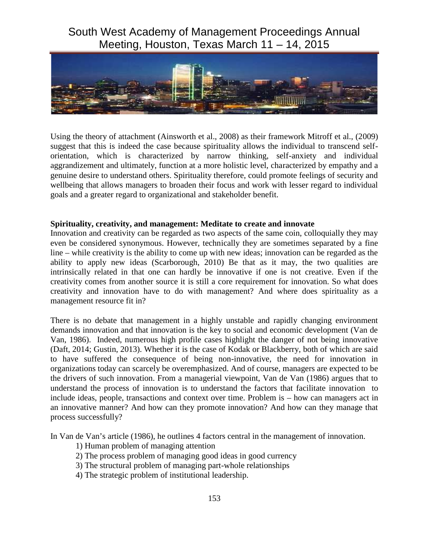

Using the theory of attachment (Ainsworth et al., 2008) as their framework Mitroff et al., (2009) suggest that this is indeed the case because spirituality allows the individual to transcend self orientation, which is characterized by narrow thinking, self-anxiety and individual aggrandizement and ultimately, function at a more holistic level, characterized by empathy and a genuine desire to understand others. Spirituality therefore, could promote feelings of security and wellbeing that allows managers to broaden their focus and work with lesser regard to individual goals and a greater regard to organizational and stakeholder benefit.

#### **Spirituality, creativity, and management: Meditate to create and innovate**

Innovation and creativity can be regarded as two aspects of the same coin, colloquially they may even be considered synonymous. However, technically they are sometimes separated by a fine line – while creativity is the ability to come up with new ideas; innovation can be regarded as the ability to apply new ideas (Scarborough, 2010) Be that as it may, the two qualities are intrinsically related in that one can hardly be innovative if one is not creative. Even if the creativity comes from another source it is still a core requirement for innovation. So what does creativity and innovation have to do with management? And where does spirituality as a management resource fit in?

There is no debate that management in a highly unstable and rapidly changing environment demands innovation and that innovation is the key to social and economic development (Van de Van, 1986). Indeed, numerous high profile cases highlight the danger of not being innovative (Daft, 2014; Gustin, 2013). Whether it is the case of Kodak or Blackberry, both of which are said to have suffered the consequence of being non-innovative, the need for innovation in organizations today can scarcely be overemphasized. And of course, managers are expected to be the drivers of such innovation. From a managerial viewpoint, Van de Van (1986) argues that to understand the process of innovation is to understand the factors that facilitate innovation to include ideas, people, transactions and context over time. Problem is – how can managers act in an innovative manner? And how can they promote innovation? And how can they manage that process successfully?

In Van de Van's article (1986), he outlines 4 factors central in the management of innovation.

- 1) Human problem of managing attention
- 2) The process problem of managing good ideas in good currency
- 3) The structural problem of managing part-whole relationships
- 4) The strategic problem of institutional leadership.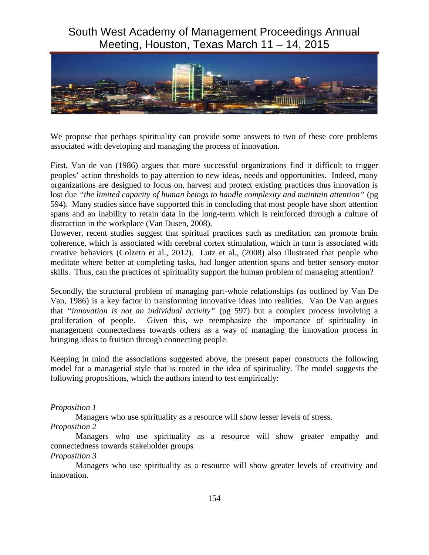

We propose that perhaps spirituality can provide some answers to two of these core problems associated with developing and managing the process of innovation.

First, Van de van (1986) argues that more successful organizations find it difficult to trigger peoples' action thresholds to pay attention to new ideas, needs and opportunities. Indeed, many organizations are designed to focus on, harvest and protect existing practices thus innovation is lost due *"the limited capacity of human beings to handle complexity and maintain attention"* (pg 594). Many studies since have supported this in concluding that most people have short attention spans and an inability to retain data in the long-term which is reinforced through a culture of distraction in the workplace (Van Dusen, 2008).

However, recent studies suggest that spiritual practices such as meditation can promote brain coherence, which is associated with cerebral cortex stimulation, which in turn is associated with creative behaviors (Colzeto et al., 2012). Lutz et al., (2008) also illustrated that people who meditate where better at completing tasks, had longer attention spans and better sensory-motor skills. Thus, can the practices of spirituality support the human problem of managing attention?

Secondly, the structural problem of managing part-whole relationships (as outlined by Van De Van, 1986) is a key factor in transforming innovative ideas into realities. Van De Van argues that *"innovation is not an individual activity"* (pg 597) but a complex process involving a proliferation of people. Given this, we reemphasize the importance of spirituality in management connectedness towards others as a way of managing the innovation process in bringing ideas to fruition through connecting people.

Keeping in mind the associations suggested above, the present paper constructs the following model for a managerial style that is rooted in the idea of spirituality. The model suggests the following propositions, which the authors intend to test empirically:

#### *Proposition 1*

Managers who use spirituality as a resource will show lesser levels of stress.

#### *Proposition 2*

Managers who use spirituality as a resource will show greater empathy and connectedness towards stakeholder groups

### *Proposition 3*

Managers who use spirituality as a resource will show greater levels of creativity and innovation.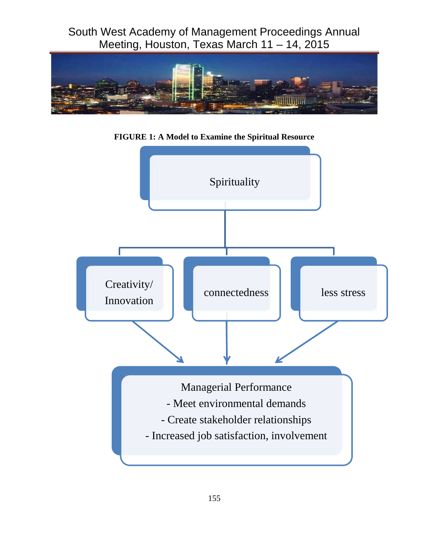

**FIGURE 1: A Model to Examine the Spiritual Resource**

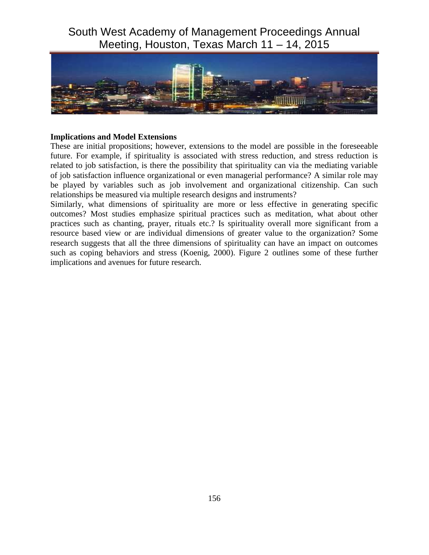

### **Implications and Model Extensions**

These are initial propositions; however, extensions to the model are possible in the foreseeable future. For example, if spirituality is associated with stress reduction, and stress reduction is related to job satisfaction, is there the possibility that spirituality can via the mediating variable of job satisfaction influence organizational or even managerial performance? A similar role may be played by variables such as job involvement and organizational citizenship. Can such relationships be measured via multiple research designs and instruments?

Similarly, what dimensions of spirituality are more or less effective in generating specific outcomes? Most studies emphasize spiritual practices such as meditation, what about other practices such as chanting, prayer, rituals etc.? Is spirituality overall more significant from a resource based view or are individual dimensions of greater value to the organization? Some research suggests that all the three dimensions of spirituality can have an impact on outcomes such as coping behaviors and stress (Koenig, 2000). Figure 2 outlines some of these further implications and avenues for future research.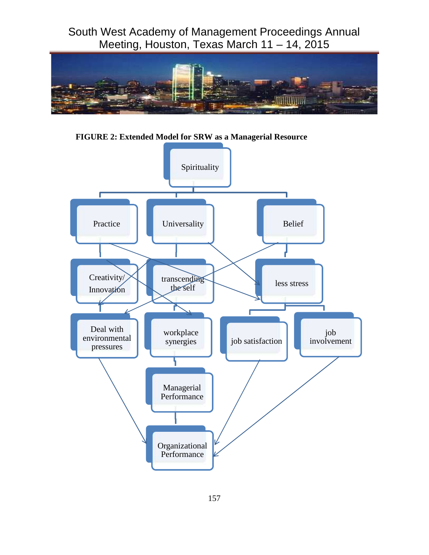

**FIGURE 2: Extended Model for SRW as a Managerial Resource**

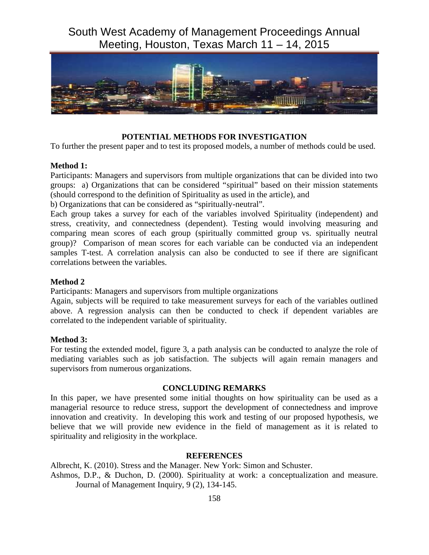

### **POTENTIAL METHODS FOR INVESTIGATION**

To further the present paper and to test its proposed models, a number of methods could be used.

#### **Method 1:**

Participants: Managers and supervisors from multiple organizations that can be divided into two groups: a) Organizations that can be considered "spiritual" based on their mission statements (should correspond to the definition of Spirituality as used in the article), and

b) Organizations that can be considered as "spiritually-neutral".

Each group takes a survey for each of the variables involved Spirituality (independent) and stress, creativity, and connectedness (dependent). Testing would involving measuring and comparing mean scores of each group (spiritually committed group vs. spiritually neutral group)? Comparison of mean scores for each variable can be conducted via an independent samples T-test. A correlation analysis can also be conducted to see if there are significant correlations between the variables.

#### **Method 2**

Participants: Managers and supervisors from multiple organizations

Again, subjects will be required to take measurement surveys for each of the variables outlined above. A regression analysis can then be conducted to check if dependent variables are correlated to the independent variable of spirituality.

#### **Method 3:**

For testing the extended model, figure 3, a path analysis can be conducted to analyze the role of mediating variables such as job satisfaction. The subjects will again remain managers and supervisors from numerous organizations.

#### **CONCLUDING REMARKS**

In this paper, we have presented some initial thoughts on how spirituality can be used as a managerial resource to reduce stress, support the development of connectedness and improve innovation and creativity. In developing this work and testing of our proposed hypothesis, we believe that we will provide new evidence in the field of management as it is related to spirituality and religiosity in the workplace.

### **REFERENCES**

Albrecht, K. (2010). Stress and the Manager. New York: Simon and Schuster. Ashmos, D.P., & Duchon, D. (2000). Spirituality at work: a conceptualization and measure. Journal of Management Inquiry, 9 (2), 134-145.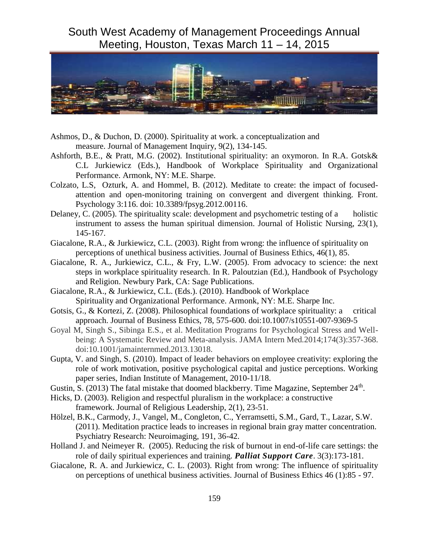

- Ashmos, D., & Duchon, D. (2000). Spirituality at work. a conceptualization and measure. Journal of Management Inquiry, 9(2), 134-145.
- Ashforth, B.E., & Pratt, M.G. (2002). Institutional spirituality: an oxymoron. In R.A. Gotsk& C.L Jurkiewicz (Eds.), Handbook of Workplace Spirituality and Organizational Performance. Armonk, NY: M.E. Sharpe.
- Colzato, L.S, Ozturk, A. and Hommel, B. (2012). Meditate to create: the impact of focused attention and open-monitoring training on convergent and divergent thinking. Front. Psychology 3:116. doi: 10.3389/fpsyg.2012.00116.
- Delaney, C. (2005). The spirituality scale: development and psychometric testing of a holistic instrument to assess the human spiritual dimension. Journal of Holistic Nursing, 23(1), 145-167.
- Giacalone, R.A., & Jurkiewicz, C.L. (2003). Right from wrong: the influence of spirituality on perceptions of unethical business activities. Journal of Business Ethics, 46(1), 85.
- Giacalone, R. A., Jurkiewicz, C.L., & Fry, L.W. (2005). From advocacy to science: the next steps in workplace spirituality research. In R. Paloutzian (Ed.), Handbook of Psychology and Religion. Newbury Park, CA: Sage Publications.
- Giacalone, R.A., & Jurkiewicz, C.L. (Eds.). (2010). Handbook of Workplace Spirituality and Organizational Performance. Armonk, NY: M.E. Sharpe Inc.
- Gotsis, G., & Kortezi, Z. (2008). Philosophical foundations of workplace spirituality: a critical approach. Journal of Business Ethics, 78, 575-600. doi:10.1007/s10551-007-9369-5
- Goyal M, Singh S., Sibinga E.S., et al. Meditation Programs for Psychological Stress and Well being: A Systematic Review and Meta-analysis. JAMA Intern Med*.*2014;174(3):357-368. doi:10.1001/jamainternmed.2013.13018.
- Gupta, V. and Singh, S. (2010). Impact of leader behaviors on employee creativity: exploring the role of work motivation, positive psychological capital and justice perceptions. Working paper series, Indian Institute of Management, 2010-11/18.
- Gustin, S. (2013) The fatal mistake that doomed blackberry. Time Magazine, September 24<sup>th</sup>.
- Hicks, D. (2003). Religion and respectful pluralism in the workplace: a constructive framework. Journal of Religious Leadership, 2(1), 23-51.
- Hölzel, B.K., Carmody, J., Vangel, M., Congleton, C., Yerramsetti, S.M., Gard, T., Lazar, S.W. (2011). Meditation practice leads to increases in regional brain gray matter concentration. Psychiatry Research: Neuroimaging, 191, 36-42.
- Holland J. and Neimeyer R. (2005). Reducing the risk of burnout in end-of-life care settings: the role of daily spiritual experiences and training. *Palliat Support Care*. 3(3):173-181.
- Giacalone, R. A. and Jurkiewicz, C. L. (2003). Right from wrong: The influence of spirituality on perceptions of unethical business activities. Journal of Business Ethics 46 (1):85 - 97.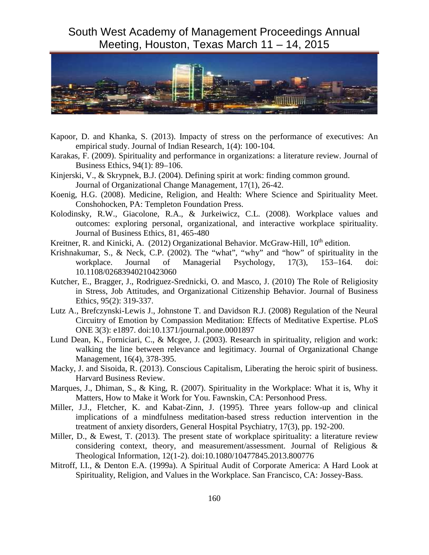

- Kapoor, D. and Khanka, S. (2013). Impacty of stress on the performance of executives: An empirical study. Journal of Indian Research, 1(4): 100-104.
- Karakas, F. (2009). Spirituality and performance in organizations: a literature review. Journal of Business Ethics, 94(1): 89–106.
- Kinjerski, V., & Skrypnek, B.J. (2004). Defining spirit at work: finding common ground. Journal of Organizational Change Management, 17(1), 26-42.
- Koenig, H.G. (2008). Medicine, Religion, and Health: Where Science and Spirituality Meet. Conshohocken, PA: Templeton Foundation Press.
- Kolodinsky, R.W., Giacolone, R.A., & Jurkeiwicz, C.L. (2008). Workplace values and outcomes: exploring personal, organizational, and interactive workplace spirituality. Journal of Business Ethics, 81, 465-480
- Kreitner, R. and Kinicki, A.  $(2012)$  Organizational Behavior. McGraw-Hill,  $10<sup>th</sup>$  edition.
- Krishnakumar, S., & Neck, C.P. (2002). The "what", "why" and "how" of spirituality in the workplace. Journal of Managerial Psychology, 17(3), 153–164. doi: 10.1108/02683940210423060
- Kutcher, E., Bragger, J., Rodriguez-Srednicki, O. and Masco, J. (2010) The Role of Religiosity in Stress, Job Attitudes, and Organizational Citizenship Behavior. Journal of Business Ethics, 95(2): 319-337.
- Lutz A., Brefczynski-Lewis J., Johnstone T. and Davidson R.J. (2008) Regulation of the Neural Circuitry of Emotion by Compassion Meditation: Effects of Meditative Expertise. PLoS ONE 3(3): e1897. doi:10.1371/journal.pone.0001897
- Lund Dean, K., Forniciari, C., & Mcgee, J. (2003). Research in spirituality, religion and work: walking the line between relevance and legitimacy. Journal of Organizational Change Management, 16(4), 378-395.
- Macky, J. and Sisoida, R. (2013). Conscious Capitalism, Liberating the heroic spirit of business. Harvard Business Review.
- Marques, J., Dhiman, S., & King, R. (2007). Spirituality in the Workplace: What it is, Why it Matters, How to Make it Work for You. Fawnskin, CA: Personhood Press.
- Miller, J.J., Fletcher, K. and Kabat-Zinn, J. (1995). Three years follow-up and clinical implications of a mindfulness meditation-based stress reduction intervention in the treatment of anxiety disorders, General Hospital Psychiatry, 17(3), pp. 192-200.
- Miller, D., & Ewest, T. (2013). The present state of workplace spirituality: a literature review considering context, theory, and measurement/assessment. Journal of Religious & Theological Information, 12(1-2). doi:10.1080/10477845.2013.800776
- Mitroff, I.I., & Denton E.A. (1999a). A Spiritual Audit of Corporate America: A Hard Look at Spirituality, Religion, and Values in the Workplace. San Francisco, CA: Jossey-Bass.